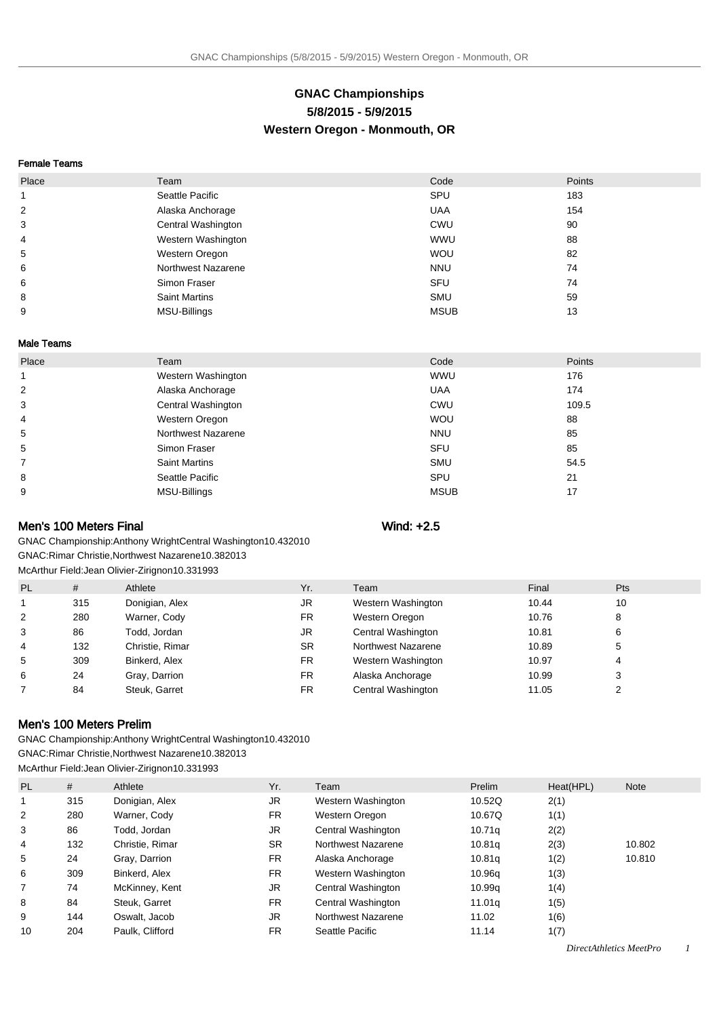# **GNAC Championships 5/8/2015 - 5/9/2015 Western Oregon - Monmouth, OR**

#### Female Teams

| Place          | Team                 | Code        | Points |
|----------------|----------------------|-------------|--------|
|                | Seattle Pacific      | SPU         | 183    |
| $\overline{2}$ | Alaska Anchorage     | <b>UAA</b>  | 154    |
| 3              | Central Washington   | CWU         | 90     |
| 4              | Western Washington   | <b>WWU</b>  | 88     |
| 5              | Western Oregon       | <b>WOU</b>  | 82     |
| 6              | Northwest Nazarene   | <b>NNU</b>  | 74     |
| 6              | Simon Fraser         | SFU         | 74     |
| 8              | <b>Saint Martins</b> | <b>SMU</b>  | 59     |
| 9              | <b>MSU-Billings</b>  | <b>MSUB</b> | 13     |

#### Male Teams

| Place | Team                 | Code        | Points |  |
|-------|----------------------|-------------|--------|--|
| 1     | Western Washington   | <b>WWU</b>  | 176    |  |
| 2     | Alaska Anchorage     | <b>UAA</b>  | 174    |  |
| 3     | Central Washington   | <b>CWU</b>  | 109.5  |  |
| 4     | Western Oregon       | <b>WOU</b>  | 88     |  |
| 5     | Northwest Nazarene   | <b>NNU</b>  | 85     |  |
| 5     | Simon Fraser         | <b>SFU</b>  | 85     |  |
| 7     | <b>Saint Martins</b> | <b>SMU</b>  | 54.5   |  |
| 8     | Seattle Pacific      | SPU         | 21     |  |
| 9     | MSU-Billings         | <b>MSUB</b> | 17     |  |

## Men's 100 Meters Final Wind: +2.5

GNAC Championship: Anthony Wright Central Washington 10.43 2010 GNAC: Rimar Christie, Northwest Nazarene 10.38 2013 McArthur Field: Jean Olivier-Zirignon 10.33 1993

| <b>PL</b> | #   | Athlete         | Yr.       | Team               | Final | <b>Pts</b> |
|-----------|-----|-----------------|-----------|--------------------|-------|------------|
|           | 315 | Donigian, Alex  | JR        | Western Washington | 10.44 | 10         |
| 2         | 280 | Warner, Cody    | FR.       | Western Oregon     | 10.76 | 8          |
| 3         | 86  | Todd, Jordan    | JR        | Central Washington | 10.81 | 6          |
| 4         | 132 | Christie, Rimar | <b>SR</b> | Northwest Nazarene | 10.89 | 5          |
| 5         | 309 | Binkerd, Alex   | FR.       | Western Washington | 10.97 | 4          |
| 6         | 24  | Gray, Darrion   | FR.       | Alaska Anchorage   | 10.99 | 3          |
|           | 84  | Steuk, Garret   | FR.       | Central Washington | 11.05 |            |

## Men's 100 Meters Prelim

GNAC Championship: Anthony Wright Central Washington 10.43 2010 GNAC: Rimar Christie, Northwest Nazarene 10.38 2013 McArthur Field: Jean Olivier-Zirignon 10.33 1993

|              |     | <b>MCATURE LIGIU. JEAH OINIGI-LININIUI</b> 10.00 1990 |           |                    |        |           |        |
|--------------|-----|-------------------------------------------------------|-----------|--------------------|--------|-----------|--------|
| <b>PL</b>    | #   | Athlete                                               | Yr.       | Team               | Prelim | Heat(HPL) | Note   |
|              | 315 | Donigian, Alex                                        | JR        | Western Washington | 10.52Q | 2(1)      |        |
| 2            | 280 | Warner, Cody                                          | FR.       | Western Oregon     | 10.67Q | 1(1)      |        |
| 3            | 86  | Todd, Jordan                                          | JR.       | Central Washington | 10.71q | 2(2)      |        |
| 4            | 132 | Christie, Rimar                                       | <b>SR</b> | Northwest Nazarene | 10.81q | 2(3)      | 10.802 |
| 5            | 24  | Gray, Darrion                                         | FR.       | Alaska Anchorage   | 10.81q | 1(2)      | 10.810 |
| 6            | 309 | Binkerd, Alex                                         | FR.       | Western Washington | 10.96g | 1(3)      |        |
| $\mathbf{7}$ | 74  | McKinney, Kent                                        | JR.       | Central Washington | 10.99q | 1(4)      |        |
| 8            | 84  | Steuk, Garret                                         | FR.       | Central Washington | 11.01a | 1(5)      |        |
| 9            | 144 | Oswalt, Jacob                                         | JR.       | Northwest Nazarene | 11.02  | 1(6)      |        |
| 10           | 204 | Paulk, Clifford                                       | FR.       | Seattle Pacific    | 11.14  | 1(7)      |        |
|              |     |                                                       |           |                    |        |           | .      |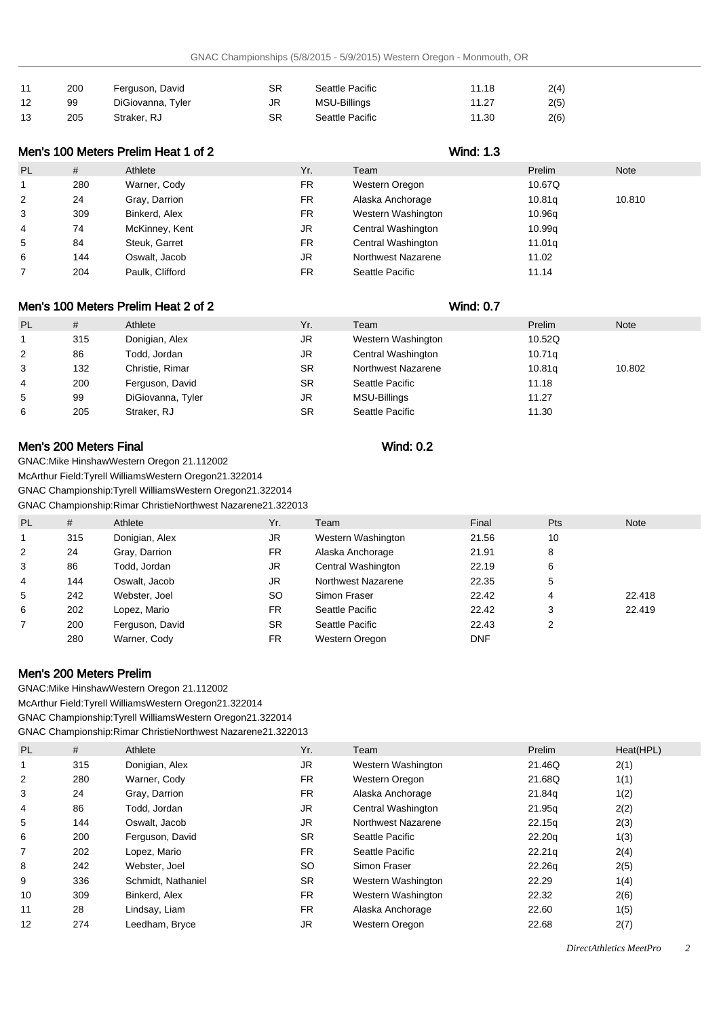| 11 | 200 | Ferguson, David   | SR | Seattle Pacific | 11.18 | 2(4) |
|----|-----|-------------------|----|-----------------|-------|------|
| 12 | 99  | DiGiovanna, Tyler | JR | MSU-Billings    | 11.27 | 2(5) |
| 13 | 205 | Straker, RJ       | SR | Seattle Pacific | 11.30 | 2(6) |

| Men's 100 Meters Prelim Heat 1 of 2 |     |                 |           | <b>Wind: 1.3</b>   |        |             |
|-------------------------------------|-----|-----------------|-----------|--------------------|--------|-------------|
| PL                                  | #   | Athlete         | Yr.       | Team               | Prelim | <b>Note</b> |
|                                     | 280 | Warner, Cody    | <b>FR</b> | Western Oregon     | 10.67Q |             |
| 2                                   | 24  | Gray, Darrion   | FR.       | Alaska Anchorage   | 10.81g | 10.810      |
| 3                                   | 309 | Binkerd, Alex   | <b>FR</b> | Western Washington | 10.96g |             |
| 4                                   | 74  | McKinney, Kent  | JR.       | Central Washington | 10.99q |             |
| 5                                   | 84  | Steuk, Garret   | <b>FR</b> | Central Washington | 11.01q |             |
| 6                                   | 144 | Oswalt, Jacob   | JR.       | Northwest Nazarene | 11.02  |             |
|                                     | 204 | Paulk. Clifford | <b>FR</b> | Seattle Pacific    | 11.14  |             |

# Men's 100 Meters Prelim Heat 2 of 2 Wind: 0.7

| <b>PL</b> | #   | Athlete           | Yr.       | Team               | Prelim             | <b>Note</b> |
|-----------|-----|-------------------|-----------|--------------------|--------------------|-------------|
|           | 315 | Donigian, Alex    | JR        | Western Washington | 10.52Q             |             |
| 2         | 86  | Todd, Jordan      | JR        | Central Washington | 10.71 <sub>q</sub> |             |
| 3         | 132 | Christie, Rimar   | <b>SR</b> | Northwest Nazarene | 10.81q             | 10.802      |
| 4         | 200 | Ferguson, David   | SR        | Seattle Pacific    | 11.18              |             |
| 5         | 99  | DiGiovanna, Tyler | JR        | MSU-Billings       | 11.27              |             |
| 6         | 205 | Straker, RJ       | <b>SR</b> | Seattle Pacific    | 11.30              |             |

# Men's 200 Meters Final Wind: 0.2

GNAC: Mike Hinshaw Western Oregon 21.11 2002

McArthur Field: Tyrell Williams Western Oregon 21.32 2014

GNAC Championship: Tyrell Williams Western Oregon 21.32 2014

GNAC Championship: Rimar Christie Northwest Nazarene 21.32 2013

| <b>PL</b> | #   | Athlete         | Yr.       | Team               | Final      | <b>Pts</b> | <b>Note</b> |
|-----------|-----|-----------------|-----------|--------------------|------------|------------|-------------|
|           |     |                 |           |                    |            |            |             |
| 1         | 315 | Donigian, Alex  | JR        | Western Washington | 21.56      | 10         |             |
| 2         | 24  | Gray, Darrion   | FR        | Alaska Anchorage   | 21.91      | 8          |             |
| 3         | 86  | Todd. Jordan    | JR        | Central Washington | 22.19      | 6          |             |
| 4         | 144 | Oswalt, Jacob   | JR.       | Northwest Nazarene | 22.35      | 5          |             |
| 5         | 242 | Webster, Joel   | SO.       | Simon Fraser       | 22.42      | 4          | 22.418      |
| 6         | 202 | Lopez, Mario    | FR.       | Seattle Pacific    | 22.42      | 3          | 22.419      |
|           | 200 | Ferguson, David | <b>SR</b> | Seattle Pacific    | 22.43      | 2          |             |
|           | 280 | Warner, Cody    | FR        | Western Oregon     | <b>DNF</b> |            |             |

## Men's 200 Meters Prelim

GNAC: Mike Hinshaw Western Oregon 21.11 2002 McArthur Field: Tyrell Williams Western Oregon 21.32 2014 GNAC Championship: Tyrell Williams Western Oregon 21.32 2014 GNAC Championship: Rimar Christie Northwest Nazarene 21.32 2013

| <b>PL</b> | #   | Athlete            | Yr.       | Team               | Prelim | Heat(HPL) |
|-----------|-----|--------------------|-----------|--------------------|--------|-----------|
|           | 315 | Donigian, Alex     | JR.       | Western Washington | 21.46Q | 2(1)      |
| 2         | 280 | Warner, Cody       | <b>FR</b> | Western Oregon     | 21.68Q | 1(1)      |
| 3         | 24  | Gray, Darrion      | <b>FR</b> | Alaska Anchorage   | 21.84g | 1(2)      |
| 4         | 86  | Todd, Jordan       | JR        | Central Washington | 21.95g | 2(2)      |
| 5         | 144 | Oswalt, Jacob      | JR.       | Northwest Nazarene | 22.15q | 2(3)      |
| 6         | 200 | Ferguson, David    | <b>SR</b> | Seattle Pacific    | 22.20q | 1(3)      |
| 7         | 202 | Lopez, Mario       | <b>FR</b> | Seattle Pacific    | 22.21q | 2(4)      |
| 8         | 242 | Webster, Joel      | <b>SO</b> | Simon Fraser       | 22.26g | 2(5)      |
| 9         | 336 | Schmidt, Nathaniel | <b>SR</b> | Western Washington | 22.29  | 1(4)      |
| 10        | 309 | Binkerd, Alex      | <b>FR</b> | Western Washington | 22.32  | 2(6)      |
| 11        | 28  | Lindsay, Liam      | <b>FR</b> | Alaska Anchorage   | 22.60  | 1(5)      |
| 12        | 274 | Leedham, Bryce     | JR        | Western Oregon     | 22.68  | 2(7)      |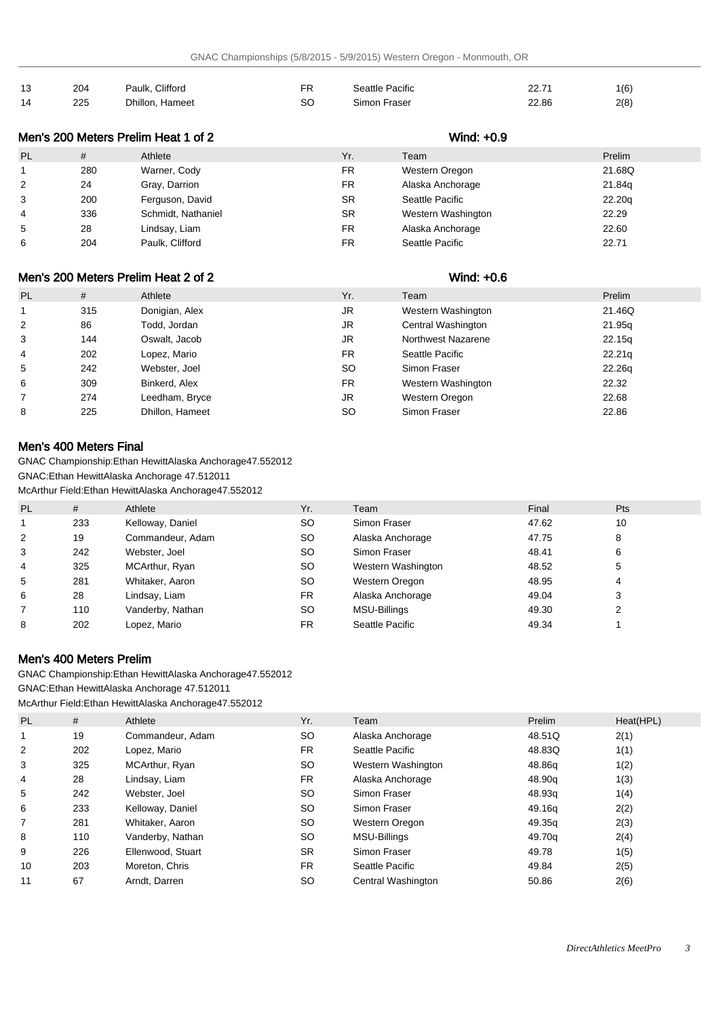| 13 | 204 | Paulk, Clifford | FR | Seattle Pacific | 22.7<br>22. I | 1(6) |
|----|-----|-----------------|----|-----------------|---------------|------|
| 14 | 225 | Dhillon, Hameet | SC | Simon Fraser    | 22.86         | 2(8) |

| Men's 200 Meters Prelim Heat 1 of 2 |     |                    |           | Wind: +0.9         |        |
|-------------------------------------|-----|--------------------|-----------|--------------------|--------|
| <b>PL</b>                           | #   | Athlete            | Yr.       | Team               | Prelim |
|                                     | 280 | Warner, Cody       | <b>FR</b> | Western Oregon     | 21.68Q |
| 2                                   | 24  | Gray, Darrion      | <b>FR</b> | Alaska Anchorage   | 21.84g |
| 3                                   | 200 | Ferguson, David    | <b>SR</b> | Seattle Pacific    | 22.20q |
| $\overline{4}$                      | 336 | Schmidt, Nathaniel | <b>SR</b> | Western Washington | 22.29  |
| 5                                   | 28  | Lindsay, Liam      | <b>FR</b> | Alaska Anchorage   | 22.60  |
| 6                                   | 204 | Paulk, Clifford    | FR        | Seattle Pacific    | 22.71  |

# Men's 200 Meters Prelim Heat 2 of 2 Wind: +0.6

| PL | #   | Athlete         | Yr. | Team               | Prelim             |
|----|-----|-----------------|-----|--------------------|--------------------|
|    | 315 | Donigian, Alex  | JR  | Western Washington | 21.46Q             |
| 2  | 86  | Todd, Jordan    | JR  | Central Washington | 21.95q             |
| 3  | 144 | Oswalt, Jacob   | JR  | Northwest Nazarene | 22.15g             |
| 4  | 202 | Lopez, Mario    | FR. | Seattle Pacific    | 22.21 <sub>q</sub> |
| 5  | 242 | Webster, Joel   | SO  | Simon Fraser       | 22.26g             |
| 6  | 309 | Binkerd, Alex   | FR. | Western Washington | 22.32              |
|    | 274 | Leedham, Bryce  | JR  | Western Oregon     | 22.68              |
| 8  | 225 | Dhillon, Hameet | SO  | Simon Fraser       | 22.86              |

# Men's 400 Meters Final

GNAC Championship: Ethan Hewitt Alaska Anchorage 47.55 2012 GNAC: Ethan Hewitt Alaska Anchorage 47.51 2011 McArthur Field: Ethan Hewitt Alaska Anchorage 47.55 2012

| <b>PL</b> | #   | Athlete          | Yr.       | Team                | Final | <b>Pts</b> |
|-----------|-----|------------------|-----------|---------------------|-------|------------|
| 1         | 233 | Kelloway, Daniel | <b>SO</b> | Simon Fraser        | 47.62 | 10         |
| 2         | 19  | Commandeur, Adam | <b>SO</b> | Alaska Anchorage    | 47.75 | 8          |
| 3         | 242 | Webster, Joel    | SO.       | Simon Fraser        | 48.41 | 6          |
| 4         | 325 | MCArthur, Ryan   | SO.       | Western Washington  | 48.52 | 5          |
| 5         | 281 | Whitaker, Aaron  | <b>SO</b> | Western Oregon      | 48.95 | 4          |
| 6         | 28  | Lindsay, Liam    | FR.       | Alaska Anchorage    | 49.04 | 3          |
|           | 110 | Vanderby, Nathan | SO.       | <b>MSU-Billings</b> | 49.30 |            |
| 8         | 202 | Lopez, Mario     | <b>FR</b> | Seattle Pacific     | 49.34 |            |

## Men's 400 Meters Prelim

GNAC Championship: Ethan Hewitt Alaska Anchorage 47.55 2012 GNAC: Ethan Hewitt Alaska Anchorage 47.51 2011 McArthur Field: Ethan Hewitt Alaska Anchorage 47.55 2012

| <b>PL</b>      | #   | Athlete           | Yr.       | Team               | Prelim | Heat(HPL) |
|----------------|-----|-------------------|-----------|--------------------|--------|-----------|
|                | 19  | Commandeur, Adam  | <b>SO</b> | Alaska Anchorage   | 48.51Q | 2(1)      |
| 2              | 202 | Lopez, Mario      | <b>FR</b> | Seattle Pacific    | 48.83Q | 1(1)      |
| 3              | 325 | MCArthur, Ryan    | <b>SO</b> | Western Washington | 48.86g | 1(2)      |
| $\overline{4}$ | 28  | Lindsay, Liam     | FR.       | Alaska Anchorage   | 48.90g | 1(3)      |
| 5              | 242 | Webster, Joel     | SO.       | Simon Fraser       | 48.93q | 1(4)      |
| 6              | 233 | Kelloway, Daniel  | <b>SO</b> | Simon Fraser       | 49.16g | 2(2)      |
| 7              | 281 | Whitaker, Aaron   | <b>SO</b> | Western Oregon     | 49.35g | 2(3)      |
| 8              | 110 | Vanderby, Nathan  | <b>SO</b> | MSU-Billings       | 49.70g | 2(4)      |
| 9              | 226 | Ellenwood, Stuart | <b>SR</b> | Simon Fraser       | 49.78  | 1(5)      |
| 10             | 203 | Moreton, Chris    | <b>FR</b> | Seattle Pacific    | 49.84  | 2(5)      |
| 11             | 67  | Arndt. Darren     | SO.       | Central Washington | 50.86  | 2(6)      |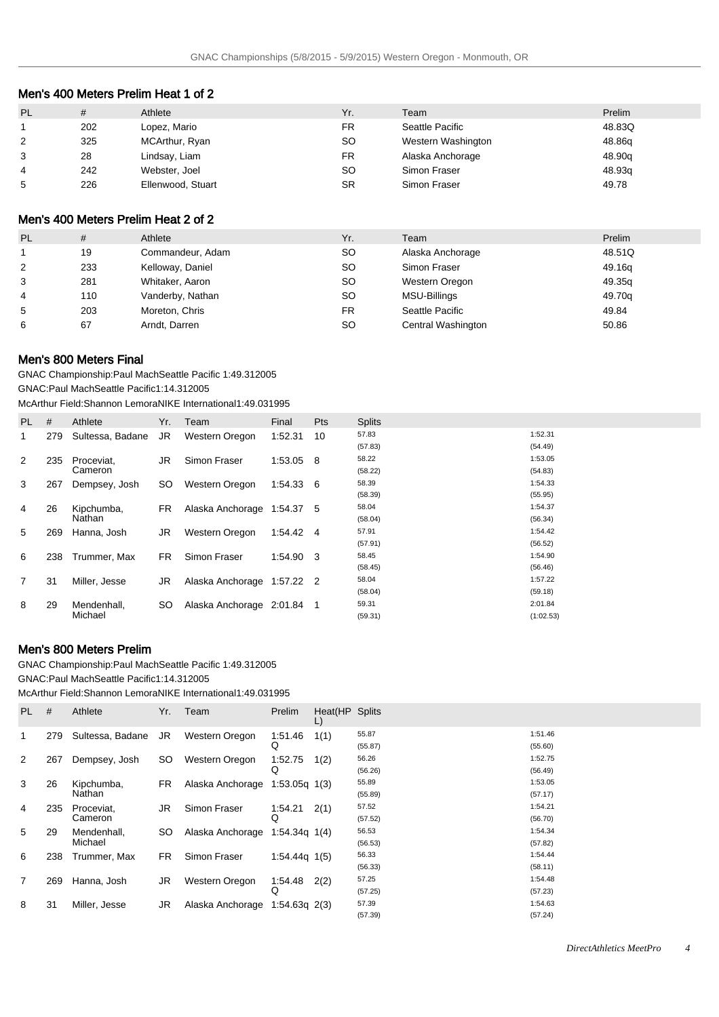## Men's 400 Meters Prelim Heat 1 of 2

| <b>PL</b>      | #   | Athlete           | Yr.       | Team               | Prelim |
|----------------|-----|-------------------|-----------|--------------------|--------|
|                | 202 | Lopez, Mario      | FR.       | Seattle Pacific    | 48.83Q |
| $\overline{2}$ | 325 | MCArthur, Ryan    | SO        | Western Washington | 48.86q |
| 3              | 28  | Lindsay, Liam     | FR.       | Alaska Anchorage   | 48.90q |
| $\overline{4}$ | 242 | Webster, Joel     | SO        | Simon Fraser       | 48.93q |
| 5              | 226 | Ellenwood, Stuart | <b>SR</b> | Simon Fraser       | 49.78  |

# Men's 400 Meters Prelim Heat 2 of 2

| <b>PL</b>      | #   | Athlete          | Yr. | Team               | Prelim |
|----------------|-----|------------------|-----|--------------------|--------|
|                | 19  | Commandeur, Adam | SO  | Alaska Anchorage   | 48.51Q |
| 2              | 233 | Kelloway, Daniel | SO  | Simon Fraser       | 49.16g |
| 3              | 281 | Whitaker, Aaron  | SO  | Western Oregon     | 49.35g |
| $\overline{4}$ | 110 | Vanderby, Nathan | SO  | MSU-Billings       | 49.70g |
| 5              | 203 | Moreton, Chris   | FR  | Seattle Pacific    | 49.84  |
| 6              | 67  | Arndt, Darren    | SO  | Central Washington | 50.86  |

#### Men's 800 Meters Final

GNAC Championship: Paul Mach Seattle Pacific 1:49.31 2005 GNAC: Paul Mach Seattle Pacific 1:14.31 2005

McArthur Field: Shannon Lemora NIKE International 1:49.03 1995

| <b>PL</b>      | #   | Athlete          | Yr. | Team                       | Final       | <b>Pts</b> | <b>Splits</b> |           |
|----------------|-----|------------------|-----|----------------------------|-------------|------------|---------------|-----------|
| 1              | 279 | Sultessa, Badane | JR  | Western Oregon             | 1:52.31     | 10         | 57.83         | 1:52.31   |
|                |     |                  |     |                            |             |            | (57.83)       | (54.49)   |
| 2              | 235 | Proceviat.       | JR  | Simon Fraser               | 1:53.05     | - 8        | 58.22         | 1:53.05   |
|                |     | Cameron          |     |                            |             |            | (58.22)       | (54.83)   |
| 3              | 267 | Dempsey, Josh    | SO  | Western Oregon             | 1:54.33 6   |            | 58.39         | 1:54.33   |
|                |     |                  |     |                            |             |            | (58.39)       | (55.95)   |
| 4              | 26  | Kipchumba,       | FR. | Alaska Anchorage           | 1:54.37     | 5          | 58.04         | 1:54.37   |
|                |     | Nathan           |     |                            |             |            | (58.04)       | (56.34)   |
| 5              | 269 | Hanna, Josh      | JR  | Western Oregon             | 1:54.42 4   |            | 57.91         | 1:54.42   |
|                |     |                  |     |                            |             |            | (57.91)       | (56.52)   |
| 6              | 238 | Trummer, Max     | FR. | Simon Fraser               | 1:54.90 3   |            | 58.45         | 1:54.90   |
|                |     |                  |     |                            |             |            | (58.45)       | (56.46)   |
| $\overline{7}$ | 31  | Miller, Jesse    | JR  | Alaska Anchorage           | $1:57.22$ 2 |            | 58.04         | 1:57.22   |
|                |     |                  |     |                            |             |            | (58.04)       | (59.18)   |
| 8              | 29  | Mendenhall,      | SO  | Alaska Anchorage 2:01.84 1 |             |            | 59.31         | 2:01.84   |
|                |     | Michael          |     |                            |             |            | (59.31)       | (1:02.53) |

## Men's 800 Meters Prelim

GNAC Championship: Paul Mach Seattle Pacific 1:49.31 2005

GNAC: Paul Mach Seattle Pacific 1:14.31 2005

McArthur Field: Shannon Lemora NIKE International 1:49.03 1995

| PL.            | #   | Athlete          | Yr. | Team                           | Prelim            | Heat(HP Splits<br>L) |         |         |
|----------------|-----|------------------|-----|--------------------------------|-------------------|----------------------|---------|---------|
| 1              | 279 | Sultessa, Badane | JR  | Western Oregon                 | 1:51.46           | 1(1)                 | 55.87   | 1:51.46 |
|                |     |                  |     |                                | Q                 |                      | (55.87) | (55.60) |
| 2              | 267 | Dempsey, Josh    | SO. | Western Oregon                 | 1:52.75           | 1(2)                 | 56.26   | 1:52.75 |
|                |     |                  |     |                                |                   |                      | (56.26) | (56.49) |
| 3              | 26  | Kipchumba,       | FR. | Alaska Anchorage               | $1:53.05q$ $1(3)$ |                      | 55.89   | 1:53.05 |
|                |     | Nathan           |     |                                |                   |                      | (55.89) | (57.17) |
| 4              | 235 | Proceviat,       | JR  | Simon Fraser                   | 1:54.21           | 2(1)                 | 57.52   | 1:54.21 |
|                |     | Cameron          |     |                                |                   |                      | (57.52) | (56.70) |
| 5              | 29  | Mendenhall,      | SO. | Alaska Anchorage               | $1:54.34q$ $1(4)$ |                      | 56.53   | 1:54.34 |
|                |     | Michael          |     |                                |                   |                      | (56.53) | (57.82) |
| 6              | 238 | Trummer, Max     | FR  | Simon Fraser                   | $1:54.44q$ 1(5)   |                      | 56.33   | 1:54.44 |
|                |     |                  |     |                                |                   |                      | (56.33) | (58.11) |
| $\overline{7}$ | 269 | Hanna, Josh      | JR  | Western Oregon                 | 1:54.48           | 2(2)                 | 57.25   | 1:54.48 |
|                |     |                  |     |                                | Q                 |                      | (57.25) | (57.23) |
| 8              | 31  | Miller, Jesse    | JR  | Alaska Anchorage 1:54.63q 2(3) |                   |                      | 57.39   | 1:54.63 |
|                |     |                  |     |                                |                   |                      | (57.39) | (57.24) |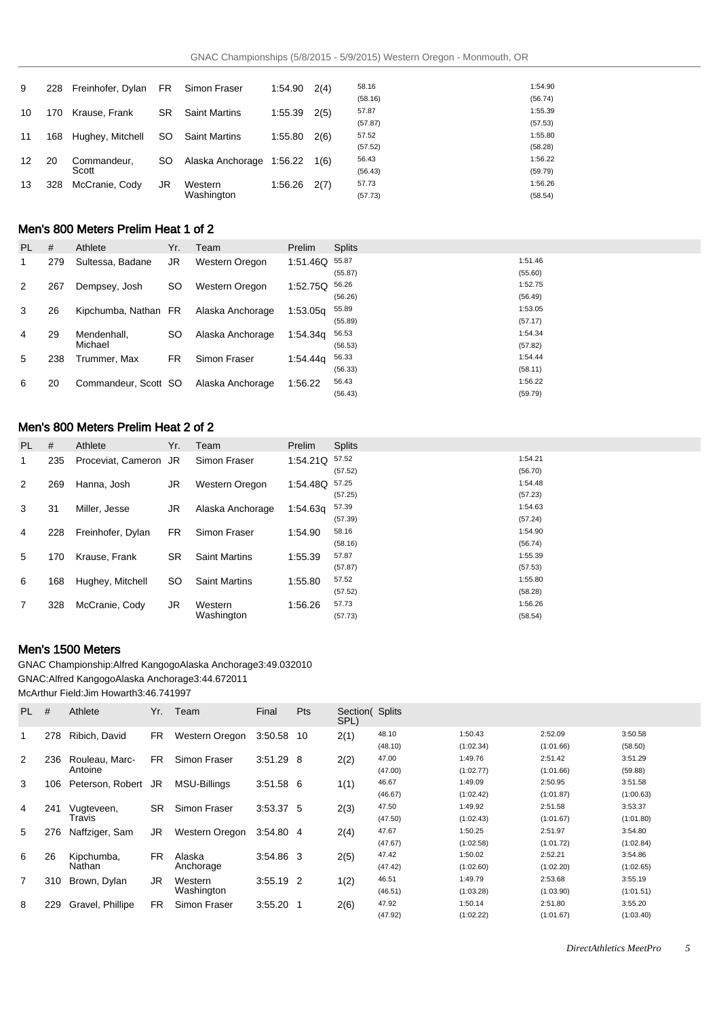| 9  | 228 | Freinhofer, Dylan | FR.       | Simon Fraser             | 1:54.90 | 2(4) | 58.16   | 1:54.90 |
|----|-----|-------------------|-----------|--------------------------|---------|------|---------|---------|
|    |     |                   |           |                          |         |      | (58.16) | (56.74) |
| 10 | 170 | Krause, Frank     | <b>SR</b> | <b>Saint Martins</b>     | 1:55.39 | 2(5) | 57.87   | 1:55.39 |
|    |     |                   |           |                          |         |      | (57.87) | (57.53) |
| 11 | 168 | Hughey, Mitchell  | SO.       | <b>Saint Martins</b>     | 1:55.80 | 2(6) | 57.52   | 1:55.80 |
|    |     |                   |           |                          |         |      | (57.52) | (58.28) |
| 12 | 20  | Commandeur,       | SO        | Alaska Anchorage 1:56.22 |         | 1(6) | 56.43   | 1:56.22 |
|    |     | Scott             |           |                          |         |      | (56.43) | (59.79) |
| 13 | 328 | McCranie, Cody    | JR        | Western                  | 1:56.26 | 2(7) | 57.73   | 1:56.26 |
|    |     |                   |           | Washington               |         |      | (57.73) | (58.54) |

# Men's 800 Meters Prelim Heat 1 of 2

| <b>PL</b> | #   | Athlete              | Yr. | Team             | Prelim   | <b>Splits</b> |         |
|-----------|-----|----------------------|-----|------------------|----------|---------------|---------|
| 1         | 279 | Sultessa, Badane     | JR  | Western Oregon   | 1:51.46Q | 55.87         | 1:51.46 |
|           |     |                      |     |                  |          | (55.87)       | (55.60) |
| 2         | 267 | Dempsey, Josh        | SO  | Western Oregon   | 1:52.75Q | 56.26         | 1:52.75 |
|           |     |                      |     |                  |          | (56.26)       | (56.49) |
| 3         | 26  | Kipchumba, Nathan    | FR. | Alaska Anchorage | 1:53.05q | 55.89         | 1:53.05 |
|           |     |                      |     |                  |          | (55.89)       | (57.17) |
| 4         | 29  | Mendenhall.          | SO  | Alaska Anchorage | 1:54.34a | 56.53         | 1:54.34 |
|           |     | Michael              |     |                  |          | (56.53)       | (57.82) |
| 5         | 238 | Trummer. Max         | FR. | Simon Fraser     | 1:54.44a | 56.33         | 1:54.44 |
|           |     |                      |     |                  |          | (56.33)       | (58.11) |
| 6         | 20  | Commandeur, Scott SO |     | Alaska Anchorage | 1:56.22  | 56.43         | 1:56.22 |
|           |     |                      |     |                  |          | (56.43)       | (59.79) |

# Men's 800 Meters Prelim Heat 2 of 2

| PL.          | #   | Athlete               | Yr.       | Team                  | <b>Prelim</b> | <b>Splits</b> |         |
|--------------|-----|-----------------------|-----------|-----------------------|---------------|---------------|---------|
| $\mathbf{1}$ | 235 | Proceviat, Cameron JR |           | Simon Fraser          | 1:54.21Q      | 57.52         | 1:54.21 |
|              |     |                       |           |                       |               | (57.52)       | (56.70) |
| 2            | 269 | Hanna, Josh           | JR        | <b>Western Oregon</b> | 1:54.48Q      | 57.25         | 1:54.48 |
|              |     |                       |           |                       |               | (57.25)       | (57.23) |
| 3            | 31  | Miller, Jesse         | JR        | Alaska Anchorage      | 1:54.63g      | 57.39         | 1:54.63 |
|              |     |                       |           |                       |               | (57.39)       | (57.24) |
| 4            | 228 | Freinhofer, Dylan     | FR.       | Simon Fraser          | 1:54.90       | 58.16         | 1:54.90 |
|              |     |                       |           |                       |               | (58.16)       | (56.74) |
| 5            | 170 | Krause, Frank         | <b>SR</b> | <b>Saint Martins</b>  | 1:55.39       | 57.87         | 1:55.39 |
|              |     |                       |           |                       |               | (57.87)       | (57.53) |
| 6            | 168 | Hughey, Mitchell      | SO.       | <b>Saint Martins</b>  | 1:55.80       | 57.52         | 1:55.80 |
|              |     |                       |           |                       |               | (57.52)       | (58.28) |
| 7            | 328 | McCranie, Cody        | JR        | Western               | 1:56.26       | 57.73         | 1:56.26 |
|              |     |                       |           | Washington            |               | (57.73)       | (58.54) |

# Men's 1500 Meters

GNAC Championship: Alfred Kangogo Alaska Anchorage 3:49.03 2010 GNAC: Alfred Kangogo Alaska Anchorage 3:44.67 2011

McArthur Field: Jim Howarth 3:46.74 1997

| PL.            | #   | Athlete          | Yr. | Team                | Final       | Pts | Section (Splits<br>SPL) |         |           |           |           |
|----------------|-----|------------------|-----|---------------------|-------------|-----|-------------------------|---------|-----------|-----------|-----------|
|                | 278 | Ribich, David    | FR. | Western Oregon      | 3:50.58 10  |     | 2(1)                    | 48.10   | 1:50.43   | 2:52.09   | 3:50.58   |
|                |     |                  |     |                     |             |     |                         | (48.10) | (1:02.34) | (1:01.66) | (58.50)   |
| 2              | 236 | Rouleau, Marc-   | FR. | Simon Fraser        | 3:51.29     | 8   | 2(2)                    | 47.00   | 1:49.76   | 2:51.42   | 3:51.29   |
|                |     | Antoine          |     |                     |             |     |                         | (47.00) | (1:02.77) | (1:01.66) | (59.88)   |
| 3              | 106 | Peterson, Robert | JR  | <b>MSU-Billings</b> | $3:51.58$ 6 |     | 1(1)                    | 46.67   | 1:49.09   | 2:50.95   | 3:51.58   |
|                |     |                  |     |                     |             |     |                         | (46.67) | (1:02.42) | (1:01.87) | (1:00.63) |
| 4              | 241 | Vugteveen,       | SR. | Simon Fraser        | 3:53.37 5   |     | 2(3)                    | 47.50   | 1:49.92   | 2:51.58   | 3:53.37   |
|                |     | Travis           |     |                     |             |     |                         | (47.50) | (1:02.43) | (1:01.67) | (1:01.80) |
| 5              | 276 | Naffziger, Sam   | JR  | Western Oregon      | 3:54.804    |     | 2(4)                    | 47.67   | 1:50.25   | 2:51.97   | 3:54.80   |
|                |     |                  |     |                     |             |     |                         | (47.67) | (1:02.58) | (1:01.72) | (1:02.84) |
| 6              | 26  | Kipchumba,       | FR. | Alaska              | 3:54.86 3   |     | 2(5)                    | 47.42   | 1:50.02   | 2:52.21   | 3:54.86   |
|                |     | Nathan           |     | Anchorage           |             |     |                         | (47.42) | (1:02.60) | (1:02.20) | (1:02.65) |
| $\overline{7}$ | 310 | Brown, Dylan     | JR. | Western             | 3:55.19 2   |     | 1(2)                    | 46.51   | 1:49.79   | 2:53.68   | 3:55.19   |
|                |     |                  |     | Washington          |             |     |                         | (46.51) | (1:03.28) | (1:03.90) | (1:01.51) |
| 8              | 229 | Gravel, Phillipe | FR. | Simon Fraser        | 3:55.20     |     | 2(6)                    | 47.92   | 1:50.14   | 2:51.80   | 3:55.20   |
|                |     |                  |     |                     |             |     |                         | (47.92) | (1:02.22) | (1:01.67) | (1:03.40) |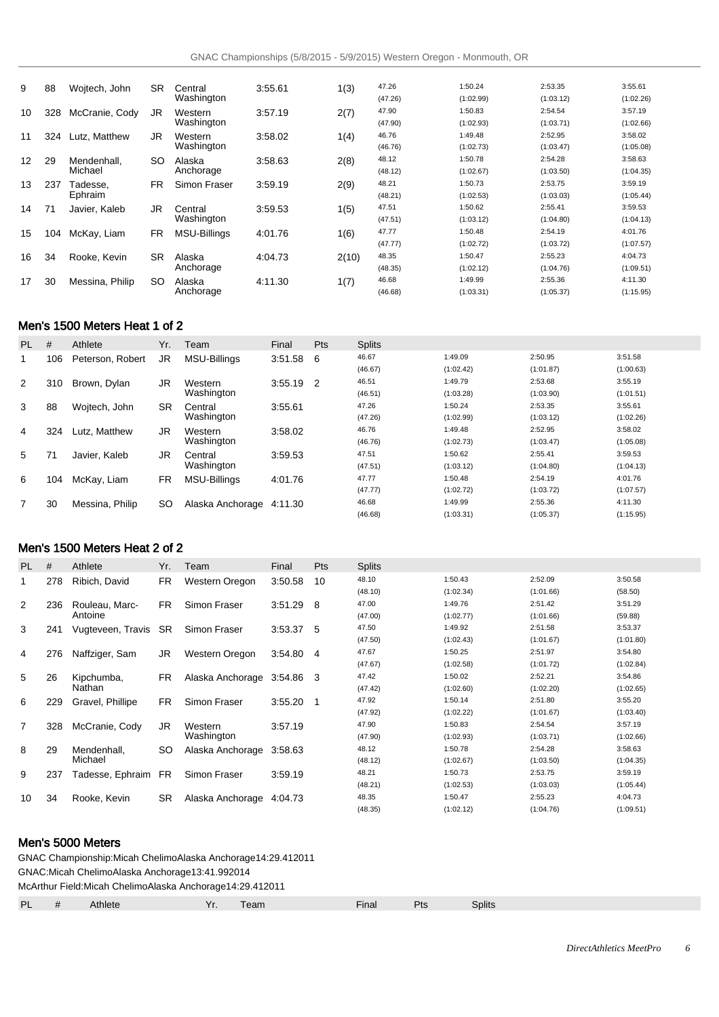| 9  | 88  | Wojtech, John   | <b>SR</b> | Central             | 3:55.61 | 1(3)  | 47.26   | 1:50.24   | 2:53.35   | 3:55.61   |
|----|-----|-----------------|-----------|---------------------|---------|-------|---------|-----------|-----------|-----------|
|    |     |                 |           | Washington          |         |       | (47.26) | (1:02.99) | (1:03.12) | (1:02.26) |
| 10 | 328 | McCranie, Cody  | JR        | Western             | 3:57.19 | 2(7)  | 47.90   | 1:50.83   | 2:54.54   | 3:57.19   |
|    |     |                 |           | Washington          |         |       | (47.90) | (1:02.93) | (1:03.71) | (1:02.66) |
| 11 | 324 | Lutz, Matthew   | JR        | Western             | 3:58.02 | 1(4)  | 46.76   | 1:49.48   | 2:52.95   | 3:58.02   |
|    |     |                 |           | Washington          |         |       | (46.76) | (1:02.73) | (1:03.47) | (1:05.08) |
| 12 | 29  | Mendenhall.     | SO        | Alaska              | 3:58.63 | 2(8)  | 48.12   | 1:50.78   | 2:54.28   | 3:58.63   |
|    |     | Michael         |           | Anchorage           |         |       | (48.12) | (1:02.67) | (1:03.50) | (1:04.35) |
| 13 | 237 | Tadesse.        | FR        | Simon Fraser        | 3:59.19 | 2(9)  | 48.21   | 1:50.73   | 2:53.75   | 3:59.19   |
|    |     | Ephraim         |           |                     |         |       | (48.21) | (1:02.53) | (1:03.03) | (1:05.44) |
| 14 | 71  | Javier, Kaleb   | JR        | Central             | 3:59.53 | 1(5)  | 47.51   | 1:50.62   | 2:55.41   | 3:59.53   |
|    |     |                 |           | Washington          |         |       | (47.51) | (1:03.12) | (1:04.80) | (1:04.13) |
| 15 | 104 | McKay, Liam     | <b>FR</b> | <b>MSU-Billings</b> | 4:01.76 | 1(6)  | 47.77   | 1:50.48   | 2:54.19   | 4:01.76   |
|    |     |                 |           |                     |         |       | (47.77) | (1:02.72) | (1:03.72) | (1:07.57) |
| 16 | 34  | Rooke, Kevin    | <b>SR</b> | Alaska              | 4:04.73 | 2(10) | 48.35   | 1:50.47   | 2:55.23   | 4:04.73   |
|    |     |                 |           | Anchorage           |         |       | (48.35) | (1:02.12) | (1:04.76) | (1:09.51) |
| 17 | 30  | Messina, Philip | SO        | Alaska              | 4:11.30 | 1(7)  | 46.68   | 1:49.99   | 2:55.36   | 4:11.30   |
|    |     |                 |           | Anchorage           |         |       | (46.68) | (1:03.31) | (1:05.37) | (1:15.95) |

# Men's 1500 Meters Heat 1 of 2

| PL. | #   | Athlete          | Yr.       | Team                     | Final       | <b>Pts</b> | <b>Splits</b> |           |           |           |
|-----|-----|------------------|-----------|--------------------------|-------------|------------|---------------|-----------|-----------|-----------|
|     | 106 | Peterson, Robert | JR.       | MSU-Billings             | $3:51.58$ 6 |            | 46.67         | 1:49.09   | 2:50.95   | 3:51.58   |
|     |     |                  |           |                          |             |            | (46.67)       | (1:02.42) | (1:01.87) | (1:00.63) |
| 2   | 310 | Brown, Dylan     | JR        | Western                  | $3:55.19$ 2 |            | 46.51         | 1:49.79   | 2:53.68   | 3:55.19   |
|     |     |                  |           | Washington               |             |            | (46.51)       | (1:03.28) | (1:03.90) | (1:01.51) |
| 3   | 88  | Wojtech, John    | SR        | Central                  | 3:55.61     |            | 47.26         | 1:50.24   | 2:53.35   | 3:55.61   |
|     |     |                  |           | Washington               |             |            | (47.26)       | (1:02.99) | (1:03.12) | (1:02.26) |
| 4   | 324 | Lutz. Matthew    | JR        | Western                  | 3:58.02     |            | 46.76         | 1:49.48   | 2:52.95   | 3:58.02   |
|     |     |                  |           | Washington               |             |            | (46.76)       | (1:02.73) | (1:03.47) | (1:05.08) |
| 5   | 71  | Javier, Kaleb    | JR.       | Central                  | 3:59.53     |            | 47.51         | 1:50.62   | 2:55.41   | 3:59.53   |
|     |     |                  |           | Washington               |             |            | (47.51)       | (1:03.12) | (1:04.80) | (1:04.13) |
| 6   | 104 | McKay, Liam      | <b>FR</b> | MSU-Billings             | 4:01.76     |            | 47.77         | 1:50.48   | 2:54.19   | 4:01.76   |
|     |     |                  |           |                          |             |            | (47.77)       | (1:02.72) | (1:03.72) | (1:07.57) |
| 7   | 30  | Messina, Philip  | SO        | Alaska Anchorage 4:11.30 |             |            | 46.68         | 1:49.99   | 2:55.36   | 4:11.30   |
|     |     |                  |           |                          |             |            | (46.68)       | (1:03.31) | (1:05.37) | (1:15.95) |

## Men's 1500 Meters Heat 2 of 2

| <b>PL</b>      | #   | Athlete             | Yr.       | Team             | Final   | Pts            | <b>Splits</b> |           |           |           |
|----------------|-----|---------------------|-----------|------------------|---------|----------------|---------------|-----------|-----------|-----------|
| 1              | 278 | Ribich, David       | FR.       | Western Oregon   | 3:50.58 | 10             | 48.10         | 1:50.43   | 2:52.09   | 3:50.58   |
|                |     |                     |           |                  |         |                | (48.10)       | (1:02.34) | (1:01.66) | (58.50)   |
| 2              | 236 | Rouleau, Marc-      | FR.       | Simon Fraser     | 3:51.29 | 8              | 47.00         | 1:49.76   | 2:51.42   | 3:51.29   |
|                |     | Antoine             |           |                  |         |                | (47.00)       | (1:02.77) | (1:01.66) | (59.88)   |
| 3              | 241 | Vugteveen, Travis   | SR        | Simon Fraser     | 3:53.37 | -5             | 47.50         | 1:49.92   | 2:51.58   | 3:53.37   |
|                |     |                     |           |                  |         |                | (47.50)       | (1:02.43) | (1:01.67) | (1:01.80) |
| 4              | 276 | Naffziger, Sam      | JR.       | Western Oregon   | 3:54.80 | -4             | 47.67         | 1:50.25   | 2:51.97   | 3:54.80   |
|                |     |                     |           |                  |         |                | (47.67)       | (1:02.58) | (1:01.72) | (1:02.84) |
| 5              | 26  | Kipchumba.          | FR.       | Alaska Anchorage | 3:54.86 | - 3            | 47.42         | 1:50.02   | 2:52.21   | 3:54.86   |
|                |     | Nathan              |           |                  |         |                | (47.42)       | (1:02.60) | (1:02.20) | (1:02.65) |
| 6              | 229 | Gravel, Phillipe    | FR.       | Simon Fraser     | 3:55.20 | $\overline{1}$ | 47.92         | 1:50.14   | 2:51.80   | 3:55.20   |
|                |     |                     |           |                  |         |                | (47.92)       | (1:02.22) | (1:01.67) | (1:03.40) |
| $\overline{7}$ | 328 | McCranie, Cody      | JR.       | Western          | 3.57.19 |                | 47.90         | 1:50.83   | 2:54.54   | 3:57.19   |
|                |     |                     |           | Washington       |         |                | (47.90)       | (1:02.93) | (1:03.71) | (1:02.66) |
| 8              | 29  | Mendenhall.         | SO        | Alaska Anchorage | 3:58.63 |                | 48.12         | 1:50.78   | 2:54.28   | 3:58.63   |
|                |     | Michael             |           |                  |         |                | (48.12)       | (1:02.67) | (1:03.50) | (1:04.35) |
| 9              | 237 | Tadesse, Ephraim FR |           | Simon Fraser     | 3:59.19 |                | 48.21         | 1:50.73   | 2:53.75   | 3:59.19   |
|                |     |                     |           |                  |         |                | (48.21)       | (1:02.53) | (1:03.03) | (1:05.44) |
| 10             | 34  | Rooke, Kevin        | <b>SR</b> | Alaska Anchorage | 4:04.73 |                | 48.35         | 1:50.47   | 2:55.23   | 4:04.73   |
|                |     |                     |           |                  |         |                | (48.35)       | (1:02.12) | (1:04.76) | (1:09.51) |

## Men's 5000 Meters

GNAC Championship: Micah Chelimo Alaska Anchorage 14:29.41 2011 GNAC: Micah Chelimo Alaska Anchorage 13:41.99 2014 McArthur Field: Micah Chelimo Alaska Anchorage 14:29.41 2011 PL # Athlete **Yr.** Team **Final** Pts Splits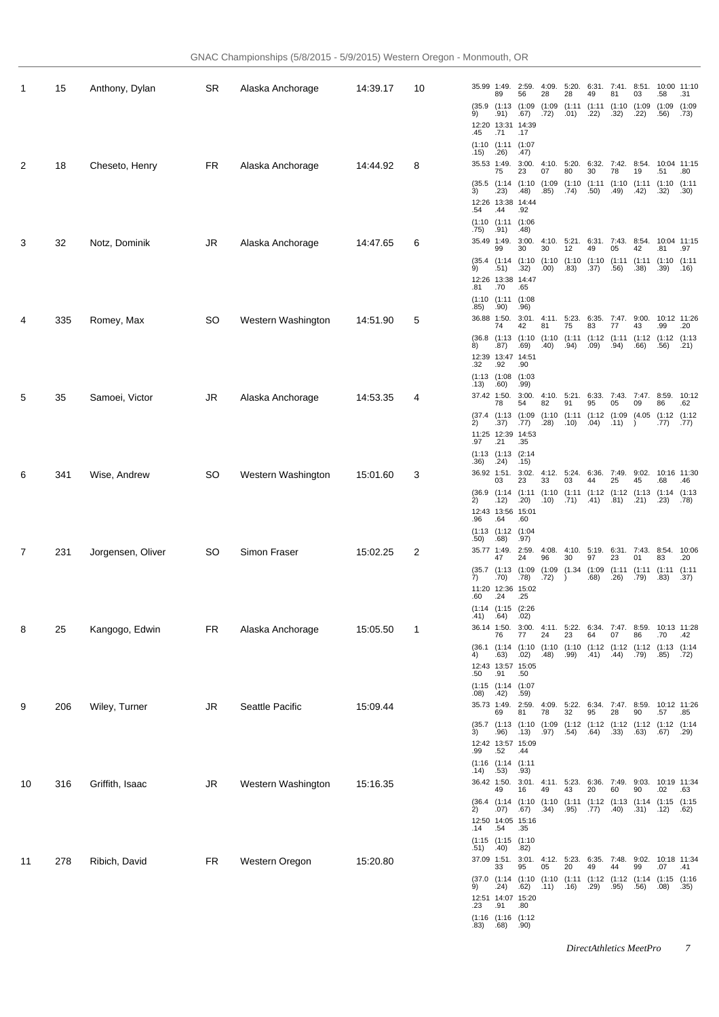| 1  | 15  | Anthony, Dylan    | SR        | Alaska Anchorage   | 14:39.17 | 10 | 35.99 1:49.<br>89               |
|----|-----|-------------------|-----------|--------------------|----------|----|---------------------------------|
|    |     |                   |           |                    |          |    | (35.9)(1:13)<br>9)<br>.91)      |
|    |     |                   |           |                    |          |    | 12:20 13:3<br>.45<br>.71        |
|    |     |                   |           |                    |          |    | (1:10)(1:11)<br>.26)<br>.15)    |
| 2  | 18  | Cheseto, Henry    | <b>FR</b> | Alaska Anchorage   | 14:44.92 | 8  | 35.53 1:49.<br>75               |
|    |     |                   |           |                    |          |    | (35.5)(1:14)<br>3)<br>.23)      |
|    |     |                   |           |                    |          |    | 12:26 13:38<br>.54<br>.44       |
|    |     |                   |           |                    |          |    | (1:10)(1:11)<br>.75)<br>.91)    |
| 3  | 32  | Notz, Dominik     | JR        | Alaska Anchorage   | 14:47.65 | 6  | 35.49 1:49.<br>99               |
|    |     |                   |           |                    |          |    | (35.4)(1:14)<br>.51)<br>9)      |
|    |     |                   |           |                    |          |    | 12:26 13:38<br>.81<br>.70       |
|    |     |                   |           |                    |          |    | (1:10)(1:11)<br>.90)<br>.85)    |
| 4  | 335 | Romey, Max        | <b>SO</b> | Western Washington | 14:51.90 | 5  | 36.88 1:50.<br>74               |
|    |     |                   |           |                    |          |    | (36.8)(1:13)<br>8)<br>.87)      |
|    |     |                   |           |                    |          |    | 12:39 13:47<br>.32<br>.92       |
|    |     |                   |           |                    |          |    | (1:13)(1:08)<br>.13)<br>.60)    |
| 5  | 35  | Samoei, Victor    | JR        | Alaska Anchorage   | 14:53.35 | 4  | 37.42 1:50.<br>78               |
|    |     |                   |           |                    |          |    | $(37.4$ $(1:13)$<br>2) .37)     |
|    |     |                   |           |                    |          |    | 11:25 12:39<br>.97<br>.21       |
|    |     |                   |           |                    |          |    | (1:13)(1:13)<br>.36)<br>.24)    |
| 6  | 341 | Wise, Andrew      | SO        | Western Washington | 15:01.60 | 3  | 36.92 1:51.<br>03               |
|    |     |                   |           |                    |          |    | $(36.9)$ $(1:14)$<br>2)<br>.12) |
|    |     |                   |           |                    |          |    | 12:43 13:56<br>.96<br>.64       |
|    |     |                   |           |                    |          |    | (1:13)(1:12)<br>.50)<br>.68)    |
| 7  | 231 | Jorgensen, Oliver | <b>SO</b> | Simon Fraser       | 15:02.25 | 2  | 35.77 1:49.<br>47               |
|    |     |                   |           |                    |          |    | (35.7)(1:13)<br>7)<br>.70)      |
|    |     |                   |           |                    |          |    | 11:20 12:36<br>.60<br>.24       |
|    |     |                   |           |                    |          |    | (1:14)(1:15)<br>.64)<br>.41)    |
| 8  | 25  | Kangogo, Edwin    | <b>FR</b> | Alaska Anchorage   | 15:05.50 | 1  | 36.14 1:50.<br>76               |
|    |     |                   |           |                    |          |    | $(36.1)$ $(1:14)$<br>4)<br>.63) |
|    |     |                   |           |                    |          |    | 12:43 13:57<br>.50<br>.91       |
|    |     |                   |           |                    |          |    | (1:15)(1:14)<br>.08)<br>.42)    |
| 9  | 206 | Wiley, Turner     | <b>JR</b> | Seattle Pacific    | 15:09.44 |    | 35.73 1:49.<br>69               |
|    |     |                   |           |                    |          |    | (35.7)(1:13)<br>.96)<br>3)      |
|    |     |                   |           |                    |          |    | 12:42 13:57<br>.99<br>.52       |
|    |     |                   |           |                    |          |    | (1:16)(1:14)<br>.14)<br>.53)    |
| 10 | 316 | Griffith, Isaac   | JR.       | Western Washington | 15:16.35 |    | 36.42 1:50.<br>49               |
|    |     |                   |           |                    |          |    | (36.4)(1:14)<br>2)<br>.07)      |
|    |     |                   |           |                    |          |    | 12:50 14:0<br>.14<br>.54        |
|    |     |                   |           |                    |          |    | (1:15)(1:15)<br>(40)<br>.51)    |
| 11 | 278 | Ribich, David     | <b>FR</b> | Western Oregon     | 15:20.80 |    | 37.09 1:51.<br>33               |
|    |     |                   |           |                    |          |    | (37.0)(1:14)<br>ġ۱<br>24        |

| 35.99          | 1:49.<br>89    | 2:59.<br>56    | 4:09.<br>28    | 5:20.<br>28    | 6:31.<br>49    | 7:41.<br>81    | 8:51.<br>03    | 10:00<br>.58   | 11:10<br>.31   |
|----------------|----------------|----------------|----------------|----------------|----------------|----------------|----------------|----------------|----------------|
| (35.9<br>9)    | (1:13)<br>.91) | (1:09<br>.67)  | (1:09)<br>.72) | (1:11<br>.01)  | (1:11)<br>.22) | (1:10)<br>.32) | (1:09<br>.22)  | (1:09)<br>.56) | (1:09)<br>.73) |
| 12:20<br>.45   | 13:31<br>.71   | 14:39<br>.17   |                |                |                |                |                |                |                |
| (1:10)<br>.15) | (1:11)<br>.26) | (1:07<br>.47)  |                |                |                |                |                |                |                |
| 35.53          | 1:49.<br>75    | 3:00.<br>23    | 4:10.<br>07    | 5:20.<br>80    | 6:32.<br>30    | 7:42.<br>78    | 8:54.<br>19    | 10:04<br>.51   | 11:15<br>.80   |
| (35.5<br>3)    | (1:14)<br>.23) | (1:10)<br>.48) | (1:09)<br>.85) | (1:10)<br>.74) | (1:11)<br>.50) | (1:10)<br>.49) | (1:11)<br>.42) | (1:10)<br>.32) | (1:11)<br>.30) |
| 12:26<br>.54   | 13:38<br>.44   | 14:44<br>.92   |                |                |                |                |                |                |                |
| (1:10<br>.75)  | (1:11<br>.91)  | (1:06<br>.48)  |                |                |                |                |                |                |                |
| 35.49          | 1:49.<br>99    | 3:00.<br>30    | 4:10.<br>30    | 5:21.<br>12    | 6:31.<br>49    | 7:43.<br>05    | 8:54.<br>42    | 10:04<br>.81   | 11:15<br>.97   |
| (35.4)<br>9)   | (1:14)<br>.51) | (1:10)<br>.32) | (1:10)<br>.00) | (1:10)<br>.83) | (1:10)<br>.37) | (1:11)<br>.56) | (1:11)<br>.38) | (1:10)<br>.39) | (1:11)<br>.16) |
| 12:26<br>.81   | 13:38<br>.70   | 14:47<br>.65   |                |                |                |                |                |                |                |
| (1:10)<br>.85) | (1:11)<br>.90) | (1:08)<br>.96) |                |                |                |                |                |                |                |
| 36.88          | 1:50.<br>74    | 3:01.<br>42    | 4:11.<br>81    | 5:23.<br>75    | 6:35.<br>83    | 7:47.<br>77    | 9:00.<br>43    | 10:12<br>.99   | 11:26<br>.20   |
| (36.8)<br>8)   | (1:13)<br>.87) | (1:10<br>.69)  | (1:10)<br>.40) | (1:11<br>.94)  | (1:12)<br>.09) | (1:11<br>.94)  | (1:12)<br>.66) | (1:12<br>.56)  | (1:13)<br>.21) |
| 12:39<br>.32   | 13:47<br>.92   | 14:51<br>.90   |                |                |                |                |                |                |                |
| (1:13<br>.13)  | (1:08)<br>.60) | (1:03)<br>.99) |                |                |                |                |                |                |                |
| 37.42          | 1:50.<br>78    | 3:00.<br>54    | 4:10.<br>82    | 5:21.<br>91    | 6:33.<br>95    | 7:43.<br>05    | 7:47.<br>09    | 8:59.<br>86    | 10:12<br>.62   |
| (37.4)<br>2)   | (1:13)<br>.37) | (1:09<br>.77)  | (1:10)<br>.28) | (1:11)<br>.10) | (1:12)<br>.04) | (1:09)<br>.11) | (4.05<br>)     | (1:12)<br>.77) | (1:12)<br>.77) |
| 11:25<br>.97   | 12:39<br>.21   | 14:53<br>.35   |                |                |                |                |                |                |                |
| (1:13<br>.36)  | (1:13<br>.24)  | (2:14)<br>.15) |                |                |                |                |                |                |                |
| 36.92          | 1:51.<br>03    | 3:02.<br>23    | 4:12.<br>33    | 5:24.<br>03    | 6:36.<br>44    | 7:49.<br>25    | 9:02.<br>45    | 10:16<br>.68   | 11:30<br>.46   |
| (36.9<br>2)    | (1:14)<br>.12) | (1:11)<br>.20) | (1:10)<br>.10) | (1:11)<br>.71) | (1:12)<br>.41) | (1:12)<br>.81) | (1:13)<br>.21) | (1:14)<br>.23) | (1:13<br>.78)  |
| 12:43<br>.96   | 13:56<br>.64   | 15:01<br>.60   |                |                |                |                |                |                |                |
| (1:13)<br>.50) | (1:12)<br>.68) | (1:04)<br>.97) |                |                |                |                |                |                |                |
| 35.77          | 1:49.<br>47    | 2:59.<br>24    | 4:08.<br>96    | 4:10.<br>30    | 5:19.<br>97    | 6:31.<br>23    | 7:43.<br>01    | 8:54.<br>83    | 10:06<br>.20   |
| (35.7<br>7)    | (1:13<br>.70)  | (1:09<br>.78)  | (1:09)<br>.72) | (1.34)<br>)    | (1:09)<br>.68) | (1:11<br>.26)  | (1:11)<br>.79) | (1:11)<br>.83) | (1:11<br>.37)  |
| 11:20<br>.60   | 12:36<br>.24   | 15:02<br>.25   |                |                |                |                |                |                |                |
| (1:14)<br>.41) | (1:15)<br>.64) | (2:26)<br>.02) |                |                |                |                |                |                |                |
| 36.14          | 1:50.<br>76    | 3:00.<br>77    | 4:11.<br>24    | 5:22.<br>23    | 6:34.<br>64    | 7:47.<br>07    | 8:59.<br>86    | 10:13<br>.70   | 11:28<br>.42   |
| (36.1)<br>4)   | (1:14)<br>.63) | (1:10)<br>.02) | (1:10)<br>.48) | (1:10)<br>.99) | (1:12)<br>.41) | (1:12)<br>.44) | (1:12)<br>.79) | (1:13<br>.85)  | (1:14)<br>.72) |
| 12:43<br>.50   | 13:57<br>.91   | 15:05<br>.50   |                |                |                |                |                |                |                |
| (1:15)<br>.08) | (1:14)<br>.42) | (1:07<br>.59)  |                |                |                |                |                |                |                |
| 35.73          | 1:49.<br>69    | 2:59.<br>81    | 4:09.<br>78    | 5:22.<br>32    | 6:34.<br>95    | 7:47.<br>28    | 8:59.<br>90    | 10:12<br>.57   | 11:26<br>.85   |
| (35.7)<br>3)   | (1:13)<br>.96) | (1:10<br>.13)  | (1:09)<br>.97) | (1:12)<br>.54) | (1:12<br>.64)  | (1:12)<br>.33) | (1:12)<br>.63) | (1:12)<br>.67) | (1:14)<br>.29) |
| 12:42<br>.99   | 13:57<br>.52   | 15:09<br>.44   |                |                |                |                |                |                |                |
| (1:16)<br>.14) | (1:14)<br>.53) | (1:11)<br>.93) |                |                |                |                |                |                |                |
| 36.42          | 1:50.<br>49    | 3:01.<br>16    | 4:11.<br>49    | 5:23.<br>43    | 6:36.<br>20    | 7:49.<br>60    | 9:03.<br>90    | 10:19<br>.02   | 11:34<br>.63   |
| (36.4<br>2)    | (1:14)<br>.07) | (1:10)<br>.67) | (1:10)<br>.34) | (1:11<br>.95)  | (1:12<br>.77)  | (1:13)<br>(40) | (1:14)<br>.31) | (1:15)<br>.12) | (1:15<br>.62)  |
| 12:50<br>.14   | 14:05<br>.54   | 15:16<br>.35   |                |                |                |                |                |                |                |
| (1:15<br>.51)  | (1:15)<br>.40) | (1:10)<br>.82) |                |                |                |                |                |                |                |
| 37.09          | 1:51.<br>33    | 3:01.<br>95    | 4:12.<br>05    | 5:23.<br>20    | 6:35.<br>49    | 7:48.<br>44    | 9:02.<br>99    | 10:18<br>.07   | 11:34<br>.41   |
| (37.0<br>9)    | (1:14)<br>.24) | (1:10)<br>.62) | (1:10)<br>.11) | (1:11)<br>.16) | (1:12)<br>.29) | (1:12)<br>.95) | (1:14)<br>.56) | (1:15)<br>.08) | (1:16<br>.35)  |
| 12:51<br>.23   | 14:07<br>.91   | 15:20<br>.80   |                |                |                |                |                |                |                |
| (1:16)<br>.83) | (1:16)<br>.68) | (1:12)<br>.90) |                |                |                |                |                |                |                |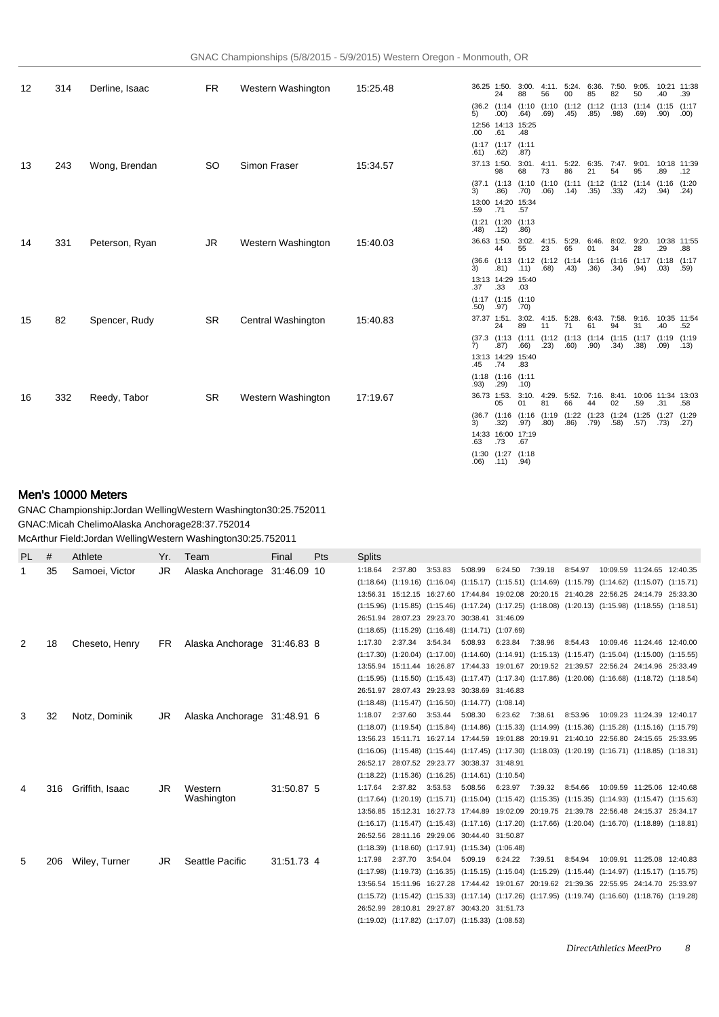| 12 | 314 | Derline, Isaac | <b>FR</b> | Western Washington | 15:25.48 |             | 36.25 1:50.<br>24                  | 3:00.<br>88      | 56               | 4:11. 5:24. 6:36.<br>00 | 85   | 7:50.<br>82 | 9:05.<br>50                                                         | 10:21 11:38<br>.40 | .39            |
|----|-----|----------------|-----------|--------------------|----------|-------------|------------------------------------|------------------|------------------|-------------------------|------|-------------|---------------------------------------------------------------------|--------------------|----------------|
|    |     |                |           |                    |          | 5)          | .00)                               | .64)             | .69)             | .45)                    | .85) | .98)        | (36.2 (1:14 (1:10 (1:10 (1:12 (1:12 (1:13 (1:14 (1:15 (1:17<br>.69) | .90)               | .00)           |
|    |     |                |           |                    |          | .00         | 12:56 14:13 15:25<br>.61           | .48              |                  |                         |      |             |                                                                     |                    |                |
|    |     |                |           |                    |          | .61)        | (1:17)(1:17)<br>.62)               | (1:11)<br>.87)   |                  |                         |      |             |                                                                     |                    |                |
| 13 | 243 | Wong, Brendan  | SO.       | Simon Fraser       | 15:34.57 | 37.13 1:50. | 98                                 | 68               | 73               | 86                      | 21   | 54          | 3:01. 4:11. 5:22. 6:35. 7:47. 9:01. 10:18 11:39<br>95               | .89                | .12            |
|    |     |                |           |                    |          | 3)          | $(37.1)$ $(1:13)$<br>.86)          | .70)             | .06)             | (14)                    | .35) | .33)        | (1:10 (1:10 (1:11 (1:12 (1:12 (1:14 (1:16<br>.42)                   | .94)               | (1:20<br>.24)  |
|    |     |                |           |                    |          | .59         | 13:00 14:20 15:34<br>.71           | .57              |                  |                         |      |             |                                                                     |                    |                |
|    |     |                |           |                    |          | .48)        | $(1:21)$ $(1:20)$<br>.12)          | (1:13)<br>.86)   |                  |                         |      |             |                                                                     |                    |                |
| 14 | 331 | Peterson, Ryan | JR        | Western Washington | 15:40.03 | 36.63 1:50. | 44                                 | 3:02.<br>55      | 23               | 65                      | 01   | 34          | 4:15. 5:29. 6:46. 8:02. 9:20. 10:38 11:55<br>28                     | .29                | .88            |
|    |     |                |           |                    |          | 3)          | .81)                               | (11)             | .68)             | .43)                    | .36) | .34)        | (36.6 (1:13 (1:12 (1:12 (1:14 (1:16 (1:16 (1:17 (1:18 (1:17<br>.94) | .03)               | .59)           |
|    |     |                |           |                    |          | .37         | 13:13 14:29 15:40<br>.33           | .03              |                  |                         |      |             |                                                                     |                    |                |
|    |     |                |           |                    |          | .50)        | (1:17)(1:15)<br>.97)               | (1:10)<br>.70)   |                  |                         |      |             |                                                                     |                    |                |
| 15 | 82  | Spencer, Rudy  | <b>SR</b> | Central Washington | 15:40.83 |             | 37.37 1:51.<br>24                  | 89               | 3:02.4:15.<br>11 | 71                      | 61   | 94          | 5:28. 6:43. 7:58. 9:16. 10:35 11:54<br>31                           | .40                | .52            |
|    |     |                |           |                    |          | 7)          | (37.3)(1:13)<br>.87)               | .66)             | (23)             | .60)                    | .90) | .34)        | (1:11 (1:12 (1:13 (1:14 (1:15 (1:17 (1:19 (1:19<br>.38)             | .09)               | .13)           |
|    |     |                |           |                    |          | .45         | 13:13 14:29 15:40<br>.74           | .83              |                  |                         |      |             |                                                                     |                    |                |
|    |     |                |           |                    |          | .93)        | $(1:18)$ $(1:16)$ $(1:11)$<br>.29) | .10)             |                  |                         |      |             |                                                                     |                    |                |
| 16 | 332 | Reedy, Tabor   | SR.       | Western Washington | 17:19.67 | 36.73 1:53. | 05                                 | 3:10.4:29.<br>01 | 81               | 66                      | 44   | 02          | 5:52. 7:16. 8:41. 10:06 11:34 13:03<br>.59                          | .31                | .58            |
|    |     |                |           |                    |          | 3)          | (36.7)(1:16)<br>.32)               | .97)             | .80)             | .86)                    | .79) | .58)        | (1:16 (1:19 (1:22 (1:23 (1:24 (1:25 (1:27<br>.57)                   | .73)               | (1:29)<br>.27) |
|    |     |                |           |                    |          | .63         | 14:33 16:00 17:19<br>.73           | .67              |                  |                         |      |             |                                                                     |                    |                |

(1:30 .06) (1:27 .11) (1:18 .94)

## Men's 10000 Meters

GNAC Championship: Jordan Welling Western Washington 30:25.75 2011 GNAC: Micah Chelimo Alaska Anchorage 28:37.75 2014 McArthur Field: Jordan Welling Western Washington 30:25.75 2011

| <b>PL</b> | #   | Athlete         | Yr. | Team                        | Final       | Pts | <b>Splits</b> |         |         |                                                             |                         |         |         |                                                                                                                         |                              |  |
|-----------|-----|-----------------|-----|-----------------------------|-------------|-----|---------------|---------|---------|-------------------------------------------------------------|-------------------------|---------|---------|-------------------------------------------------------------------------------------------------------------------------|------------------------------|--|
| 1         | 35  | Samoei, Victor  | JR. | Alaska Anchorage            | 31:46.09 10 |     | 1:18.64       | 2:37.80 | 3:53.83 | 5:08.99                                                     | 6:24.50                 | 7:39.18 | 8:54.97 |                                                                                                                         | 10:09.59 11:24.65 12:40.35   |  |
|           |     |                 |     |                             |             |     |               |         |         |                                                             |                         |         |         | (1:18.64) (1:19.16) (1:16.04) (1:15.17) (1:15.51) (1:14.69) (1:15.79) (1:14.62) (1:15.07) (1:15.71)                     |                              |  |
|           |     |                 |     |                             |             |     |               |         |         |                                                             |                         |         |         | 13:56.31 15:12.15 16:27.60 17:44.84 19:02.08 20:20.15 21:40.28 22:56.25 24:14.79 25:33.30                               |                              |  |
|           |     |                 |     |                             |             |     |               |         |         |                                                             |                         |         |         | (1:15.96) (1:15.85) (1:15.46) (1:17.24) (1:17.25) (1:18.08) (1:20.13) (1:15.98) (1:18.55) (1:18.51)                     |                              |  |
|           |     |                 |     |                             |             |     |               |         |         | 26:51.94 28:07.23 29:23.70 30:38.41 31:46.09                |                         |         |         |                                                                                                                         |                              |  |
|           |     |                 |     |                             |             |     |               |         |         | $(1:18.65)$ $(1:15.29)$ $(1:16.48)$ $(1:14.71)$ $(1:07.69)$ |                         |         |         |                                                                                                                         |                              |  |
| 2         | 18  | Cheseto, Henry  | FR. | Alaska Anchorage 31:46.83 8 |             |     | 1:17.30       | 2:37.34 | 3:54.34 | 5:08.93                                                     | 6:23.84 7:38.96         |         | 8:54.43 |                                                                                                                         | 10:09.46  11:24.46  12:40.00 |  |
|           |     |                 |     |                             |             |     |               |         |         |                                                             |                         |         |         | $(1:17.30)$ $(1:20.04)$ $(1:17.00)$ $(1:14.60)$ $(1:14.91)$ $(1:15.13)$ $(1:15.47)$ $(1:15.04)$ $(1:15.00)$ $(1:15.55)$ |                              |  |
|           |     |                 |     |                             |             |     |               |         |         |                                                             |                         |         |         | 13:55.94 15:11.44 16:26.87 17:44.33 19:01.67 20:19.52 21:39.57 22:56.24 24:14.96 25:33.49                               |                              |  |
|           |     |                 |     |                             |             |     |               |         |         |                                                             |                         |         |         | $(1:15.95)$ $(1:15.50)$ $(1:15.43)$ $(1:17.47)$ $(1:17.34)$ $(1:17.86)$ $(1:20.06)$ $(1:16.68)$ $(1:18.72)$ $(1:18.54)$ |                              |  |
|           |     |                 |     |                             |             |     |               |         |         | 26:51.97 28:07.43 29:23.93 30:38.69 31:46.83                |                         |         |         |                                                                                                                         |                              |  |
|           |     |                 |     |                             |             |     |               |         |         | $(1:18.48)$ $(1:15.47)$ $(1:16.50)$ $(1:14.77)$ $(1:08.14)$ |                         |         |         |                                                                                                                         |                              |  |
| 3         | 32  | Notz, Dominik   | JR  | Alaska Anchorage 31:48.91 6 |             |     | 1:18.07       | 2:37.60 | 3:53.44 |                                                             | 5:08.30 6:23.62 7:38.61 |         | 8:53.96 |                                                                                                                         | 10:09.23 11:24.39 12:40.17   |  |
|           |     |                 |     |                             |             |     |               |         |         |                                                             |                         |         |         | $(1:18.07)$ $(1:19.54)$ $(1:15.84)$ $(1:14.86)$ $(1:15.33)$ $(1:14.99)$ $(1:15.36)$ $(1:15.28)$ $(1:15.16)$ $(1:15.79)$ |                              |  |
|           |     |                 |     |                             |             |     |               |         |         |                                                             |                         |         |         | 13:56.23 15:11.71 16:27.14 17:44.59 19:01.88 20:19.91 21:40.10 22:56.80 24:15.65 25:33.95                               |                              |  |
|           |     |                 |     |                             |             |     |               |         |         |                                                             |                         |         |         | $(1:16.06)$ $(1:15.48)$ $(1:15.44)$ $(1:17.45)$ $(1:17.30)$ $(1:18.03)$ $(1:20.19)$ $(1:16.71)$ $(1:18.85)$ $(1:18.31)$ |                              |  |
|           |     |                 |     |                             |             |     |               |         |         | 26:52.17 28:07.52 29:23.77 30:38.37 31:48.91                |                         |         |         |                                                                                                                         |                              |  |
|           |     |                 |     |                             |             |     |               |         |         | $(1:18.22)$ $(1:15.36)$ $(1:16.25)$ $(1:14.61)$ $(1:10.54)$ |                         |         |         |                                                                                                                         |                              |  |
| 4         | 316 | Griffith, Isaac | JR  | Western                     | 31:50.87 5  |     | 1:17.64       | 2:37.82 | 3:53.53 | 5:08.56                                                     | 6:23.97                 | 7:39.32 | 8:54.66 |                                                                                                                         | 10:09.59 11:25.06 12:40.68   |  |
|           |     |                 |     | Washington                  |             |     |               |         |         |                                                             |                         |         |         | (1:17.64) (1:20.19) (1:15.71) (1:15.04) (1:15.42) (1:15.35) (1:15.35) (1:14.93) (1:15.47) (1:15.63)                     |                              |  |
|           |     |                 |     |                             |             |     |               |         |         |                                                             |                         |         |         | 13:56.85 15:12.31 16:27.73 17:44.89 19:02.09 20:19.75 21:39.78 22:56.48 24:15.37 25:34.17                               |                              |  |
|           |     |                 |     |                             |             |     |               |         |         |                                                             |                         |         |         | (1:16.17) (1:15.47) (1:15.43) (1:17.16) (1:17.20) (1:17.66) (1:20.04) (1:16.70) (1:18.89) (1:18.81)                     |                              |  |
|           |     |                 |     |                             |             |     |               |         |         | 26:52.56 28:11.16 29:29.06 30:44.40 31:50.87                |                         |         |         |                                                                                                                         |                              |  |
|           |     |                 |     |                             |             |     |               |         |         | $(1:18.39)$ $(1:18.60)$ $(1:17.91)$ $(1:15.34)$ $(1:06.48)$ |                         |         |         |                                                                                                                         |                              |  |
| 5         | 206 | Wiley, Turner   | JR  | Seattle Pacific             | 31:51.73 4  |     | 1:17.98       | 2:37.70 | 3:54.04 | 5:09.19                                                     | 6:24.22 7:39.51         |         | 8:54.94 |                                                                                                                         | 10:09.91 11:25.08 12:40.83   |  |
|           |     |                 |     |                             |             |     |               |         |         |                                                             |                         |         |         | $(1:17.98)$ $(1:19.73)$ $(1:16.35)$ $(1:15.15)$ $(1:15.04)$ $(1:15.29)$ $(1:15.44)$ $(1:14.97)$ $(1:15.17)$ $(1:15.75)$ |                              |  |
|           |     |                 |     |                             |             |     |               |         |         |                                                             |                         |         |         | 13:56.54 15:11.96 16:27.28 17:44.42 19:01.67 20:19.62 21:39.36 22:55.95 24:14.70 25:33.97                               |                              |  |
|           |     |                 |     |                             |             |     |               |         |         |                                                             |                         |         |         | (1:15.72) (1:15.42) (1:15.33) (1:17.14) (1:17.26) (1:17.95) (1:19.74) (1:16.60) (1:18.76) (1:19.28)                     |                              |  |
|           |     |                 |     |                             |             |     |               |         |         | 26:52.99 28:10.81 29:27.87 30:43.20 31:51.73                |                         |         |         |                                                                                                                         |                              |  |
|           |     |                 |     |                             |             |     |               |         |         | $(1:19.02)$ $(1:17.82)$ $(1:17.07)$ $(1:15.33)$ $(1:08.53)$ |                         |         |         |                                                                                                                         |                              |  |

*DirectAthletics MeetPro 8*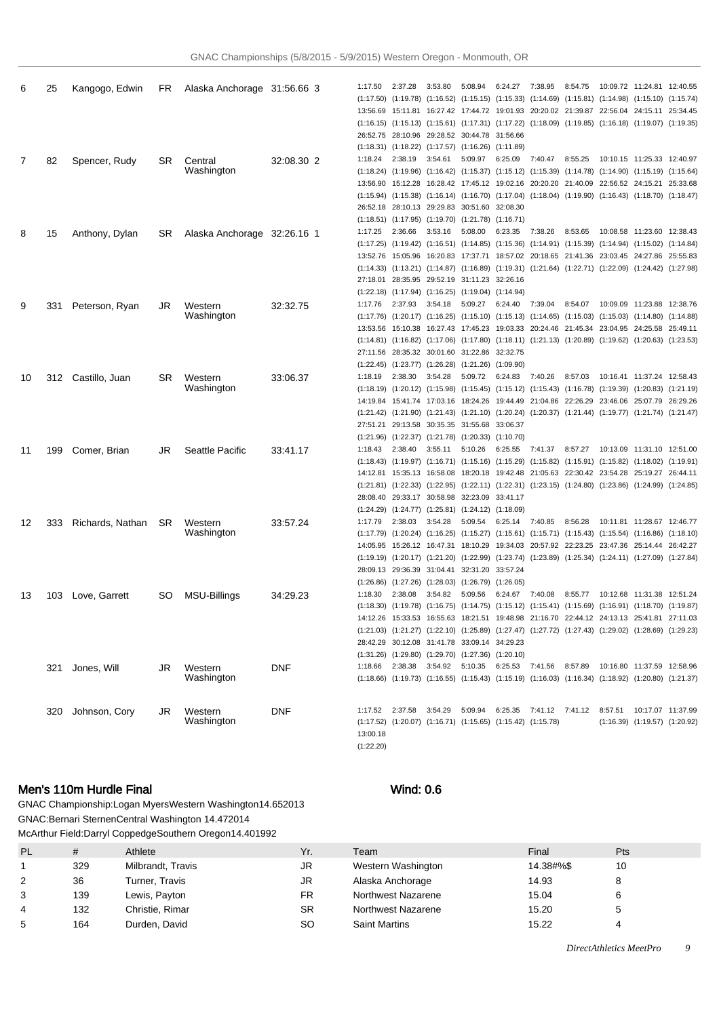|    |     |                  |           |                             |            | 1:17.50   | 2:37.28 | 3:53.80 | 5:08.94                                                                                                                                                                 | 6:24.27 | 7:38.95 | 8:54.75 |                             | 10:09.72  11:24.81  12:40.55        |  |
|----|-----|------------------|-----------|-----------------------------|------------|-----------|---------|---------|-------------------------------------------------------------------------------------------------------------------------------------------------------------------------|---------|---------|---------|-----------------------------|-------------------------------------|--|
| 6  | 25  | Kangogo, Edwin   | FR.       | Alaska Anchorage 31:56.66 3 |            |           |         |         | (1:17.50) (1:19.78) (1:16.52) (1:15.15) (1:15.33) (1:14.69) (1:15.81) (1:14.98) (1:15.10) (1:15.74)                                                                     |         |         |         |                             |                                     |  |
|    |     |                  |           |                             |            |           |         |         | 13:56.69 15:11.81 16:27.42 17:44.72 19:01.93 20:20.02 21:39.87 22:56.04 24:15.11 25:34.45                                                                               |         |         |         |                             |                                     |  |
|    |     |                  |           |                             |            |           |         |         | (1:16.15) (1:15.13) (1:15.61) (1:17.31) (1:17.22) (1:18.09) (1:19.85) (1:16.18) (1:19.07) (1:19.35)                                                                     |         |         |         |                             |                                     |  |
|    |     |                  |           |                             |            |           |         |         | 26:52.75 28:10.96 29:28.52 30:44.78 31:56.66                                                                                                                            |         |         |         |                             |                                     |  |
|    |     |                  |           |                             |            |           |         |         | $(1:18.31)$ $(1:18.22)$ $(1:17.57)$ $(1:16.26)$ $(1:11.89)$                                                                                                             |         |         |         |                             |                                     |  |
| 7  | 82  | Spencer, Rudy    | SR        | Central                     | 32:08.30 2 | 1:18.24   | 2:38.19 | 3:54.61 | 5:09.97                                                                                                                                                                 | 6:25.09 | 7:40.47 | 8:55.25 |                             | 10:10.15  11:25.33  12:40.97        |  |
|    |     |                  |           | Washington                  |            |           |         |         | (1:18.24) (1:19.96) (1:16.42) (1:15.37) (1:15.12) (1:15.39) (1:14.78) (1:14.90) (1:15.19) (1:15.64)                                                                     |         |         |         |                             |                                     |  |
|    |     |                  |           |                             |            |           |         |         | 13:56.90 15:12.28 16:28.42 17:45.12 19:02.16 20:20.20 21:40.09 22:56.52 24:15.21 25:33.68                                                                               |         |         |         |                             |                                     |  |
|    |     |                  |           |                             |            |           |         |         | (1:15.94) (1:15.38) (1:16.14) (1:16.70) (1:17.04) (1:18.04) (1:19.90) (1:16.43) (1:18.70) (1:18.47)                                                                     |         |         |         |                             |                                     |  |
|    |     |                  |           |                             |            |           |         |         | 26:52.18 28:10.13 29:29.83 30:51.60 32:08.30                                                                                                                            |         |         |         |                             |                                     |  |
|    |     |                  |           |                             |            |           |         |         | $(1:18.51)$ $(1:17.95)$ $(1:19.70)$ $(1:21.78)$ $(1:16.71)$                                                                                                             |         |         |         |                             |                                     |  |
| 8  | 15  | Anthony, Dylan   | SR.       | Alaska Anchorage 32:26.16 1 |            | 1:17.25   | 2:36.66 | 3:53.16 | 5:08.00                                                                                                                                                                 | 6:23.35 | 7:38.26 | 8:53.65 |                             | 10:08.58 11:23.60 12:38.43          |  |
|    |     |                  |           |                             |            |           |         |         | (1:17.25) (1:19.42) (1:16.51) (1:14.85) (1:15.36) (1:14.91) (1:15.39) (1:14.94) (1:15.02) (1:14.84)                                                                     |         |         |         |                             |                                     |  |
|    |     |                  |           |                             |            |           |         |         | 13:52.76 15:05.96 16:20.83 17:37.71 18:57.02 20:18.65 21:41.36 23:03.45 24:27.86 25:55.83                                                                               |         |         |         |                             |                                     |  |
|    |     |                  |           |                             |            |           |         |         | (1:14.33) (1:13.21) (1:14.87) (1:16.89) (1:19.31) (1:21.64) (1:22.71) (1:22.09) (1:24.42) (1:27.98)                                                                     |         |         |         |                             |                                     |  |
|    |     |                  |           |                             |            |           |         |         | 27:18.01 28:35.95 29:52.19 31:11.23 32:26.16                                                                                                                            |         |         |         |                             |                                     |  |
|    |     |                  |           |                             |            |           |         |         | $(1:22.18)$ $(1:17.94)$ $(1:16.25)$ $(1:19.04)$ $(1:14.94)$                                                                                                             |         |         |         |                             |                                     |  |
| 9  | 331 | Peterson, Ryan   | JR        | Western                     | 32:32.75   | 1:17.76   | 2:37.93 | 3:54.18 | 5:09.27                                                                                                                                                                 | 6:24.40 | 7:39.04 | 8:54.07 |                             | 10:09.09 11:23.88 12:38.76          |  |
|    |     |                  |           | Washington                  |            |           |         |         | (1:17.76) (1:20.17) (1:16.25) (1:15.10) (1:15.13) (1:14.65) (1:15.03) (1:15.03) (1:14.80) (1:14.88)                                                                     |         |         |         |                             |                                     |  |
|    |     |                  |           |                             |            |           |         |         | 13:53.56 15:10.38 16:27.43 17:45.23 19:03.33 20:24.46 21:45.34 23:04.95 24:25.58 25:49.11                                                                               |         |         |         |                             |                                     |  |
|    |     |                  |           |                             |            |           |         |         | (1:14.81) (1:16.82) (1:17.06) (1:17.80) (1:18.11) (1:21.13) (1:20.89) (1:19.62) (1:20.63) (1:23.53)<br>27:11.56 28:35.32 30:01.60 31:22.86 32:32.75                     |         |         |         |                             |                                     |  |
|    |     |                  |           |                             |            |           |         |         | $(1:22.45)$ $(1:23.77)$ $(1:26.28)$ $(1:21.26)$ $(1:09.90)$                                                                                                             |         |         |         |                             |                                     |  |
|    |     |                  |           |                             |            | 1:18.19   | 2:38.30 | 3:54.28 | 5:09.72                                                                                                                                                                 | 6:24.83 | 7:40.26 | 8:57.03 |                             | 10:16.41  11:37.24  12:58.43        |  |
| 10 | 312 | Castillo, Juan   | SR        | Western<br>Washington       | 33.06.37   |           |         |         | (1:18.19) (1:20.12) (1:15.98) (1:15.45) (1:15.12) (1:15.43) (1:16.78) (1:19.39) (1:20.83) (1:21.19)                                                                     |         |         |         |                             |                                     |  |
|    |     |                  |           |                             |            |           |         |         | 14:19.84 15:41.74 17:03.16 18:24.26 19:44.49 21:04.86 22:26.29 23:46.06 25:07.79 26:29.26                                                                               |         |         |         |                             |                                     |  |
|    |     |                  |           |                             |            |           |         |         | $(1:21.42)$ $(1:21.90)$ $(1:21.43)$ $(1:21.10)$ $(1:20.24)$ $(1:20.37)$ $(1:21.44)$ $(1:19.77)$ $(1:21.74)$ $(1:21.47)$                                                 |         |         |         |                             |                                     |  |
|    |     |                  |           |                             |            |           |         |         | 27:51.21 29:13.58 30:35.35 31:55.68 33:06.37                                                                                                                            |         |         |         |                             |                                     |  |
|    |     |                  |           |                             |            |           |         |         | $(1:21.96)$ $(1:22.37)$ $(1:21.78)$ $(1:20.33)$ $(1:10.70)$                                                                                                             |         |         |         |                             |                                     |  |
| 11 | 199 | Comer, Brian     | JR        | Seattle Pacific             | 33:41.17   | 1:18.43   | 2:38.40 | 3:55.11 | 5:10.26                                                                                                                                                                 | 6:25.55 | 7:41.37 | 8:57.27 |                             | 10:13.09  11:31.10  12:51.00        |  |
|    |     |                  |           |                             |            |           |         |         | (1:18.43) (1:19.97) (1:16.71) (1:15.16) (1:15.29) (1:15.82) (1:15.91) (1:15.82) (1:18.02) (1:19.91)                                                                     |         |         |         |                             |                                     |  |
|    |     |                  |           |                             |            |           |         |         | 14:12.81 15:35.13 16:58.08 18:20.18 19:42.48 21:05.63 22:30.42 23:54.28 25:19.27 26:44.11                                                                               |         |         |         |                             |                                     |  |
|    |     |                  |           |                             |            |           |         |         | $(1:21.81)$ $(1:22.33)$ $(1:22.95)$ $(1:22.11)$ $(1:22.31)$ $(1:23.15)$ $(1:24.80)$ $(1:23.86)$ $(1:24.99)$ $(1:24.85)$                                                 |         |         |         |                             |                                     |  |
|    |     |                  |           |                             |            |           |         |         | 28:08.40 29:33.17 30:58.98 32:23.09 33:41.17                                                                                                                            |         |         |         |                             |                                     |  |
|    |     |                  |           |                             |            |           |         |         | $(1:24.29)$ $(1:24.77)$ $(1:25.81)$ $(1:24.12)$ $(1:18.09)$                                                                                                             |         |         |         |                             |                                     |  |
| 12 | 333 | Richards, Nathan | SR        | Western                     | 33.57.24   | 1:17.79   | 2:38.03 | 3:54.28 | 5:09.54                                                                                                                                                                 | 6:25.14 | 7:40.85 | 8:56.28 |                             | 10:11.81  11:28.67  12:46.77        |  |
|    |     |                  |           | Washington                  |            |           |         |         | (1:17.79) (1:20.24) (1:16.25) (1:15.27) (1:15.61) (1:15.71) (1:15.43) (1:15.54) (1:16.86) (1:18.10)                                                                     |         |         |         |                             |                                     |  |
|    |     |                  |           |                             |            |           |         |         | 14:05.95 15:26.12 16:47.31 18:10.29 19:34.03 20:57.92 22:23.25 23:47.36 25:14.44 26:42.27                                                                               |         |         |         |                             |                                     |  |
|    |     |                  |           |                             |            |           |         |         | (1:19.19) (1:20.17) (1:21.20) (1:22.99) (1:23.74) (1:23.89) (1:25.34) (1:24.11) (1:27.09) (1:27.84)                                                                     |         |         |         |                             |                                     |  |
|    |     |                  |           |                             |            |           |         |         | 28:09.13 29:36.39 31:04.41 32:31.20 33:57.24                                                                                                                            |         |         |         |                             |                                     |  |
|    |     |                  |           |                             |            |           |         |         | $(1:26.86)$ $(1:27.26)$ $(1:28.03)$ $(1:26.79)$ $(1:26.05)$                                                                                                             |         |         |         |                             |                                     |  |
| 13 | 103 | Love, Garrett    | <b>SO</b> | MSU-Billings                | 34:29.23   | 1:18.30   | 2:38.08 | 3:54.82 | 5:09.56                                                                                                                                                                 | 6:24.67 | 7:40.08 | 8:55.77 |                             | 10:12.68  11:31.38  12:51.24        |  |
|    |     |                  |           |                             |            |           |         |         | (1:18.30) (1:19.78) (1:16.75) (1:14.75) (1:15.12) (1:15.41) (1:15.69) (1:16.91) (1:18.70) (1:19.87)                                                                     |         |         |         |                             |                                     |  |
|    |     |                  |           |                             |            |           |         |         | 14:12.26 15:33.53 16:55.63 18:21.51 19:48.98 21:16.70 22:44.12 24:13.13 25:41.81 27:11.03                                                                               |         |         |         |                             |                                     |  |
|    |     |                  |           |                             |            |           |         |         | $(1:21.03)$ $(1:21.27)$ $(1:22.10)$ $(1:25.89)$ $(1:27.47)$ $(1:27.72)$ $(1:27.43)$ $(1:29.02)$ $(1:28.69)$ $(1:29.23)$<br>28:42.29 30:12.08 31:41.78 33:09.14 34:29.23 |         |         |         |                             |                                     |  |
|    |     |                  |           |                             |            |           |         |         | $(1:31.26)$ $(1:29.80)$ $(1:29.70)$ $(1:27.36)$ $(1:20.10)$                                                                                                             |         |         |         |                             |                                     |  |
|    |     |                  |           |                             |            | 1:18.66   |         |         | 2:38.38 3:54.92 5:10.35 6:25.53 7:41.56 8:57.89                                                                                                                         |         |         |         | 10:16.80 11:37.59 12:58.96  |                                     |  |
|    | 321 | Jones, Will      | JR        | Western<br>Washington       | <b>DNF</b> |           |         |         | $(1:18.66)$ $(1:19.73)$ $(1:16.55)$ $(1:15.43)$ $(1:15.19)$ $(1:16.03)$ $(1:16.34)$ $(1:18.92)$ $(1:20.80)$ $(1:21.37)$                                                 |         |         |         |                             |                                     |  |
|    |     |                  |           |                             |            |           |         |         |                                                                                                                                                                         |         |         |         |                             |                                     |  |
|    |     |                  |           |                             |            |           |         |         |                                                                                                                                                                         |         |         |         |                             |                                     |  |
|    | 320 | Johnson, Cory    | JR        | Western                     | <b>DNF</b> |           |         |         | 1:17.52 2:37.58 3:54.29 5:09.94 6:25.35 7:41.12 7:41.12                                                                                                                 |         |         |         | 8:57.51  10:17.07  11:37.99 |                                     |  |
|    |     |                  |           | Washington                  |            |           |         |         | $(1:17.52)$ $(1:20.07)$ $(1:16.71)$ $(1:15.65)$ $(1:15.42)$ $(1:15.78)$                                                                                                 |         |         |         |                             | $(1:16.39)$ $(1:19.57)$ $(1:20.92)$ |  |
|    |     |                  |           |                             |            | 13:00.18  |         |         |                                                                                                                                                                         |         |         |         |                             |                                     |  |
|    |     |                  |           |                             |            | (1:22.20) |         |         |                                                                                                                                                                         |         |         |         |                             |                                     |  |

# Men's 110m Hurdle Final Wind: 0.6

GNAC Championship: Logan Myers Western Washington 14.65 2013 GNAC: Bernari Sternen Central Washington 14.47 2014 McArthur Field: Darryl Coppedge Southern Oregon 14.40 1992

| <b>PL</b>      | #   | Athlete           | Yr.       |
|----------------|-----|-------------------|-----------|
| 1              | 329 | Milbrandt, Travis | JR        |
| 2              | 36  | Turner, Travis    | JR        |
| 3              | 139 | Lewis, Payton     | <b>FR</b> |
| $\overline{4}$ | 132 | Christie, Rimar   | <b>SR</b> |
| 5              | 164 | Durden, David     | SO        |

| PL | #   | Athlete           | Yr. | Team                 | Final     | Pts |
|----|-----|-------------------|-----|----------------------|-----------|-----|
|    | 329 | Milbrandt, Travis | JR  | Western Washington   | 14.38#%\$ | 10  |
| 2  | 36  | Turner, Travis    | JR  | Alaska Anchorage     | 14.93     | 8   |
|    | 139 | Lewis, Payton     | FR  | Northwest Nazarene   | 15.04     | 6   |
|    | 132 | Christie, Rimar   | SR  | Northwest Nazarene   | 15.20     | 5   |
|    | 164 | Durden, David     | SΟ  | <b>Saint Martins</b> | 15.22     |     |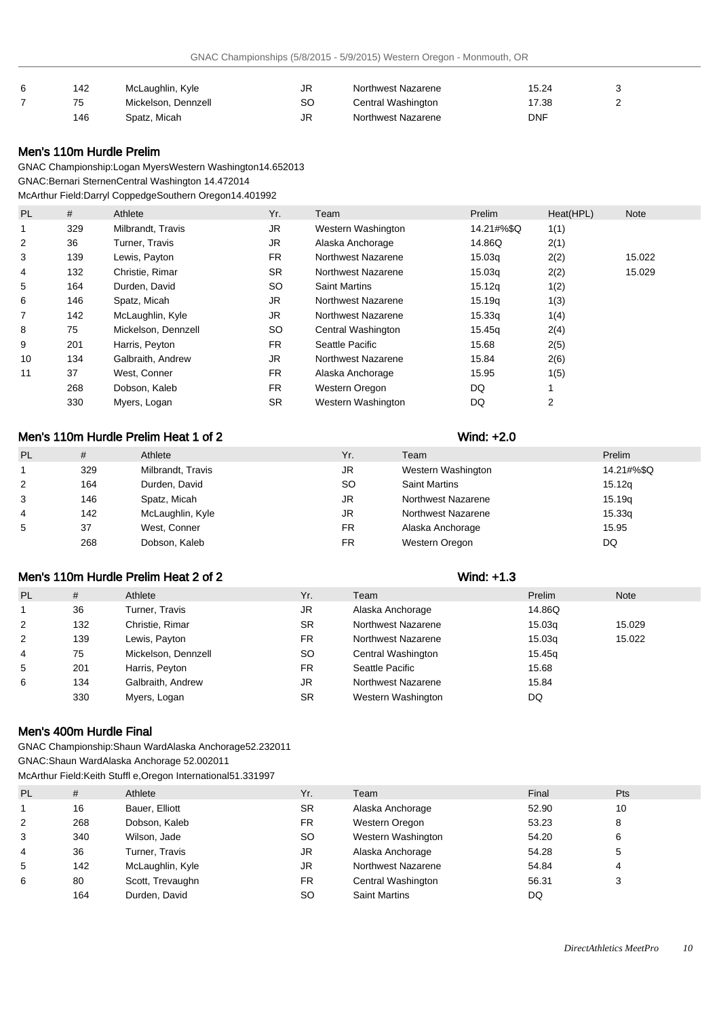| 6 | 142 | McLaughlin, Kyle    | JR | Northwest Nazarene | 15.24 |  |
|---|-----|---------------------|----|--------------------|-------|--|
|   |     | Mickelson, Dennzell | SC | Central Washington | 17.38 |  |
|   | 146 | Spatz, Micah        | JR | Northwest Nazarene | DNF   |  |

## Men's 110m Hurdle Prelim

GNAC Championship: Logan Myers Western Washington 14.65 2013 GNAC: Bernari Sternen Central Washington 14.47 2014

McArthur Field: Darryl Coppedge Southern Oregon 14.40 1992

| PL | #   | Athlete             | Yr.       | Team                 | Prelim     | Heat(HPL) | <b>Note</b> |
|----|-----|---------------------|-----------|----------------------|------------|-----------|-------------|
|    | 329 | Milbrandt, Travis   | <b>JR</b> | Western Washington   | 14.21#%\$Q | 1(1)      |             |
| 2  | 36  | Turner, Travis      | <b>JR</b> | Alaska Anchorage     | 14.86Q     | 2(1)      |             |
| 3  | 139 | Lewis, Payton       | <b>FR</b> | Northwest Nazarene   | 15.03g     | 2(2)      | 15.022      |
| 4  | 132 | Christie, Rimar     | <b>SR</b> | Northwest Nazarene   | 15.03g     | 2(2)      | 15.029      |
| 5  | 164 | Durden, David       | <b>SO</b> | <b>Saint Martins</b> | 15.12g     | 1(2)      |             |
| 6  | 146 | Spatz, Micah        | JR        | Northwest Nazarene   | 15.19g     | 1(3)      |             |
| 7  | 142 | McLaughlin, Kyle    | JR        | Northwest Nazarene   | 15.33q     | 1(4)      |             |
| 8  | 75  | Mickelson, Dennzell | <b>SO</b> | Central Washington   | 15.45g     | 2(4)      |             |
| 9  | 201 | Harris, Peyton      | FR.       | Seattle Pacific      | 15.68      | 2(5)      |             |
| 10 | 134 | Galbraith, Andrew   | JR        | Northwest Nazarene   | 15.84      | 2(6)      |             |
| 11 | 37  | West, Conner        | FR.       | Alaska Anchorage     | 15.95      | 1(5)      |             |
|    | 268 | Dobson, Kaleb       | FR.       | Western Oregon       | DQ         |           |             |
|    | 330 | Myers, Logan        | <b>SR</b> | Western Washington   | DQ         | 2         |             |

# Men's 110m Hurdle Prelim Heat 1 of 2 Wind: +2.0

| <b>PL</b> | #   | Athlete           | Yr.       | Team                 | Prelim     |
|-----------|-----|-------------------|-----------|----------------------|------------|
|           | 329 | Milbrandt, Travis | JR        | Western Washington   | 14.21#%\$Q |
| 2         | 164 | Durden, David     | SO        | <b>Saint Martins</b> | 15.12q     |
| 3         | 146 | Spatz, Micah      | JR        | Northwest Nazarene   | 15.19g     |
| 4         | 142 | McLaughlin, Kyle  | <b>JR</b> | Northwest Nazarene   | 15.33q     |
| 5         | 37  | West, Conner      | <b>FR</b> | Alaska Anchorage     | 15.95      |
|           | 268 | Dobson, Kaleb     | FR        | Western Oregon       | DQ         |

# Men's 110m Hurdle Prelim Heat 2 of 2 Wind: +1.3

| <b>PL</b> | #   | Athlete             | Yr.       | Team               | Prelim | <b>Note</b> |
|-----------|-----|---------------------|-----------|--------------------|--------|-------------|
|           | 36  | Turner, Travis      | JR        | Alaska Anchorage   | 14.86Q |             |
| 2         | 132 | Christie, Rimar     | <b>SR</b> | Northwest Nazarene | 15.03g | 15.029      |
| 2         | 139 | Lewis, Payton       | <b>FR</b> | Northwest Nazarene | 15.03g | 15.022      |
| 4         | 75  | Mickelson, Dennzell | SO.       | Central Washington | 15.45g |             |
| 5         | 201 | Harris, Peyton      | <b>FR</b> | Seattle Pacific    | 15.68  |             |
| 6         | 134 | Galbraith, Andrew   | JR        | Northwest Nazarene | 15.84  |             |
|           | 330 | Myers, Logan        | <b>SR</b> | Western Washington | DQ     |             |

## Men's 400m Hurdle Final

GNAC Championship: Shaun Ward Alaska Anchorage 52.23 2011 GNAC: Shaun Ward Alaska Anchorage 52.00 2011

McArthur Field: Keith Stuffl e, Oregon International 51.33 1997

| PL | #   | Athlete          | Yr.       | Team                 | Final | <b>Pts</b> |
|----|-----|------------------|-----------|----------------------|-------|------------|
|    | 16  | Bauer, Elliott   | <b>SR</b> | Alaska Anchorage     | 52.90 | 10         |
| 2  | 268 | Dobson, Kaleb    | <b>FR</b> | Western Oregon       | 53.23 | 8          |
| 3  | 340 | Wilson, Jade     | SO.       | Western Washington   | 54.20 |            |
| 4  | 36  | Turner, Travis   | JR.       | Alaska Anchorage     | 54.28 |            |
| 5  | 142 | McLaughlin, Kyle | JR.       | Northwest Nazarene   | 54.84 | 4          |
| 6  | 80  | Scott, Trevaughn | <b>FR</b> | Central Washington   | 56.31 |            |
|    | 164 | Durden, David    | <b>SO</b> | <b>Saint Martins</b> | DQ    |            |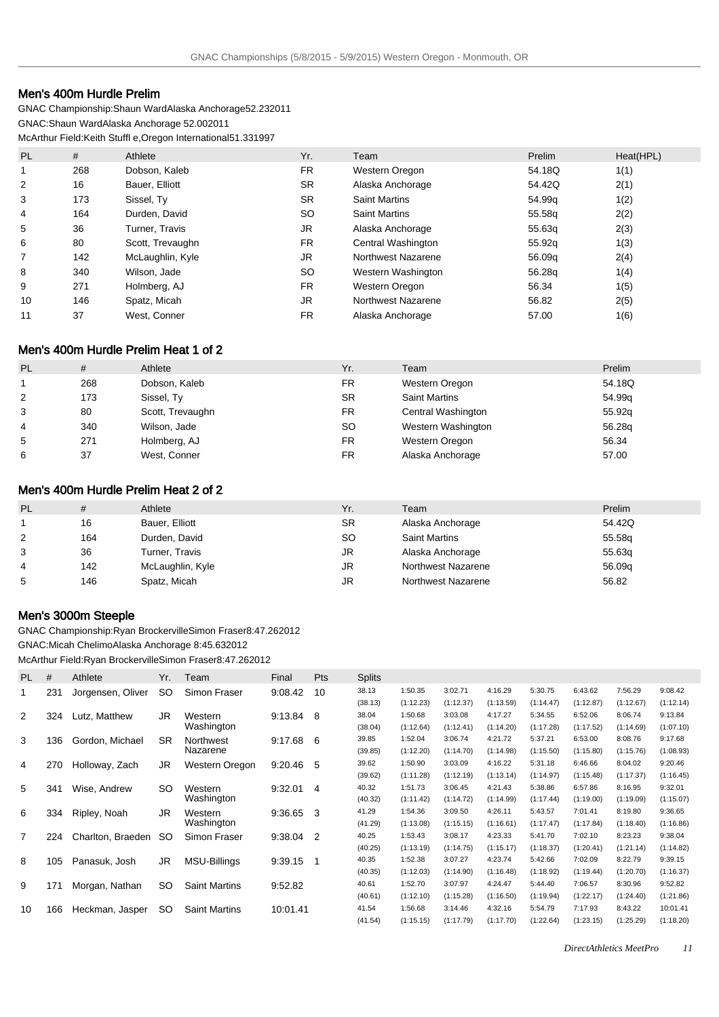# Men's 400m Hurdle Prelim

GNAC Championship: Shaun Ward Alaska Anchorage 52.23 2011 GNAC: Shaun Ward Alaska Anchorage 52.00 2011 McArthur Field: Keith Stuffl e, Oregon International 51.33 1997

| PL | #   | Athlete          | Yr.       | Team                 | Prelim | Heat(HPL) |
|----|-----|------------------|-----------|----------------------|--------|-----------|
| 1  | 268 | Dobson, Kaleb    | FR.       | Western Oregon       | 54.18Q | 1(1)      |
| 2  | 16  | Bauer, Elliott   | <b>SR</b> | Alaska Anchorage     | 54.42Q | 2(1)      |
| 3  | 173 | Sissel, Ty       | <b>SR</b> | <b>Saint Martins</b> | 54.99q | 1(2)      |
| 4  | 164 | Durden, David    | <b>SO</b> | <b>Saint Martins</b> | 55.58g | 2(2)      |
| 5  | 36  | Turner, Travis   | JR        | Alaska Anchorage     | 55.63q | 2(3)      |
| 6  | 80  | Scott, Trevaughn | FR.       | Central Washington   | 55.92g | 1(3)      |
|    | 142 | McLaughlin, Kyle | JR        | Northwest Nazarene   | 56.09q | 2(4)      |
| 8  | 340 | Wilson, Jade     | <b>SO</b> | Western Washington   | 56.28g | 1(4)      |
| 9  | 271 | Holmberg, AJ     | <b>FR</b> | Western Oregon       | 56.34  | 1(5)      |
| 10 | 146 | Spatz, Micah     | JR.       | Northwest Nazarene   | 56.82  | 2(5)      |
| 11 | 37  | West, Conner     | <b>FR</b> | Alaska Anchorage     | 57.00  | 1(6)      |

# Men's 400m Hurdle Prelim Heat 1 of 2

| <b>PL</b>      | #   | Athlete          | Yr.       | Team                 | Prelim |
|----------------|-----|------------------|-----------|----------------------|--------|
|                | 268 | Dobson, Kaleb    | FR        | Western Oregon       | 54.18Q |
| $\overline{2}$ | 173 | Sissel, Ty       | <b>SR</b> | <b>Saint Martins</b> | 54.99q |
| 3              | 80  | Scott, Trevaughn | FR        | Central Washington   | 55.92g |
| 4              | 340 | Wilson, Jade     | <b>SO</b> | Western Washington   | 56.28q |
| 5              | 271 | Holmberg, AJ     | FR        | Western Oregon       | 56.34  |
| 6              | 37  | West, Conner     | FR        | Alaska Anchorage     | 57.00  |

## Men's 400m Hurdle Prelim Heat 2 of 2

| <b>PL</b> | #   | Athlete          | Yr.       | Team                 | Prelim |
|-----------|-----|------------------|-----------|----------------------|--------|
|           | 16  | Bauer, Elliott   | <b>SR</b> | Alaska Anchorage     | 54.42Q |
| 2         | 164 | Durden, David    | <b>SO</b> | <b>Saint Martins</b> | 55.58g |
| 3         | 36  | Turner, Travis   | JR        | Alaska Anchorage     | 55.63g |
| 4         | 142 | McLaughlin, Kyle | JR        | Northwest Nazarene   | 56.09q |
| 5         | 146 | Spatz, Micah     | JR        | Northwest Nazarene   | 56.82  |

## Men's 3000m Steeple

GNAC Championship: Ryan Brockerville Simon Fraser 8:47.26 2012 GNAC: Micah Chelimo Alaska Anchorage 8:45.63 2012 McArthur Field: Ryan Brockerville Simon Fraser 8:47.26 2012

| <b>PL</b>      | #   | Athlete           | Yr.       | Team                 | Final    | Pts            | <b>Splits</b> |           |           |           |           |           |           |           |
|----------------|-----|-------------------|-----------|----------------------|----------|----------------|---------------|-----------|-----------|-----------|-----------|-----------|-----------|-----------|
| 1              | 231 | Jorgensen, Oliver | SO.       | Simon Fraser         | 9:08.42  | 10             | 38.13         | 1:50.35   | 3:02.71   | 4:16.29   | 5:30.75   | 6:43.62   | 7:56.29   | 9:08.42   |
|                |     |                   |           |                      |          |                | (38.13)       | (1:12.23) | (1:12.37) | (1:13.59) | (1:14.47) | (1:12.87) | (1:12.67) | (1:12.14) |
| $\overline{2}$ | 324 | Lutz, Matthew     | JR        | Western              | 9:13.84  | 8              | 38.04         | 1:50.68   | 3:03.08   | 4:17.27   | 5:34.55   | 6:52.06   | 8:06.74   | 9:13.84   |
|                |     |                   |           | Washington           |          |                | (38.04)       | (1:12.64) | (1:12.41) | (1:14.20) | (1:17.28) | (1:17.52) | (1:14.69) | (1:07.10) |
| 3              | 136 | Gordon, Michael   | <b>SR</b> | Northwest            | 9:17.68  | 6              | 39.85         | 1:52.04   | 3:06.74   | 4:21.72   | 5:37.21   | 6:53.00   | 8:08.76   | 9:17.68   |
|                |     |                   |           | Nazarene             |          |                | (39.85)       | (1:12.20) | (1:14.70) | (1:14.98) | (1:15.50) | (1:15.80) | (1:15.76) | (1:08.93) |
| 4              | 270 | Holloway, Zach    | JR.       | Western Oregon       | 9:20.46  | 5              | 39.62         | 1:50.90   | 3:03.09   | 4:16.22   | 5:31.18   | 6:46.66   | 8:04.02   | 9:20.46   |
|                |     |                   |           |                      |          |                | (39.62)       | (1:11.28) | (1:12.19) | (1:13.14) | (1:14.97) | (1:15.48) | (1:17.37) | (1:16.45) |
| 5              | 341 | Wise, Andrew      | SO.       | Western              | 9:32.01  | -4             | 40.32         | 1:51.73   | 3:06.45   | 4:21.43   | 5:38.86   | 6:57.86   | 8:16.95   | 9:32.01   |
|                |     |                   |           | Washington           |          |                | (40.32)       | (1:11.42) | (1:14.72) | (1:14.99) | (1:17.44) | (1:19.00) | (1:19.09) | (1:15.07) |
| 6              | 334 | Ripley, Noah      | JR.       | Western              | 9:36.65  | 3              | 41.29         | 1:54.36   | 3:09.50   | 4:26.11   | 5:43.57   | 7:01.41   | 8:19.80   | 9:36.65   |
|                |     |                   |           | Washington           |          |                | (41.29)       | (1:13.08) | (1:15.15) | (1:16.61) | (1:17.47) | (1:17.84) | (1:18.40) | (1:16.86) |
| $\overline{7}$ | 224 | Charlton, Braeden | SO.       | Simon Fraser         | 9:38.04  | $\overline{2}$ | 40.25         | 1:53.43   | 3:08.17   | 4:23.33   | 5:41.70   | 7:02.10   | 8:23.23   | 9:38.04   |
|                |     |                   |           |                      |          |                | (40.25)       | (1:13.19) | (1:14.75) | (1:15.17) | (1:18.37) | (1:20.41) | (1:21.14) | (1:14.82) |
| 8              | 105 | Panasuk, Josh     | JR.       | <b>MSU-Billings</b>  | 9:39.15  | 1              | 40.35         | 1:52.38   | 3:07.27   | 4:23.74   | 5:42.66   | 7:02.09   | 8:22.79   | 9:39.15   |
|                |     |                   |           |                      |          |                | (40.35)       | (1:12.03) | (1:14.90) | (1:16.48) | (1:18.92) | (1:19.44) | (1:20.70) | (1:16.37) |
| 9              | 171 | Morgan, Nathan    | SO.       | <b>Saint Martins</b> | 9:52.82  |                | 40.61         | 1:52.70   | 3:07.97   | 4:24.47   | 5:44.40   | 7:06.57   | 8:30.96   | 9:52.82   |
|                |     |                   |           |                      |          |                | (40.61)       | (1:12.10) | (1:15.28) | (1:16.50) | (1:19.94) | (1:22.17) | (1:24.40) | (1:21.86) |
| 10             | 166 | Heckman, Jasper   | SO.       | <b>Saint Martins</b> | 10:01.41 |                | 41.54         | 1:56.68   | 3:14.46   | 4:32.16   | 5:54.79   | 7:17.93   | 8:43.22   | 10:01.41  |
|                |     |                   |           |                      |          |                | (41.54)       | (1:15.15) | (1:17.79) | (1:17.70) | (1:22.64) | (1:23.15) | (1:25.29) | (1:18.20) |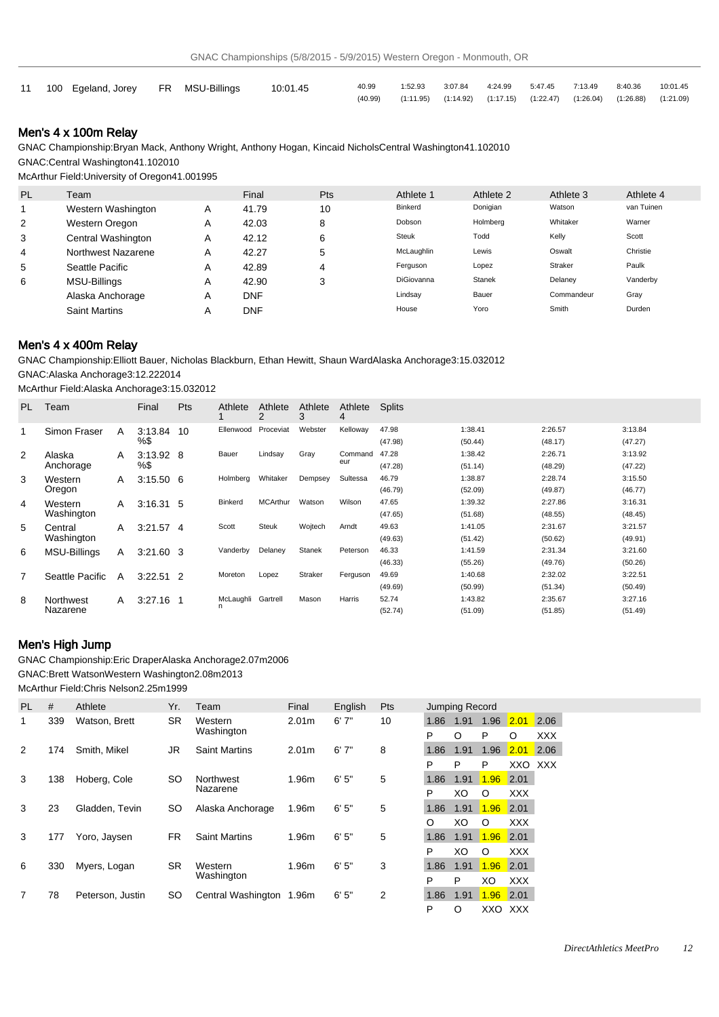| 11 100 Egeland, Jorey FR MSU-Billings 10:01.45 |  | 40.99   |                                                                                     | 1:52.93  3:07.84  4:24.99  5:47.45  7:13.49  8:40.36  10:01.45 |  |  |  |
|------------------------------------------------|--|---------|-------------------------------------------------------------------------------------|----------------------------------------------------------------|--|--|--|
|                                                |  | (40.99) | $(1:11.95)$ $(1:14.92)$ $(1:17.15)$ $(1:22.47)$ $(1:26.04)$ $(1:26.88)$ $(1:21.09)$ |                                                                |  |  |  |

## Men's 4 x 100m Relay

GNAC Championship: Bryan Mack, Anthony Wright, Anthony Hogan, Kincaid Nichols Central Washington 41.10 2010 GNAC: Central Washington 41.10 2010

McArthur Field: University of Oregon 41.00 1995

| PL | Team                 |   | Final      | <b>Pts</b> | Athlete 1    | Athlete 2 | Athlete 3  | Athlete 4  |
|----|----------------------|---|------------|------------|--------------|-----------|------------|------------|
|    | Western Washington   | A | 41.79      | 10         | Binkerd      | Donigian  | Watson     | van Tuinen |
| 2  | Western Oregon       | A | 42.03      | 8          | Dobson       | Holmberg  | Whitaker   | Warner     |
| 3  | Central Washington   | A | 42.12      | 6          | <b>Steuk</b> | Todd      | Kelly      | Scott      |
| 4  | Northwest Nazarene   | A | 42.27      | 5          | McLaughlin   | Lewis     | Oswalt     | Christie   |
| 5  | Seattle Pacific      | A | 42.89      | 4          | Ferguson     | Lopez     | Straker    | Paulk      |
| 6  | MSU-Billings         | A | 42.90      | 3          | DiGiovanna   | Stanek    | Delaney    | Vanderby   |
|    | Alaska Anchorage     | A | <b>DNF</b> |            | Lindsay      | Bauer     | Commandeur | Gray       |
|    | <b>Saint Martins</b> | A | <b>DNF</b> |            | House        | Yoro      | Smith      | Durden     |

## Men's 4 x 400m Relay

GNAC Championship: Elliott Bauer, Nicholas Blackburn, Ethan Hewitt, Shaun Ward Alaska Anchorage 3:15.03 2012

GNAC: Alaska Anchorage 3:12.22 2014

McArthur Field: Alaska Anchorage 3:15.03 2012

| PL. | Team                |   | Final       | <b>Pts</b> | Athlete        | Athlete<br>2    | Athlete<br>3 | Athlete<br>4 | <b>Splits</b> |         |         |         |
|-----|---------------------|---|-------------|------------|----------------|-----------------|--------------|--------------|---------------|---------|---------|---------|
|     | Simon Fraser        | A | 3:13.84     | 10         | Ellenwood      | Proceviat       | Webster      | Kelloway     | 47.98         | 1:38.41 | 2:26.57 | 3:13.84 |
|     |                     |   | %\$         |            |                |                 |              |              | (47.98)       | (50.44) | (48.17) | (47.27) |
| 2   | Alaska              | A | $3:13.92$ 8 |            | Bauer          | Lindsay         | Gray         | Command      | 47.28         | 1:38.42 | 2:26.71 | 3:13.92 |
|     | Anchorage           |   | %\$         |            |                |                 |              | eur          | (47.28)       | (51.14) | (48.29) | (47.22) |
| 3   | Western             | A | $3:15.50$ 6 |            | Holmberg       | Whitaker        | Dempsey      | Sultessa     | 46.79         | 1:38.87 | 2:28.74 | 3:15.50 |
|     | Oregon              |   |             |            |                |                 |              |              | (46.79)       | (52.09) | (49.87) | (46.77) |
| 4   | Western             | A | $3:16.31$ 5 |            | <b>Binkerd</b> | <b>MCArthur</b> | Watson       | Wilson       | 47.65         | 1:39.32 | 2:27.86 | 3:16.31 |
|     | Washington          |   |             |            |                |                 |              |              | (47.65)       | (51.68) | (48.55) | (48.45) |
| 5   | Central             | A | $3:21.57$ 4 |            | Scott          | Steuk           | Wojtech      | Arndt        | 49.63         | 1:41.05 | 2:31.67 | 3:21.57 |
|     | Washington          |   |             |            |                |                 |              |              | (49.63)       | (51.42) | (50.62) | (49.91) |
| 6   | <b>MSU-Billings</b> | Α | $3:21.60$ 3 |            | Vanderby       | Delaney         | Stanek       | Peterson     | 46.33         | 1:41.59 | 2:31.34 | 3:21.60 |
|     |                     |   |             |            |                |                 |              |              | (46.33)       | (55.26) | (49.76) | (50.26) |
| 7   | Seattle Pacific     | A | $3:22.51$ 2 |            | Moreton        | Lopez           | Straker      | Ferguson     | 49.69         | 1:40.68 | 2:32.02 | 3:22.51 |
|     |                     |   |             |            |                |                 |              |              | (49.69)       | (50.99) | (51.34) | (50.49) |
| 8   | Northwest           | A | 3:27.16     |            | McLaughli      | Gartrell        | Mason        | Harris       | 52.74         | 1:43.82 | 2:35.67 | 3:27.16 |
|     | Nazarene            |   |             |            | n              |                 |              |              | (52.74)       | (51.09) | (51.85) | (51.49) |

## Men's High Jump

GNAC Championship: Eric Draper Alaska Anchorage 2.07m 2006

GNAC: Brett Watson Western Washington 2.08m 2013

McArthur Field: Chris Nelson 2.25m 1999

| PL. | #   | Athlete          | Yr.       | Team                     | Final             | English | Pts |      | Jumping Record |      |            |            |  |
|-----|-----|------------------|-----------|--------------------------|-------------------|---------|-----|------|----------------|------|------------|------------|--|
|     | 339 | Watson, Brett    | <b>SR</b> | Western                  | 2.01 <sub>m</sub> | 6'7''   | 10  | 1.86 | 1.91           | 1.96 | 2.01       | 2.06       |  |
|     |     |                  |           | Washington               |                   |         |     | P    | O              | P    | O          | <b>XXX</b> |  |
| 2   | 174 | Smith, Mikel     | JR.       | <b>Saint Martins</b>     | 2.01 <sub>m</sub> | 6'7''   | 8   | 1.86 | 1.91           | 1.96 | 2.01       | 2.06       |  |
|     |     |                  |           |                          |                   |         |     | P    | P              | P    | XXO XXX    |            |  |
| 3   | 138 | Hoberg, Cole     | SO.       | Northwest                | 1.96m             | 6'5''   | 5   | 1.86 | 1.91           | 1.96 | 2.01       |            |  |
|     |     |                  |           | Nazarene                 |                   |         |     | P    | XO             | O    | <b>XXX</b> |            |  |
| 3   | 23  | Gladden, Tevin   | <b>SO</b> | Alaska Anchorage         | 1.96m             | 6'5''   | 5   | 1.86 | 1.91           | 1.96 | 2.01       |            |  |
|     |     |                  |           |                          |                   |         |     | O    | XO             | O    | <b>XXX</b> |            |  |
| 3   | 177 | Yoro, Jaysen     | <b>FR</b> | <b>Saint Martins</b>     | 1.96m             | 6'5''   | 5   | 1.86 | 1.91           | 1.96 | 2.01       |            |  |
|     |     |                  |           |                          |                   |         |     | P    | XO             | O    | <b>XXX</b> |            |  |
| 6   | 330 | Myers, Logan     | <b>SR</b> | Western                  | 1.96m             | 6'5''   | 3   | 1.86 | 1.91           | 1.96 | 2.01       |            |  |
|     |     |                  |           | Washington               |                   |         |     | P    | P              | XO   | <b>XXX</b> |            |  |
|     | 78  | Peterson, Justin | <b>SO</b> | Central Washington 1.96m |                   | 6'5''   | 2   | 1.86 | 1.91           | 1.96 | 2.01       |            |  |
|     |     |                  |           |                          |                   |         |     | P    | O              |      | XXO XXX    |            |  |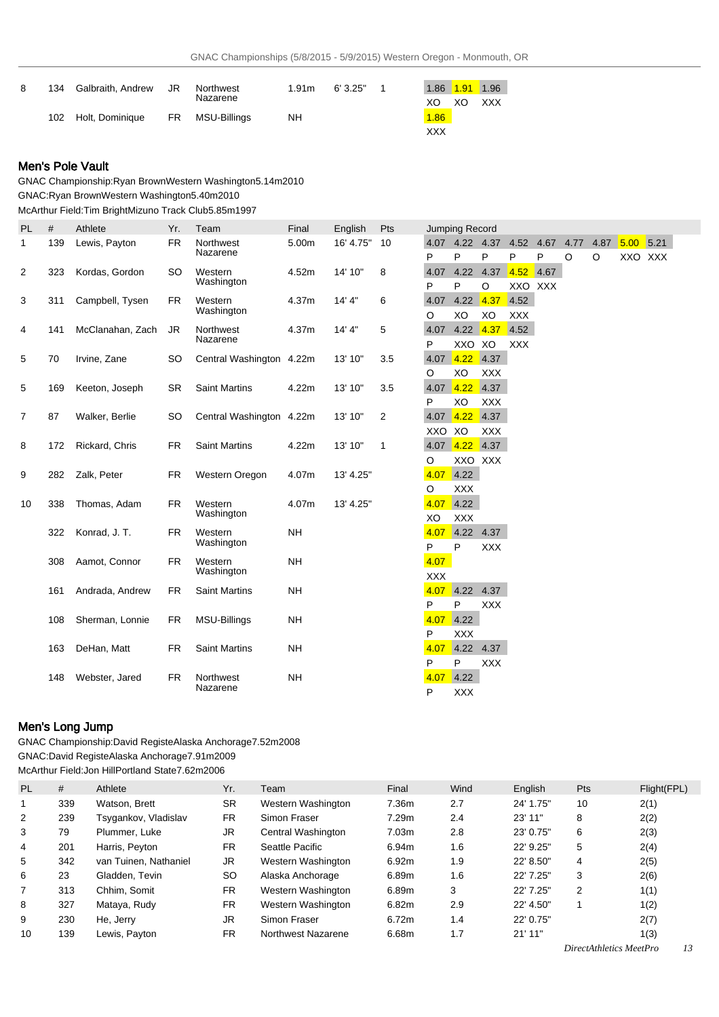| 134 | Galbraith, Andrew | JR. | Northwest    | 1.91m | 6'3.25" |      |    |            |
|-----|-------------------|-----|--------------|-------|---------|------|----|------------|
|     |                   |     | Nazarene     |       |         | XO   | XO | <b>XXX</b> |
| 102 | Holt, Dominique   | FR. | MSU-Billings | NH    |         | 1.86 |    |            |
|     |                   |     |              |       |         | XXX  |    |            |

## Men's Pole Vault

GNAC Championship: Ryan Brown Western Washington 5.14m 2010 GNAC: Ryan Brown Western Washington 5.40m 2010 McArthur Field: Tim Bright Mizuno Track Club 5.85m 1997

| PL             | #   | Athlete          | Yr.       | Team                     | Final     | English   | Pts          |                    | Jumping Record                   |                     |                    |           |           |           |             |         |  |
|----------------|-----|------------------|-----------|--------------------------|-----------|-----------|--------------|--------------------|----------------------------------|---------------------|--------------------|-----------|-----------|-----------|-------------|---------|--|
| 1              | 139 | Lewis, Payton    | <b>FR</b> | Northwest<br>Nazarene    | 5.00m     | 16' 4.75" | 10           | P                  | 4.07 4.22 4.37<br>P              | P                   | 4.52<br>P          | 4.67<br>P | 4.77<br>O | 4.87<br>O | $5.00$ 5.21 | XXO XXX |  |
| 2              | 323 | Kordas, Gordon   | <b>SO</b> | Western<br>Washington    | 4.52m     | 14' 10"   | 8            | P                  | 4.07 4.22 4.37<br>P              | O                   | 4.52<br>XXO XXX    | 4.67      |           |           |             |         |  |
| 3              | 311 | Campbell, Tysen  | <b>FR</b> | Western<br>Washington    | 4.37m     | 14' 4"    | 6            | 4.07<br>O          | 4.22<br>XO                       | 4.37<br>XO          | 4.52<br><b>XXX</b> |           |           |           |             |         |  |
| 4              | 141 | McClanahan, Zach | JR        | Northwest<br>Nazarene    | 4.37m     | 14' 4"    | 5            | P                  | 4.07 4.22 4.37<br>XXO XO         |                     | 4.52<br><b>XXX</b> |           |           |           |             |         |  |
| 5              | 70  | Irvine, Zane     | SO.       | Central Washington 4.22m |           | 13' 10"   | 3.5          | 4.07<br>O          | 4.22<br>XO                       | 4.37<br><b>XXX</b>  |                    |           |           |           |             |         |  |
| 5              | 169 | Keeton, Joseph   | <b>SR</b> | <b>Saint Martins</b>     | 4.22m     | 13' 10"   | 3.5          | 4.07               | 4.22<br>XO                       | 4.37                |                    |           |           |           |             |         |  |
| $\overline{7}$ | 87  | Walker, Berlie   | <b>SO</b> | Central Washington 4.22m |           | 13' 10"   | 2            | P<br>4.07          | 4.22                             | <b>XXX</b><br>4.37  |                    |           |           |           |             |         |  |
| 8              | 172 | Rickard, Chris   | <b>FR</b> | <b>Saint Martins</b>     | 4.22m     | 13' 10"   | $\mathbf{1}$ | XXO XO<br>4.07     | 4.22                             | <b>XXX</b><br> 4.37 |                    |           |           |           |             |         |  |
| 9              | 282 | Zalk, Peter      | <b>FR</b> | Western Oregon           | 4.07m     | 13' 4.25" |              | O<br>4.07          | 4.22                             | XXO XXX             |                    |           |           |           |             |         |  |
| 10             | 338 | Thomas, Adam     | <b>FR</b> | Western<br>Washington    | 4.07m     | 13' 4.25" |              | O<br>4.07<br>XO    | <b>XXX</b><br>4.22<br><b>XXX</b> |                     |                    |           |           |           |             |         |  |
|                | 322 | Konrad, J. T.    | <b>FR</b> | Western<br>Washington    | <b>NH</b> |           |              | 4.07<br>P          | $4.22$ 4.37<br>P                 | <b>XXX</b>          |                    |           |           |           |             |         |  |
|                | 308 | Aamot, Connor    | <b>FR</b> | Western<br>Washington    | <b>NH</b> |           |              | 4.07<br><b>XXX</b> |                                  |                     |                    |           |           |           |             |         |  |
|                | 161 | Andrada, Andrew  | <b>FR</b> | <b>Saint Martins</b>     | <b>NH</b> |           |              | 4.07<br>P          | 4.22<br>P                        | 4.37<br>XXX         |                    |           |           |           |             |         |  |
|                | 108 | Sherman, Lonnie  | FR.       | MSU-Billings             | <b>NH</b> |           |              | 4.07<br>P          | 4.22<br><b>XXX</b>               |                     |                    |           |           |           |             |         |  |
|                | 163 | DeHan, Matt      | <b>FR</b> | <b>Saint Martins</b>     | <b>NH</b> |           |              | 4.07<br>P          | 4.22 4.37<br>P                   | <b>XXX</b>          |                    |           |           |           |             |         |  |
|                | 148 | Webster, Jared   | <b>FR</b> | Northwest<br>Nazarene    | <b>NH</b> |           |              | 4.07<br>P          | 4.22<br><b>XXX</b>               |                     |                    |           |           |           |             |         |  |

## Men's Long Jump

GNAC Championship: David Registe Alaska Anchorage 7.52m 2008 GNAC: David Registe Alaska Anchorage 7.91m 2009 McArthur Field: Jon Hill Portland State 7.62m 2006

| <b>PL</b>      | #   | Athlete               | Yr.       | Team               | Final             | Wind | English   | Pts | Flight(FPL) |
|----------------|-----|-----------------------|-----------|--------------------|-------------------|------|-----------|-----|-------------|
|                | 339 | Watson, Brett         | <b>SR</b> | Western Washington | 7.36m             | 2.7  | 24' 1.75" | 10  | 2(1)        |
| 2              | 239 | Tsygankov, Vladislav  | FR.       | Simon Fraser       | 7.29m             | 2.4  | 23' 11"   | 8   | 2(2)        |
| 3              | 79  | Plummer, Luke         | JR        | Central Washington | 7.03 <sub>m</sub> | 2.8  | 23' 0.75" | 6   | 2(3)        |
| 4              | 201 | Harris, Peyton        | <b>FR</b> | Seattle Pacific    | 6.94m             | 1.6  | 22' 9.25" | 5   | 2(4)        |
| 5              | 342 | van Tuinen. Nathaniel | JR        | Western Washington | 6.92m             | 1.9  | 22' 8.50" | 4   | 2(5)        |
| 6              | 23  | Gladden, Tevin        | <b>SO</b> | Alaska Anchorage   | 6.89m             | 1.6  | 22' 7.25" | 3   | 2(6)        |
| $\overline{7}$ | 313 | Chhim. Somit          | <b>FR</b> | Western Washington | 6.89m             | 3    | 22' 7.25" | 2   | 1(1)        |
| 8              | 327 | Mataya, Rudy          | <b>FR</b> | Western Washington | 6.82m             | 2.9  | 22' 4.50" |     | 1(2)        |
| 9              | 230 | He, Jerry             | JR        | Simon Fraser       | 6.72m             | 1.4  | 22' 0.75" |     | 2(7)        |
| 10             | 139 | Lewis, Payton         | <b>FR</b> | Northwest Nazarene | 6.68m             | 1.7  | 21'11''   |     | 1(3)        |

*DirectAthletics MeetPro 13*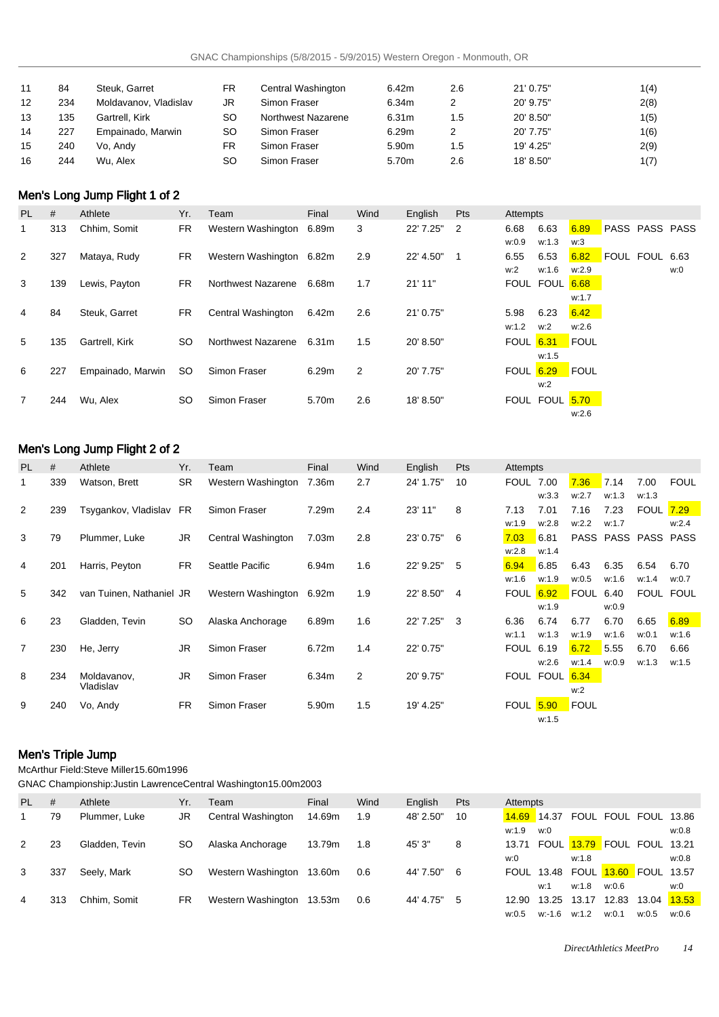| 11 | 84  | Steuk, Garret         | FR        | Central Washington | 6.42m             | 2.6 | 21' 0.75" | 1(4) |
|----|-----|-----------------------|-----------|--------------------|-------------------|-----|-----------|------|
| 12 | 234 | Moldavanov, Vladislav | JR        | Simon Fraser       | 6.34m             |     | 20' 9.75" | 2(8) |
| 13 | 135 | Gartrell, Kirk        | SO        | Northwest Nazarene | 6.31m             | 1.5 | 20' 8.50" | 1(5) |
| 14 | 227 | Empainado, Marwin     | SΟ        | Simon Fraser       | 6.29m             |     | 20' 7.75" | 1(6) |
| 15 | 240 | Vo, Andy              | FR        | Simon Fraser       | 5.90 <sub>m</sub> | 1.5 | 19' 4.25" | 2(9) |
| 16 | 244 | Wu. Alex              | <b>SO</b> | Simon Fraser       | 5.70m             | 2.6 | 18' 8.50" | 1(7) |

# Men's Long Jump Flight 1 of 2

| PL | #   | Athlete           | Yr. | Team                     | Final | Wind | English   | Pts            | Attempts         |                |             |                       |                |     |
|----|-----|-------------------|-----|--------------------------|-------|------|-----------|----------------|------------------|----------------|-------------|-----------------------|----------------|-----|
| 1  | 313 | Chhim, Somit      | FR  | Western Washington       | 6.89m | 3    | 22' 7.25" | $\overline{2}$ | 6.68             | 6.63           | 6.89        | <b>PASS PASS PASS</b> |                |     |
|    |     |                   |     |                          |       |      |           |                | w:0.9            | w:1.3          | w:3         |                       |                |     |
| 2  | 327 | Mataya, Rudy      | FR  | Western Washington 6.82m |       | 2.9  | 22' 4.50" | $\mathbf 1$    | 6.55             | 6.53           | 6.82        |                       | FOUL FOUL 6.63 |     |
|    |     |                   |     |                          |       |      |           |                | w:2              | w:1.6          | w:2.9       |                       |                | w:0 |
| 3  | 139 | Lewis, Payton     | FR. | Northwest Nazarene       | 6.68m | 1.7  | $21'$ 11" |                |                  | FOUL FOUL 6.68 |             |                       |                |     |
|    |     |                   |     |                          |       |      |           |                |                  |                | w:1.7       |                       |                |     |
| 4  | 84  | Steuk, Garret     | FR  | Central Washington       | 6.42m | 2.6  | 21' 0.75" |                | 5.98             | 6.23           | 6.42        |                       |                |     |
|    |     |                   |     |                          |       |      |           |                | w:1.2            | w:2            | W:2.6       |                       |                |     |
| 5  | 135 | Gartrell, Kirk    | SO. | Northwest Nazarene       | 6.31m | 1.5  | 20' 8.50" |                | <b>FOUL 6.31</b> |                | FOUL        |                       |                |     |
|    |     |                   |     |                          |       |      |           |                |                  | w:1.5          |             |                       |                |     |
| 6  | 227 | Empainado, Marwin | SO. | Simon Fraser             | 6.29m | 2    | 20' 7.75" |                | <b>FOUL</b>      | 6.29           | <b>FOUL</b> |                       |                |     |
|    |     |                   |     |                          |       |      |           |                |                  | w:2            |             |                       |                |     |
| 7  | 244 | Wu, Alex          | SO. | Simon Fraser             | 5.70m | 2.6  | 18' 8.50" |                |                  | FOUL FOUL 5.70 |             |                       |                |     |
|    |     |                   |     |                          |       |      |           |                |                  |                | w:2.6       |                       |                |     |

# Men's Long Jump Flight 2 of 2

| <b>PL</b>      | #   | Athlete                  | Yr.       | Team               | Final | Wind | English   | <b>Pts</b>     | Attempts         |           |           |       |                     |             |
|----------------|-----|--------------------------|-----------|--------------------|-------|------|-----------|----------------|------------------|-----------|-----------|-------|---------------------|-------------|
| 1              | 339 | Watson, Brett            | <b>SR</b> | Western Washington | 7.36m | 2.7  | 24' 1.75" | 10             | <b>FOUL 7.00</b> |           | 7.36      | 7.14  | 7.00                | <b>FOUL</b> |
|                |     |                          |           |                    |       |      |           |                |                  | w:3.3     | w:2.7     | w:1.3 | w:1.3               |             |
| 2              | 239 | Tsygankov, Vladislav FR  |           | Simon Fraser       | 7.29m | 2.4  | 23' 11"   | 8              | 7.13             | 7.01      | 7.16      | 7.23  | <b>FOUL 7.29</b>    |             |
|                |     |                          |           |                    |       |      |           |                | w:1.9            | w:2.8     | w:2.2     | w:1.7 |                     | w:2.4       |
| 3              | 79  | Plummer, Luke            | JR.       | Central Washington | 7.03m | 2.8  | 23' 0.75" | 6              | 7.03             | 6.81      |           |       | PASS PASS PASS PASS |             |
|                |     |                          |           |                    |       |      |           |                | w:2.8            | w:1.4     |           |       |                     |             |
| 4              | 201 | Harris, Peyton           | <b>FR</b> | Seattle Pacific    | 6.94m | 1.6  | 22' 9.25" | 5              | 6.94             | 6.85      | 6.43      | 6.35  | 6.54                | 6.70        |
|                |     |                          |           |                    |       |      |           |                | w:1.6            | w:1.9     | w:0.5     | w:1.6 | w:1.4               | w:0.7       |
| 5              | 342 | van Tuinen, Nathaniel JR |           | Western Washington | 6.92m | 1.9  | 22' 8.50" | $\overline{4}$ | <b>FOUL</b>      | 6.92      | FOUL 6.40 |       |                     | FOUL FOUL   |
|                |     |                          |           |                    |       |      |           |                |                  | w:1.9     |           | w:0.9 |                     |             |
| 6              | 23  | Gladden, Tevin           | <b>SO</b> | Alaska Anchorage   | 6.89m | 1.6  | 22' 7.25" | 3              | 6.36             | 6.74      | 6.77      | 6.70  | 6.65                | 6.89        |
|                |     |                          |           |                    |       |      |           |                | w:1.1            | w:1.3     | w:1.9     | w:1.6 | w:0.1               | w:1.6       |
| $\overline{7}$ | 230 | He, Jerry                | JR.       | Simon Fraser       | 6.72m | 1.4  | 22' 0.75" |                | <b>FOUL</b>      | 6.19      | 6.72      | 5.55  | 6.70                | 6.66        |
|                |     |                          |           |                    |       |      |           |                |                  | w:2.6     | w:1.4     | w:0.9 | w:1.3               | w:1.5       |
| 8              | 234 | Moldavanov,              | JR.       | Simon Fraser       | 6.34m | 2    | 20' 9.75" |                |                  | FOUL FOUL | 6.34      |       |                     |             |
|                |     | Vladislav                |           |                    |       |      |           |                |                  |           | w:2       |       |                     |             |
| 9              | 240 | Vo, Andy                 | <b>FR</b> | Simon Fraser       | 5.90m | 1.5  | 19' 4.25" |                | <b>FOUL 5.90</b> |           | FOUL      |       |                     |             |
|                |     |                          |           |                    |       |      |           |                |                  | w:1.5     |           |       |                     |             |

# Men's Triple Jump

McArthur Field: Steve Miller 15.60m 1996

GNAC Championship: Justin Lawrence Central Washington 15.00m 2003

| PL. | #   | Athlete        | Yr. | Team                      | Final  | Wind | English   | Pts | Attempts          |        |             |                                   |       |       |
|-----|-----|----------------|-----|---------------------------|--------|------|-----------|-----|-------------------|--------|-------------|-----------------------------------|-------|-------|
|     | 79  | Plummer, Luke  | JR  | Central Washington        | 14.69m | 1.9  | 48' 2.50" | 10  | 14.69             | 14.37  |             | FOUL FOUL FOUL 13.86              |       |       |
|     |     |                |     |                           |        |      |           |     | w:1.9             | w:0    |             |                                   |       | w:0.8 |
| 2   | 23  | Gladden, Tevin | SΟ  | Alaska Anchorage          | 13.79m | 1.8  | 45' 3"    | 8   | 13.71             |        |             | FOUL <b>13.79</b> FOUL FOUL 13.21 |       |       |
|     |     |                |     |                           |        |      |           |     | w:0               |        | w:1.8       |                                   |       | w:0.8 |
| 3   | 337 | Seely, Mark    | SO  | Western Washington 13.60m |        | 0.6  | 44' 7.50" | -6  | <b>FOUL 13.48</b> |        | <b>FOUL</b> | 13.60 FOUL 13.57                  |       |       |
|     |     |                |     |                           |        |      |           |     |                   | w:1    | w:1.8       | w:0.6                             |       | w:0   |
| 4   | 313 | Chhim. Somit   | FR  | Western Washington        | 13.53m | 0.6  | 44' 4.75" | 5   | 12.90             | 13.25  | 13.17       | 12.83                             | 13.04 | 13.53 |
|     |     |                |     |                           |        |      |           |     | w:0.5             | w:-1.6 | w:1.2       | w:0.1                             | w:0.5 | w:0.6 |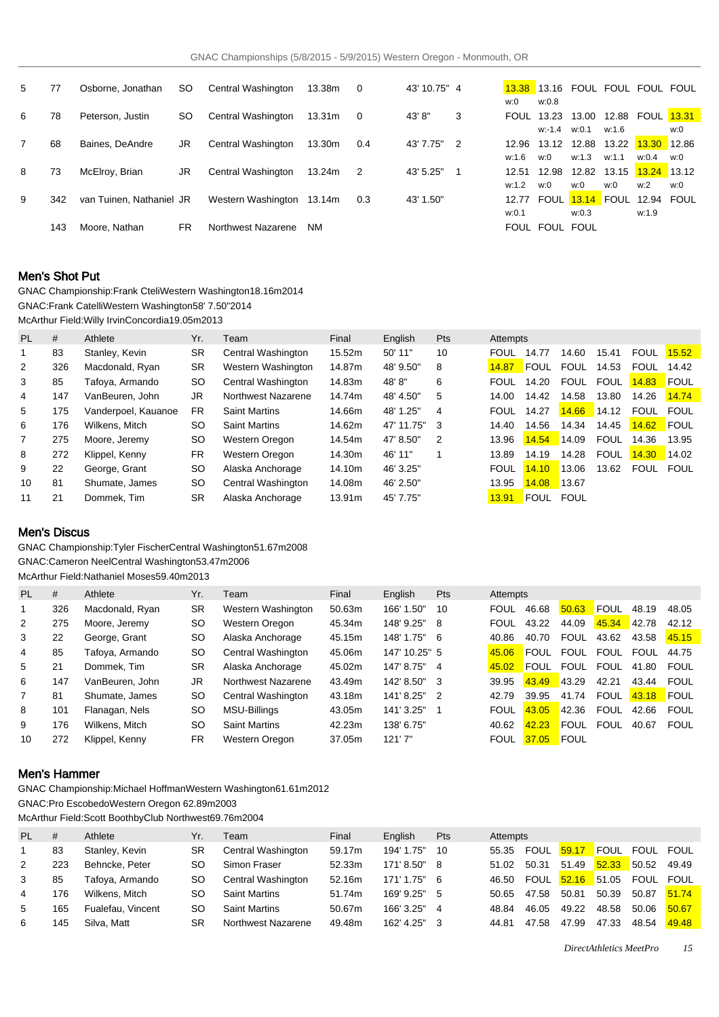| 5 | 77  | Osborne, Jonathan        | SO. | Central Washington | 13.38m             | $\mathbf 0$ | 43' 10.75" 4 |    | w:0               | w:0.8              |       |       | 13.38 13.16 FOUL FOUL FOUL FOUL   |     |
|---|-----|--------------------------|-----|--------------------|--------------------|-------------|--------------|----|-------------------|--------------------|-------|-------|-----------------------------------|-----|
| 6 | 78  | Peterson, Justin         | SO. | Central Washington | 13.31 <sub>m</sub> | $\Omega$    | 43'8"        | 3  | <b>FOUL 13.23</b> |                    | 13.00 |       | 12.88 FOUL <b>13.31</b>           |     |
|   |     |                          |     |                    |                    |             |              |    |                   | $w: -1.4$ $w: 0.1$ |       | w:1.6 |                                   | w:0 |
|   | 68  | Baines, DeAndre          | JR  | Central Washington | 13.30m             | 0.4         | 43' 7.75"    | -2 | 12.96             | 13.12              | 12.88 | 13.22 | $13.30$ 12.86                     |     |
|   |     |                          |     |                    |                    |             |              |    | w:1.6             | w:0                | w:1.3 | w:1.1 | w:0.4                             | w:0 |
| 8 | 73  | McElroy, Brian           | JR  | Central Washington | 13.24m             | -2          | 43' 5.25"    | 1  | 12.51             | 12.98              | 12.82 |       |                                   |     |
|   |     |                          |     |                    |                    |             |              |    | w:1.2             | w:0                | w:0   | w:0   | w:2                               | w:0 |
| 9 | 342 | van Tuinen. Nathaniel JR |     | Western Washington | 13.14m             | 0.3         | 43' 1.50"    |    | 12.77             |                    |       |       | FOUL <b>13.14</b> FOUL 12.94 FOUL |     |
|   |     |                          |     |                    |                    |             |              |    | w:0.1             |                    | w:0.3 |       | w:1.9                             |     |
|   | 143 | Moore. Nathan            | FR. | Northwest Nazarene | NM.                |             |              |    |                   | FOUL FOUL FOUL     |       |       |                                   |     |

## Men's Shot Put

GNAC Championship: Frank Cteli Western Washington 18.16m 2014 GNAC: Frank Catelli Western Washington 58' 7.50" 2014

McArthur Field: Willy Irvin Concordia 19.05m 2013

| <b>PL</b>      | #   | Athlete             | Yr.       | Team                 | Final  | English    | Pts            | Attempts    |             |             |             |             |             |
|----------------|-----|---------------------|-----------|----------------------|--------|------------|----------------|-------------|-------------|-------------|-------------|-------------|-------------|
|                | 83  | Stanley, Kevin      | SR        | Central Washington   | 15.52m | 50' 11"    | 10             | <b>FOUL</b> | 14.77       | 14.60       | 15.41       | <b>FOUL</b> | 15.52       |
| $\overline{2}$ | 326 | Macdonald, Ryan     | <b>SR</b> | Western Washington   | 14.87m | 48' 9.50"  | 8              | 14.87       | <b>FOUL</b> | <b>FOUL</b> | 14.53       | <b>FOUL</b> | 14.42       |
| 3              | 85  | Tafova. Armando     | <b>SO</b> | Central Washington   | 14.83m | 48'8"      | 6              | <b>FOUL</b> | 14.20       | <b>FOUL</b> | <b>FOUL</b> | 14.83       | FOUL        |
| 4              | 147 | VanBeuren, John     | JR        | Northwest Nazarene   | 14.74m | 48' 4.50"  | 5              | 14.00       | 14.42       | 14.58       | 13.80       | 14.26       | 14.74       |
| 5              | 175 | Vanderpoel, Kauanoe | <b>FR</b> | <b>Saint Martins</b> | 14.66m | 48' 1.25"  | $\overline{4}$ | <b>FOUL</b> | 14.27       | 14.66       | 14.12       | <b>FOUL</b> | <b>FOUL</b> |
| 6              | 176 | Wilkens, Mitch      | <b>SO</b> | <b>Saint Martins</b> | 14.62m | 47' 11.75" | 3              | 14.40       | 14.56       | 14.34       | 14.45       | 14.62       | <b>FOUL</b> |
| 7              | 275 | Moore, Jeremy       | <b>SO</b> | Western Oregon       | 14.54m | 47' 8.50"  | 2              | 13.96       | 14.54       | 14.09       | <b>FOUL</b> | 14.36       | 13.95       |
| 8              | 272 | Klippel, Kenny      | <b>FR</b> | Western Oregon       | 14.30m | 46' 11"    |                | 13.89       | 14.19       | 14.28       | <b>FOUL</b> | 14.30       | 14.02       |
| 9              | 22  | George, Grant       | <b>SO</b> | Alaska Anchorage     | 14.10m | 46' 3.25"  |                | <b>FOUL</b> | 14.10       | 13.06       | 13.62       | <b>FOUL</b> | <b>FOUL</b> |
| 10             | 81  | Shumate, James      | <b>SO</b> | Central Washington   | 14.08m | 46' 2.50"  |                | 13.95       | 14.08       | 13.67       |             |             |             |
| 11             | 21  | Dommek. Tim         | SR        | Alaska Anchorage     | 13.91m | 45' 7.75"  |                | 13.91       | <b>FOUL</b> | <b>FOUL</b> |             |             |             |

#### Men's Discus

GNAC Championship: Tyler Fischer Central Washington 51.67m 2008 GNAC: Cameron Neel Central Washington 53.47m 2006

McArthur Field: Nathaniel Moses 59.40m 2013

| PL             | #   | Athlete         | Yr.       | Team                 | Final  | English       | <b>Pts</b>     | Attempts    |             |             |             |             |             |
|----------------|-----|-----------------|-----------|----------------------|--------|---------------|----------------|-------------|-------------|-------------|-------------|-------------|-------------|
|                | 326 | Macdonald, Ryan | SR        | Western Washington   | 50.63m | 166' 1.50"    | 10             | <b>FOUL</b> | 46.68       | 50.63       | <b>FOUL</b> | 48.19       | 48.05       |
| 2              | 275 | Moore, Jeremy   | SO        | Western Oregon       | 45.34m | 148' 9.25"    | 8              | <b>FOUL</b> | 43.22       | 44.09       | 45.34       | 42.78       | 42.12       |
| 3              | 22  | George, Grant   | SO        | Alaska Anchorage     | 45.15m | 148' 1.75"    | -6             | 40.86       | 40.70       | <b>FOUL</b> | 43.62       | 43.58       | 45.15       |
| 4              | 85  | Tafoya, Armando | SO        | Central Washington   | 45.06m | 147' 10.25" 5 |                | 45.06       | <b>FOUL</b> | <b>FOUL</b> | <b>FOUL</b> | <b>FOUL</b> | 44.75       |
| 5              | 21  | Dommek. Tim     | SR        | Alaska Anchorage     | 45.02m | 147' 8.75" 4  |                | 45.02       | <b>FOUL</b> | <b>FOUL</b> | FOUL        | 41.80       | FOUL        |
| 6              | 147 | VanBeuren, John | JR        | Northwest Nazarene   | 43.49m | 142' 8.50"    | - 3            | 39.95       | 43.49       | 43.29       | 42.21       | 43.44       | FOUL        |
| $\overline{7}$ | 81  | Shumate, James  | SO        | Central Washington   | 43.18m | 141' 8.25"    | $\overline{2}$ | 42.79       | 39.95       | 41.74       | <b>FOUL</b> | 43.18       | FOUL        |
| 8              | 101 | Flanagan, Nels  | <b>SO</b> | MSU-Billings         | 43.05m | 141' 3.25"    |                | <b>FOUL</b> | 43.05       | 42.36       | <b>FOUL</b> | 42.66       | <b>FOUL</b> |
| 9              | 176 | Wilkens, Mitch  | <b>SO</b> | <b>Saint Martins</b> | 42.23m | 138' 6.75"    |                | 40.62       | 42.23       | <b>FOUL</b> | <b>FOUL</b> | 40.67       | <b>FOUL</b> |
| 10             | 272 | Klippel, Kenny  | FR        | Western Oregon       | 37.05m | 121'7''       |                | <b>FOUL</b> | 37.05       | <b>FOUL</b> |             |             |             |

## Men's Hammer

GNAC Championship: Michael Hoffman Western Washington 61.61m 2012

GNAC: Pro Escobedo Western Oregon 62.89m 2003

McArthur Field: Scott Boothby Club Northwest 69.76m 2004

| <b>PL</b> | #   | Athlete           | Yr. | Team                 | Final  | Enalish    | <b>Pts</b> | Attempts |       |       |          |                |       |
|-----------|-----|-------------------|-----|----------------------|--------|------------|------------|----------|-------|-------|----------|----------------|-------|
|           | 83  | Stanley, Kevin    | SR  | Central Washington   | 59.17m | 194' 1.75" | - 10       | 55.35    | FOUL  | 59.17 |          | FOUL FOUL FOUL |       |
| 2         | 223 | Behncke, Peter    | SO. | Simon Fraser         | 52.33m | 171' 8.50" | - 8        | 51.02    | 50.31 | 51.49 | 52.33    | $\sqrt{50.52}$ | 49.49 |
| 3         | 85  | Tafoya, Armando   | SΟ  | Central Washington   | 52.16m | 171' 1.75" | - 6        | 46.50    | FOUL  | 52.16 | $-51.05$ | FOUL FOUL      |       |
| 4         | 176 | Wilkens, Mitch    | SΟ  | <b>Saint Martins</b> | 51.74m | 169' 9.25" | - 5        | 50.65    | 47.58 | 50.81 | 50.39    | 50.87          | 51.74 |
| 5         | 165 | Fualefau, Vincent | SO. | <b>Saint Martins</b> | 50.67m | 166' 3.25" | 4          | 48.84    | 46.05 | 49.22 | 48.58    | 50.06          | 50.67 |
| 6         | 145 | Silva, Matt       | SR  | Northwest Nazarene   | 49.48m | 162' 4.25" | - 3        | 44.81    | 47.58 | 47.99 | 47.33    | 48.54          | 49.48 |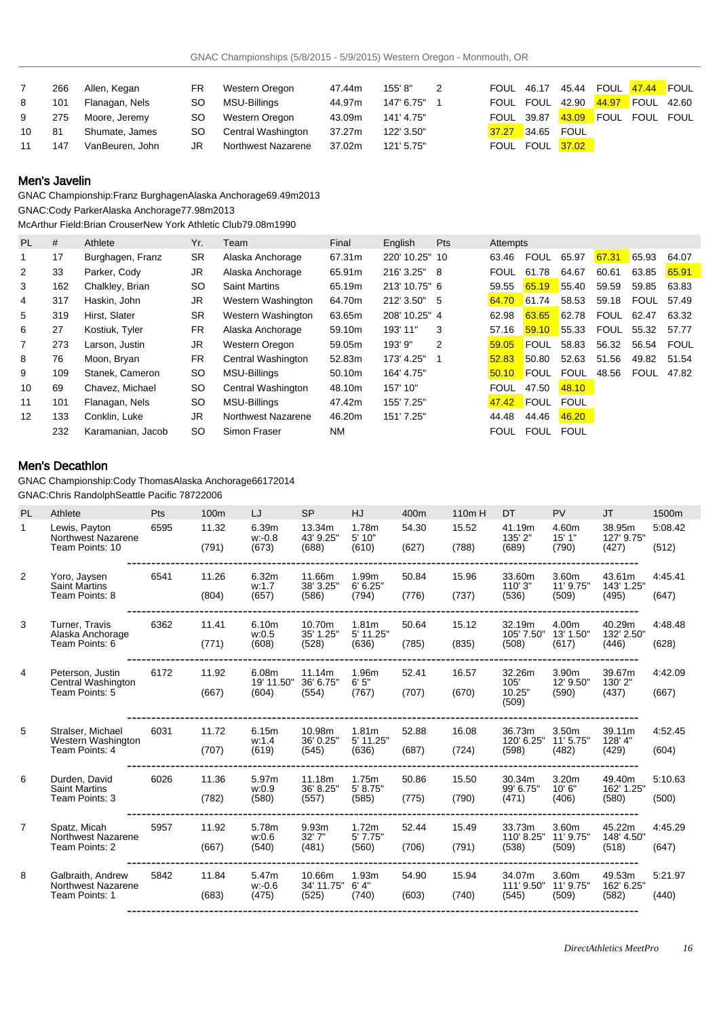|    | 266 | Allen, Kegan    | <b>FR</b> | Western Oregon            | 47.44m | 155'8"     | 2 | <b>FOUL 46.17</b> |                 |       |                      |  |
|----|-----|-----------------|-----------|---------------------------|--------|------------|---|-------------------|-----------------|-------|----------------------|--|
| 8  | 101 | Flanagan, Nels  | SO.       | MSU-Billings              | 44.97m | 147' 6.75" |   | FOUL              | FOUL            | 42.90 | 44.97 FOUL 42.60     |  |
| 9  | 275 | Moore, Jeremy   | <b>SO</b> | Western Oregon            | 43.09m | 141' 4.75" |   | FOUL 39.87        |                 |       | 43.09 FOUL FOUL FOUL |  |
| 10 | 81  | Shumate, James  | SO.       | <b>Central Washington</b> | 37.27m | 122' 3.50" |   | 37.27             | 34.65 FOUL      |       |                      |  |
| 11 | 147 | VanBeuren, John | JR.       | Northwest Nazarene        | 37.02m | 121' 5.75" |   |                   | FOUL FOUL 37.02 |       |                      |  |

## Men's Javelin

GNAC Championship: Franz Burghagen Alaska Anchorage 69.49m 2013 GNAC: Cody Parker Alaska Anchorage 77.98m 2013

McArthur Field: Brian Crouser New York Athletic Club 79.08m 1990

| <b>PL</b>      | #   | Athlete           | Yr.       | Team                 | Final     | English        | <b>Pts</b> | Attempts    |             |             |             |             |             |
|----------------|-----|-------------------|-----------|----------------------|-----------|----------------|------------|-------------|-------------|-------------|-------------|-------------|-------------|
|                | 17  | Burghagen, Franz  | <b>SR</b> | Alaska Anchorage     | 67.31m    | 220' 10.25" 10 |            | 63.46       | <b>FOUL</b> | 65.97       | 67.31       | 65.93       | 64.07       |
| 2              | 33  | Parker, Cody      | JR.       | Alaska Anchorage     | 65.91m    | 216' 3.25" 8   |            | <b>FOUL</b> | 61.78       | 64.67       | 60.61       | 63.85       | 65.91       |
| 3              | 162 | Chalkley, Brian   | <b>SO</b> | <b>Saint Martins</b> | 65.19m    | 213' 10.75" 6  |            | 59.55       | 65.19       | 55.40       | 59.59       | 59.85       | 63.83       |
| 4              | 317 | Haskin, John      | JR.       | Western Washington   | 64.70m    | 212' 3.50"     | - 5        | 64.70       | 61.74       | 58.53       | 59.18       | <b>FOUL</b> | 57.49       |
| 5              | 319 | Hirst, Slater     | <b>SR</b> | Western Washington   | 63.65m    | 208' 10.25" 4  |            | 62.98       | 63.65       | 62.78       | <b>FOUL</b> | 62.47       | 63.32       |
| 6              | 27  | Kostiuk, Tyler    | <b>FR</b> | Alaska Anchorage     | 59.10m    | 193' 11"       | 3          | 57.16       | 59.10       | 55.33       | <b>FOUL</b> | 55.32       | 57.77       |
| $\overline{7}$ | 273 | Larson, Justin    | JR.       | Western Oregon       | 59.05m    | $193'$ $9"$    | 2          | 59.05       | <b>FOUL</b> | 58.83       | 56.32       | 56.54       | <b>FOUL</b> |
| 8              | 76  | Moon, Bryan       | <b>FR</b> | Central Washington   | 52.83m    | 173' 4.25"     |            | 52.83       | 50.80       | 52.63       | 51.56       | 49.82       | 51.54       |
| 9              | 109 | Stanek, Cameron   | <b>SO</b> | MSU-Billings         | 50.10m    | 164' 4.75"     |            | 50.10       | <b>FOUL</b> | <b>FOUL</b> | 48.56       | <b>FOUL</b> | 47.82       |
| 10             | 69  | Chavez, Michael   | <b>SO</b> | Central Washington   | 48.10m    | 157' 10"       |            | FOUL        | 47.50       | 48.10       |             |             |             |
| 11             | 101 | Flanagan, Nels    | <b>SO</b> | MSU-Billings         | 47.42m    | 155' 7.25"     |            | 47.42       | FOUL        | <b>FOUL</b> |             |             |             |
| 12             | 133 | Conklin, Luke     | JR.       | Northwest Nazarene   | 46.20m    | 151' 7.25"     |            | 44.48       | 44.46       | 46.20       |             |             |             |
|                | 232 | Karamanian, Jacob | <b>SO</b> | Simon Fraser         | <b>NM</b> |                |            | <b>FOUL</b> | FOUL        | <b>FOUL</b> |             |             |             |

## Men's Decathlon

GNAC Championship: Cody Thomas Alaska Anchorage 6617 2014

GNAC: Chris Randolph Seattle Pacific 7872 2006

| <b>PL</b>      | Athlete                                                   | Pts  | 100 <sub>m</sub> | LJ                           | <b>SP</b>                     | HJ                                      | 400m           | 110m H         | <b>DT</b>                         | <b>PV</b>                   | <b>JT</b>                     | 1500m            |
|----------------|-----------------------------------------------------------|------|------------------|------------------------------|-------------------------------|-----------------------------------------|----------------|----------------|-----------------------------------|-----------------------------|-------------------------------|------------------|
| $\mathbf{1}$   | Lewis, Payton<br>Northwest Nazarene<br>Team Points: 10    | 6595 | 11.32<br>(791)   | 6.39m<br>w: 0.8<br>(673)     | 13.34m<br>43' 9.25"<br>(688)  | 1.78m<br>5' 10"<br>(610)                | 54.30<br>(627) | 15.52<br>(788) | 41.19m<br>135' 2"<br>(689)        | 4.60m<br>15'1"<br>(790)     | 38.95m<br>127' 9.75'<br>(427) | 5:08.42<br>(512) |
| 2              | Yoro, Jaysen<br><b>Saint Martins</b><br>Team Points: 8    | 6541 | 11.26<br>(804)   | 6.32m<br>w:1.7<br>(657)      | 11.66m<br>38' 3.25"<br>(586)  | 1.99m<br>6' 6.25''<br>(794)             | 50.84<br>(776) | 15.96<br>(737) | 33.60m<br>110' 3"<br>(536)        | 3.60m<br>11' 9.75"<br>(509) | 43.61m<br>143' 1.25"<br>(495) | 4:45.41<br>(647) |
| 3              | Turner, Travis<br>Alaska Anchorage<br>Team Points: 6      | 6362 | 11.41<br>(771)   | 6.10m<br>w:0.5<br>(608)      | 10.70m<br>35' 1.25"<br>(528)  | 1.81 <sub>m</sub><br>5' 11.25"<br>(636) | 50.64<br>(785) | 15.12<br>(835) | 32.19m<br>105' 7.50"<br>(508)     | 4.00m<br>13' 1.50"<br>(617) | 40.29m<br>132' 2.50"<br>(446) | 4:48.48<br>(628) |
| $\overline{4}$ | Peterson, Justin<br>Central Washington<br>Team Points: 5  | 6172 | 11.92<br>(667)   | 6.08m<br>19' 11.50"<br>(604) | 11.14m<br>36' 6.75"<br>(554)  | 1.96m<br>6'5''<br>(767)                 | 52.41<br>(707) | 16.57<br>(670) | 32.26m<br>105'<br>10.25"<br>(509) | 3.90m<br>12' 9.50"<br>(590) | 39.67m<br>130' 2"<br>(437)    | 4:42.09<br>(667) |
| 5              | Stralser, Michael<br>Western Washington<br>Team Points: 4 | 6031 | 11.72<br>(707)   | 6.15m<br>w:1.4<br>(619)      | 10.98m<br>36' 0.25"<br>(545)  | 1.81 <sub>m</sub><br>5' 11.25"<br>(636) | 52.88<br>(687) | 16.08<br>(724) | 36.73m<br>120' 6.25"<br>(598)     | 3.50m<br>11' 5.75"<br>(482) | 39.11m<br>128' 4"<br>(429)    | 4:52.45<br>(604) |
| 6              | Durden, David<br><b>Saint Martins</b><br>Team Points: 3   | 6026 | 11.36<br>(782)   | 5.97m<br>w:0.9<br>(580)      | 11.18m<br>36' 8.25"<br>(557)  | 1.75m<br>5' 8.75"<br>(585)              | 50.86<br>(775) | 15.50<br>(790) | 30.34m<br>99' 6.75"<br>(471)      | 3.20m<br>10'6"<br>(406)     | 49.40m<br>162' 1.25"<br>(580) | 5:10.63<br>(500) |
| $\overline{7}$ | Spatz, Micah<br>Northwest Nazarene<br>Team Points: 2      | 5957 | 11.92<br>(667)   | 5.78m<br>w:0.6<br>(540)      | 9.93m<br>32'7''<br>(481)      | 1.72m<br>5'7.75"<br>(560)               | 52.44<br>(706) | 15.49<br>(791) | 33.73m<br>110' 8.25"<br>(538)     | 3.60m<br>11' 9.75"<br>(509) | 45.22m<br>148' 4.50"<br>(518) | 4:45.29<br>(647) |
| 8              | Galbraith, Andrew<br>Northwest Nazarene<br>Team Points: 1 | 5842 | 11.84<br>(683)   | 5.47m<br>$w: -0.6$<br>(475)  | 10.66m<br>34' 11.75"<br>(525) | 1.93m<br>6' 4''<br>(740)                | 54.90<br>(603) | 15.94<br>(740) | 34.07m<br>111' 9.50"<br>(545)     | 3.60m<br>11' 9.75"<br>(509) | 49.53m<br>162' 6.25'<br>(582) | 5:21.97<br>(440) |
|                |                                                           |      |                  |                              |                               |                                         |                |                |                                   |                             |                               |                  |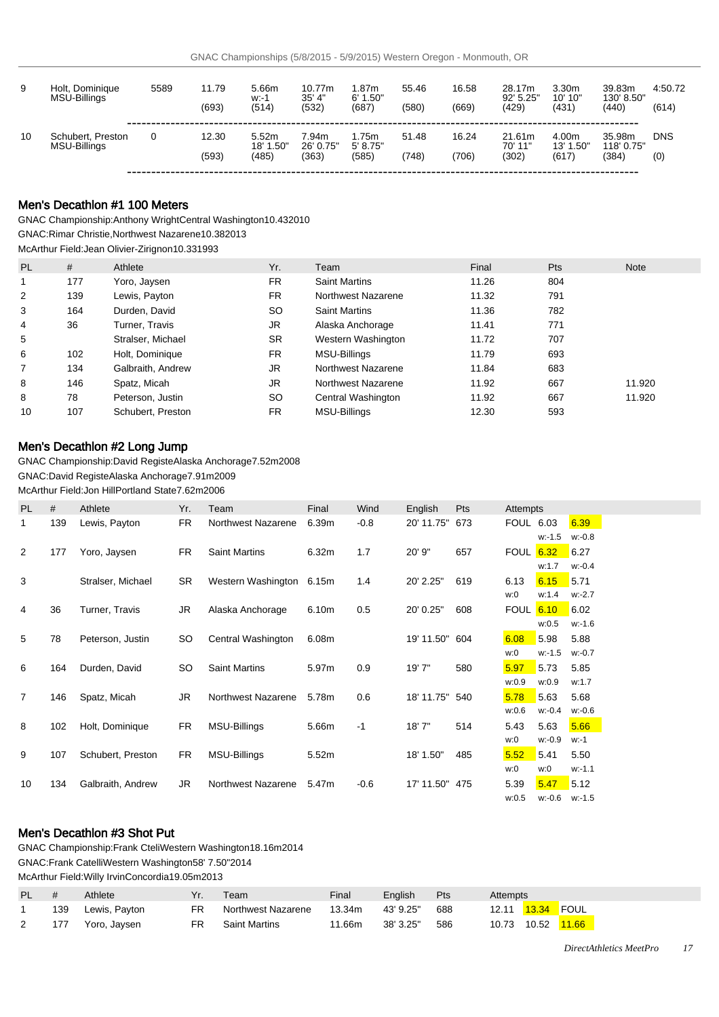| 9  | Holt, Dominique<br>MSU-Billings   | 5589 | 11.79<br>(693) | 5.66m<br>w. 1<br>(514) | 10.77m<br>35' 4"<br>(532) | .87m<br>6' 1.50"<br>(687) | 55.46<br>(580) | 16.58<br>(669) | 28.17m<br>92' 5.25"<br>(429) | 3.30m<br>10' 10"<br>(431) | 39.83m<br>130' 8.50"<br>(440) | 4:50.72<br>(614) |
|----|-----------------------------------|------|----------------|------------------------|---------------------------|---------------------------|----------------|----------------|------------------------------|---------------------------|-------------------------------|------------------|
| 10 | Schubert, Preston<br>MSU-Billings |      | 12.30          | 5.52m<br>18' 1.50"     | 7.94m<br>26' 0.75"        | l.75m<br>5' 8.75"         | 51.48          | 16.24          | 21.61m<br>70' 11"            | 4.00m<br>13' 1.50"        | 35.98m<br>118' 0.75"          | <b>DNS</b>       |
|    |                                   |      | (593)          | (485)                  | (363)                     | (585)                     | (748)          | (706)          | (302)                        | (617)                     | (384)                         | (0)              |

# Men's Decathlon #1 100 Meters

GNAC Championship: Anthony Wright Central Washington 10.43 2010

GNAC: Rimar Christie, Northwest Nazarene 10.38 2013

McArthur Field: Jean Olivier-Zirignon 10.33 1993

| PL             | #   | Athlete           | Yr.       | Team                 | Final | <b>Pts</b> | <b>Note</b> |
|----------------|-----|-------------------|-----------|----------------------|-------|------------|-------------|
|                | 177 | Yoro, Jaysen      | FR.       | <b>Saint Martins</b> | 11.26 | 804        |             |
| 2              | 139 | Lewis, Payton     | FR.       | Northwest Nazarene   | 11.32 | 791        |             |
| 3              | 164 | Durden, David     | SO.       | <b>Saint Martins</b> | 11.36 | 782        |             |
| $\overline{4}$ | 36  | Turner, Travis    | JR        | Alaska Anchorage     | 11.41 | 771        |             |
| 5              |     | Stralser, Michael | <b>SR</b> | Western Washington   | 11.72 | 707        |             |
| 6              | 102 | Holt, Dominique   | FR.       | MSU-Billings         | 11.79 | 693        |             |
| 7              | 134 | Galbraith, Andrew | JR        | Northwest Nazarene   | 11.84 | 683        |             |
| 8              | 146 | Spatz, Micah      | JR.       | Northwest Nazarene   | 11.92 | 667        | 11.920      |
| 8              | 78  | Peterson, Justin  | SO.       | Central Washington   | 11.92 | 667        | 11.920      |
| 10             | 107 | Schubert, Preston | FR.       | MSU-Billings         | 12.30 | 593        |             |

## Men's Decathlon #2 Long Jump

GNAC Championship: David Registe Alaska Anchorage 7.52m 2008 GNAC: David Registe Alaska Anchorage 7.91m 2009 McArthur Field: Jon Hill Portland State 7.62m 2006

| <b>PL</b>      | #   | Athlete           | Yr.       | Team                     | Final | Wind   | English    | Pts | Attempts         |           |           |
|----------------|-----|-------------------|-----------|--------------------------|-------|--------|------------|-----|------------------|-----------|-----------|
| 1              | 139 | Lewis, Payton     | <b>FR</b> | Northwest Nazarene       | 6.39m | $-0.8$ | 20' 11.75" | 673 | <b>FOUL 6.03</b> |           | 6.39      |
|                |     |                   |           |                          |       |        |            |     |                  | $w: -1.5$ | $w: -0.8$ |
| $\overline{2}$ | 177 | Yoro, Jaysen      | <b>FR</b> | <b>Saint Martins</b>     | 6.32m | 1.7    | 20' 9"     | 657 | <b>FOUL 6.32</b> |           | 6.27      |
|                |     |                   |           |                          |       |        |            |     |                  | w:1.7     | $w: -0.4$ |
| 3              |     | Stralser, Michael | <b>SR</b> | Western Washington 6.15m |       | 1.4    | 20' 2.25"  | 619 | 6.13             | 6.15      | 5.71      |
|                |     |                   |           |                          |       |        |            |     | w:0              | w:1.4     | $w: -2.7$ |
| 4              | 36  | Turner, Travis    | JR        | Alaska Anchorage         | 6.10m | 0.5    | 20' 0.25"  | 608 | <b>FOUL 6.10</b> |           | 6.02      |
|                |     |                   |           |                          |       |        |            |     |                  | w:0.5     | $W - 1.6$ |
| 5              | 78  | Peterson, Justin  | SO        | Central Washington       | 6.08m |        | 19' 11.50" | 604 | 6.08             | 5.98      | 5.88      |
|                |     |                   |           |                          |       |        |            |     | w:0              | $w: -1.5$ | $w: -0.7$ |
| 6              | 164 | Durden, David     | SO.       | <b>Saint Martins</b>     | 5.97m | 0.9    | 19' 7"     | 580 | 5.97             | 5.73      | 5.85      |
|                |     |                   |           |                          |       |        |            |     | w:0.9            | w:0.9     | w:1.7     |
| $\overline{7}$ | 146 | Spatz, Micah      | JR.       | Northwest Nazarene       | 5.78m | 0.6    | 18' 11.75" | 540 | 5.78             | 5.63      | 5.68      |
|                |     |                   |           |                          |       |        |            |     | w:0.6            | w: 0.4    | $w: -0.6$ |
| 8              | 102 | Holt, Dominique   | <b>FR</b> | MSU-Billings             | 5.66m | $-1$   | 18'7''     | 514 | 5.43             | 5.63      | 5.66      |
|                |     |                   |           |                          |       |        |            |     | w:0              | w: 0.9    | $w - 1$   |
| 9              | 107 | Schubert, Preston | <b>FR</b> | MSU-Billings             | 5.52m |        | 18' 1.50"  | 485 | 5.52             | 5.41      | 5.50      |
|                |     |                   |           |                          |       |        |            |     | w:0              | w:0       | $W - 1.1$ |
| 10             | 134 | Galbraith, Andrew | JR.       | Northwest Nazarene       | 5.47m | $-0.6$ | 17' 11.50" | 475 | 5.39             | 5.47      | 5.12      |
|                |     |                   |           |                          |       |        |            |     | w:0.5            | w:-0.6    | w:-1.5    |

## Men's Decathlon #3 Shot Put

GNAC Championship: Frank Cteli Western Washington 18.16m 2014 GNAC: Frank Catelli Western Washington 58' 7.50" 2014 McArthur Field: Willy Irvin Concordia 19.05m 2013

| PL. |     | Athlete       | Yr. | Team                 | Final  | Enalish   | Pts | Attempts |       |  |
|-----|-----|---------------|-----|----------------------|--------|-----------|-----|----------|-------|--|
|     | 139 | Lewis, Payton | FR  | Northwest Nazarene   | 13.34m | 43' 9.25" | 688 |          |       |  |
| 2   | 177 | Yoro, Jaysen  | FR  | <b>Saint Martins</b> | 11.66m | 38' 3.25" | 586 |          | 11.66 |  |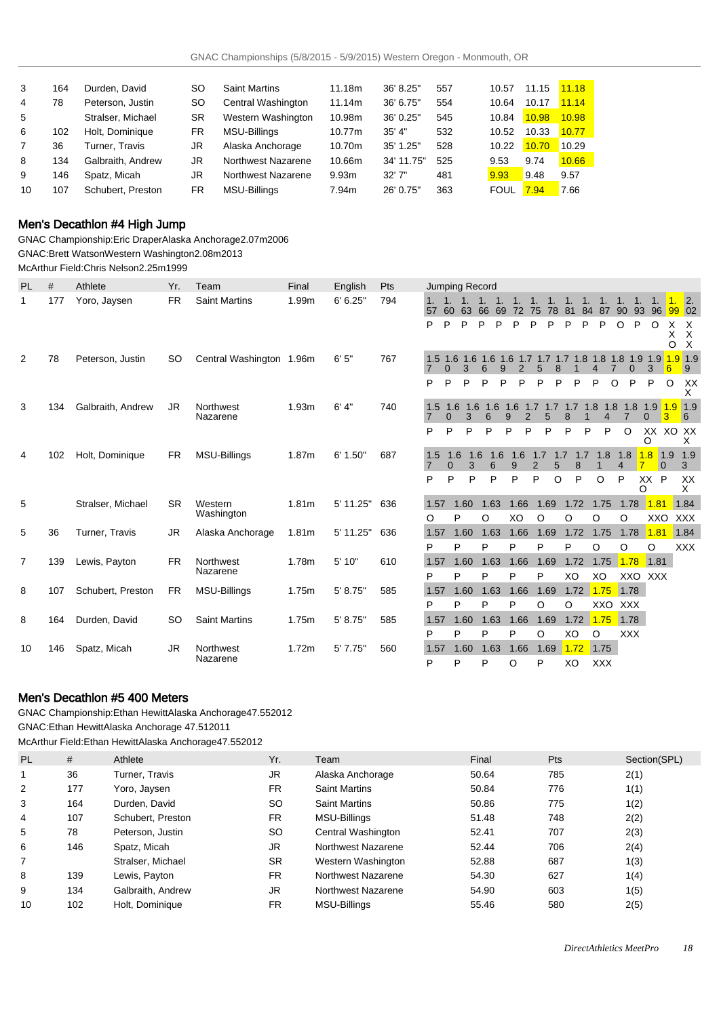| 3  | 164 | Durden, David     | <b>SO</b> | <b>Saint Martins</b> | 11.18m | 36' 8.25"  | 557 | 10.57       | 11.15 | 11.18 |
|----|-----|-------------------|-----------|----------------------|--------|------------|-----|-------------|-------|-------|
| 4  | 78  | Peterson, Justin  | <b>SO</b> | Central Washington   | 11.14m | 36' 6.75"  | 554 | 10.64       | 10.17 | 11.14 |
| 5  |     | Stralser, Michael | <b>SR</b> | Western Washington   | 10.98m | 36' 0.25"  | 545 | 10.84       | 10.98 | 10.98 |
| 6  | 102 | Holt. Dominique   | FR.       | MSU-Billings         | 10.77m | 35' 4"     | 532 | 10.52       | 10.33 | 10.77 |
| 7  | 36  | Turner. Travis    | JR        | Alaska Anchorage     | 10.70m | 35' 1.25"  | 528 | 10.22       | 10.70 | 10.29 |
| 8  | 134 | Galbraith, Andrew | JR        | Northwest Nazarene   | 10.66m | 34' 11.75" | 525 | 9.53        | 9.74  | 10.66 |
| 9  | 146 | Spatz, Micah      | JR        | Northwest Nazarene   | 9.93m  | 32'7''     | 481 | 9.93        | 9.48  | 9.57  |
| 10 | 107 | Schubert, Preston | <b>FR</b> | <b>MSU-Billings</b>  | 7.94m  | 26' 0.75"  | 363 | <b>FOUL</b> | 7.94  | 7.66  |

## Men's Decathlon #4 High Jump

GNAC Championship: Eric Draper Alaska Anchorage 2.07m 2006 GNAC: Brett Watson Western Washington 2.08m 2013

McArthur Field: Chris Nelson 2.25m 1999

| <b>PL</b>      | #   | Athlete           | Yr.       | Team                     | Final | English   | Pts |           | Jumping Record                                                       |                |                        |                            |                       |             |                       |                               |                       |                            |                        |                             |
|----------------|-----|-------------------|-----------|--------------------------|-------|-----------|-----|-----------|----------------------------------------------------------------------|----------------|------------------------|----------------------------|-----------------------|-------------|-----------------------|-------------------------------|-----------------------|----------------------------|------------------------|-----------------------------|
| 1              | 177 | Yoro, Jaysen      | <b>FR</b> | <b>Saint Martins</b>     | 1.99m | 6' 6.25'' | 794 | 57        | 60                                                                   | 1, 1.<br>63 66 | $\overline{1}$ .<br>69 | 72 75                      |                       | $1_{\cdot}$ | $\mathbf{1}$ .<br>4.7 | $\mathbf{1}$ .<br>78 81 84 87 | $\overline{1}$ .      | $\mathbf{1}$ .<br>90 93 96 |                        | $\overline{2}$ .<br>99 02   |
|                |     |                   |           |                          |       |           |     | P         | P<br>P                                                               | P              | P                      | P                          | P                     | P<br>P      | P                     | P                             | $\circ$               | P                          | $\circ$<br>х<br>х<br>O | $\times$<br>X<br>$\times$   |
| 2              | 78  | Peterson, Justin  | SO.       | Central Washington 1.96m |       | 6'5''     | 767 |           | 1.5 1.6 1.6 1.6 1.6 1.7 1.7 1.7 1.8 1.8 1.8 1.9 1.9<br>3<br>$\Omega$ | 6              | 9                      |                            |                       |             |                       |                               |                       | 0                          | 3<br>6                 | $1.9$ 1.9<br>$\overline{9}$ |
|                |     |                   |           |                          |       |           |     | P         | P<br>P                                                               | P              | P                      | P                          | P                     | P           | P                     | P                             | O                     | P                          | P<br>O                 | XX<br>х                     |
| 3              | 134 | Galbraith, Andrew | <b>JR</b> | Northwest<br>Nazarene    | 1.93m | 6' 4''    | 740 | 1.5       | 1.6<br>$\Omega$                                                      | 1.6<br>3       | 1.6<br>6               | 1.6<br>$\overline{2}$<br>9 | 1.7<br>5              | 8           |                       | 1.8                           | 1.8<br>1.8            | 0                          | 1.9                    | $1.9$ 1.9<br>6              |
|                |     |                   |           |                          |       |           |     | P         | P                                                                    | P              | P                      | P<br>P                     | P                     | P           | P                     | P                             | O                     | Ω                          | XX XO XX               | х                           |
| 4              | 102 | Holt, Dominique   | <b>FR</b> | <b>MSU-Billings</b>      | 1.87m | 6' 1.50"  | 687 | 1.5<br>7  | 1.6<br>$\Omega$                                                      | 1.6<br>3       | 1.6<br>6               | 1.6<br>9                   | 1.7<br>$\overline{2}$ | 1.7<br>5    | 1.7<br>8              | 1.8                           | 1.8<br>$\overline{4}$ | 1.8                        | 1.9<br>$\Omega$        | 1.9<br>3                    |
|                |     |                   |           |                          |       |           |     | P         | P                                                                    | P              | P                      | P                          | P                     | $\circ$     | P                     | $\circ$                       | P                     | O                          | XX P                   | XX<br>X                     |
| 5              |     | Stralser, Michael | <b>SR</b> | Western<br>Washington    | 1.81m | 5' 11.25" | 636 | 1.57<br>O | 1.60<br>P                                                            |                | 1.63<br>$\circ$        | 1.66<br>XO                 | 1.69<br>$\circ$       |             | 1.72<br>O             | 1.75<br>O                     | 1.78<br>O             |                            | 1.81<br>XXO            | 1.84<br><b>XXX</b>          |
| 5              | 36  | Turner, Travis    | <b>JR</b> | Alaska Anchorage         | 1.81m | 5' 11.25" | 636 | 1.57      | 1.60                                                                 |                | 1.63                   | 1.66                       | 1.69                  |             | 1.72                  | 1.75                          | 1.78                  |                            | 1.81                   | 1.84                        |
|                |     |                   |           |                          |       |           |     | P         | P                                                                    |                | P                      | P                          | P                     | P           |                       | $\circ$                       | O                     |                            | $\circ$                | <b>XXX</b>                  |
| $\overline{7}$ | 139 | Lewis, Payton     | <b>FR</b> | Northwest<br>Nazarene    | 1.78m | 5' 10"    | 610 | 1.57      | 1.60                                                                 |                | 1.63                   | 1.66                       | 1.69                  |             | 1.72                  | 1.75                          | 1.78                  |                            | 1.81                   |                             |
|                |     |                   |           |                          |       |           |     | P         | P                                                                    | P              |                        | P                          | P                     |             | XO                    | XO                            |                       | XXO XXX                    |                        |                             |
| 8              | 107 | Schubert, Preston | <b>FR</b> | MSU-Billings             | 1.75m | 5' 8.75"  | 585 | 1.57<br>P | 1.60<br>P                                                            | P              | 1.63                   | 1.66<br>P                  | 1.69<br>O             |             | 1.72<br>O             | 1.75<br>XXO                   | 1.78<br><b>XXX</b>    |                            |                        |                             |
| 8              | 164 | Durden, David     | SO.       | <b>Saint Martins</b>     | 1.75m | 5' 8.75"  | 585 | 1.57      | 1.60                                                                 |                | 1.63                   | 1.66                       | 1.69                  |             | 1.72                  | 1.75                          | 1.78                  |                            |                        |                             |
|                |     |                   |           |                          |       |           |     | P         | P                                                                    |                | P                      | P                          | O                     |             | XO                    | O                             | <b>XXX</b>            |                            |                        |                             |
| 10             | 146 | Spatz, Micah      | JR        | Northwest                | 1.72m | 5'7.75"   | 560 | 1.57      | 1.60                                                                 |                | 1.63                   | 1.66                       | 1.69                  |             | 1.72                  | 1.75                          |                       |                            |                        |                             |
|                |     |                   |           | Nazarene                 |       |           |     | P         | P                                                                    |                | P                      | O                          | P                     |             | XO                    | <b>XXX</b>                    |                       |                            |                        |                             |

## Men's Decathlon #5 400 Meters

GNAC Championship: Ethan Hewitt Alaska Anchorage 47.55 2012 GNAC: Ethan Hewitt Alaska Anchorage 47.51 2011 McArthur Field: Ethan Hewitt Alaska Anchorage 47.55 2012

| <b>PL</b> | #   | Athlete           | Yr.       | Team                 | Final | <b>Pts</b> | Section(SPL) |
|-----------|-----|-------------------|-----------|----------------------|-------|------------|--------------|
|           | 36  | Turner, Travis    | <b>JR</b> | Alaska Anchorage     | 50.64 | 785        | 2(1)         |
| 2         | 177 | Yoro, Jaysen      | FR.       | <b>Saint Martins</b> | 50.84 | 776        | 1(1)         |
| 3         | 164 | Durden, David     | <b>SO</b> | <b>Saint Martins</b> | 50.86 | 775        | 1(2)         |
| 4         | 107 | Schubert, Preston | <b>FR</b> | MSU-Billings         | 51.48 | 748        | 2(2)         |
| 5         | 78  | Peterson, Justin  | <b>SO</b> | Central Washington   | 52.41 | 707        | 2(3)         |
| 6         | 146 | Spatz, Micah      | JR        | Northwest Nazarene   | 52.44 | 706        | 2(4)         |
| 7         |     | Stralser, Michael | <b>SR</b> | Western Washington   | 52.88 | 687        | 1(3)         |
| 8         | 139 | Lewis, Payton     | <b>FR</b> | Northwest Nazarene   | 54.30 | 627        | 1(4)         |
| 9         | 134 | Galbraith, Andrew | JR        | Northwest Nazarene   | 54.90 | 603        | 1(5)         |
| 10        | 102 | Holt, Dominique   | FR.       | MSU-Billings         | 55.46 | 580        | 2(5)         |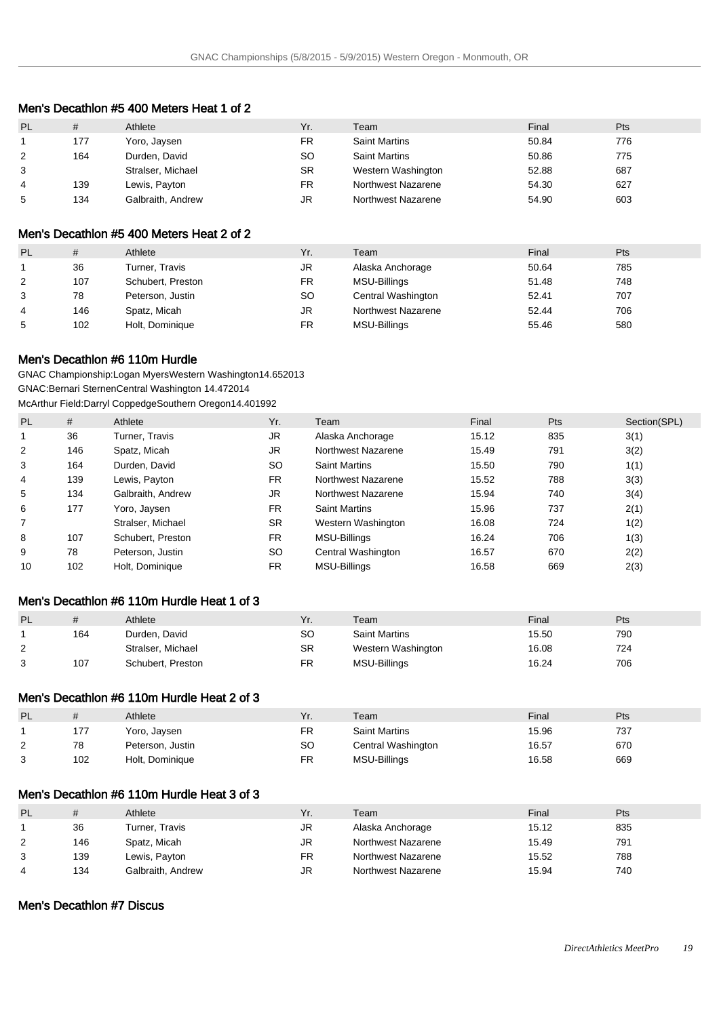| Men's Decathlon #5 400 Meters Heat 1 of 2 |  |  |
|-------------------------------------------|--|--|
|-------------------------------------------|--|--|

| <b>PL</b> | #   | Athlete           | Yr.       | Team                 | Final | Pts |
|-----------|-----|-------------------|-----------|----------------------|-------|-----|
|           | 177 | Yoro, Jaysen      | FR        | <b>Saint Martins</b> | 50.84 | 776 |
| 2         | 164 | Durden, David     | SO        | <b>Saint Martins</b> | 50.86 | 775 |
| 3         |     | Stralser, Michael | <b>SR</b> | Western Washington   | 52.88 | 687 |
| 4         | 139 | Lewis, Payton     | FR        | Northwest Nazarene   | 54.30 | 627 |
| 5         | 134 | Galbraith, Andrew | JR        | Northwest Nazarene   | 54.90 | 603 |

#### Men's Decathlon #5 400 Meters Heat 2 of 2

| PL             | #   | Athlete           | Yr.       | Team               | Final | Pts |
|----------------|-----|-------------------|-----------|--------------------|-------|-----|
|                | 36  | Turner, Travis    | JR        | Alaska Anchorage   | 50.64 | 785 |
| $\overline{2}$ | 107 | Schubert, Preston | FR        | MSU-Billings       | 51.48 | 748 |
| 3              | 78  | Peterson, Justin  | <b>SO</b> | Central Washington | 52.41 | 707 |
| 4              | 146 | Spatz, Micah      | JR        | Northwest Nazarene | 52.44 | 706 |
| 5              | 102 | Holt, Dominique   | FR        | MSU-Billings       | 55.46 | 580 |

#### Men's Decathlon #6 110m Hurdle

GNAC Championship: Logan Myers Western Washington 14.65 2013 GNAC: Bernari Sternen Central Washington 14.47 2014 McArthur Field: Darryl Coppedge Southern Oregon 14.40 1992

| <b>PL</b> | #   | Athlete           | Yr.       | Team                 | Final | Pts | Section(SPL) |
|-----------|-----|-------------------|-----------|----------------------|-------|-----|--------------|
| 1         | 36  | Turner, Travis    | <b>JR</b> | Alaska Anchorage     | 15.12 | 835 | 3(1)         |
| 2         | 146 | Spatz, Micah      | <b>JR</b> | Northwest Nazarene   | 15.49 | 791 | 3(2)         |
| 3         | 164 | Durden, David     | <b>SO</b> | <b>Saint Martins</b> | 15.50 | 790 | 1(1)         |
| 4         | 139 | Lewis, Payton     | FR.       | Northwest Nazarene   | 15.52 | 788 | 3(3)         |
| 5         | 134 | Galbraith, Andrew | JR        | Northwest Nazarene   | 15.94 | 740 | 3(4)         |
| 6         | 177 | Yoro, Jaysen      | FR.       | <b>Saint Martins</b> | 15.96 | 737 | 2(1)         |
|           |     | Stralser, Michael | <b>SR</b> | Western Washington   | 16.08 | 724 | 1(2)         |
| 8         | 107 | Schubert, Preston | <b>FR</b> | <b>MSU-Billings</b>  | 16.24 | 706 | 1(3)         |
| 9         | 78  | Peterson, Justin  | <b>SO</b> | Central Washington   | 16.57 | 670 | 2(2)         |
| 10        | 102 | Holt, Dominique   | FR.       | MSU-Billings         | 16.58 | 669 | 2(3)         |

# Men's Decathlon #6 110m Hurdle Heat 1 of 3

| <b>PL</b> |     | Athlete           | Yr. | Team                 | Final | Pts |
|-----------|-----|-------------------|-----|----------------------|-------|-----|
|           | 164 | Durden, David     | SO  | <b>Saint Martins</b> | 15.50 | 790 |
| C<br>∠    |     | Stralser, Michael | SR  | Western Washington   | 16.08 | 724 |
| 2         | 107 | Schubert, Preston | FR. | MSU-Billings         | 16.24 | 706 |

## Men's Decathlon #6 110m Hurdle Heat 2 of 3

| <b>PL</b> | #   | Athlete          | Yr.       | Team                 | Final | Pts |
|-----------|-----|------------------|-----------|----------------------|-------|-----|
|           | 177 | Yoro, Jaysen     | FR        | <b>Saint Martins</b> | 15.96 | 737 |
| $\sim$    | 78  | Peterson, Justin | <b>SO</b> | Central Washington   | 16.57 | 670 |
| 3         | 102 | Holt, Dominique  | FR        | MSU-Billings         | 16.58 | 669 |

## Men's Decathlon #6 110m Hurdle Heat 3 of 3

| PL | #   | Athlete           | Yr. | Team               | Final | Pts |
|----|-----|-------------------|-----|--------------------|-------|-----|
|    | 36  | Turner, Travis    | JR  | Alaska Anchorage   | 15.12 | 835 |
| 2  | 146 | Spatz, Micah      | JR  | Northwest Nazarene | 15.49 | 791 |
| 3  | 139 | Lewis, Payton     | FR. | Northwest Nazarene | 15.52 | 788 |
| 4  | 134 | Galbraith, Andrew | JR  | Northwest Nazarene | 15.94 | 740 |

## Men's Decathlon #7 Discus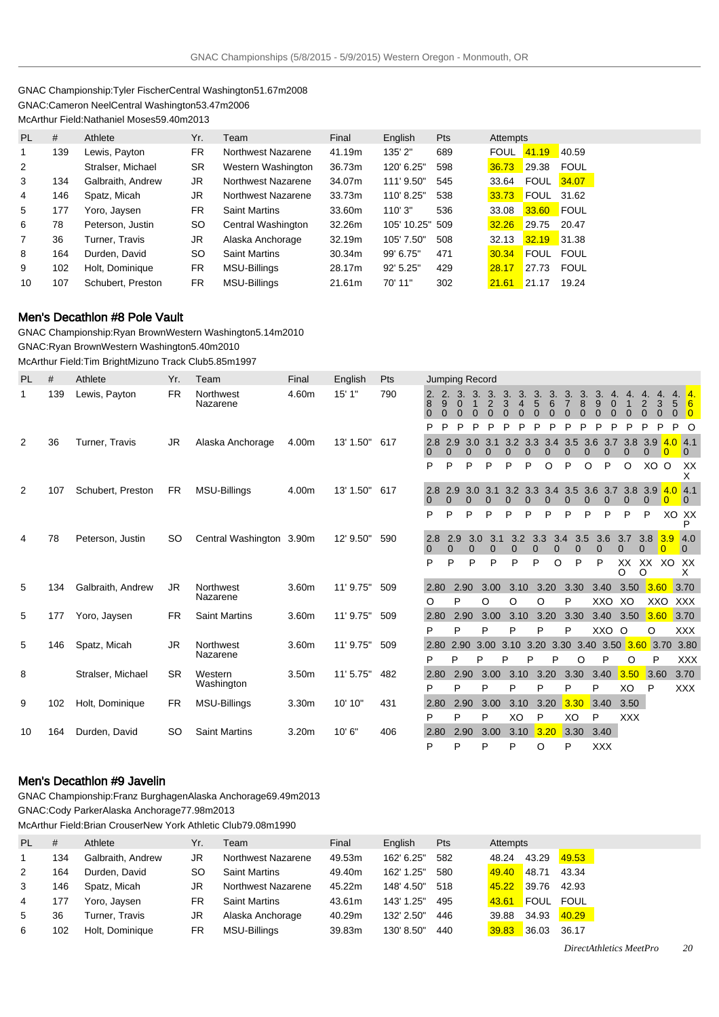#### GNAC Championship: Tyler Fischer Central Washington 51.67m 2008 GNAC: Cameron Neel Central Washington 53.47m 2006 McArthur Field: Nathaniel Moses 59.40m 2013

| <b>PL</b> | #   | Athlete           | Yr.       | Team                 | Final  | English     | <b>Pts</b> | Attempts    |             |             |
|-----------|-----|-------------------|-----------|----------------------|--------|-------------|------------|-------------|-------------|-------------|
| 1         | 139 | Lewis, Payton     | FR.       | Northwest Nazarene   | 41.19m | 135'2"      | 689        | <b>FOUL</b> | 41.19       | 40.59       |
| 2         |     | Stralser, Michael | <b>SR</b> | Western Washington   | 36.73m | 120' 6.25"  | 598        | 36.73       | 29.38       | <b>FOUL</b> |
| 3         | 134 | Galbraith, Andrew | JR.       | Northwest Nazarene   | 34.07m | 111' 9.50"  | 545        | 33.64       | <b>FOUL</b> | 34.07       |
| 4         | 146 | Spatz, Micah      | JR.       | Northwest Nazarene   | 33.73m | 110' 8.25"  | 538        | 33.73       | <b>FOUL</b> | 31.62       |
| 5         | 177 | Yoro, Jaysen      | <b>FR</b> | <b>Saint Martins</b> | 33.60m | 110'3"      | 536        | 33.08       | 33.60       | <b>FOUL</b> |
| 6         | 78  | Peterson, Justin  | <b>SO</b> | Central Washington   | 32.26m | 105' 10.25" | 509        | 32.26       | 29.75       | 20.47       |
| 7         | 36  | Turner, Travis    | JR.       | Alaska Anchorage     | 32.19m | 105' 7.50"  | 508        | 32.13       | 32.19       | 31.38       |
| 8         | 164 | Durden, David     | <b>SO</b> | <b>Saint Martins</b> | 30.34m | 99' 6.75"   | 471        | 30.34       | <b>FOUL</b> | FOUL        |
| 9         | 102 | Holt, Dominique   | <b>FR</b> | MSU-Billings         | 28.17m | $92'$ 5.25" | 429        | 28.17       | 27.73       | <b>FOUL</b> |
| 10        | 107 | Schubert, Preston | <b>FR</b> | <b>MSU-Billings</b>  | 21.61m | 70' 11"     | 302        | 21.61       | 21.17       | 19.24       |

### Men's Decathlon #8 Pole Vault

GNAC Championship: Ryan Brown Western Washington 5.14m 2010 GNAC: Ryan Brown Western Washington 5.40m 2010 McArthur Field: Tim Bright Mizuno Track Club 5.85m 1997

PL # Athlete Yr. Team Final English Pts Jumping Record 1 139 Lewis, Payton FR Northwest Nazarene 4.60m 15' 1" 790 2. 8 0 2. 9  $\ddot{\mathbf{0}}$ 3. 0  $\ddot{\mathbf{0}}$ 3. 1  $\dot{0}$ 3. 2 0 3. 3 0 3. 4  $\overline{0}$ 3. 5 0 3. 6  $\overline{0}$ P P P P P P P P P P P P P P P P P O 2 36 Turner, Travis JR Alaska Anchorage 4.00m 13' 1.50" 617 0 2.9 3.0 3.1 3.2 3.3 3.4 3.5 3.6 3.7 3.8 3.9 <mark>4.0</mark> 0 0 0 0 0 0 2 107 Schubert, Preston FR MSU-Billings 4.00m 13' 1.50" 617 2.8 0 2.9 0 3.0 0 3.1 0 3.2 0 3.3 0 0 4 78 Peterson, Justin SO Central Washington 3.90m 12' 9.50" 590 2.8 0 2.9 0 3.0 0 3.1 0 3.2 0 3.3 0 5 134 Galbr Nazarene 5 146 Spatz

|                |     |                   |           |                          |                   |               |     |                 |                 |                 |                                                   |            |          |      | 0                           | <sup>0</sup> | 0        | $\Omega$           | $\Omega$       |        | $\overline{0}$     |
|----------------|-----|-------------------|-----------|--------------------------|-------------------|---------------|-----|-----------------|-----------------|-----------------|---------------------------------------------------|------------|----------|------|-----------------------------|--------------|----------|--------------------|----------------|--------|--------------------|
|                |     |                   |           |                          |                   |               |     | P               | P               | P               | P                                                 | P          | P        | O    | P                           | $\circ$      | P        | O                  | XO O           |        | XX<br>X            |
| $\overline{2}$ | 107 | Schubert, Preston | <b>FR</b> | MSU-Billings             | 4.00m             | 13' 1.50" 617 |     | 2.8             | 2.9             | 3.0             | 3.1                                               | 3.2<br>0   | $\Omega$ |      | 3.3 3.4 3.5 3.6 3.7 3.8 3.9 |              | $\Omega$ | $\Omega$           | $\Omega$       | 4.04.1 | $\overline{0}$     |
|                |     |                   |           |                          |                   |               |     | P               | P               | P               | P                                                 | P          | P        | P    | P                           | P            | P        | P                  | P              |        | XO XX<br>P         |
| 4              | 78  | Peterson, Justin  | SO.       | Central Washington 3.90m |                   | 12' 9.50"     | 590 | 2.8<br>$\Omega$ | 2.9<br>$\Omega$ | 3.0<br>$\Omega$ | 3.1<br>$\Omega$                                   | 3.2        | 3.3<br>O | 3.4  | 3.5                         | $\Omega$     | 3.6      | 3.7                | 3.8<br>∩       | 3.9    | 4.0<br>$\Omega$    |
|                |     |                   |           |                          |                   |               |     | P               | P               | P               | P                                                 | P          | P        | O    | P                           | P            |          | XX<br>O            | XX<br>$\Omega$ | XO.    | XX<br>x            |
| 5              | 134 | Galbraith, Andrew | JR.       | Northwest<br>Nazarene    | 3.60m             | 11' 9.75"     | 509 | 2.80<br>$\circ$ | P               | 2.90            | 3.00<br>O                                         | 3.10<br>O  | O        | 3.20 | 3.30<br>P                   | 3.40         | XXO      | 3.50<br>XO         | 3.60<br>XXO    |        | 3.70<br><b>XXX</b> |
| 5              | 177 | Yoro, Jaysen      | <b>FR</b> | <b>Saint Martins</b>     | 3.60m             | 11' 9.75"     | 509 | 2.80            |                 | 2.90            | 3.00                                              | 3.10       |          | 3.20 | 3.30                        | 3.40         |          | 3.50               | 3.60           |        | 3.70               |
| 5              | 146 | Spatz, Micah      | JR.       | Northwest                | 3.60m             | 11' 9.75"     | 509 | P<br>2.80       | P               |                 | P<br>2.90 3.00 3.10 3.20 3.30 3.40 3.50 3.60 3.70 | P          | P        |      | P                           |              | XXO      | $\circ$            | O              |        | <b>XXX</b><br>3.80 |
|                |     |                   |           | Nazarene                 |                   |               |     | P               | P               | P               |                                                   | P          | P        | P    | O                           |              | P        | O                  | P              |        | XXX                |
| 8              |     | Stralser, Michael | <b>SR</b> | Western<br>Washington    | 3.50m             | 11'5.75"      | 482 | 2.80            |                 | 2.90            | 3.00                                              | 3.10       |          | 3.20 | 3.30                        | 3.40         |          | 3.50               | 3.60           |        | 3.70               |
|                |     |                   |           |                          |                   |               |     | P               | P               |                 | P                                                 | P          | P        |      | P                           | P            |          | XO                 | P              |        | <b>XXX</b>         |
| 9              | 102 | Holt, Dominique   | <b>FR</b> | <b>MSU-Billings</b>      | 3.30 <sub>m</sub> | 10' 10"       | 431 | 2.80<br>P       | P               | 2.90            | 3.00<br>P                                         | 3.10<br>XO | P        | 3.20 | 3.30<br>XO                  | 3.40<br>P    |          | 3.50<br><b>XXX</b> |                |        |                    |
| 10             | 164 | Durden, David     | <b>SO</b> | <b>Saint Martins</b>     | 3.20m             | 10'6"         | 406 | 2.80            |                 | 2.90            | 3.00                                              | 3.10       |          | 3.20 | 3.30                        | 3.40         |          |                    |                |        |                    |
|                |     |                   |           |                          |                   |               |     | P               | P               |                 | P                                                 | P          | O        |      | P                           | <b>XXX</b>   |          |                    |                |        |                    |
|                |     |                   |           |                          |                   |               |     |                 |                 |                 |                                                   |            |          |      |                             |              |          |                    |                |        |                    |

### Men's Decathlon #9 Javelin

GNAC Championship: Franz Burghagen Alaska Anchorage 69.49m 2013

GNAC: Cody Parker Alaska Anchorage 77.98m 2013

McArthur Field: Brian Crouser New York Athletic Club 79.08m 1990

| PL. | #   | Athlete           | Yr. | Team                 | Final  | English    | <b>Pts</b> | Attempts |                   |       |
|-----|-----|-------------------|-----|----------------------|--------|------------|------------|----------|-------------------|-------|
|     | 134 | Galbraith, Andrew | JR  | Northwest Nazarene   | 49.53m | 162' 6.25" | 582        | 48.24    | 43.29             | 49.53 |
| 2   | 164 | Durden, David     | SO  | <b>Saint Martins</b> | 49.40m | 162' 1.25" | 580        | 49.40    | 48.71             | 43.34 |
| 3   | 146 | Spatz, Micah      | JR  | Northwest Nazarene   | 45.22m | 148' 4.50" | 518        | 45.22    | 39.76             | 42.93 |
| 4   | 177 | Yoro, Jaysen      | FR. | <b>Saint Martins</b> | 43.61m | 143' 1.25" | 495        | 43.61    | FOUL FOUL         |       |
| 5   | 36  | Turner, Travis    | JR  | Alaska Anchorage     | 40.29m | 132' 2.50" | 446        |          | 39.88 34.93 40.29 |       |
| 6   | 102 | Holt, Dominique   | FR. | MSU-Billings         | 39.83m | 130' 8.50" | 440        | 39.83    | 36.03 36.17       |       |

3. 7 0

3. 8 0 3. 9  $\check{\mathrm{o}}$ 4. 0 0 4. 1  $\dot{0}$ 4. 2 0 4. 3 0 4. 5  $\bar{0}$ 

4. 6  $\Omega$ 

4.1 0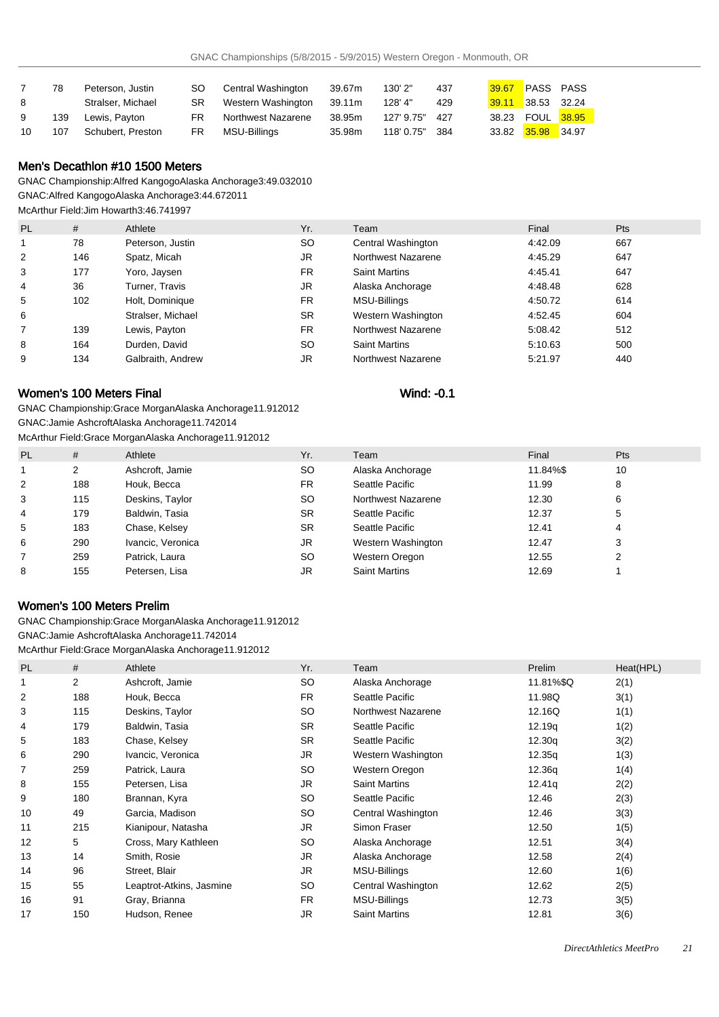|    | 78  | Peterson, Justin  |     | SO Central Washington | 39.67m | 130' 2"    | 437   | 39.67 PASS PASS     |  |
|----|-----|-------------------|-----|-----------------------|--------|------------|-------|---------------------|--|
| 8  |     | Stralser, Michael | SR  | Western Washington    | 39.11m | 128' 4"    | 429   | $39.11$ 38.53 32.24 |  |
| 9  | 139 | Lewis. Pavton     | FR. | Northwest Nazarene    | 38.95m | 127' 9.75" | - 427 | 38.23 FOUL 38.95    |  |
| 10 | 107 | Schubert, Preston | FR. | MSU-Billings          | 35.98m | 118' 0.75" | - 384 | 33.82 35.98 34.97   |  |

## Men's Decathlon #10 1500 Meters

GNAC Championship: Alfred Kangogo Alaska Anchorage 3:49.03 2010 GNAC: Alfred Kangogo Alaska Anchorage 3:44.67 2011 McArthur Field: Jim Howarth 3:46.74 1997

| <b>PL</b> | #   | Athlete           | Yr.       | Team                 | Final   | <b>Pts</b> |
|-----------|-----|-------------------|-----------|----------------------|---------|------------|
|           | 78  | Peterson, Justin  | <b>SO</b> | Central Washington   | 4:42.09 | 667        |
| 2         | 146 | Spatz, Micah      | JR        | Northwest Nazarene   | 4:45.29 | 647        |
| 3         | 177 | Yoro, Jaysen      | <b>FR</b> | <b>Saint Martins</b> | 4:45.41 | 647        |
| 4         | 36  | Turner, Travis    | JR        | Alaska Anchorage     | 4:48.48 | 628        |
| 5         | 102 | Holt, Dominique   | <b>FR</b> | MSU-Billings         | 4:50.72 | 614        |
| 6         |     | Stralser, Michael | <b>SR</b> | Western Washington   | 4:52.45 | 604        |
|           | 139 | Lewis, Payton     | <b>FR</b> | Northwest Nazarene   | 5:08.42 | 512        |
| 8         | 164 | Durden, David     | SO.       | <b>Saint Martins</b> | 5:10.63 | 500        |
| 9         | 134 | Galbraith, Andrew | JR        | Northwest Nazarene   | 5:21.97 | 440        |

# Women's 100 Meters Final Wind: -0.1

GNAC Championship: Grace Morgan Alaska Anchorage 11.91 2012 GNAC: Jamie Ashcroft Alaska Anchorage 11.74 2014

McArthur Field: Grace Morgan Alaska Anchorage 11.91 2012

| <b>PL</b> | #   | Athlete           | Yr.       | Team                 | Final    | Pts |
|-----------|-----|-------------------|-----------|----------------------|----------|-----|
|           | 2   | Ashcroft, Jamie   | SO.       | Alaska Anchorage     | 11.84%\$ | 10  |
| 2         | 188 | Houk, Becca       | FR.       | Seattle Pacific      | 11.99    | 8   |
| 3         | 115 | Deskins, Taylor   | SO.       | Northwest Nazarene   | 12.30    | 6   |
| 4         | 179 | Baldwin, Tasia    | <b>SR</b> | Seattle Pacific      | 12.37    | 5   |
| 5         | 183 | Chase, Kelsey     | <b>SR</b> | Seattle Pacific      | 12.41    | 4   |
| 6         | 290 | Ivancic, Veronica | JR        | Western Washington   | 12.47    | 3   |
|           | 259 | Patrick, Laura    | SO.       | Western Oregon       | 12.55    |     |
| 8         | 155 | Petersen, Lisa    | JR        | <b>Saint Martins</b> | 12.69    |     |

# Women's 100 Meters Prelim

GNAC Championship: Grace Morgan Alaska Anchorage 11.91 2012 GNAC: Jamie Ashcroft Alaska Anchorage 11.74 2014 McArthur Field: Grace Morgan Alaska Anchorage 11.91 2012

| <b>PL</b> | #              | Athlete                  | Yr.       | Team                 | Prelim             | Heat(HPL) |
|-----------|----------------|--------------------------|-----------|----------------------|--------------------|-----------|
|           | $\overline{2}$ | Ashcroft, Jamie          | <b>SO</b> | Alaska Anchorage     | 11.81%\$Q          | 2(1)      |
| 2         | 188            | Houk, Becca              | FR.       | Seattle Pacific      | 11.98Q             | 3(1)      |
| 3         | 115            | Deskins, Taylor          | <b>SO</b> | Northwest Nazarene   | 12.16Q             | 1(1)      |
| 4         | 179            | Baldwin, Tasia           | <b>SR</b> | Seattle Pacific      | 12.19q             | 1(2)      |
| 5         | 183            | Chase, Kelsey            | <b>SR</b> | Seattle Pacific      | 12.30q             | 3(2)      |
| 6         | 290            | Ivancic, Veronica        | JR.       | Western Washington   | 12.35q             | 1(3)      |
| 7         | 259            | Patrick, Laura           | <b>SO</b> | Western Oregon       | 12.36q             | 1(4)      |
| 8         | 155            | Petersen, Lisa           | <b>JR</b> | <b>Saint Martins</b> | 12.41 <sub>q</sub> | 2(2)      |
| 9         | 180            | Brannan, Kyra            | <b>SO</b> | Seattle Pacific      | 12.46              | 2(3)      |
| 10        | 49             | Garcia, Madison          | <b>SO</b> | Central Washington   | 12.46              | 3(3)      |
| 11        | 215            | Kianipour, Natasha       | JR.       | Simon Fraser         | 12.50              | 1(5)      |
| 12        | 5              | Cross, Mary Kathleen     | <b>SO</b> | Alaska Anchorage     | 12.51              | 3(4)      |
| 13        | 14             | Smith, Rosie             | JR.       | Alaska Anchorage     | 12.58              | 2(4)      |
| 14        | 96             | Street, Blair            | JR.       | MSU-Billings         | 12.60              | 1(6)      |
| 15        | 55             | Leaptrot-Atkins, Jasmine | <b>SO</b> | Central Washington   | 12.62              | 2(5)      |
| 16        | 91             | Gray, Brianna            | <b>FR</b> | MSU-Billings         | 12.73              | 3(5)      |
| 17        | 150            | Hudson, Renee            | <b>JR</b> | <b>Saint Martins</b> | 12.81              | 3(6)      |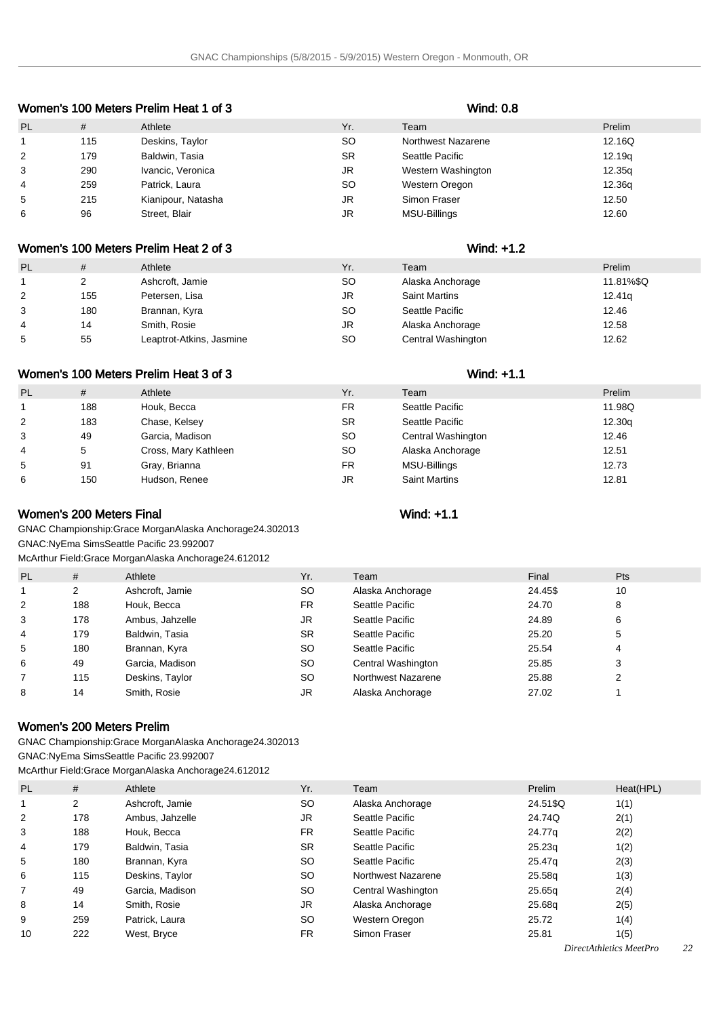| <b>PL</b>      | #   | Athlete            | Yr.       | Team                      | Prelim |  |  |  |
|----------------|-----|--------------------|-----------|---------------------------|--------|--|--|--|
| $\mathbf{1}$   | 115 | Deskins, Taylor    | SO.       | <b>Northwest Nazarene</b> | 12.16Q |  |  |  |
| 2              | 179 | Baldwin, Tasia     | <b>SR</b> | Seattle Pacific           | 12.19q |  |  |  |
| 3              | 290 | Ivancic, Veronica  | JR        | Western Washington        | 12.35q |  |  |  |
| $\overline{4}$ | 259 | Patrick, Laura     | SO.       | Western Oregon            | 12.36g |  |  |  |
| 5              | 215 | Kianipour, Natasha | JR        | Simon Fraser              | 12.50  |  |  |  |
| 6              | 96  | Street, Blair      | JR        | MSU-Billings              | 12.60  |  |  |  |
|                |     |                    |           |                           |        |  |  |  |

# Women's 100 Meters Prelim Heat 1 of 3 Wind: 0.8

#### Women's 100 Meters Prelim Heat 2 of 3 Women's 100 Meters Prelim Heat 2 of 3

| <b>PL</b> | #   | Athlete                  | Yr. | Team                 | Prelim             |
|-----------|-----|--------------------------|-----|----------------------|--------------------|
|           |     | Ashcroft, Jamie          | SO  | Alaska Anchorage     | 11.81%\$Q          |
| 2         | 155 | Petersen, Lisa           | JR  | <b>Saint Martins</b> | 12.41 <sub>q</sub> |
| 3         | 180 | Brannan, Kyra            | SO  | Seattle Pacific      | 12.46              |
| 4         | 14  | Smith, Rosie             | JR  | Alaska Anchorage     | 12.58              |
| 5         | 55  | Leaptrot-Atkins, Jasmine | SO. | Central Washington   | 12.62              |

# Women's 100 Meters Prelim Heat 3 of 3 Women's 100 Meters Prelim Heat 3 of 3

| <b>PL</b>      | #   | Athlete              | Yr.       | Team                 | Prelim |
|----------------|-----|----------------------|-----------|----------------------|--------|
|                | 188 | Houk, Becca          | <b>FR</b> | Seattle Pacific      | 11.98Q |
| 2              | 183 | Chase, Kelsey        | SR        | Seattle Pacific      | 12.30q |
| 3              | 49  | Garcia, Madison      | SO        | Central Washington   | 12.46  |
| $\overline{4}$ | 5   | Cross, Mary Kathleen | SO        | Alaska Anchorage     | 12.51  |
| 5              | 91  | Gray, Brianna        | <b>FR</b> | MSU-Billings         | 12.73  |
| 6              | 150 | Hudson, Renee        | JR        | <b>Saint Martins</b> | 12.81  |

# Women's 200 Meters Final Wind: +1.1

GNAC Championship: Grace Morgan Alaska Anchorage 24.30 2013 GNAC: NyEma Sims Seattle Pacific 23.99 2007

McArthur Field: Grace Morgan Alaska Anchorage 24.61 2012

| <b>PL</b> | #   | Athlete         | Yr.       | Team               | Final   | Pts |
|-----------|-----|-----------------|-----------|--------------------|---------|-----|
|           | 2   | Ashcroft, Jamie | <b>SO</b> | Alaska Anchorage   | 24.45\$ | 10  |
| 2         | 188 | Houk, Becca     | <b>FR</b> | Seattle Pacific    | 24.70   | 8   |
| 3         | 178 | Ambus, Jahzelle | JR        | Seattle Pacific    | 24.89   | 6   |
| 4         | 179 | Baldwin, Tasia  | <b>SR</b> | Seattle Pacific    | 25.20   | 5   |
| 5         | 180 | Brannan, Kyra   | <b>SO</b> | Seattle Pacific    | 25.54   | 4   |
| 6         | 49  | Garcia, Madison | <b>SO</b> | Central Washington | 25.85   | 3   |
|           | 115 | Deskins, Taylor | <b>SO</b> | Northwest Nazarene | 25.88   | C   |
| 8         | 14  | Smith, Rosie    | JR        | Alaska Anchorage   | 27.02   |     |

## Women's 200 Meters Prelim

GNAC Championship: Grace Morgan Alaska Anchorage 24.30 2013 GNAC: NyEma Sims Seattle Pacific 23.99 2007

McArthur Field: Grace Morgan Alaska Anchorage 24.61 2012

| <b>PL</b> | #   | Athlete         | Yr.       | Team               | Prelim   | Heat(HPL) |
|-----------|-----|-----------------|-----------|--------------------|----------|-----------|
|           | 2   | Ashcroft, Jamie | SO.       | Alaska Anchorage   | 24.51\$Q | 1(1)      |
| 2         | 178 | Ambus, Jahzelle | JR        | Seattle Pacific    | 24.74Q   | 2(1)      |
| 3         | 188 | Houk, Becca     | <b>FR</b> | Seattle Pacific    | 24.77g   | 2(2)      |
| 4         | 179 | Baldwin, Tasia  | <b>SR</b> | Seattle Pacific    | 25.23q   | 1(2)      |
| 5         | 180 | Brannan, Kyra   | SO.       | Seattle Pacific    | 25.47g   | 2(3)      |
| 6         | 115 | Deskins, Taylor | SO.       | Northwest Nazarene | 25.58g   | 1(3)      |
| 7         | 49  | Garcia, Madison | SO.       | Central Washington | 25.65g   | 2(4)      |
| 8         | 14  | Smith, Rosie    | JR        | Alaska Anchorage   | 25.68g   | 2(5)      |
| 9         | 259 | Patrick, Laura  | SO.       | Western Oregon     | 25.72    | 1(4)      |
| 10        | 222 | West, Bryce     | <b>FR</b> | Simon Fraser       | 25.81    | 1(5)      |

#### *DirectAthletics MeetPro 22*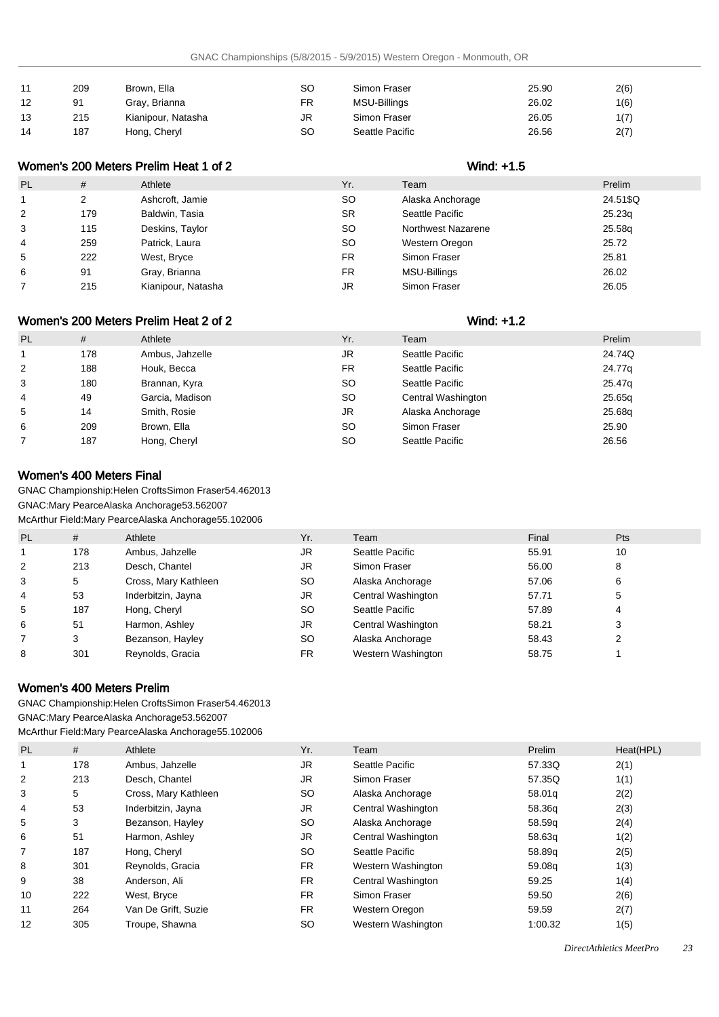| 11 | 209 | Brown, Ella        | SC | Simon Fraser    | 25.90 | 2(6) |
|----|-----|--------------------|----|-----------------|-------|------|
| 12 | 91  | Gray, Brianna      | FR | MSU-Billings    | 26.02 | 1(6) |
| 13 | 215 | Kianipour, Natasha | JR | Simon Fraser    | 26.05 | 1(7) |
| 14 | 187 | Hong, Cheryl       | SC | Seattle Pacific | 26.56 | 2(7) |

## Women's 200 Meters Prelim Heat 1 of 2 Wind: +1.5

| <b>PL</b>      | #   | Athlete            | Yr.       | Team               | Prelim   |
|----------------|-----|--------------------|-----------|--------------------|----------|
|                |     | Ashcroft, Jamie    | SO.       | Alaska Anchorage   | 24.51\$Q |
| 2              | 179 | Baldwin, Tasia     | <b>SR</b> | Seattle Pacific    | 25.23q   |
| 3              | 115 | Deskins, Taylor    | SO.       | Northwest Nazarene | 25.58g   |
| $\overline{4}$ | 259 | Patrick, Laura     | SO.       | Western Oregon     | 25.72    |
| 5              | 222 | West, Bryce        | FR        | Simon Fraser       | 25.81    |
| 6              | 91  | Gray, Brianna      | FR        | MSU-Billings       | 26.02    |
|                | 215 | Kianipour, Natasha | JR        | Simon Fraser       | 26.05    |

## Women's 200 Meters Prelim Heat 2 of 2 Wind: +1.2

| <b>PL</b> | #   | Athlete         | Yr.       | Team               | Prelim |
|-----------|-----|-----------------|-----------|--------------------|--------|
|           | 178 | Ambus, Jahzelle | JR        | Seattle Pacific    | 24.74Q |
| 2         | 188 | Houk, Becca     | <b>FR</b> | Seattle Pacific    | 24.77g |
| 3         | 180 | Brannan, Kyra   | <b>SO</b> | Seattle Pacific    | 25.47g |
| 4         | 49  | Garcia, Madison | <b>SO</b> | Central Washington | 25.65g |
| 5         | 14  | Smith, Rosie    | JR.       | Alaska Anchorage   | 25.68g |
| 6         | 209 | Brown, Ella     | <b>SO</b> | Simon Fraser       | 25.90  |
|           | 187 | Hong, Cheryl    | <b>SO</b> | Seattle Pacific    | 26.56  |
|           |     |                 |           |                    |        |

## Women's 400 Meters Final

GNAC Championship: Helen Crofts Simon Fraser 54.46 2013

GNAC: Mary Pearce Alaska Anchorage 53.56 2007

McArthur Field: Mary Pearce Alaska Anchorage 55.10 2006

| <b>PL</b> | #   | Athlete              | Yr.       | Team               | Final | <b>Pts</b> |
|-----------|-----|----------------------|-----------|--------------------|-------|------------|
|           | 178 | Ambus, Jahzelle      | JR.       | Seattle Pacific    | 55.91 | 10         |
| 2         | 213 | Desch. Chantel       | JR        | Simon Fraser       | 56.00 | 8          |
| 3         | 5   | Cross, Mary Kathleen | <b>SO</b> | Alaska Anchorage   | 57.06 | 6          |
| 4         | 53  | Inderbitzin, Jayna   | JR        | Central Washington | 57.71 | 5          |
| 5         | 187 | Hong, Cheryl         | SO.       | Seattle Pacific    | 57.89 | 4          |
| 6         | 51  | Harmon, Ashley       | JR        | Central Washington | 58.21 | 3          |
|           | 3   | Bezanson, Hayley     | SO.       | Alaska Anchorage   | 58.43 | っ          |
| 8         | 301 | Reynolds, Gracia     | FR.       | Western Washington | 58.75 |            |

## Women's 400 Meters Prelim

GNAC Championship: Helen Crofts Simon Fraser 54.46 2013 GNAC: Mary Pearce Alaska Anchorage 53.56 2007 McArthur Field: Mary Pearce Alaska Anchorage 55.10 2006

| <b>PL</b> | #   | Athlete              | Yr.       | Team               | Prelim  | Heat(HPL) |
|-----------|-----|----------------------|-----------|--------------------|---------|-----------|
| 1         | 178 | Ambus, Jahzelle      | <b>JR</b> | Seattle Pacific    | 57.33Q  | 2(1)      |
| 2         | 213 | Desch, Chantel       | JR        | Simon Fraser       | 57.35Q  | 1(1)      |
| 3         | 5   | Cross, Mary Kathleen | <b>SO</b> | Alaska Anchorage   | 58.01g  | 2(2)      |
| 4         | 53  | Inderbitzin, Jayna   | JR        | Central Washington | 58.36g  | 2(3)      |
| 5         | 3   | Bezanson, Hayley     | <b>SO</b> | Alaska Anchorage   | 58.59g  | 2(4)      |
| 6         | 51  | Harmon, Ashley       | JR.       | Central Washington | 58.63q  | 1(2)      |
|           | 187 | Hong, Cheryl         | <b>SO</b> | Seattle Pacific    | 58.89q  | 2(5)      |
| 8         | 301 | Reynolds, Gracia     | <b>FR</b> | Western Washington | 59.08g  | 1(3)      |
| 9         | 38  | Anderson, Ali        | <b>FR</b> | Central Washington | 59.25   | 1(4)      |
| 10        | 222 | West, Bryce          | <b>FR</b> | Simon Fraser       | 59.50   | 2(6)      |
| 11        | 264 | Van De Grift, Suzie  | <b>FR</b> | Western Oregon     | 59.59   | 2(7)      |
| 12        | 305 | Troupe, Shawna       | <b>SO</b> | Western Washington | 1:00.32 | 1(5)      |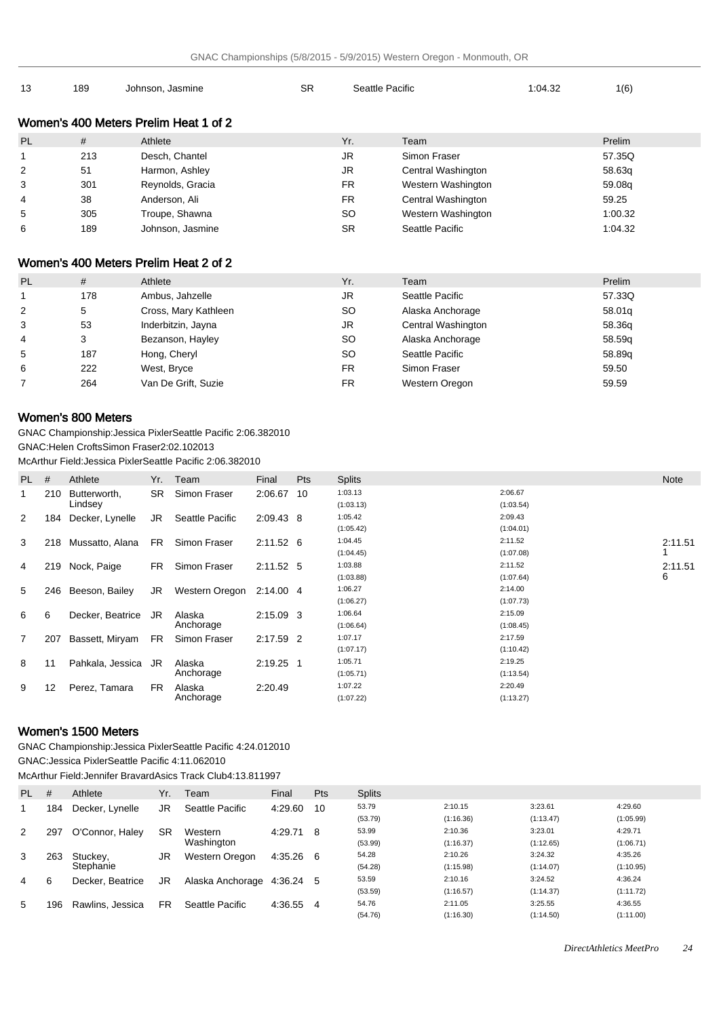| 13             | 189 | Johnson, Jasmine                      | <b>SR</b> | Seattle Pacific |                    | 1:04.32 | 1(6)    |
|----------------|-----|---------------------------------------|-----------|-----------------|--------------------|---------|---------|
|                |     | Women's 400 Meters Prelim Heat 1 of 2 |           |                 |                    |         |         |
| <b>PL</b>      | #   | Athlete                               | Yr.       |                 | Team               |         | Prelim  |
|                | 213 | Desch, Chantel                        | JR        |                 | Simon Fraser       |         | 57.35Q  |
| $\overline{2}$ | 51  | Harmon, Ashley                        | JR        |                 | Central Washington |         | 58.63g  |
| 3              | 301 | Reynolds, Gracia                      | <b>FR</b> |                 | Western Washington |         | 59.08g  |
| 4              | 38  | Anderson, Ali                         | <b>FR</b> |                 | Central Washington |         | 59.25   |
| 5              | 305 | Troupe, Shawna                        | <b>SO</b> |                 | Western Washington |         | 1:00.32 |
| 6              | 189 | Johnson, Jasmine                      | <b>SR</b> |                 | Seattle Pacific    |         | 1:04.32 |

# Women's 400 Meters Prelim Heat 2 of 2

| <b>PL</b> | #   | Athlete              | Yr.       | Team               | Prelim |
|-----------|-----|----------------------|-----------|--------------------|--------|
|           | 178 | Ambus, Jahzelle      | JR        | Seattle Pacific    | 57.33Q |
| 2         | 5   | Cross, Mary Kathleen | SO.       | Alaska Anchorage   | 58.01g |
| 3         | 53  | Inderbitzin, Jayna   | JR        | Central Washington | 58.36g |
| 4         | 3   | Bezanson, Hayley     | SO.       | Alaska Anchorage   | 58.59g |
| 5         | 187 | Hong, Cheryl         | SO.       | Seattle Pacific    | 58.89q |
| 6         | 222 | West, Bryce          | <b>FR</b> | Simon Fraser       | 59.50  |
|           | 264 | Van De Grift, Suzie  | FR.       | Western Oregon     | 59.59  |

## Women's 800 Meters

GNAC Championship: Jessica Pixler Seattle Pacific 2:06.38 2010 GNAC: Helen Crofts Simon Fraser 2:02.10 2013

McArthur Field: Jessica Pixler Seattle Pacific 2:06.38 2010

| PL -           | #                 | Athlete             |           | Yr. Team        | Final       | <b>Pts</b> | <b>Splits</b> |           | Note    |
|----------------|-------------------|---------------------|-----------|-----------------|-------------|------------|---------------|-----------|---------|
|                | 210               | Butterworth.        | <b>SR</b> | Simon Fraser    | 2:06.67     | -10        | 1:03.13       | 2:06.67   |         |
|                |                   | Lindsey             |           |                 |             |            | (1:03.13)     | (1:03.54) |         |
| 2              | 184               | Decker, Lynelle     | JR        | Seattle Pacific | 2:09.43 8   |            | 1:05.42       | 2:09.43   |         |
|                |                   |                     |           |                 |             |            | (1:05.42)     | (1:04.01) |         |
| 3              |                   | 218 Mussatto, Alana | <b>FR</b> | Simon Fraser    | $2:11.52$ 6 |            | 1:04.45       | 2:11.52   | 2:11.51 |
|                |                   |                     |           |                 |             |            | (1:04.45)     | (1:07.08) |         |
| 4              |                   | 219 Nock, Paige     | FR.       | Simon Fraser    | 2:11.52 5   |            | 1:03.88       | 2:11.52   | 2:11.51 |
|                |                   |                     |           |                 |             |            | (1:03.88)     | (1:07.64) | 6       |
| 5              |                   | 246 Beeson, Bailey  | JR        | Western Oregon  | 2:14.00 4   |            | 1:06.27       | 2:14.00   |         |
|                |                   |                     |           |                 |             |            | (1:06.27)     | (1:07.73) |         |
| 6              | 6                 | Decker, Beatrice    | JR        | Alaska          | $2:15.09$ 3 |            | 1:06.64       | 2:15.09   |         |
|                |                   |                     |           | Anchorage       |             |            | (1:06.64)     | (1:08.45) |         |
| $\overline{7}$ | 207               | Bassett, Miryam     | FR.       | Simon Fraser    | 2:17.59 2   |            | 1:07.17       | 2:17.59   |         |
|                |                   |                     |           |                 |             |            | (1:07.17)     | (1:10.42) |         |
| 8              | 11                | Pahkala, Jessica JR |           | Alaska          | 2:19.25 1   |            | 1:05.71       | 2:19.25   |         |
|                |                   |                     |           | Anchorage       |             |            | (1:05.71)     | (1:13.54) |         |
| 9              | $12 \overline{ }$ | Perez, Tamara       | FR.       | Alaska          | 2:20.49     |            | 1:07.22       | 2:20.49   |         |
|                |                   |                     |           | Anchorage       |             |            | (1:07.22)     | (1:13.27) |         |

## Women's 1500 Meters

GNAC Championship: Jessica Pixler Seattle Pacific 4:24.01 2010

GNAC: Jessica Pixler Seattle Pacific 4:11.06 2010

McArthur Field: Jennifer Bravard Asics Track Club 4:13.81 1997

| PL. | #   | Athlete          | Yr.       | Team             | Final     | Pts | <b>Splits</b> |           |           |           |
|-----|-----|------------------|-----------|------------------|-----------|-----|---------------|-----------|-----------|-----------|
|     | 184 | Decker, Lynelle  | JR        | Seattle Pacific  | 4:29.60   | 10  | 53.79         | 2:10.15   | 3:23.61   | 4:29.60   |
|     |     |                  |           |                  |           |     | (53.79)       | (1:16.36) | (1:13.47) | (1:05.99) |
| 2   | 297 | O'Connor, Haley  | SR        | Western          | 4:29.71 8 |     | 53.99         | 2:10.36   | 3:23.01   | 4:29.71   |
|     |     |                  |           | Washington       |           |     | (53.99)       | (1:16.37) | (1:12.65) | (1:06.71) |
| 3   | 263 | Stuckey,         | JR        | Western Oregon   | 4:35.26   | 6   | 54.28         | 2:10.26   | 3:24.32   | 4:35.26   |
|     |     | Stephanie        |           |                  |           |     | (54.28)       | (1:15.98) | (1:14.07) | (1:10.95) |
| 4   | 6   | Decker, Beatrice | JR        | Alaska Anchorage | 4:36.24   | 5   | 53.59         | 2:10.16   | 3:24.52   | 4:36.24   |
|     |     |                  |           |                  |           |     | (53.59)       | (1:16.57) | (1:14.37) | (1:11.72) |
| 5   | 196 | Rawlins, Jessica | <b>FR</b> | Seattle Pacific  | 4:36.55   | 4   | 54.76         | 2:11.05   | 3:25.55   | 4:36.55   |
|     |     |                  |           |                  |           |     | (54.76)       | (1:16.30) | (1:14.50) | (1:11.00) |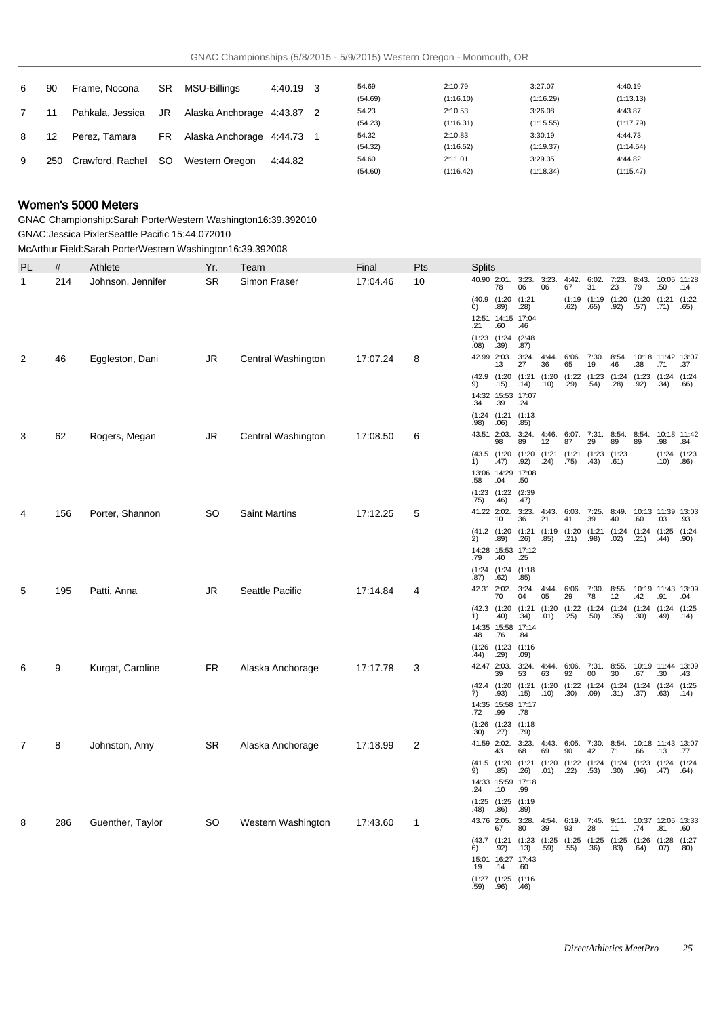| 6 | 90  | Frame, Nocona      | SR. | MSU-Billings               | 4:40.19 3 | 54.69   | 2:10.79   | 3:27.07   | 4:40.19   |
|---|-----|--------------------|-----|----------------------------|-----------|---------|-----------|-----------|-----------|
|   |     |                    |     |                            |           | (54.69) | (1:16.10) | (1:16.29) | (1:13.13) |
|   |     | Pahkala, Jessica   | JR  | Alaska Anchorage 4:43.87 2 |           | 54.23   | 2:10.53   | 3:26.08   | 4:43.87   |
|   |     |                    |     |                            |           | (54.23) | (1:16.31) | (1:15.55) | (1:17.79) |
| 8 | 12  | Perez. Tamara      | FR. | Alaska Anchorage 4:44.73   |           | 54.32   | 2:10.83   | 3:30.19   | 4:44.73   |
|   |     |                    |     |                            |           | (54.32) | (1:16.52) | (1:19.37) | (1:14.54) |
| 9 | 250 | Crawford Rachel SO |     | Western Oregon             | 4:44.82   | 54.60   | 2:11.01   | 3:29.35   | 4:44.82   |
|   |     |                    |     |                            |           | (54.60) | (1:16.42) | (1:18.34) | (1:15.47) |

# Women's 5000 Meters

GNAC Championship: Sarah Porter Western Washington 16:39.39 2010

GNAC: Jessica Pixler Seattle Pacific 15:44.07 2010 McArthur Field: Sarah Porter Western Washington 16:39.39 2008

|   |     | Athlete           | Yr.       | Team                 | Final    | Pts | <b>Splits</b>                                                                                                                                |
|---|-----|-------------------|-----------|----------------------|----------|-----|----------------------------------------------------------------------------------------------------------------------------------------------|
| 1 | 214 | Johnson, Jennifer | <b>SR</b> | Simon Fraser         | 17:04.46 | 10  | 40.90 2:01. 3:23. 3:23.<br>4:42. 6:02. 7:23. 8:43. 10:05 11:28<br>78<br>06<br>06<br>67<br>31<br>23<br>79<br>.50<br>.14                       |
|   |     |                   |           |                      |          |     | (40.9 (1:20 (1:21<br>(1:19 (1:19 (1:20 (1:20 (1:21 (1:22<br>0)<br>.89)<br>.28)<br>.62)<br>.65)<br>.92)<br>.57)<br>.71)<br>.65)               |
|   |     |                   |           |                      |          |     | 12:51 14:15 17:04<br>.60<br>.46<br>.21                                                                                                       |
|   |     |                   |           |                      |          |     | (2:48)<br>(1:23)(1:24)<br>.08)<br>.39)<br>.87)                                                                                               |
| 2 | 46  | Eggleston, Dani   | JR        | Central Washington   | 17:07.24 | 8   | 42.99 2:03.<br>3:24. 4:44. 6:06. 7:30. 8:54. 10:18 11:42 13:07<br>46<br>13<br>27<br>36<br>65<br>19<br>.38<br>.71<br>.37                      |
|   |     |                   |           |                      |          |     | (42.9 (1:20 (1:21 (1:20 (1:22 (1:23 (1:24 (1:23 (1:24 (1:24<br>9)<br>$(14)$ $(10)$<br>.29)<br>.54)<br>.15)<br>.28)<br>.92)<br>.34)<br>.66)   |
|   |     |                   |           |                      |          |     | 14:32 15:53 17:07<br>.34<br>.39<br>.24                                                                                                       |
|   |     |                   |           |                      |          |     | $(1:24)$ $(1:21)$<br>(1:13)<br>.98)<br>.06)<br>.85)                                                                                          |
| 3 | 62  | Rogers, Megan     | JR        | Central Washington   | 17:08.50 | 6   | 43.51 2:03.<br>3:24. 4:46. 6:07. 7:31. 8:54. 8:54. 10:18 11:42<br>89<br>12<br>87<br>29<br>89<br>.98<br>98<br>89<br>.84                       |
|   |     |                   |           |                      |          |     | (43.5 (1:20 (1:20 (1:21 (1:21 (1:23 (1:23<br>$(1:24)$ $(1:23)$<br>.75)<br>$\dot{1}$<br>.92)<br>(43)<br>(47)<br>.24)<br>.61)<br>$.10)$ $.86)$ |
|   |     |                   |           |                      |          |     | 13:06 14:29 17:08<br>.58<br>.04<br>.50                                                                                                       |
|   |     |                   |           |                      |          |     | $(1:23)$ $(1:22)$ $(2:39)$<br>$(75)$ $(46)$<br>.47)                                                                                          |
|   | 156 | Porter, Shannon   | <b>SO</b> | <b>Saint Martins</b> | 17:12.25 | 5   | 41.22 2:02. 3:23. 4:43. 6:03. 7:25. 8:49. 10:13 11:39 13:03<br>10<br>36<br>21<br>41<br>39<br>40<br>.60<br>.03<br>.93                         |
|   |     |                   |           |                      |          |     | (41.2 (1:20 (1:21 (1:19 (1:20 (1:21 (1:24 (1:24 (1:25 (1:24<br>2)<br>.85)<br>.98)<br>.02)<br>.90)<br>.89)<br>.21)<br>.44)                    |
|   |     |                   |           |                      |          |     | .26)<br>.21)<br>14:28 15:53 17:12                                                                                                            |
|   |     |                   |           |                      |          |     | .79<br>.40<br>.25<br>$(1:24)$ $(1:24)$ $(1:18)$                                                                                              |
| 5 | 195 | Patti, Anna       | <b>JR</b> | Seattle Pacific      | 17:14.84 | 4   | .87)<br>.62)<br>.85)<br>42.31 2:02.<br>3:24. 4:44. 6:06. 7:30. 8:55. 10:19 11:43 13:09                                                       |
|   |     |                   |           |                      |          |     | 78<br>04<br>05<br>29<br>12<br>70<br>.42<br>.91<br>.04<br>(42.3 (1:20 (1:21 (1:20 (1:22 (1:24 (1:24 (1:24 (1:24 (1:25                         |
|   |     |                   |           |                      |          |     | 1)<br>(40)<br>.34)<br>$.01)$ $.25)$ $.50)$<br>.35)<br>.30)<br>$(49)$ $(14)$<br>14:35 15:58 17:14                                             |
|   |     |                   |           |                      |          |     | .76<br>.48<br>.84<br>$(1:26)$ $(1:23)$ $(1:16)$                                                                                              |
| 6 | 9   | Kurgat, Caroline  | FR        | Alaska Anchorage     | 17:17.78 | 3   | .29)<br>.09)<br>.44)<br>42.47 2:03. 3:24. 4:44. 6:06. 7:31. 8:55. 10:19 11:44 13:09                                                          |
|   |     |                   |           |                      |          |     | 53<br>63<br>92<br>00<br>30<br>39<br>.67<br>.30<br>.43<br>(42.4 (1:20 (1:21 (1:20 (1:22 (1:24 (1:24 (1:24 (1:24 (1:25                         |
|   |     |                   |           |                      |          |     | 7)<br>.93)<br>(15)<br>.10)<br>$(30)$ $(09)$<br>.31)<br>.37)<br>.63)<br>.14)<br>14:35 15:58 17:17                                             |
|   |     |                   |           |                      |          |     | .72<br>.99<br>.78<br>$(1:26)$ $(1:23)$ $(1:18)$                                                                                              |
| 7 | 8   | Johnston, Amy     | SR.       | Alaska Anchorage     | 17:18.99 | 2   | .27)<br>.30)<br>.79)<br>41.59 2:02. 3:23. 4:43. 6:05. 7:30. 8:54. 10:18 11:43 13:07                                                          |
|   |     |                   |           |                      |          |     | 42<br>43<br>69<br>90<br>71<br>.66<br>.13<br>.77<br>68<br>(41.5 (1:20 (1:21 (1:20 (1:22 (1:24 (1:24 (1:23 (1:24 (1:24                         |
|   |     |                   |           |                      |          |     | 9)<br>.85)<br>.26)<br>.01)<br>$.22)$ $.53)$<br>.30)<br>.96)<br>.47) .64)<br>14:33 15:59 17:18                                                |
|   |     |                   |           |                      |          |     | .24<br>.10<br>.99<br>(1:25)(1:25)(1:19)                                                                                                      |
| 8 | 286 | Guenther, Taylor  | SO.       | Western Washington   | 17:43.60 | -1  | .48)<br>.86)<br>.89)<br>43.76 2:05. 3:28. 4:54. 6:19. 7:45. 9:11. 10:37 12:05 13:33                                                          |
|   |     |                   |           |                      |          |     | 80<br>39<br>93<br>28<br>11<br>.81<br>.60<br>67<br>.74<br>(43.7 (1:21 (1:23 (1:25 (1:25 (1:25 (1:25 (1:26 (1:28 (1:27                         |
|   |     |                   |           |                      |          |     | 6)<br>.92)<br>.13)<br>.59)<br>.55)<br>.36)<br>.83)<br>.64)<br>.07)<br>.80)<br>15:01 16:27 17:43                                              |
|   |     |                   |           |                      |          |     | .19 .14<br>.60                                                                                                                               |

(1:27 .59) (1:25 .96) (1:16 .46)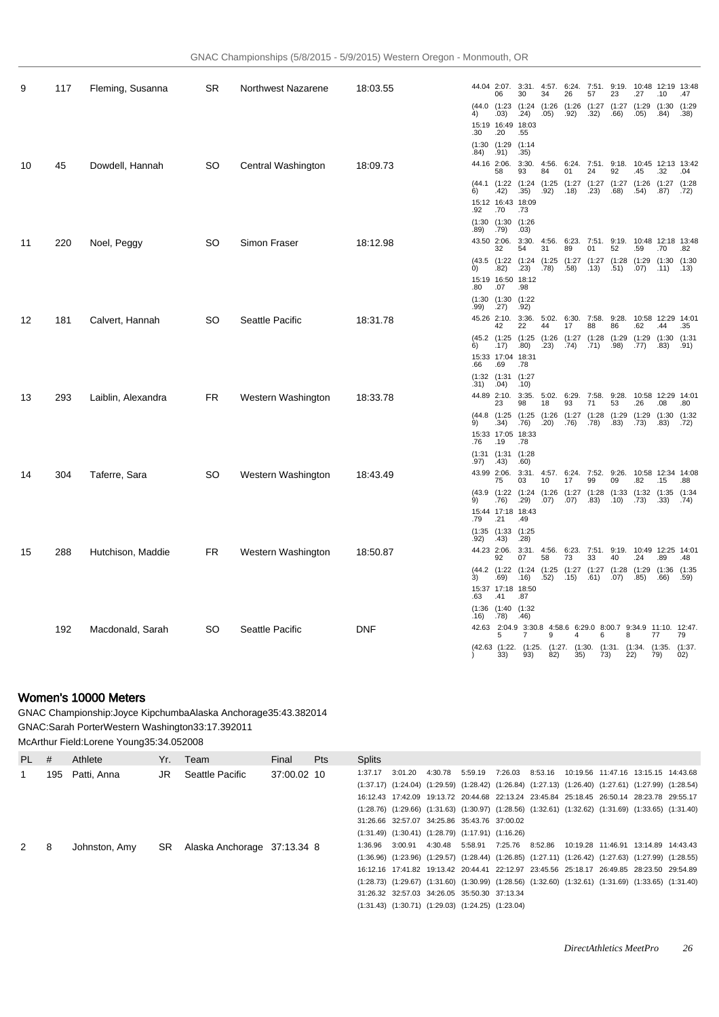| 9  | 117 | Fleming, Susanna   | <b>SR</b> | Northwest Nazarene | 18:03.55   |                   | 06                                | 44.04 2:07. 3:31. 4:57. 6:24. 7:51.<br>30                                    | 34            | 26   | 57                          | 9:19.<br>23                                           | 10:48 12:19 13:48<br>.27           | .10       | .47  |
|----|-----|--------------------|-----------|--------------------|------------|-------------------|-----------------------------------|------------------------------------------------------------------------------|---------------|------|-----------------------------|-------------------------------------------------------|------------------------------------|-----------|------|
|    |     |                    |           |                    |            | 4)                | .03)                              | (44.0 (1:23 (1:24 (1:26 (1:26 (1:27 (1:27<br>.24)                            | .05)          | .92) | .32)                        | .66)                                                  | $(1:29)$ $(1:30)$ $(1:29)$<br>.05) | .84)      | .38) |
|    |     |                    |           |                    |            | .30               | 15:19 16:49 18:03<br>.20          | .55                                                                          |               |      |                             |                                                       |                                    |           |      |
|    |     |                    |           |                    |            | .84)              | (1:30)(1:29)<br>.91)              | (1:14)<br>.35)                                                               |               |      |                             |                                                       |                                    |           |      |
| 10 | 45  | Dowdell, Hannah    | SO        | Central Washington | 18:09.73   |                   | 44.16 2:06.<br>58                 | 3:30.<br>93                                                                  | 84            | 01   | 24                          | 4:56. 6:24. 7:51. 9:18. 10:45 12:13 13:42<br>92       | .45                                | .32       | .04  |
|    |     |                    |           |                    |            | 6)                |                                   | (44.1 (1:22 (1:24 (1:25 (1:27 (1:27 (1:27 (1:26 (1:27 (1:28<br>$.42)$ $.35)$ | $.92)$ $.18)$ |      | .23)                        | .68)                                                  | .54)                               | .87)      | .72) |
|    |     |                    |           |                    |            | .92               | 15:12 16:43 18:09<br>.70          | .73                                                                          |               |      |                             |                                                       |                                    |           |      |
|    |     |                    |           |                    |            |                   | (1:30)(1:30)<br>$.89)$ .79)       | (1:26)<br>.03)                                                               |               |      |                             |                                                       |                                    |           |      |
| 11 | 220 | Noel, Peggy        | SO        | Simon Fraser       | 18:12.98   |                   | 43.50 2:06.<br>32                 | 54                                                                           | 31            | 89   | 01                          | 3:30. 4:56. 6:23. 7:51. 9:19. 10:48 12:18 13:48<br>52 | .59                                | .70       | .82  |
|    |     |                    |           |                    |            | $\left( 0\right)$ | .82)                              | (43.5 (1:22 (1:24 (1:25 (1:27 (1:27 (1:28 (1:29 (1:30 (1:30<br>.23)          | .78) .58)     |      | (13)                        | .51)                                                  | $.07)$ $.11)$ $.13)$               |           |      |
|    |     |                    |           |                    |            | .80               | 15:19 16:50 18:12<br>.07          | .98                                                                          |               |      |                             |                                                       |                                    |           |      |
|    |     |                    |           |                    |            | .99)              | (1:30)(1:30)<br>.27)              | (1:22)<br>.92)                                                               |               |      |                             |                                                       |                                    |           |      |
| 12 | 181 | Calvert, Hannah    | <b>SO</b> | Seattle Pacific    | 18:31.78   |                   | 45.26 2:10.                       |                                                                              |               |      |                             | 3:36. 5:02. 6:30. 7:58. 9:28. 10:58 12:29 14:01       |                                    |           |      |
|    |     |                    |           |                    |            |                   | 42                                | 22<br>(45.2 (1:25 (1:25 (1:26 (1:27 (1:28 (1:29 (1:29 (1:30 (1:31            | 44            | 17   | 88                          | 86                                                    | .62                                | .44       | .35  |
|    |     |                    |           |                    |            | 6)                | .17)<br>15:33 17:04 18:31         | .80)                                                                         | $.23)$ $.74)$ |      | .71)                        | .98)                                                  | .77)                               | .83)      | .91) |
|    |     |                    |           |                    |            | .66               | .69<br>(1:32)(1:31)               | .78<br>(1:27)                                                                |               |      |                             |                                                       |                                    |           |      |
| 13 | 293 | Laiblin, Alexandra | FR.       | Western Washington | 18:33.78   |                   | $.31)$ $.04)$                     | .10)<br>44.89 2:10. 3:35. 5:02. 6:29. 7:58. 9:28. 10:58 12:29 14:01          |               |      |                             |                                                       |                                    |           |      |
|    |     |                    |           |                    |            |                   | 23                                | 98<br>(44.8 (1:25 (1:25 (1:26 (1:27 (1:28 (1:29 (1:29 (1:30 (1:32            | 18            | 93   | 71                          | 53                                                    | .26                                | .08       | .80  |
|    |     |                    |           |                    |            | 9)                | .34)<br>15:33 17:05 18:33         | .76)                                                                         |               |      | $(20)$ $(76)$ $(78)$ $(83)$ |                                                       | .73)                               | .83) .72) |      |
|    |     |                    |           |                    |            | .76               | .19<br>$(1:31)$ $(1:31)$ $(1:28)$ | .78                                                                          |               |      |                             |                                                       |                                    |           |      |
| 14 | 304 | Taferre, Sara      | SO.       | Western Washington | 18:43.49   | .97)              | .43)                              | .60)<br>43.99 2:06. 3:31. 4:57. 6:24. 7:52. 9:26. 10:58 12:34 14:08          |               |      |                             |                                                       |                                    |           |      |
|    |     |                    |           |                    |            |                   | 75                                | 03<br>(43.9 (1:22 (1:24 (1:26 (1:27 (1:28 (1:33 (1:32 (1:35 (1:34            | 10            | 17   | 99                          | 09                                                    | .82                                | .15       | .88  |
|    |     |                    |           |                    |            | 9)                | 15:44 17:18 18:43                 | .76) .29) .07) .07) .83) .10) .73) .33)                                      |               |      |                             |                                                       |                                    |           | .74) |
|    |     |                    |           |                    |            | .79               | .21<br>(1:35)(1:33)               | .49<br>(1:25)                                                                |               |      |                             |                                                       |                                    |           |      |
| 15 | 288 | Hutchison, Maddie  | <b>FR</b> | Western Washington | 18:50.87   | .92)              | .43)<br>44.23 2:06.               | .28)                                                                         |               |      |                             | 3:31. 4:56. 6:23. 7:51. 9:19. 10:49 12:25 14:01       |                                    |           |      |
|    |     |                    |           |                    |            |                   | 92                                | 07<br>(44.2 (1:22 (1:24 (1:25 (1:27 (1:27 (1:28 (1:29 (1:36 (1:35            | 58            | 73   | 33                          | 40                                                    | .24                                | .89       | .48  |
|    |     |                    |           |                    |            | 3)                | 15:37 17:18 18:50                 | $.69)$ $.16)$                                                                |               |      | .52) .15) .61) .07)         |                                                       | .85)                               | .66)      | .59) |
|    |     |                    |           |                    |            | .63               | .41<br>(1:36)(1:40)(1:32)         | .87                                                                          |               |      |                             |                                                       |                                    |           |      |
|    |     |                    |           |                    |            | .16)              | .78)                              | .46)<br>42.63 2:04.9 3:30.8 4:58.6 6:29.0 8:00.7 9:34.9 11:10. 12:47.        |               |      |                             |                                                       |                                    |           |      |
|    | 192 | Macdonald, Sarah   | SO        | Seattle Pacific    | <b>DNF</b> |                   |                                   | (42.63 (1:22. (1:25. (1:27. (1:30. (1:31. (1:34. (1:35. (1:37.               |               |      | 6                           |                                                       |                                    | 77        | 79   |
|    |     |                    |           |                    |            |                   | 33)                               | 93)                                                                          |               |      | 82) 35) 73)                 |                                                       | 22)                                | 79)       | 02)  |

## Women's 10000 Meters

GNAC Championship: Joyce Kipchumba Alaska Anchorage 35:43.38 2014 GNAC: Sarah Porter Western Washington 33:17.39 2011 McArthur Field: Lorene Young 35:34.05 2008

| PL | # | Athlete         | Yr. I | Team                        | Final       | <b>Pts</b> | <b>Splits</b> |         |                 |                                                                                                                         |         |         |                                     |                                        |  |
|----|---|-----------------|-------|-----------------------------|-------------|------------|---------------|---------|-----------------|-------------------------------------------------------------------------------------------------------------------------|---------|---------|-------------------------------------|----------------------------------------|--|
|    |   | 195 Patti, Anna | JR    | Seattle Pacific             | 37:00.02 10 |            | 1:37.17       | 3:01.20 | 4:30.78         | 5:59.19                                                                                                                 | 7:26.03 | 8:53.16 | 10:19.56 11:47.16 13:15.15 14:43.68 |                                        |  |
|    |   |                 |       |                             |             |            |               |         |                 | $(1:37.17)$ $(1:24.04)$ $(1:29.59)$ $(1:28.42)$ $(1:26.84)$ $(1:27.13)$ $(1:26.40)$ $(1:27.61)$ $(1:27.99)$ $(1:28.54)$ |         |         |                                     |                                        |  |
|    |   |                 |       |                             |             |            |               |         |                 | 16:12.43 17:42.09 19:13.72 20:44.68 22:13.24 23:45.84 25:18.45 26:50.14 28:23.78 29:55.17                               |         |         |                                     |                                        |  |
|    |   |                 |       |                             |             |            |               |         |                 | $(1:28.76)$ $(1:29.66)$ $(1:31.63)$ $(1:30.97)$ $(1:28.56)$ $(1:32.61)$ $(1:32.62)$ $(1:31.69)$ $(1:33.65)$ $(1:31.40)$ |         |         |                                     |                                        |  |
|    |   |                 |       |                             |             |            |               |         |                 | 31:26.66 32:57.07 34:25.86 35:43.76 37:00.02                                                                            |         |         |                                     |                                        |  |
|    |   |                 |       |                             |             |            |               |         |                 | $(1:31.49)$ $(1:30.41)$ $(1:28.79)$ $(1:17.91)$ $(1:16.26)$                                                             |         |         |                                     |                                        |  |
| 2  | 8 | Johnston, Amv   | SR.   | Alaska Anchorage 37:13.34 8 |             |            | 1:36.96       | 3:00.91 | 4:30.48 5:58.91 |                                                                                                                         | 7:25.76 | 8:52.86 |                                     | 10:19.28  11:46.91  13:14.89  14:43.43 |  |
|    |   |                 |       |                             |             |            |               |         |                 | $(1:36.96)$ $(1:23.96)$ $(1:29.57)$ $(1:28.44)$ $(1:26.85)$ $(1:27.11)$ $(1:26.42)$ $(1:27.63)$ $(1:27.99)$ $(1:28.55)$ |         |         |                                     |                                        |  |
|    |   |                 |       |                             |             |            |               |         |                 | 16:12.16 17:41.82 19:13.42 20:44.41 22:12.97 23:45.56 25:18.17 26:49.85 28:23.50 29:54.89                               |         |         |                                     |                                        |  |
|    |   |                 |       |                             |             |            |               |         |                 | $(1:28.73)$ $(1:29.67)$ $(1:31.60)$ $(1:30.99)$ $(1:28.56)$ $(1:32.60)$ $(1:32.61)$ $(1:31.69)$ $(1:33.65)$ $(1:31.40)$ |         |         |                                     |                                        |  |
|    |   |                 |       |                             |             |            |               |         |                 | 31:26.32 32:57.03 34:26.05 35:50.30 37:13.34                                                                            |         |         |                                     |                                        |  |
|    |   |                 |       |                             |             |            |               |         |                 | $(1:31.43)$ $(1:30.71)$ $(1:29.03)$ $(1:24.25)$ $(1:23.04)$                                                             |         |         |                                     |                                        |  |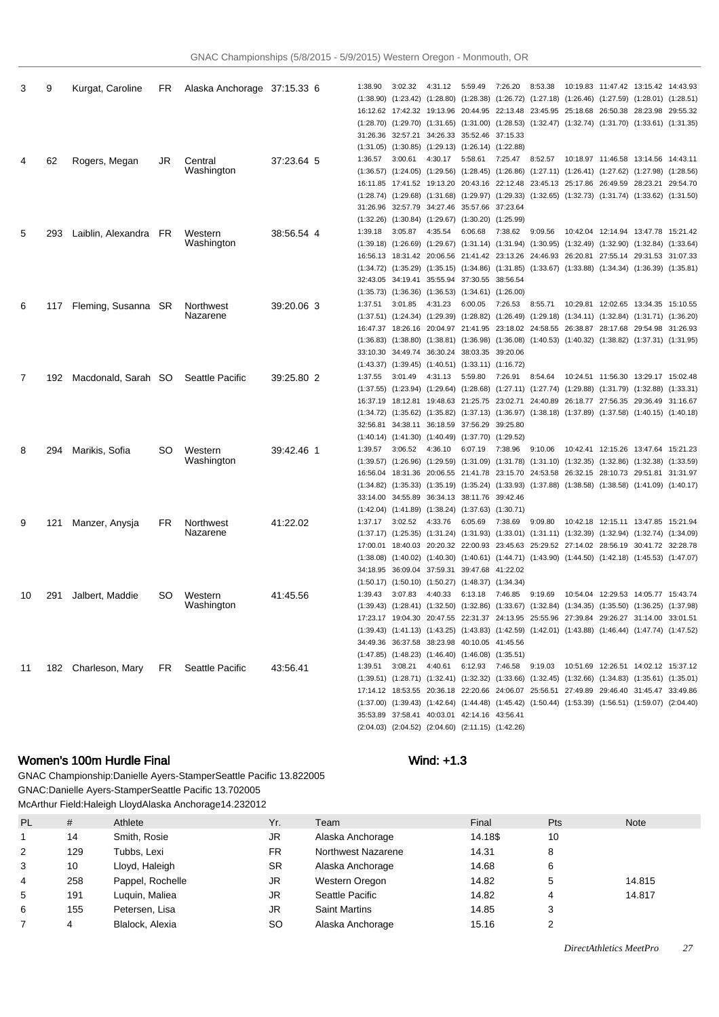| 3  | 9   | Kurgat, Caroline      | FR.  | Alaska Anchorage 37:15.33 6 |            | 1:38.90   | 3:02.32           | 4:31.12 | 5:59.49                                                     | 7:26.20 | 8:53.38                                                                                                                 |          | 10:19.83 11:47.42 13:15.42 14:43.93    |          |          |
|----|-----|-----------------------|------|-----------------------------|------------|-----------|-------------------|---------|-------------------------------------------------------------|---------|-------------------------------------------------------------------------------------------------------------------------|----------|----------------------------------------|----------|----------|
|    |     |                       |      |                             |            |           |                   |         |                                                             |         | $(1:38.90)$ $(1:23.42)$ $(1:28.80)$ $(1:28.38)$ $(1:26.72)$ $(1:27.18)$ $(1:26.46)$ $(1:27.59)$ $(1:28.01)$ $(1:28.51)$ |          |                                        |          |          |
|    |     |                       |      |                             |            |           |                   |         |                                                             |         | 16:12.62 17:42.32 19:13.96 20:44.95 22:13.48 23:45.95 25:18.68 26:50.38 28:23.98 29:55.32                               |          |                                        |          |          |
|    |     |                       |      |                             |            | (1:28.70) | (1:29.70)         |         |                                                             |         | $(1:31.65)$ $(1:31.00)$ $(1:28.53)$ $(1:32.47)$ $(1:32.74)$ $(1:31.70)$ $(1:33.61)$ $(1:31.35)$                         |          |                                        |          |          |
|    |     |                       |      |                             |            |           |                   |         | 31:26.36 32:57.21 34:26.33 35:52.46 37:15.33                |         |                                                                                                                         |          |                                        |          |          |
|    |     |                       |      |                             |            |           |                   |         | $(1:31.05)$ $(1:30.85)$ $(1:29.13)$ $(1:26.14)$ $(1:22.88)$ |         |                                                                                                                         |          |                                        |          |          |
| 4  | 62  | Rogers, Megan         | JR   | Central                     | 37:23.64 5 | 1:36.57   | 3:00.61           | 4:30.17 | 5:58.61                                                     | 7:25.47 | 8:52.57                                                                                                                 |          | 10:18.97 11:46.58 13:14.56 14:43.11    |          |          |
|    |     |                       |      | Washington                  |            |           |                   |         |                                                             |         | $(1:36.57)$ $(1:24.05)$ $(1:29.56)$ $(1:28.45)$ $(1:26.86)$ $(1:27.11)$ $(1:26.41)$ $(1:27.62)$ $(1:27.98)$ $(1:28.56)$ |          |                                        |          |          |
|    |     |                       |      |                             |            |           |                   |         |                                                             |         | 16:11.85 17:41.52 19:13.20 20:43.16 22:12.48 23:45.13 25:17.86 26:49.59 28:23.21 29:54.70                               |          |                                        |          |          |
|    |     |                       |      |                             |            |           |                   |         |                                                             |         | (1:28.74) (1:29.68) (1:31.68) (1:29.97) (1:29.33) (1:32.65) (1:32.73) (1:31.74) (1:33.62) (1:31.50)                     |          |                                        |          |          |
|    |     |                       |      |                             |            |           |                   |         | 31:26.96 32:57.79 34:27.46 35:57.66 37:23.64                |         |                                                                                                                         |          |                                        |          |          |
|    |     |                       |      |                             |            |           |                   |         | $(1:32.26)$ $(1:30.84)$ $(1:29.67)$ $(1:30.20)$ $(1:25.99)$ |         |                                                                                                                         |          |                                        |          |          |
| 5  | 293 | Laiblin, Alexandra FR |      | Western                     | 38:56.54 4 | 1:39.18   | 3:05.87           | 4:35.54 | 6:06.68                                                     | 7:38.62 | 9:09.56                                                                                                                 |          | 10:42.04 12:14.94 13:47.78 15:21.42    |          |          |
|    |     |                       |      | Washington                  |            |           |                   |         |                                                             |         | $(1:39.18)$ $(1:26.69)$ $(1:29.67)$ $(1:31.14)$ $(1:31.94)$ $(1:30.95)$ $(1:32.49)$ $(1:32.90)$ $(1:32.84)$ $(1:33.64)$ |          |                                        |          |          |
|    |     |                       |      |                             |            |           |                   |         |                                                             |         | 16:56.13 18:31.42 20:06.56 21:41.42 23:13.26 24:46.93 26:20.81 27:55.14 29:31.53 31:07.33                               |          |                                        |          |          |
|    |     |                       |      |                             |            |           |                   |         |                                                             |         | $(1:34.72)$ $(1:35.29)$ $(1:35.15)$ $(1:34.86)$ $(1:31.85)$ $(1:33.67)$ $(1:33.88)$ $(1:34.34)$ $(1:36.39)$ $(1:35.81)$ |          |                                        |          |          |
|    |     |                       |      |                             |            |           |                   |         | 32:43.05 34:19.41 35:55.94 37:30.55 38:56.54                |         |                                                                                                                         |          |                                        |          |          |
|    |     |                       |      |                             |            |           |                   |         | $(1:35.73)$ $(1:36.36)$ $(1:36.53)$ $(1:34.61)$ $(1:26.00)$ |         |                                                                                                                         |          |                                        |          |          |
| 6  | 117 | Fleming, Susanna SR   |      | Northwest                   | 39:20.06 3 | 1:37.51   | 3:01.85           | 4:31.23 | 6:00.05                                                     | 7:26.53 | 8:55.71                                                                                                                 |          | 10:29.81  12:02.65  13:34.35  15:10.55 |          |          |
|    |     |                       |      | Nazarene                    |            |           |                   |         |                                                             |         | $(1:37.51)$ $(1:24.34)$ $(1:29.39)$ $(1:28.82)$ $(1:26.49)$ $(1:29.18)$ $(1:34.11)$ $(1:32.84)$ $(1:31.71)$ $(1:36.20)$ |          |                                        |          |          |
|    |     |                       |      |                             |            |           |                   |         |                                                             |         | 16:47.37 18:26.16 20:04.97 21:41.95 23:18.02 24:58.55 26:38.87 28:17.68 29:54.98 31:26.93                               |          |                                        |          |          |
|    |     |                       |      |                             |            | (1:36.83) |                   |         |                                                             |         | $(1:38.80)$ $(1:38.81)$ $(1:36.98)$ $(1:36.08)$ $(1:40.53)$ $(1:40.32)$ $(1:38.82)$ $(1:37.31)$ $(1:31.95)$             |          |                                        |          |          |
|    |     |                       |      |                             |            |           |                   |         | 33:10.30 34:49.74 36:30.24 38:03.35 39:20.06                |         |                                                                                                                         |          |                                        |          |          |
|    |     |                       |      |                             |            |           |                   |         | $(1:43.37)$ $(1:39.45)$ $(1:40.51)$ $(1:33.11)$ $(1:16.72)$ |         |                                                                                                                         |          |                                        |          |          |
| 7  | 192 | Macdonald, Sarah SO   |      | Seattle Pacific             | 39:25.80 2 | 1:37.55   | 3:01.49           | 4:31.13 | 5:59.80                                                     | 7:26.91 | 8:54.64                                                                                                                 |          | 10:24.51  11:56.30  13:29.17  15:02.48 |          |          |
|    |     |                       |      |                             |            |           |                   |         |                                                             |         | $(1:37.55)$ $(1:23.94)$ $(1:29.64)$ $(1:28.68)$ $(1:27.11)$ $(1:27.74)$ $(1:29.88)$ $(1:31.79)$ $(1:32.88)$ $(1:33.31)$ |          |                                        |          |          |
|    |     |                       |      |                             |            |           |                   |         |                                                             |         | 16:37.19 18:12.81 19:48.63 21:25.75 23:02.71 24:40.89 26:18.77 27:56.35 29:36.49 31:16.67                               |          |                                        |          |          |
|    |     |                       |      |                             |            |           |                   |         |                                                             |         | $(1:34.72)$ $(1:35.62)$ $(1:35.82)$ $(1:37.13)$ $(1:36.97)$ $(1:38.18)$ $(1:37.89)$ $(1:37.58)$ $(1:40.15)$ $(1:40.18)$ |          |                                        |          |          |
|    |     |                       |      |                             |            |           |                   |         | 32:56.81 34:38.11 36:18.59 37:56.29 39:25.80                |         |                                                                                                                         |          |                                        |          |          |
|    |     |                       |      |                             |            |           |                   |         | $(1:40.14)$ $(1:41.30)$ $(1:40.49)$ $(1:37.70)$ $(1:29.52)$ |         |                                                                                                                         |          |                                        |          |          |
| 8  | 294 | Marikis, Sofia        | SO   | Western                     | 39:42.46 1 | 1:39.57   | 3:06.52           | 4:36.10 | 6:07.19                                                     | 7:38.96 | 9:10.06                                                                                                                 |          | 10:42.41  12:15.26  13:47.64  15:21.23 |          |          |
|    |     |                       |      | Washington                  |            |           |                   |         |                                                             |         | $(1:39.57)$ $(1:26.96)$ $(1:29.59)$ $(1:31.09)$ $(1:31.78)$ $(1:31.10)$ $(1:32.35)$ $(1:32.86)$ $(1:32.38)$ $(1:33.59)$ |          |                                        |          |          |
|    |     |                       |      |                             |            |           | 16:56.04 18:31.36 |         |                                                             |         | 20:06.55 21:41.78 23:15.70 24:53.58 26:32.15 28:10.73 29:51.81 31:31.97                                                 |          |                                        |          |          |
|    |     |                       |      |                             |            | (1:34.82) | (1:35.33)         |         |                                                             |         | $(1:35.19)$ $(1:35.24)$ $(1:33.93)$ $(1:37.88)$ $(1:38.58)$ $(1:38.58)$ $(1:41.09)$ $(1:40.17)$                         |          |                                        |          |          |
|    |     |                       |      |                             |            |           |                   |         | 33:14.00 34:55.89 36:34.13 38:11.76 39:42.46                |         |                                                                                                                         |          |                                        |          |          |
|    |     |                       |      |                             |            |           |                   |         | $(1:42.04)$ $(1:41.89)$ $(1:38.24)$ $(1:37.63)$ $(1:30.71)$ |         |                                                                                                                         |          |                                        |          |          |
| 9  | 121 | Manzer, Anysja        | FR.  | Northwest                   | 41:22.02   | 1:37.17   | 3:02.52           | 4:33.76 | 6:05.69                                                     | 7:38.69 | 9:09.80                                                                                                                 | 10:42.18 |                                        |          |          |
|    |     |                       |      | Nazarene                    |            |           |                   |         |                                                             |         | $(1:37.17)$ $(1:25.35)$ $(1:31.24)$ $(1:31.93)$ $(1:33.01)$ $(1:31.11)$ $(1:32.39)$ $(1:32.94)$ $(1:32.74)$ $(1:34.09)$ |          |                                        |          |          |
|    |     |                       |      |                             |            |           |                   |         |                                                             |         | 17:00.01 18:40.03 20:20.32 22:00.93 23:45.63 25:29.52 27:14.02 28:56.19 30:41.72 32:28.78                               |          |                                        |          |          |
|    |     |                       |      |                             |            | (1:38.08) |                   |         |                                                             |         | $(1:40.02)$ $(1:40.30)$ $(1:40.61)$ $(1:44.71)$ $(1:43.90)$ $(1:44.50)$ $(1:42.18)$ $(1:45.53)$ $(1:47.07)$             |          |                                        |          |          |
|    |     |                       |      |                             |            |           |                   |         | 34:18.95 36:09.04 37:59.31 39:47.68 41:22.02                |         |                                                                                                                         |          |                                        |          |          |
|    |     |                       |      |                             |            |           |                   |         | (1:50.17) (1:50.10) (1:50.27) (1:48.37) (1:34.34)           |         |                                                                                                                         |          |                                        |          |          |
|    | 291 |                       | SO   |                             | 41:45.56   | 1:39.43   | 3:07.83           | 4:40.33 | 6:13.18                                                     | 7:46.85 | 9:19.69                                                                                                                 | 10:54.04 | 12:29.53                               | 14:05.77 | 15:43.74 |
| 10 |     | Jalbert, Maddie       |      | Western<br>Washington       |            |           |                   |         |                                                             |         | $(1:39.43)$ $(1:28.41)$ $(1:32.50)$ $(1:32.86)$ $(1:33.67)$ $(1:32.84)$ $(1:34.35)$ $(1:35.50)$ $(1:36.25)$ $(1:37.98)$ |          |                                        |          |          |
|    |     |                       |      |                             |            |           |                   |         |                                                             |         | 17:23.17 19:04.30 20:47.55 22:31.37 24:13.95 25:55.96 27:39.84 29:26.27 31:14.00 33:01.51                               |          |                                        |          |          |
|    |     |                       |      |                             |            |           |                   |         |                                                             |         | $(1:39.43)$ $(1:41.13)$ $(1:43.25)$ $(1:43.83)$ $(1:42.59)$ $(1:42.01)$ $(1:43.88)$ $(1:46.44)$ $(1:47.74)$ $(1:47.52)$ |          |                                        |          |          |
|    |     |                       |      |                             |            |           |                   |         | 34:49.36 36:37.58 38:23.98 40:10.05 41:45.56                |         |                                                                                                                         |          |                                        |          |          |
|    |     |                       |      |                             |            |           |                   |         | $(1:47.85)$ $(1:48.23)$ $(1:46.40)$ $(1:46.08)$ $(1:35.51)$ |         |                                                                                                                         |          |                                        |          |          |
|    |     |                       |      |                             |            | 1:39.51   | 3:08.21           |         | 4:40.61 6:12.93 7:46.58                                     |         | 9:19.03                                                                                                                 |          | 10:51.69  12:26.51  14:02.12  15:37.12 |          |          |
| 11 |     | 182 Charleson, Mary   | FR 1 | Seattle Pacific             | 43.56.41   |           |                   |         |                                                             |         | $(1:39.51)$ $(1:28.71)$ $(1:32.41)$ $(1:32.32)$ $(1:33.66)$ $(1:32.45)$ $(1:32.66)$ $(1:34.83)$ $(1:35.61)$ $(1:35.01)$ |          |                                        |          |          |
|    |     |                       |      |                             |            |           |                   |         |                                                             |         | 17:14.12 18:53.55 20:36.18 22:20.66 24:06.07 25:56.51 27:49.89 29:46.40 31:45.47 33:49.86                               |          |                                        |          |          |
|    |     |                       |      |                             |            |           |                   |         |                                                             |         | $(1:37.00)$ $(1:39.43)$ $(1:42.64)$ $(1:44.48)$ $(1:45.42)$ $(1:50.44)$ $(1:53.39)$ $(1:56.51)$ $(1:59.07)$ $(2:04.40)$ |          |                                        |          |          |
|    |     |                       |      |                             |            |           |                   |         | 35:53.89 37:58.41 40:03.01 42:14.16 43:56.41                |         |                                                                                                                         |          |                                        |          |          |
|    |     |                       |      |                             |            |           |                   |         | (2:04.03) (2:04.52) (2:04.60) (2:11.15) (1:42.26)           |         |                                                                                                                         |          |                                        |          |          |
|    |     |                       |      |                             |            |           |                   |         |                                                             |         |                                                                                                                         |          |                                        |          |          |

## Women's 100m Hurdle Final Wind: +1.3

GNAC Championship: Danielle Ayers-Stamper Seattle Pacific 13.82 2005 GNAC: Danielle Ayers-Stamper Seattle Pacific 13.70 2005 McArthur Field: Haleigh Lloyd Alaska Anchorage 14.23 2012

| <b>PL</b> | #   | Athlete          | Yr.       | Team                 | Final   | Pts    | <b>Note</b> |
|-----------|-----|------------------|-----------|----------------------|---------|--------|-------------|
|           | 14  | Smith, Rosie     | JR        | Alaska Anchorage     | 14.18\$ | 10     |             |
| 2         | 129 | Tubbs, Lexi      | FR.       | Northwest Nazarene   | 14.31   | 8      |             |
| 3         | 10  | Lloyd, Haleigh   | SR.       | Alaska Anchorage     | 14.68   | 6      |             |
| 4         | 258 | Pappel, Rochelle | JR        | Western Oregon       | 14.82   | 5      | 14.815      |
| 5         | 191 | Luguin, Maliea   | JR        | Seattle Pacific      | 14.82   | 4      | 14.817      |
| 6         | 155 | Petersen, Lisa   | JR        | <b>Saint Martins</b> | 14.85   | っ<br>J |             |
|           |     | Blalock, Alexia  | <b>SO</b> | Alaska Anchorage     | 15.16   | $\sim$ |             |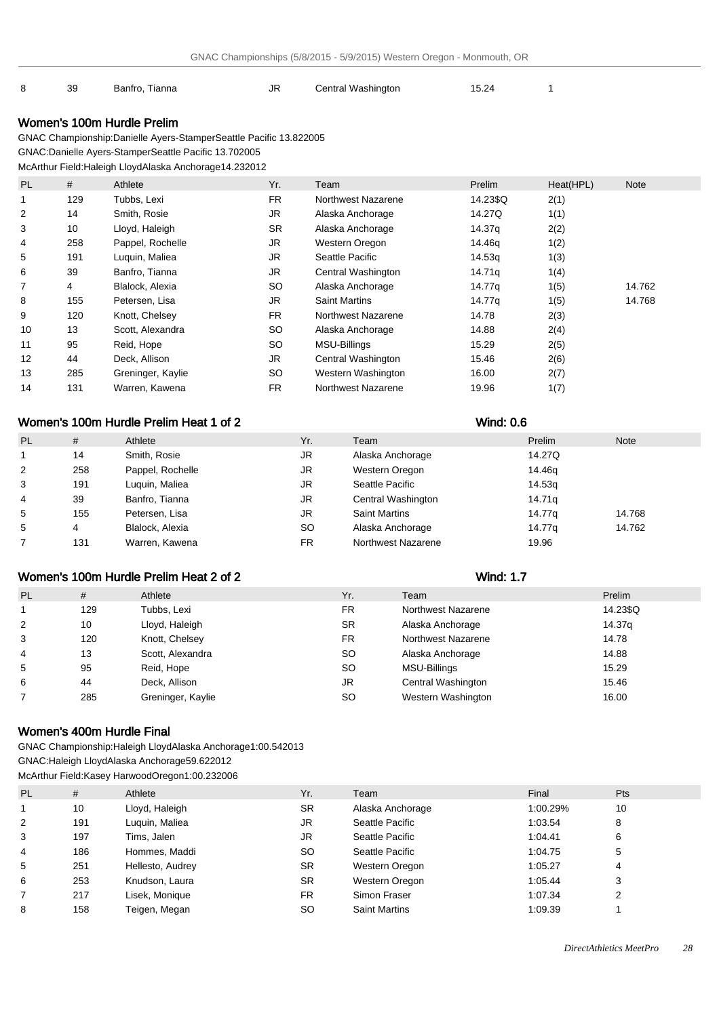#### 8 39 Banfro, Tianna 15 JR Central Washington 15.24 1

## Women's 100m Hurdle Prelim

GNAC Championship: Danielle Ayers-Stamper Seattle Pacific 13.82 2005 GNAC: Danielle Ayers-Stamper Seattle Pacific 13.70 2005

McArthur Field: Haleigh Lloyd Alaska Anchorage 14.23 2012

| <b>PL</b> | #   | Athlete           | Yr.       | Team                 | Prelim   | Heat(HPL) | <b>Note</b> |
|-----------|-----|-------------------|-----------|----------------------|----------|-----------|-------------|
| 1         | 129 | Tubbs, Lexi       | <b>FR</b> | Northwest Nazarene   | 14.23\$Q | 2(1)      |             |
| 2         | 14  | Smith, Rosie      | <b>JR</b> | Alaska Anchorage     | 14.27Q   | 1(1)      |             |
| 3         | 10  | Lloyd, Haleigh    | <b>SR</b> | Alaska Anchorage     | 14.37g   | 2(2)      |             |
| 4         | 258 | Pappel, Rochelle  | JR        | Western Oregon       | 14.46g   | 1(2)      |             |
| 5         | 191 | Luguin, Maliea    | <b>JR</b> | Seattle Pacific      | 14.53g   | 1(3)      |             |
| 6         | 39  | Banfro, Tianna    | JR        | Central Washington   | 14.71g   | 1(4)      |             |
| 7         | 4   | Blalock, Alexia   | <b>SO</b> | Alaska Anchorage     | 14.77g   | 1(5)      | 14.762      |
| 8         | 155 | Petersen, Lisa    | <b>JR</b> | <b>Saint Martins</b> | 14.77g   | 1(5)      | 14.768      |
| 9         | 120 | Knott, Chelsey    | FR.       | Northwest Nazarene   | 14.78    | 2(3)      |             |
| 10        | 13  | Scott, Alexandra  | <b>SO</b> | Alaska Anchorage     | 14.88    | 2(4)      |             |
| 11        | 95  | Reid, Hope        | <b>SO</b> | MSU-Billings         | 15.29    | 2(5)      |             |
| 12        | 44  | Deck, Allison     | JR        | Central Washington   | 15.46    | 2(6)      |             |
| 13        | 285 | Greninger, Kaylie | <b>SO</b> | Western Washington   | 16.00    | 2(7)      |             |
| 14        | 131 | Warren, Kawena    | <b>FR</b> | Northwest Nazarene   | 19.96    | 1(7)      |             |

## Women's 100m Hurdle Prelim Heat 1 of 2 Wind: 0.6

| <b>PL</b> | #   | Athlete          | Yr. | Team                 | Prelim | <b>Note</b> |
|-----------|-----|------------------|-----|----------------------|--------|-------------|
|           | 14  | Smith, Rosie     | JR  | Alaska Anchorage     | 14.27Q |             |
| 2         | 258 | Pappel, Rochelle | JR  | Western Oregon       | 14.46g |             |
| 3         | 191 | Luguin, Maliea   | JR  | Seattle Pacific      | 14.53g |             |
| 4         | 39  | Banfro, Tianna   | JR  | Central Washington   | 14.71g |             |
| 5         | 155 | Petersen, Lisa   | JR. | <b>Saint Martins</b> | 14.77g | 14.768      |
| 5         | 4   | Blalock, Alexia  | SO. | Alaska Anchorage     | 14.77a | 14.762      |
|           | 131 | Warren, Kawena   | FR. | Northwest Nazarene   | 19.96  |             |

# Women's 100m Hurdle Prelim Heat 2 of 2 Wind: 1.7

| <b>PL</b>      | #   | Athlete           | Yr.       | Team               | Prelim   |
|----------------|-----|-------------------|-----------|--------------------|----------|
|                | 129 | Tubbs, Lexi       | <b>FR</b> | Northwest Nazarene | 14.23\$Q |
| $\overline{2}$ | 10  | Lloyd, Haleigh    | <b>SR</b> | Alaska Anchorage   | 14.37g   |
| 3              | 120 | Knott, Chelsey    | <b>FR</b> | Northwest Nazarene | 14.78    |
| 4              | 13  | Scott, Alexandra  | <b>SO</b> | Alaska Anchorage   | 14.88    |
| 5              | 95  | Reid, Hope        | <b>SO</b> | MSU-Billings       | 15.29    |
| 6              | 44  | Deck, Allison     | JR        | Central Washington | 15.46    |
|                | 285 | Greninger, Kaylie | <b>SO</b> | Western Washington | 16.00    |
|                |     |                   |           |                    |          |

## Women's 400m Hurdle Final

GNAC Championship: Haleigh Lloyd Alaska Anchorage 1:00.54 2013 GNAC: Haleigh Lloyd Alaska Anchorage 59.62 2012 McArthur Field: Kasey Harwood Oregon 1:00.23 2006

| <b>PL</b> | #   | Athlete          | Yr.       | Team                 | Final    | <b>Pts</b> |
|-----------|-----|------------------|-----------|----------------------|----------|------------|
|           | 10  | Lloyd, Haleigh   | <b>SR</b> | Alaska Anchorage     | 1:00.29% | 10         |
| 2         | 191 | Luquin, Maliea   | JR.       | Seattle Pacific      | 1:03.54  | 8          |
| 3         | 197 | Tims, Jalen      | JR        | Seattle Pacific      | 1:04.41  | 6          |
| 4         | 186 | Hommes, Maddi    | <b>SO</b> | Seattle Pacific      | 1:04.75  | 5          |
| 5         | 251 | Hellesto, Audrey | <b>SR</b> | Western Oregon       | 1:05.27  | 4          |
| 6         | 253 | Knudson, Laura   | <b>SR</b> | Western Oregon       | 1:05.44  | 3          |
|           | 217 | Lisek, Monique   | FR.       | Simon Fraser         | 1:07.34  | ◠          |
| 8         | 158 | Teigen, Megan    | SO.       | <b>Saint Martins</b> | 1:09.39  |            |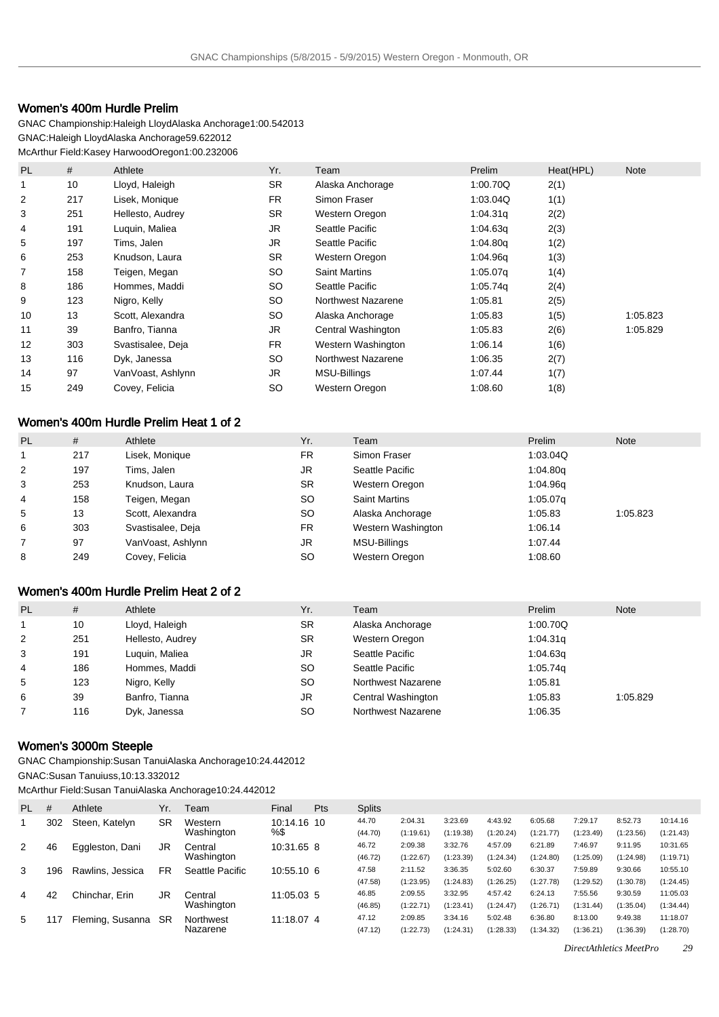## Women's 400m Hurdle Prelim

GNAC Championship: Haleigh Lloyd Alaska Anchorage 1:00.54 2013 GNAC: Haleigh Lloyd Alaska Anchorage 59.62 2012 McArthur Field: Kasey Harwood Oregon 1:00.23 2006

| PL | #   | Athlete           | Yr.       | Team                      | Prelim   | Heat(HPL) | <b>Note</b> |
|----|-----|-------------------|-----------|---------------------------|----------|-----------|-------------|
|    | 10  | Lloyd, Haleigh    | <b>SR</b> | Alaska Anchorage          | 1:00.70Q | 2(1)      |             |
| 2  | 217 | Lisek, Monique    | FR.       | Simon Fraser              | 1:03.04Q | 1(1)      |             |
| 3  | 251 | Hellesto, Audrey  | <b>SR</b> | Western Oregon            | 1:04.31q | 2(2)      |             |
| 4  | 191 | Luguin, Maliea    | JR        | Seattle Pacific           | 1:04.63q | 2(3)      |             |
| 5  | 197 | Tims, Jalen       | <b>JR</b> | Seattle Pacific           | 1:04.80q | 1(2)      |             |
| 6  | 253 | Knudson, Laura    | <b>SR</b> | Western Oregon            | 1:04.96q | 1(3)      |             |
| 7  | 158 | Teigen, Megan     | <b>SO</b> | <b>Saint Martins</b>      | 1:05.07q | 1(4)      |             |
| 8  | 186 | Hommes, Maddi     | <b>SO</b> | Seattle Pacific           | 1:05.74q | 2(4)      |             |
| 9  | 123 | Nigro, Kelly      | <b>SO</b> | <b>Northwest Nazarene</b> | 1:05.81  | 2(5)      |             |
| 10 | 13  | Scott, Alexandra  | SO        | Alaska Anchorage          | 1:05.83  | 1(5)      | 1:05.823    |
| 11 | 39  | Banfro, Tianna    | <b>JR</b> | Central Washington        | 1:05.83  | 2(6)      | 1:05.829    |
| 12 | 303 | Svastisalee, Deja | <b>FR</b> | Western Washington        | 1:06.14  | 1(6)      |             |
| 13 | 116 | Dyk, Janessa      | SO        | <b>Northwest Nazarene</b> | 1:06.35  | 2(7)      |             |
| 14 | 97  | VanVoast, Ashlynn | <b>JR</b> | <b>MSU-Billings</b>       | 1:07.44  | 1(7)      |             |
| 15 | 249 | Covey, Felicia    | <b>SO</b> | Western Oregon            | 1:08.60  | 1(8)      |             |

## Women's 400m Hurdle Prelim Heat 1 of 2

| PL | #   | Athlete           | Yr.       | Team                 | Prelim   | <b>Note</b> |
|----|-----|-------------------|-----------|----------------------|----------|-------------|
|    | 217 | Lisek, Monique    | <b>FR</b> | Simon Fraser         | 1:03.04Q |             |
| 2  | 197 | Tims. Jalen       | JR        | Seattle Pacific      | 1:04.80q |             |
| 3  | 253 | Knudson, Laura    | SR.       | Western Oregon       | 1:04.96q |             |
| 4  | 158 | Teigen, Megan     | SO.       | <b>Saint Martins</b> | 1:05.07q |             |
| 5  | 13  | Scott, Alexandra  | SO.       | Alaska Anchorage     | 1:05.83  | 1:05.823    |
| 6  | 303 | Svastisalee, Deja | <b>FR</b> | Western Washington   | 1:06.14  |             |
|    | 97  | VanVoast, Ashlynn | JR        | MSU-Billings         | 1:07.44  |             |
| 8  | 249 | Covey, Felicia    | SO.       | Western Oregon       | 1:08.60  |             |

## Women's 400m Hurdle Prelim Heat 2 of 2

| PL | #   | Athlete          | Yr.       | Team               | Prelim   | <b>Note</b> |
|----|-----|------------------|-----------|--------------------|----------|-------------|
|    | 10  | Lloyd, Haleigh   | SR.       | Alaska Anchorage   | 1:00.70Q |             |
| 2  | 251 | Hellesto, Audrey | <b>SR</b> | Western Oregon     | 1:04.31q |             |
| 3  | 191 | Luguin, Maliea   | JR.       | Seattle Pacific    | 1:04.63q |             |
| 4  | 186 | Hommes, Maddi    | <b>SO</b> | Seattle Pacific    | 1:05.74q |             |
| 5  | 123 | Nigro, Kelly     | SO.       | Northwest Nazarene | 1:05.81  |             |
| 6  | 39  | Banfro, Tianna   | JR.       | Central Washington | 1:05.83  | 1:05.829    |
|    | 116 | Dyk, Janessa     | SO.       | Northwest Nazarene | 1:06.35  |             |

## Women's 3000m Steeple

GNAC Championship: Susan Tanui Alaska Anchorage 10:24.44 2012 GNAC: Susan Tanui uss, 10:13.33 2012

McArthur Field: Susan Tanui Alaska Anchorage 10:24.44 2012

| PL. | #   | Athlete          | Yr. | Team            | Final       | <b>Pts</b> | <b>Splits</b> |           |           |           |           |           |           |           |
|-----|-----|------------------|-----|-----------------|-------------|------------|---------------|-----------|-----------|-----------|-----------|-----------|-----------|-----------|
|     | 302 | Steen, Katelyn   | SR  | Western         | 10:14.16 10 |            | 44.70         | 2:04.31   | 3:23.69   | 4:43.92   | 6:05.68   | 7:29.17   | 8:52.73   | 10:14.16  |
|     |     |                  |     | Washington      | %\$         |            | (44.70)       | (1:19.61) | (1:19.38) | (1:20.24) | (1:21.77) | (1:23.49) | (1:23.56) | (1:21.43) |
| 2   | 46  | Eggleston, Dani  | JR  | Central         | 10:31.65 8  |            | 46.72         | 2:09.38   | 3:32.76   | 4:57.09   | 6:21.89   | 7:46.97   | 9:11.95   | 10:31.65  |
|     |     |                  |     | Washington      |             |            | (46.72)       | (1:22.67) | (1:23.39) | (1:24.34) | (1:24.80) | (1:25.09) | (1:24.98) | (1:19.71) |
| 3   | 196 | Rawlins, Jessica | FR. | Seattle Pacific | 10:55.10 6  |            | 47.58         | 2:11.52   | 3:36.35   | 5:02.60   | 6:30.37   | 7:59.89   | 9:30.66   | 10:55.10  |
|     |     |                  |     |                 |             |            | (47.58)       | (1:23.95) | (1:24.83) | (1:26.25) | (1:27.78) | (1:29.52) | (1:30.78) | (1:24.45) |
| 4   | 42  | Chinchar, Erin   | JR  | Central         | 11:05.03 5  |            | 46.85         | 2:09.55   | 3:32.95   | 4:57.42   | 6:24.13   | 7:55.56   | 9:30.59   | 11:05.03  |
|     |     |                  |     | Washington      |             |            | (46.85)       | (1:22.71) | (1:23.41) | (1:24.47) | (1:26.71) | (1:31.44) | (1:35.04) | (1:34.44) |
| 5   |     | Fleming, Susanna | SR  | Northwest       | 11:18.07 4  |            | 47.12         | 2:09.85   | 3:34.16   | 5:02.48   | 6:36.80   | 8:13.00   | 9:49.38   | 11:18.07  |
|     |     |                  |     | Nazarene        |             |            | (47.12)       | (1:22.73) | (1:24.31) | (1:28.33) | (1:34.32) | (1:36.21) | (1:36.39) | (1:28.70) |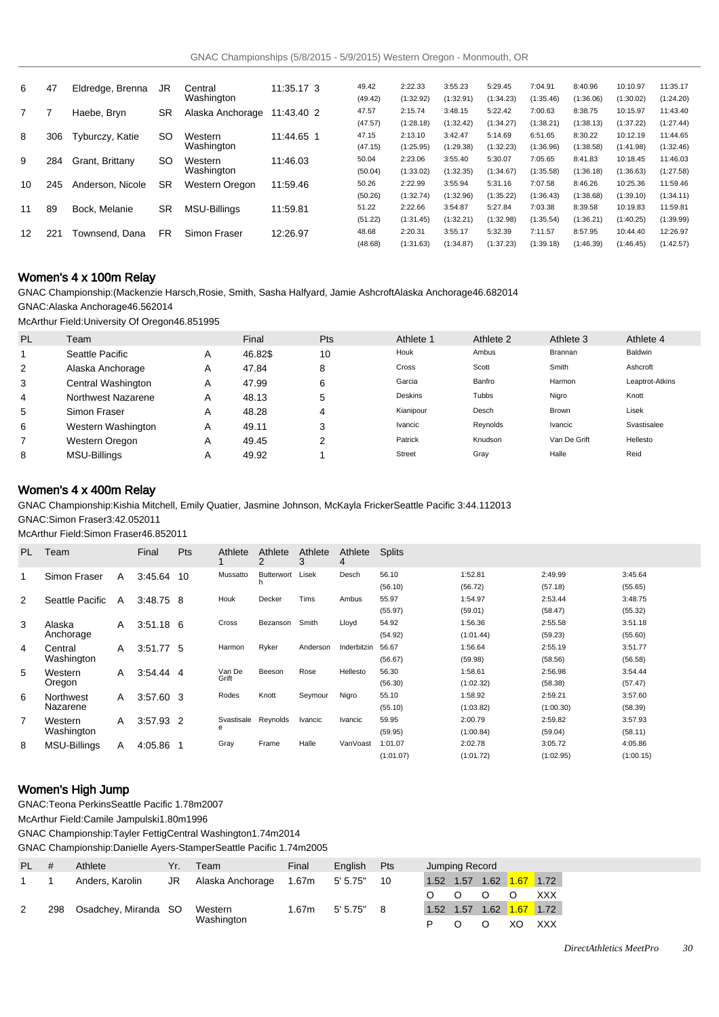| 6  | 47  | Eldredge, Brenna | JR        | Central             | 11:35.17 3 | 49.42   | 2:22.33   | 3:55.23   | 5:29.45   | 7:04.91   | 8:40.96   | 10:10.97  | 11:35.17  |
|----|-----|------------------|-----------|---------------------|------------|---------|-----------|-----------|-----------|-----------|-----------|-----------|-----------|
|    |     |                  |           | Washington          |            | (49.42) | (1:32.92) | (1:32.91) | (1:34.23) | (1:35.46) | (1:36.06) | (1:30.02) | (1:24.20) |
|    |     | Haebe, Bryn      | <b>SR</b> | Alaska Anchorage    | 11:43.40 2 | 47.57   | 2:15.74   | 3:48.15   | 5:22.42   | 7:00.63   | 8:38.75   | 10:15.97  | 11:43.40  |
|    |     |                  |           |                     |            | (47.57) | (1:28.18) | (1:32.42) | (1:34.27) | (1:38.21) | (1:38.13) | (1:37.22) | (1:27.44) |
| 8  | 306 | Tyburczy, Katie  | <b>SO</b> | Western             | 11:44.65 1 | 47.15   | 2:13.10   | 3:42.47   | 5:14.69   | 6:51.65   | 8:30.22   | 10:12.19  | 11:44.65  |
|    |     |                  |           | Washington          |            | (47.15) | (1:25.95) | (1:29.38) | (1:32.23) | (1:36.96) | (1:38.58) | (1:41.98) | (1:32.46) |
| 9  | 284 | Grant, Brittany  | SO.       | Western             | 11:46.03   | 50.04   | 2:23.06   | 3:55.40   | 5:30.07   | 7:05.65   | 8:41.83   | 10:18.45  | 11:46.03  |
|    |     |                  |           | Washington          |            | (50.04) | (1:33.02) | (1:32.35) | (1:34.67) | (1:35.58) | (1:36.18) | (1:36.63) | (1:27.58) |
| 10 | 245 | Anderson, Nicole | <b>SR</b> | Western Oregon      | 11:59.46   | 50.26   | 2:22.99   | 3:55.94   | 5:31.16   | 7:07.58   | 8:46.26   | 10:25.36  | 11:59.46  |
|    |     |                  |           |                     |            | (50.26) | (1:32.74) | (1:32.96) | (1:35.22) | (1:36.43) | (1:38.68) | (1:39.10) | (1:34.11) |
| 11 | 89  | Bock, Melanie    | <b>SR</b> | <b>MSU-Billings</b> | 11:59.81   | 51.22   | 2:22.66   | 3:54.87   | 5:27.84   | 7:03.38   | 8:39.58   | 10:19.83  | 11:59.81  |
|    |     |                  |           |                     |            | (51.22) | (1:31.45) | (1:32.21) | (1:32.98) | (1:35.54) | (1:36.21) | (1:40.25) | (1:39.99) |
| 12 | 221 | Townsend, Dana   | <b>FR</b> | Simon Fraser        | 12:26.97   | 48.68   | 2:20.31   | 3:55.17   | 5:32.39   | 7:11.57   | 8:57.95   | 10:44.40  | 12:26.97  |
|    |     |                  |           |                     |            | (48.68) | (1:31.63) | (1:34.87) | (1:37.23) | (1:39.18) | (1:46.39) | (1:46.45) | (1:42.57) |

### Women's 4 x 100m Relay

GNAC Championship: (Mackenzie Harsch,Rosie, Smith, Sasha Halfyard, Jamie Ashcroft Alaska Anchorage 46.68 2014 GNAC: Alaska Anchorage 46.56 2014

McArthur Field: University Of Oregon 46.85 1995

| <b>PL</b> | Team                |   | Final   | Pts | Athlete 1     | Athlete 2 | Athlete 3    | Athlete 4       |
|-----------|---------------------|---|---------|-----|---------------|-----------|--------------|-----------------|
|           | Seattle Pacific     | Α | 46.82\$ | 10  | Houk          | Ambus     | Brannan      | Baldwin         |
| 2         | Alaska Anchorage    | A | 47.84   | 8   | Cross         | Scott     | Smith        | Ashcroft        |
| 3         | Central Washington  | Α | 47.99   | 6   | Garcia        | Banfro    | Harmon       | Leaptrot-Atkins |
| 4         | Northwest Nazarene  | Α | 48.13   | 5   | Deskins       | Tubbs     | Nigro        | Knott           |
| 5         | Simon Fraser        | Α | 48.28   |     | Kianipour     | Desch     | <b>Brown</b> | Lisek           |
| 6         | Western Washington  | Α | 49.11   | 3   | Ivancic       | Reynolds  | Ivancic      | Svastisalee     |
|           | Western Oregon      | Α | 49.45   | ◠   | Patrick       | Knudson   | Van De Grift | Hellesto        |
| 8         | <b>MSU-Billings</b> | Α | 49.92   |     | <b>Street</b> | Gray      | Halle        | Reid            |

## Women's 4 x 400m Relay

GNAC Championship: Kishia Mitchell, Emily Quatier, Jasmine Johnson, McKayla Fricker Seattle Pacific 3:44.11 2013 GNAC: Simon Fraser 3:42.05 2011

McArthur Field: Simon Fraser 46.85 2011

| PL. | Team                |   | Final       | Pts | Athlete    | Athlete<br>2 | Athlete<br>3 | Athlete<br>4 | <b>Splits</b> |           |           |           |
|-----|---------------------|---|-------------|-----|------------|--------------|--------------|--------------|---------------|-----------|-----------|-----------|
|     | Simon Fraser        | A | 3:45.64     | 10  | Mussatto   | Butterwort   | Lisek        | Desch        | 56.10         | 1:52.81   | 2:49.99   | 3:45.64   |
|     |                     |   |             |     |            |              |              |              | (56.10)       | (56.72)   | (57.18)   | (55.65)   |
| 2   | Seattle Pacific     | A | $3:48.75$ 8 |     | Houk       | Decker       | Tims         | Ambus        | 55.97         | 1:54.97   | 2:53.44   | 3:48.75   |
|     |                     |   |             |     |            |              |              |              | (55.97)       | (59.01)   | (58.47)   | (55.32)   |
| 3   | Alaska              | A | $3:51.18$ 6 |     | Cross      | Bezanson     | Smith        | Lloyd        | 54.92         | 1:56.36   | 2:55.58   | 3:51.18   |
|     | Anchorage           |   |             |     |            |              |              |              | (54.92)       | (1:01.44) | (59.23)   | (55.60)   |
| 4   | Central             | A | 3:51.77 5   |     | Harmon     | Ryker        | Anderson     | Inderbitzin  | 56.67         | 1:56.64   | 2:55.19   | 3:51.77   |
|     | Washington          |   |             |     |            |              |              |              | (56.67)       | (59.98)   | (58.56)   | (56.58)   |
| 5   | Western             | A | $3:54.44$ 4 |     | Van De     | Beeson       | Rose         | Hellesto     | 56.30         | 1:58.61   | 2:56.98   | 3:54.44   |
|     | Oregon              |   |             |     | Grift      |              |              |              | (56.30)       | (1:02.32) | (58.38)   | (57.47)   |
| 6   | Northwest           | A | 3:57.60 3   |     | Rodes      | Knott        | Seymour      | Nigro        | 55.10         | 1:58.92   | 2:59.21   | 3:57.60   |
|     | Nazarene            |   |             |     |            |              |              |              | (55.10)       | (1:03.82) | (1:00.30) | (58.39)   |
| 7   | Western             | A | 3:57.93 2   |     | Svastisale | Reynolds     | Ivancic      | Ivancic      | 59.95         | 2:00.79   | 2:59.82   | 3:57.93   |
|     | Washington          |   |             |     | e          |              |              |              | (59.95)       | (1:00.84) | (59.04)   | (58.11)   |
| 8   | <b>MSU-Billings</b> | A | 4:05.86     |     | Gray       | Frame        | Halle        | VanVoast     | 1:01.07       | 2:02.78   | 3:05.72   | 4:05.86   |
|     |                     |   |             |     |            |              |              |              | (1:01.07)     | (1:01.72) | (1:02.95) | (1:00.15) |

## Women's High Jump

GNAC: Teona Perkins Seattle Pacific 1.78m 2007

McArthur Field: Camile Jampulski 1.80m 1996

GNAC Championship: Tayler Fettig Central Washington 1.74m 2014

GNAC Championship: Danielle Ayers-Stamper Seattle Pacific 1.74m 2005

| PL # |     | Athlete              | Yr. | Team             | Final | English  | <b>Pts</b> |      | Jumping Record |      |      |            |
|------|-----|----------------------|-----|------------------|-------|----------|------------|------|----------------|------|------|------------|
|      |     | Anders, Karolin      | JR  | Alaska Anchorage | 1.67m | 5' 5.75" | 10         | 1.52 | 1.57           | 1.62 | 1.67 | 1.72       |
|      |     |                      |     |                  |       |          |            |      |                |      |      | <b>XXX</b> |
| 2    | 298 | Osadchey, Miranda SO |     | Western          | 1.67m | 5'5.75"  |            | 1.52 | 1.57           | 1.62 | 1.67 | 1.72       |
|      |     |                      |     | Washington       |       |          |            |      |                |      |      | <b>XXX</b> |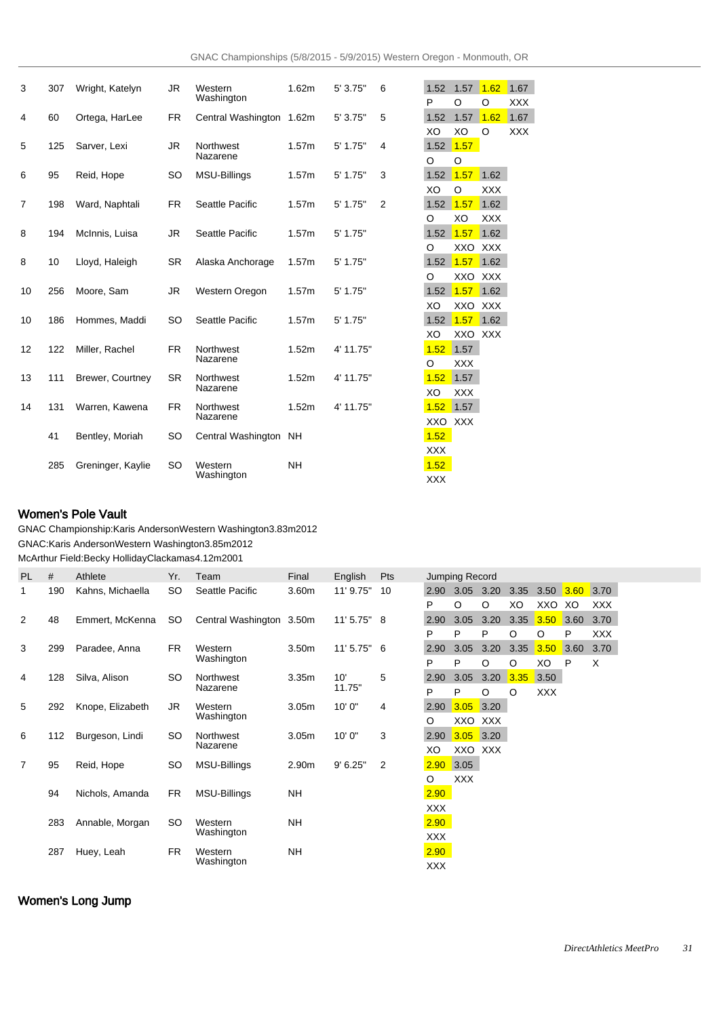| 3              | 307 | Wright, Katelyn   | <b>JR</b> | Western<br>Washington    | 1.62m     | 5' 3.75"   | 6 | 1.52          | 1.57 1.62  |            | 1.67       |
|----------------|-----|-------------------|-----------|--------------------------|-----------|------------|---|---------------|------------|------------|------------|
|                |     |                   |           |                          |           |            |   | P             | O          | $\circ$    | <b>XXX</b> |
| 4              | 60  | Ortega, HarLee    | <b>FR</b> | Central Washington 1.62m |           | 5' 3.75"   | 5 | 1.52          | 1.57       | 1.62       | 1.67       |
|                |     |                   |           |                          |           |            |   | XO            | XO         | O          | <b>XXX</b> |
| 5              | 125 | Sarver, Lexi      | <b>JR</b> | Northwest                | 1.57m     | 5' 1.75"   | 4 | 1.52 1.57     |            |            |            |
|                |     |                   |           | Nazarene                 |           |            |   | $\circ$       | O          |            |            |
| 6              | 95  | Reid, Hope        | SO        | <b>MSU-Billings</b>      | 1.57m     | 5' 1.75"   | 3 | 1.52          | 1.57       | 1.62       |            |
|                |     |                   |           |                          |           |            |   | XO            | O          | <b>XXX</b> |            |
| $\overline{7}$ | 198 | Ward, Naphtali    | FR        | Seattle Pacific          | 1.57m     | $5'$ 1.75" | 2 | 1.52 1.57     |            | 1.62       |            |
|                |     |                   |           |                          |           |            |   | O             | XO         | <b>XXX</b> |            |
| 8              | 194 | McInnis, Luisa    | <b>JR</b> | Seattle Pacific          | 1.57m     | $5'$ 1.75" |   | 1.52          | 1.57       | 1.62       |            |
|                |     |                   |           |                          |           |            |   | O             | XXO        | <b>XXX</b> |            |
| 8              | 10  | Lloyd, Haleigh    | <b>SR</b> | Alaska Anchorage         | 1.57m     | $5'$ 1.75" |   | $1.52$ $1.57$ |            | 1.62       |            |
|                |     |                   |           |                          |           |            |   | O             | XXO XXX    |            |            |
| 10             | 256 | Moore, Sam        | <b>JR</b> | Western Oregon           | 1.57m     | 5' 1.75"   |   | 1.52          | 1.57       | 1.62       |            |
|                |     |                   |           |                          |           |            |   | XO            | XXO XXX    |            |            |
| 10             | 186 | Hommes, Maddi     | SO        | Seattle Pacific          | 1.57m     | $5'$ 1.75" |   | 1.52          | 1.57       | 1.62       |            |
|                |     |                   |           |                          |           |            |   | XO            | XXO XXX    |            |            |
| 12             | 122 | Miller, Rachel    | <b>FR</b> | Northwest                | 1.52m     | 4' 11.75"  |   | 1.52          | 1.57       |            |            |
|                |     |                   |           | Nazarene                 |           |            |   | O             | <b>XXX</b> |            |            |
|                |     |                   |           |                          |           |            |   |               |            |            |            |
| 13             | 111 | Brewer, Courtney  | <b>SR</b> | Northwest<br>Nazarene    | 1.52m     | 4' 11.75"  |   | 1.52          | 1.57       |            |            |
|                |     |                   |           |                          |           |            |   | XO            | <b>XXX</b> |            |            |
| 14             | 131 | Warren, Kawena    | <b>FR</b> | Northwest<br>Nazarene    | 1.52m     | 4' 11.75"  |   | 1.52          | 1.57       |            |            |
|                |     |                   |           |                          |           |            |   | XXO XXX       |            |            |            |
|                | 41  | Bentley, Moriah   | SO        | Central Washington       | <b>NH</b> |            |   | 1.52          |            |            |            |
|                |     |                   |           |                          |           |            |   | <b>XXX</b>    |            |            |            |
|                | 285 | Greninger, Kaylie | SO        | Western                  | <b>NH</b> |            |   | 1.52          |            |            |            |
|                |     |                   |           | Washington               |           |            |   | <b>XXX</b>    |            |            |            |

# Women's Pole Vault

GNAC Championship: Karis Anderson Western Washington 3.83m 2012 GNAC: Karis Anderson Western Washington 3.85m 2012

McArthur Field: Becky Holliday Clackamas 4.12m 2001

| <b>PL</b>      | #                 | Athlete          | Yr.        | Team                     | Final             | English       | Pts        |            | Jumping Record |            |      |             |      |            |
|----------------|-------------------|------------------|------------|--------------------------|-------------------|---------------|------------|------------|----------------|------------|------|-------------|------|------------|
| 1              | 190               | Kahns, Michaella | SO         | Seattle Pacific          | 3.60m             | 11' 9.75"     | 10         |            | 2.90 3.05 3.20 |            | 3.35 | 3.50 $3.60$ |      | 3.70       |
|                |                   |                  |            |                          |                   |               |            | P          | O              | O          | XO   | XXO         | XO   | <b>XXX</b> |
| 2              | 48                | Emmert, McKenna  | SO.        | Central Washington 3.50m |                   | 11' 5.75" 8   |            | 2.90       | 3.05           | 3.20       | 3.35 | 3.50        | 3.60 | 3.70       |
|                |                   |                  |            |                          |                   |               |            | P          | P              | P          | O    | O           | P    | <b>XXX</b> |
| 3              | 299               | Paradee, Anna    | FR         | Western                  | 3.50 <sub>m</sub> | $11'5.75''$ 6 |            | 2.90       | 3.05           | 3.20       | 3.35 | 3.50        | 3.60 | 3.70       |
|                |                   |                  |            | Washington               |                   |               |            | P          | P              | O          | O    | XO          | P    | X          |
| 4              | 128               | Silva, Alison    | SO         | Northwest                | 3.35 <sub>m</sub> | 10'           | 5          | 2.90       | 3.05           | 3.20       | 3.35 | 3.50        |      |            |
|                |                   |                  |            | Nazarene                 |                   | 11.75"        |            | P          | P              | O          | O    | <b>XXX</b>  |      |            |
| 5              | 292               | Knope, Elizabeth | JR         | Western                  | 3.05 <sub>m</sub> | 10'0''        | 4          | 2.90       | 3.05           | 3.20       |      |             |      |            |
|                |                   |                  |            | Washington               |                   |               |            | O          | XXO            | <b>XXX</b> |      |             |      |            |
| 6              | 112               | Burgeson, Lindi  | SO         | Northwest                | 3.05 <sub>m</sub> | 10'0''        | 3          | 2.90       | $3.05$ 3.20    |            |      |             |      |            |
|                |                   |                  |            | Nazarene                 |                   |               |            | XO         | XXO XXX        |            |      |             |      |            |
| $\overline{7}$ | 95                | Reid, Hope       | SO         | <b>MSU-Billings</b>      | 2.90m             | 9' 6.25"      | 2          | 2.90       | 3.05           |            |      |             |      |            |
|                |                   |                  |            |                          |                   |               |            | O          | <b>XXX</b>     |            |      |             |      |            |
|                | 94                | Nichols, Amanda  | FR         | MSU-Billings             | NΗ                |               |            | 2.90       |                |            |      |             |      |            |
|                |                   |                  |            |                          |                   |               |            | XXX        |                |            |      |             |      |            |
|                | 283               | Annable, Morgan  | SO         | Western                  | NΗ                |               |            | 2.90       |                |            |      |             |      |            |
|                |                   |                  |            | Washington               |                   |               |            | <b>XXX</b> |                |            |      |             |      |            |
|                | 287<br>Huey, Leah |                  | FR         | Western                  | <b>NH</b>         |               |            | 2.90       |                |            |      |             |      |            |
|                |                   |                  | Washington |                          |                   |               | <b>XXX</b> |            |                |            |      |             |      |            |

# Women's Long Jump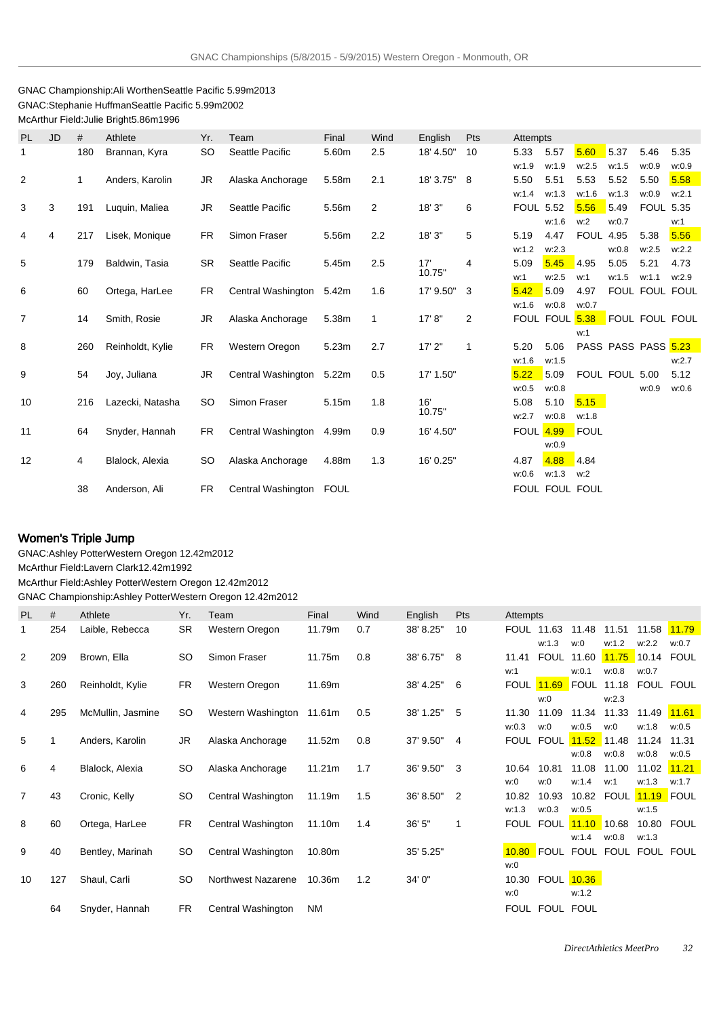## GNAC Championship: Ali Worthen Seattle Pacific 5.99m 2013 GNAC: Stephanie Huffman Seattle Pacific 5.99m 2002 McArthur Field: Julie Bright 5.86m 1996

| PL | <b>JD</b> | #   | Athlete          | Yr.       | Team                    | Final | Wind | English       | Pts | Attempts         |                |             |                     |                         |       |
|----|-----------|-----|------------------|-----------|-------------------------|-------|------|---------------|-----|------------------|----------------|-------------|---------------------|-------------------------|-------|
| 1  |           | 180 | Brannan, Kyra    | <b>SO</b> | Seattle Pacific         | 5.60m | 2.5  | 18' 4.50"     | 10  | 5.33             | 5.57           | 5.60        | 5.37                | 5.46                    | 5.35  |
|    |           |     |                  |           |                         |       |      |               |     | w:1.9            | w:1.9          | w:2.5       | w:1.5               | w:0.9                   | w:0.9 |
| 2  |           | 1   | Anders, Karolin  | <b>JR</b> | Alaska Anchorage        | 5.58m | 2.1  | 18' 3.75"     | 8   | 5.50             | 5.51           | 5.53        | 5.52                | 5.50                    | 5.58  |
|    |           |     |                  |           |                         |       |      |               |     | w:1.4            | w:1.3          | w:1.6       | w:1.3               | w:0.9                   | w:2.1 |
| 3  | 3         | 191 | Luquin, Maliea   | <b>JR</b> | Seattle Pacific         | 5.56m | 2    | 18'3''        | 6   | <b>FOUL 5.52</b> |                | 5.56        | 5.49                | <b>FOUL 5.35</b>        |       |
|    |           |     |                  |           |                         |       |      |               |     |                  | w:1.6          | w:2         | w:0.7               |                         | w:1   |
| 4  | 4         | 217 | Lisek, Monique   | FR        | Simon Fraser            | 5.56m | 2.2  | 18' 3"        | 5   | 5.19             | 4.47           | <b>FOUL</b> | 4.95                | 5.38                    | 5.56  |
|    |           |     |                  |           |                         |       |      |               |     | w:1.2            | w:2.3          |             | w:0.8               | w:2.5                   | w:2.2 |
| 5  |           | 179 | Baldwin, Tasia   | <b>SR</b> | Seattle Pacific         | 5.45m | 2.5  | 17'<br>10.75" | 4   | 5.09             | 5.45<br>w:2.5  | 4.95        | 5.05<br>w:1.5       | 5.21                    | 4.73  |
| 6  |           | 60  | Ortega, HarLee   | FR.       | Central Washington      | 5.42m | 1.6  | 17' 9.50"     | 3   | w:1<br>5.42      | 5.09           | w:1<br>4.97 |                     | w:1.1<br>FOUL FOUL FOUL | w:2.9 |
|    |           |     |                  |           |                         |       |      |               |     | w:1.6            | w:0.8          | w:0.7       |                     |                         |       |
| 7  |           | 14  | Smith, Rosie     | <b>JR</b> | Alaska Anchorage        | 5.38m | 1    | 17' 8''       | 2   |                  | FOUL FOUL 5.38 |             | FOUL FOUL FOUL      |                         |       |
|    |           |     |                  |           |                         |       |      |               |     |                  |                | w:1         |                     |                         |       |
| 8  |           | 260 | Reinholdt, Kylie | <b>FR</b> | Western Oregon          | 5.23m | 2.7  | 17'2"         | 1   | 5.20             | 5.06           |             | PASS PASS PASS 5.23 |                         |       |
|    |           |     |                  |           |                         |       |      |               |     | w:1.6            | w:1.5          |             |                     |                         | w:2.7 |
| 9  |           | 54  | Joy, Juliana     | <b>JR</b> | Central Washington      | 5.22m | 0.5  | 17' 1.50"     |     | 5.22             | 5.09           |             | FOUL FOUL 5.00      |                         | 5.12  |
|    |           |     |                  |           |                         |       |      |               |     | w:0.5            | w:0.8          |             |                     | w:0.9                   | w:0.6 |
| 10 |           | 216 | Lazecki, Natasha | SO.       | Simon Fraser            | 5.15m | 1.8  | 16'           |     | 5.08             | 5.10           | 5.15        |                     |                         |       |
|    |           |     |                  |           |                         |       |      | 10.75"        |     | w:2.7            | w:0.8          | w:1.8       |                     |                         |       |
| 11 |           | 64  | Snyder, Hannah   | <b>FR</b> | Central Washington      | 4.99m | 0.9  | 16' 4.50"     |     | <b>FOUL 4.99</b> |                | FOUL        |                     |                         |       |
|    |           |     |                  |           |                         |       |      |               |     |                  | w:0.9          |             |                     |                         |       |
| 12 |           | 4   | Blalock, Alexia  | <b>SO</b> | Alaska Anchorage        | 4.88m | 1.3  | 16' 0.25"     |     | 4.87             | 4.88           | 4.84        |                     |                         |       |
|    |           |     |                  |           |                         |       |      |               |     | w:0.6            | w:1.3          | w:2         |                     |                         |       |
|    |           | 38  | Anderson, Ali    | <b>FR</b> | Central Washington FOUL |       |      |               |     |                  | FOUL FOUL FOUL |             |                     |                         |       |

# Women's Triple Jump

GNAC: Ashley Potter Western Oregon 12.42m 2012

McArthur Field: Lavern Clark 12.42m 1992

McArthur Field: Ashley Potter Western Oregon 12.42m 2012

GNAC Championship: Ashley Potter Western Oregon 12.42m 2012

| PL             | #   | Athlete           | Yr.       | Team               | Final  | Wind | English     | Pts            | Attempts |                                |               |       |                   |       |
|----------------|-----|-------------------|-----------|--------------------|--------|------|-------------|----------------|----------|--------------------------------|---------------|-------|-------------------|-------|
| 1              | 254 | Laible, Rebecca   | <b>SR</b> | Western Oregon     | 11.79m | 0.7  | 38' 8.25"   | 10             |          | <b>FOUL 11.63</b>              | 11.48         | 11.51 | 11.58 11.79       |       |
|                |     |                   |           |                    |        |      |             |                |          | w:1.3                          | w:0           | w:1.2 | w:2.2             | w:0.7 |
| 2              | 209 | Brown, Ella       | SO.       | Simon Fraser       | 11.75m | 0.8  | 38' 6.75" 8 |                | 11.41    | FOUL                           | 11.60         | 11.75 | 10.14 FOUL        |       |
|                |     |                   |           |                    |        |      |             |                | w:1      |                                | w:0.1         | w:0.8 | w:0.7             |       |
| 3              | 260 | Reinholdt, Kylie  | FR.       | Western Oregon     | 11.69m |      | 38' 4.25"   | 6              |          | FOUL 11.69                     | <b>FOUL</b>   | 11.18 | FOUL FOUL         |       |
|                |     |                   |           |                    |        |      |             |                |          | w:0                            |               | w:2.3 |                   |       |
| 4              | 295 | McMullin, Jasmine | SO        | Western Washington | 11.61m | 0.5  | 38' 1.25"   | - 5            | 11.30    | 11.09                          | 11.34         | 11.33 | 11.49             | 11.61 |
|                |     |                   |           |                    |        |      |             |                | w:0.3    | w:0                            | w:0.5         | w:0   | w:1.8             | w:0.5 |
| 5              | 1   | Anders, Karolin   | JR        | Alaska Anchorage   | 11.52m | 0.8  | 37' 9.50" 4 |                |          | FOUL FOUL                      | $11.52$ 11.48 |       | 11.24             | 11.31 |
|                |     |                   |           |                    |        |      |             |                |          |                                | w:0.8         | w:0.8 | w:0.8             | w:0.5 |
| 6              | 4   | Blalock, Alexia   | SO.       | Alaska Anchorage   | 11.21m | 1.7  | 36' 9.50"   | 3              | 10.64    | 10.81                          | 11.08         | 11.00 | 11.02             | 11.21 |
|                |     |                   |           |                    |        |      |             |                | w:0      | w:0                            | w:1.4         | w:1   | w:1.3             | w:1.7 |
| $\overline{7}$ | 43  | Cronic, Kelly     | <b>SO</b> | Central Washington | 11.19m | 1.5  | 36' 8.50"   | $\overline{2}$ | 10.82    | 10.93                          | 10.82         | FOUL  | <b>11.19 FOUL</b> |       |
|                |     |                   |           |                    |        |      |             |                | w:1.3    | w:0.3                          | w:0.5         |       | w:1.5             |       |
| 8              | 60  | Ortega, HarLee    | FR.       | Central Washington | 11.10m | 1.4  | 36' 5"      | $\mathbf{1}$   | FOUL     | FOUL <b>11.10</b> 10.68        |               |       | 10.80             | FOUL  |
|                |     |                   |           |                    |        |      |             |                |          |                                | w:1.4         | w:0.8 | w:1.3             |       |
| 9              | 40  | Bentley, Marinah  | <b>SO</b> | Central Washington | 10.80m |      | 35' 5.25"   |                |          | 10.80 FOUL FOUL FOUL FOUL FOUL |               |       |                   |       |
|                |     |                   |           |                    |        |      |             |                | w:0      |                                |               |       |                   |       |
| 10             | 127 | Shaul, Carli      | <b>SO</b> | Northwest Nazarene | 10.36m | 1.2  | 34' 0"      |                | 10.30    | FOUL 10.36                     |               |       |                   |       |
|                |     |                   |           |                    |        |      |             |                | w:0      |                                | w:1.2         |       |                   |       |
|                | 64  | Snyder, Hannah    | FR.       | Central Washington | NM     |      |             |                |          | FOUL FOUL FOUL                 |               |       |                   |       |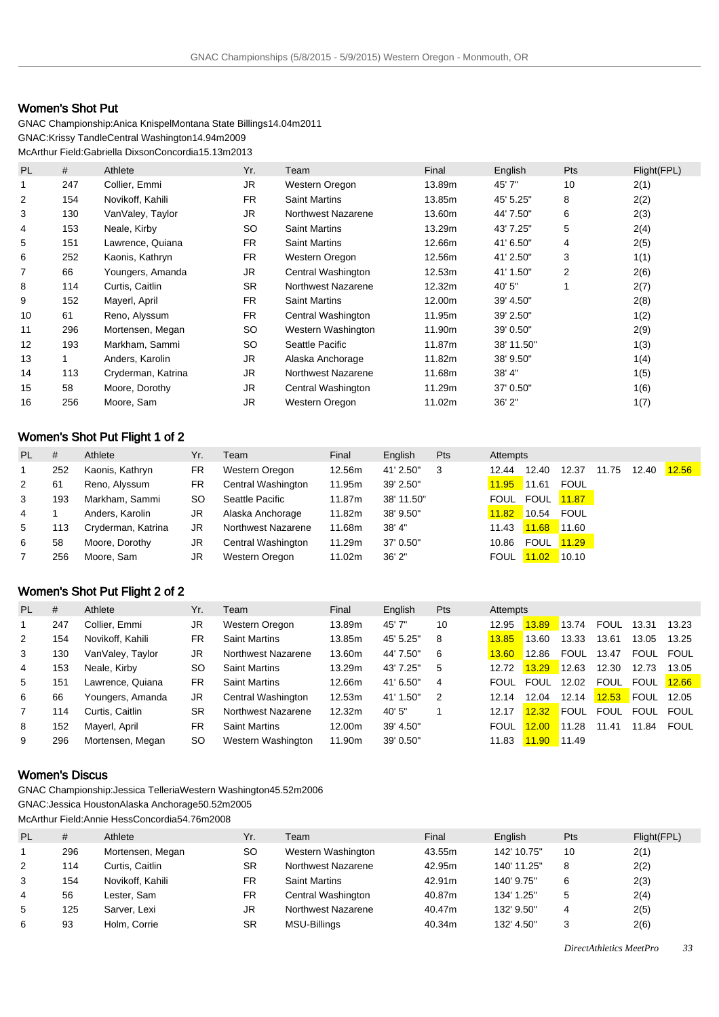# Women's Shot Put

GNAC Championship: Anica Knispel Montana State Billings 14.04m 2011 GNAC: Krissy Tandle Central Washington 14.94m 2009 McArthur Field: Gabriella Dixson Concordia 15.13m 2013

| <b>PL</b>      | #   | Athlete            | Yr.       | Team                 | Final  | English    | Pts | Flight(FPL) |
|----------------|-----|--------------------|-----------|----------------------|--------|------------|-----|-------------|
| 1              | 247 | Collier, Emmi      | <b>JR</b> | Western Oregon       | 13.89m | 45'7"      | 10  | 2(1)        |
| 2              | 154 | Novikoff, Kahili   | <b>FR</b> | <b>Saint Martins</b> | 13.85m | 45' 5.25"  | 8   | 2(2)        |
| 3              | 130 | VanValey, Taylor   | JR.       | Northwest Nazarene   | 13.60m | 44' 7.50"  | 6   | 2(3)        |
| 4              | 153 | Neale, Kirby       | <b>SO</b> | <b>Saint Martins</b> | 13.29m | 43' 7.25"  | 5   | 2(4)        |
| 5              | 151 | Lawrence, Quiana   | <b>FR</b> | <b>Saint Martins</b> | 12.66m | 41' 6.50"  | 4   | 2(5)        |
| 6              | 252 | Kaonis, Kathryn    | <b>FR</b> | Western Oregon       | 12.56m | 41' 2.50"  | 3   | 1(1)        |
| $\overline{7}$ | 66  | Youngers, Amanda   | <b>JR</b> | Central Washington   | 12.53m | 41' 1.50"  | 2   | 2(6)        |
| 8              | 114 | Curtis, Caitlin    | <b>SR</b> | Northwest Nazarene   | 12.32m | 40' 5"     |     | 2(7)        |
| 9              | 152 | Mayerl, April      | <b>FR</b> | <b>Saint Martins</b> | 12.00m | 39' 4.50"  |     | 2(8)        |
| 10             | 61  | Reno, Alyssum      | <b>FR</b> | Central Washington   | 11.95m | 39' 2.50"  |     | 1(2)        |
| 11             | 296 | Mortensen, Megan   | <b>SO</b> | Western Washington   | 11.90m | 39' 0.50"  |     | 2(9)        |
| 12             | 193 | Markham, Sammi     | <b>SO</b> | Seattle Pacific      | 11.87m | 38' 11.50" |     | 1(3)        |
| 13             |     | Anders, Karolin    | <b>JR</b> | Alaska Anchorage     | 11.82m | 38' 9.50"  |     | 1(4)        |
| 14             | 113 | Cryderman, Katrina | JR.       | Northwest Nazarene   | 11.68m | 38' 4"     |     | 1(5)        |
| 15             | 58  | Moore, Dorothy     | JR.       | Central Washington   | 11.29m | 37' 0.50"  |     | 1(6)        |
| 16             | 256 | Moore, Sam         | <b>JR</b> | Western Oregon       | 11.02m | 36'2"      |     | 1(7)        |

# Women's Shot Put Flight 1 of 2

| <b>PL</b> | #   | Athlete            | Yr.       | Team               | Final  | English    | Pts | Attempts    |               |             |       |       |       |
|-----------|-----|--------------------|-----------|--------------------|--------|------------|-----|-------------|---------------|-------------|-------|-------|-------|
|           | 252 | Kaonis, Kathryn    | <b>FR</b> | Western Oregon     | 12.56m | 41' 2.50"  | 3   | 12.44       | 12.40         | 12.37       | 11.75 | 12.40 | 12.56 |
| 2         | 61  | Reno, Alyssum      | FR.       | Central Washington | 11.95m | 39' 2.50"  |     | 11.95       | 11.61         | <b>FOUL</b> |       |       |       |
| 3         | 193 | Markham, Sammi     | SO.       | Seattle Pacific    | 11.87m | 38' 11.50" |     | FOUL        | FOUL          | 11.87       |       |       |       |
| 4         |     | Anders, Karolin    | JR        | Alaska Anchorage   | 11.82m | 38' 9.50"  |     | 11.82       | 10.54         | FOUL        |       |       |       |
| 5         | 113 | Cryderman, Katrina | JR        | Northwest Nazarene | 11.68m | $38'$ 4"   |     | 11.43       | $11.68$ 11.60 |             |       |       |       |
| 6         | 58  | Moore, Dorothy     | JR        | Central Washington | 11.29m | 37' 0.50"  |     | 10.86       | <b>FOUL</b>   | 11.29       |       |       |       |
|           | 256 | Moore, Sam         | JR        | Western Oregon     | 11.02m | 36'2''     |     | <b>FOUL</b> | 11.02         | 10.10       |       |       |       |

# Women's Shot Put Flight 2 of 2

| PL             | #   | Athlete          | Yr.       | Team                 | Final  | Enalish   | Pts | Attempts    |       |             |             |             |             |
|----------------|-----|------------------|-----------|----------------------|--------|-----------|-----|-------------|-------|-------------|-------------|-------------|-------------|
|                | 247 | Collier, Emmi    | JR        | Western Oregon       | 13.89m | 45'7"     | 10  | 12.95       | 13.89 | 13.74       | <b>FOUL</b> | 13.31       | 13.23       |
| 2              | 154 | Novikoff, Kahili | <b>FR</b> | <b>Saint Martins</b> | 13.85m | 45' 5.25" | 8   | 13.85       | 13.60 | 13.33       | 13.61       | 13.05       | 13.25       |
| 3              | 130 | VanValey, Taylor | JR        | Northwest Nazarene   | 13.60m | 44' 7.50" | 6   | 13.60       | 12.86 | <b>FOUL</b> | 13.47       | <b>FOUL</b> | FOUL        |
| $\overline{4}$ | 153 | Neale, Kirby     | SO.       | <b>Saint Martins</b> | 13.29m | 43' 7.25" | 5   | 12.72       | 13.29 | 12.63       | 12.30       | 12.73       | 13.05       |
| 5              | 151 | Lawrence. Quiana | <b>FR</b> | <b>Saint Martins</b> | 12.66m | 41' 6.50" | 4   | <b>FOUL</b> | FOUL  | 12.02       | <b>FOUL</b> | <b>FOUL</b> | 12.66       |
| 6              | 66  | Youngers, Amanda | JR        | Central Washington   | 12.53m | 41' 1.50" | 2   | 12.14       | 12.04 | 12.14       | 12.53       | <b>FOUL</b> | 12.05       |
|                | 114 | Curtis, Caitlin  | <b>SR</b> | Northwest Nazarene   | 12.32m | 40' 5"    |     | 12.17       | 12.32 | <b>FOUL</b> | <b>FOUL</b> | <b>FOUL</b> | <b>FOUL</b> |
| 8              | 152 | Mayerl, April    | FR        | <b>Saint Martins</b> | 12.00m | 39' 4.50" |     | <b>FOUL</b> | 12.00 | 11.28       | 11.41       | 11.84       | FOUL        |
| 9              | 296 | Mortensen, Megan | SO.       | Western Washington   | 11.90m | 39' 0.50" |     | 11.83       | 11.90 | 11.49       |             |             |             |

# Women's Discus

GNAC Championship: Jessica Telleria Western Washington 45.52m 2006 GNAC: Jessica Houston Alaska Anchorage 50.52m 2005 McArthur Field: Annie Hess Concordia 54.76m 2008

| <b>PL</b> | #   | Athlete          | Yr.       | Team                 | Final  | English     | Pts | Flight(FPL) |
|-----------|-----|------------------|-----------|----------------------|--------|-------------|-----|-------------|
|           | 296 | Mortensen, Megan | SO.       | Western Washington   | 43.55m | 142' 10.75" | 10  | 2(1)        |
| 2         | 114 | Curtis. Caitlin  | <b>SR</b> | Northwest Nazarene   | 42.95m | 140' 11.25" | 8   | 2(2)        |
| 3         | 154 | Novikoff, Kahili | <b>FR</b> | <b>Saint Martins</b> | 42.91m | 140' 9.75"  | 6   | 2(3)        |
| 4         | 56  | Lester. Sam      | <b>FR</b> | Central Washington   | 40.87m | 134' 1.25"  | 5   | 2(4)        |
| 5         | 125 | Sarver, Lexi     | JR        | Northwest Nazarene   | 40.47m | 132' 9.50"  | 4   | 2(5)        |
| 6         | 93  | Holm, Corrie     | <b>SR</b> | MSU-Billings         | 40.34m | 132' 4.50"  | 2   | 2(6)        |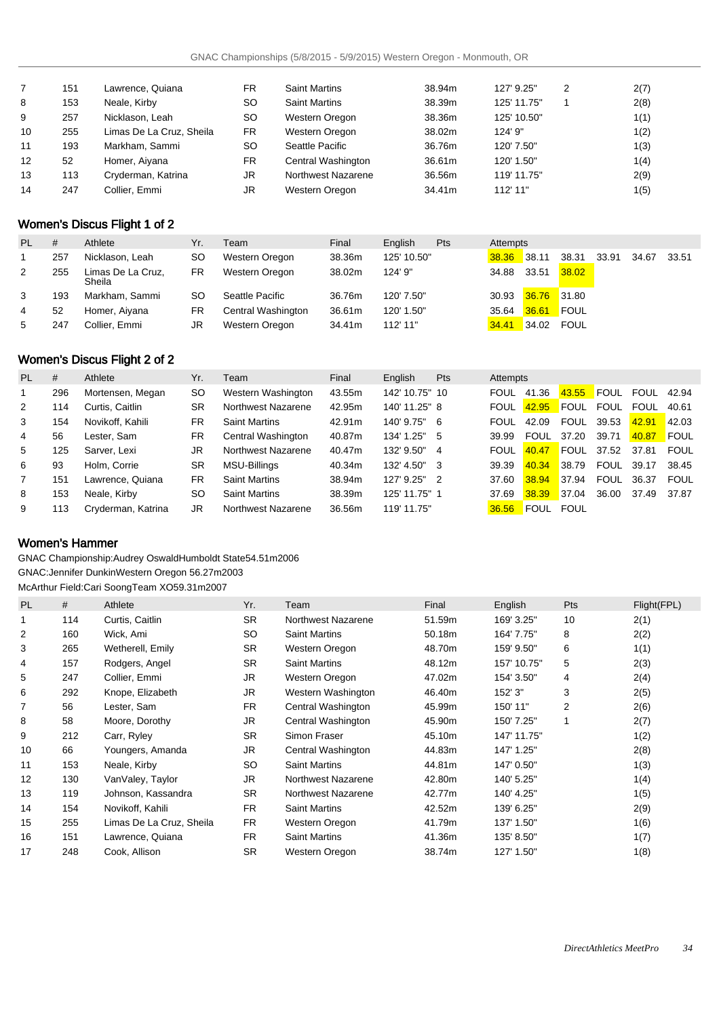|    | 151 | Lawrence, Quiana         | <b>FR</b> | <b>Saint Martins</b> | 38.94m | 127' 9.25"  | 2 | 2(7) |
|----|-----|--------------------------|-----------|----------------------|--------|-------------|---|------|
| 8  | 153 | Neale, Kirby             | <b>SO</b> | <b>Saint Martins</b> | 38.39m | 125' 11.75" |   | 2(8) |
| 9  | 257 | Nicklason, Leah          | <b>SO</b> | Western Oregon       | 38.36m | 125' 10.50" |   | 1(1) |
| 10 | 255 | Limas De La Cruz, Sheila | FR.       | Western Oregon       | 38.02m | 124' 9"     |   | 1(2) |
| 11 | 193 | Markham, Sammi           | <b>SO</b> | Seattle Pacific      | 36.76m | 120' 7.50"  |   | 1(3) |
| 12 | 52  | Homer, Aiyana            | FR.       | Central Washington   | 36.61m | 120' 1.50"  |   | 1(4) |
| 13 | 113 | Cryderman, Katrina       | JR        | Northwest Nazarene   | 36.56m | 119' 11.75" |   | 2(9) |
| 14 | 247 | Collier, Emmi            | JR        | Western Oregon       | 34.41m | 112' 11"    |   | 1(5) |

# Women's Discus Flight 1 of 2

| <b>PL</b> | #   | Athlete                     | Yr.       | Team               | Final  | Enalish     | Pts | Attempts |                   |       |       |             |  |
|-----------|-----|-----------------------------|-----------|--------------------|--------|-------------|-----|----------|-------------------|-------|-------|-------------|--|
|           | 257 | Nicklason, Leah             | SΟ        | Western Oregon     | 38.36m | 125' 10.50" |     | 38.36    | 38.11             | 38.31 | 33.91 | 34.67 33.51 |  |
| 2         | 255 | Limas De La Cruz,<br>Sheila | FR        | Western Oregon     | 38.02m | 124' 9"     |     | 34.88    | 33.51             | 38.02 |       |             |  |
| 3         | 193 | Markham, Sammi              | <b>SO</b> | Seattle Pacific    | 36.76m | 120' 7.50"  |     | 30.93    | $36.76$ 31.80     |       |       |             |  |
| 4         | 52  | Homer, Aiyana               | FR        | Central Washington | 36.61m | 120' 1.50"  |     | 35.64    | <b>36.61 FOUL</b> |       |       |             |  |
| 5         | 247 | Collier, Emmi               | JR        | Western Oregon     | 34.41m | 112' 11"    |     | 34.41    | 34.02             | FOUL  |       |             |  |

# Women's Discus Flight 2 of 2

| PL | #   | Athlete            | Yr.       | Team                 | Final  | English        | <b>Pts</b>     | Attempts    |             |             |             |                   |             |
|----|-----|--------------------|-----------|----------------------|--------|----------------|----------------|-------------|-------------|-------------|-------------|-------------------|-------------|
|    | 296 | Mortensen, Megan   | <b>SO</b> | Western Washington   | 43.55m | 142' 10.75" 10 |                | <b>FOUL</b> | 41.36       | 43.55       | <b>FOUL</b> | <b>FOUL 42.94</b> |             |
| 2  | 114 | Curtis, Caitlin    | <b>SR</b> | Northwest Nazarene   | 42.95m | 140' 11.25" 8  |                | <b>FOUL</b> | 42.95       | <b>FOUL</b> | <b>FOUL</b> | FOUL              | 40.61       |
| 3  | 154 | Novikoff, Kahili   | FR        | <b>Saint Martins</b> | 42.91m | 140' 9.75"     | - 6            | <b>FOUL</b> | 42.09       | FOUL        | 39.53       | 42.91             | 142.03      |
| 4  | 56  | Lester. Sam        | FR        | Central Washington   | 40.87m | 134' 1.25" 5   |                | 39.99       | FOUL        | 37.20       | 39.71       | 40.87             | <b>FOUL</b> |
| 5  | 125 | Sarver, Lexi       | JR        | Northwest Nazarene   | 40.47m | 132' 9.50"     | 4              | <b>FOUL</b> | 40.47       | <b>FOUL</b> | 37.52       | 37.81             | FOUL        |
| 6  | 93  | Holm, Corrie       | <b>SR</b> | MSU-Billings         | 40.34m | 132' 4.50"     | -3             | 39.39       | 40.34       | 38.79       | FOUL        | 39.17             | 38.45       |
|    | 151 | Lawrence. Quiana   | <b>FR</b> | <b>Saint Martins</b> | 38.94m | 127' 9.25"     | $\overline{2}$ | 37.60       | 38.94       | 37.94       | FOUL        | 36.37             | FOUL        |
| 8  | 153 | Neale, Kirby       | SO.       | <b>Saint Martins</b> | 38.39m | 125' 11.75" 1  |                | 37.69       | 38.39       | 37.04       | 36.00       | 37.49             | 37.87       |
| 9  | 113 | Cryderman, Katrina | JR        | Northwest Nazarene   | 36.56m | 119' 11.75"    |                | 36.56       | <b>FOUL</b> | <b>FOUL</b> |             |                   |             |

## Women's Hammer

GNAC Championship: Audrey Oswald Humboldt State 54.51m 2006 GNAC: Jennifer Dunkin Western Oregon 56.27m 2003 McArthur Field: Cari Soong Team XO 59.31m 2007

| <b>PL</b> | #   | Athlete                  | Yr.       | Team                 | Final  | English     | Pts | Flight(FPL) |
|-----------|-----|--------------------------|-----------|----------------------|--------|-------------|-----|-------------|
| 1         | 114 | Curtis, Caitlin          | <b>SR</b> | Northwest Nazarene   | 51.59m | 169' 3.25"  | 10  | 2(1)        |
| 2         | 160 | Wick, Ami                | <b>SO</b> | <b>Saint Martins</b> | 50.18m | 164' 7.75"  | 8   | 2(2)        |
| 3         | 265 | Wetherell, Emily         | <b>SR</b> | Western Oregon       | 48.70m | 159' 9.50"  | 6   | 1(1)        |
| 4         | 157 | Rodgers, Angel           | <b>SR</b> | <b>Saint Martins</b> | 48.12m | 157' 10.75" | 5   | 2(3)        |
| 5         | 247 | Collier, Emmi            | JR.       | Western Oregon       | 47.02m | 154' 3.50"  | 4   | 2(4)        |
| 6         | 292 | Knope, Elizabeth         | JR        | Western Washington   | 46.40m | 152' 3"     | 3   | 2(5)        |
| 7         | 56  | Lester, Sam              | <b>FR</b> | Central Washington   | 45.99m | 150' 11"    | 2   | 2(6)        |
| 8         | 58  | Moore, Dorothy           | <b>JR</b> | Central Washington   | 45.90m | 150' 7.25"  | 1   | 2(7)        |
| 9         | 212 | Carr, Ryley              | <b>SR</b> | Simon Fraser         | 45.10m | 147' 11.75" |     | 1(2)        |
| 10        | 66  | Youngers, Amanda         | JR.       | Central Washington   | 44.83m | 147' 1.25"  |     | 2(8)        |
| 11        | 153 | Neale, Kirby             | <b>SO</b> | <b>Saint Martins</b> | 44.81m | 147' 0.50"  |     | 1(3)        |
| 12        | 130 | VanValey, Taylor         | JR.       | Northwest Nazarene   | 42.80m | 140' 5.25"  |     | 1(4)        |
| 13        | 119 | Johnson, Kassandra       | <b>SR</b> | Northwest Nazarene   | 42.77m | 140' 4.25"  |     | 1(5)        |
| 14        | 154 | Novikoff, Kahili         | <b>FR</b> | <b>Saint Martins</b> | 42.52m | 139' 6.25"  |     | 2(9)        |
| 15        | 255 | Limas De La Cruz, Sheila | FR.       | Western Oregon       | 41.79m | 137' 1.50"  |     | 1(6)        |
| 16        | 151 | Lawrence, Quiana         | <b>FR</b> | <b>Saint Martins</b> | 41.36m | 135' 8.50"  |     | 1(7)        |
| 17        | 248 | Cook, Allison            | <b>SR</b> | Western Oregon       | 38.74m | 127' 1.50"  |     | 1(8)        |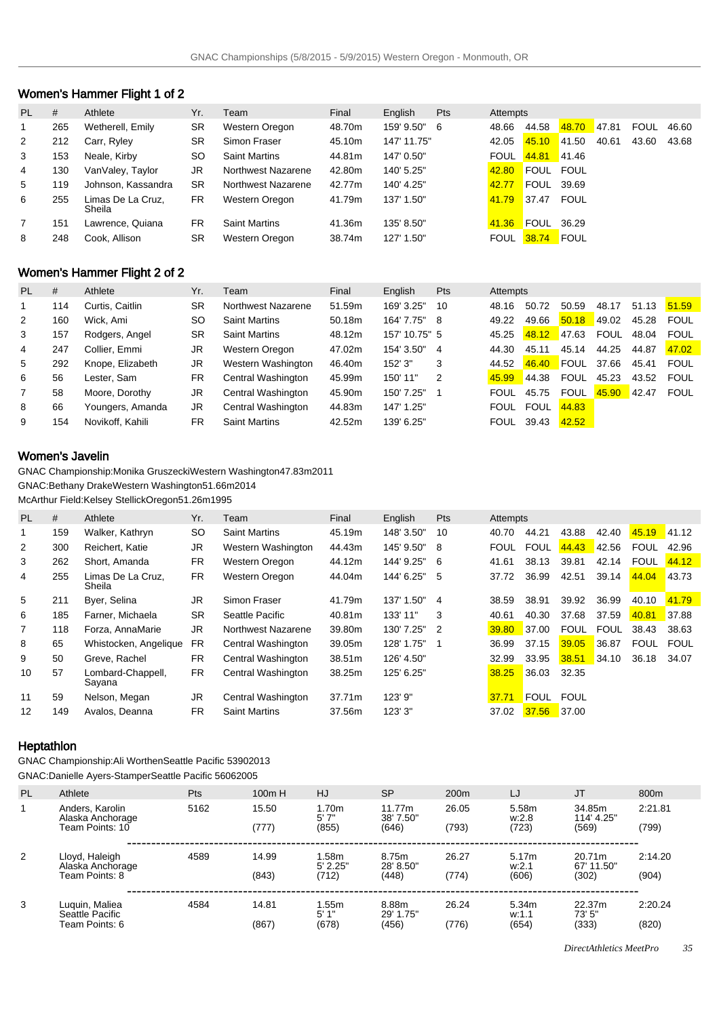# Women's Hammer Flight 1 of 2

| PL. | #   | Athlete                     | Yr.       | Team                 | Final  | English     | Pts | Attempts    |             |             |       |             |       |
|-----|-----|-----------------------------|-----------|----------------------|--------|-------------|-----|-------------|-------------|-------------|-------|-------------|-------|
| 1   | 265 | Wetherell, Emily            | <b>SR</b> | Western Oregon       | 48.70m | 159' 9.50"  | 6   | 48.66       | 44.58       | 48.70       | 47.81 | <b>FOUL</b> | 46.60 |
| 2   | 212 | Carr, Ryley                 | <b>SR</b> | Simon Fraser         | 45.10m | 147' 11.75" |     | 42.05       | 45.10       | 41.50       | 40.61 | 43.60       | 43.68 |
| 3   | 153 | Neale, Kirby                | SO.       | <b>Saint Martins</b> | 44.81m | 147' 0.50"  |     | <b>FOUL</b> | 44.81       | $-41.46$    |       |             |       |
| 4   | 130 | VanValey, Taylor            | JR        | Northwest Nazarene   | 42.80m | 140' 5.25"  |     | 42.80       | FOUL FOUL   |             |       |             |       |
| 5   | 119 | Johnson, Kassandra          | <b>SR</b> | Northwest Nazarene   | 42.77m | 140' 4.25"  |     | 42.77       | <b>FOUL</b> | 39.69       |       |             |       |
| 6   | 255 | Limas De La Cruz.<br>Sheila | <b>FR</b> | Western Oregon       | 41.79m | 137' 1.50"  |     | 41.79       | 37.47       | FOUL        |       |             |       |
|     | 151 | Lawrence, Quiana            | <b>FR</b> | <b>Saint Martins</b> | 41.36m | 135' 8.50"  |     | 41.36       | <b>FOUL</b> | 36.29       |       |             |       |
| 8   | 248 | Cook. Allison               | <b>SR</b> | Western Oregon       | 38.74m | 127' 1.50"  |     | <b>FOUL</b> | 38.74       | <b>FOUL</b> |       |             |       |

# Women's Hammer Flight 2 of 2

| PL.            | #   | Athlete          | Yr.       | Team                 | Final  | English       | <b>Pts</b> | Attempts    |             |             |             |       |             |
|----------------|-----|------------------|-----------|----------------------|--------|---------------|------------|-------------|-------------|-------------|-------------|-------|-------------|
|                | 114 | Curtis, Caitlin  | <b>SR</b> | Northwest Nazarene   | 51.59m | 169' 3.25"    | 10         | 48.16       | 50.72       | 50.59       | 48.17       | 51.13 | 51.59       |
| 2              | 160 | Wick, Ami        | SO.       | <b>Saint Martins</b> | 50.18m | 164' 7.75"    | -8         | 49.22       | 49.66       | 50.18       | 49.02       | 45.28 | <b>FOUL</b> |
| 3              | 157 | Rodgers, Angel   | <b>SR</b> | <b>Saint Martins</b> | 48.12m | 157' 10.75" 5 |            | 45.25       | 48.12       | 47.63       | <b>FOUL</b> | 48.04 | <b>FOUL</b> |
| 4              | 247 | Collier, Emmi    | JR        | Western Oregon       | 47.02m | 154' 3.50"    | 4          | 44.30       | 45.11       | 45.14       | 44.25       | 44.87 | 47.02       |
| 5              | 292 | Knope, Elizabeth | JR        | Western Washington   | 46.40m | 152'3''       | 3          | 44.52       | 46.40       | <b>FOUL</b> | 37.66       | 45.41 | FOUL        |
| 6              | 56  | Lester. Sam      | <b>FR</b> | Central Washington   | 45.99m | 150' 11"      | 2          | 45.99       | 44.38       | <b>FOUL</b> | 45.23       | 43.52 | FOUL        |
| $\overline{7}$ | 58  | Moore, Dorothy   | JR        | Central Washington   | 45.90m | 150' 7.25"    |            | <b>FOUL</b> | 45.75       | <b>FOUL</b> | 45.90       | 42.47 | <b>FOUL</b> |
| 8              | 66  | Youngers, Amanda | JR        | Central Washington   | 44.83m | 147' 1.25"    |            | <b>FOUL</b> | <b>FOUL</b> | 44.83       |             |       |             |
| 9              | 154 | Novikoff, Kahili | FR.       | <b>Saint Martins</b> | 42.52m | 139' 6.25"    |            | <b>FOUL</b> | 39.43       | 42.52       |             |       |             |

## Women's Javelin

GNAC Championship: Monika Gruszecki Western Washington 47.83m 2011 GNAC: Bethany Drake Western Washington 51.66m 2014

McArthur Field: Kelsey Stellick Oregon 51.26m 1995

| <b>PL</b> | #   | Athlete                     | Yr.       | Team                 | Final  | English    | <b>Pts</b> | Attempts    |             |             |             |             |              |
|-----------|-----|-----------------------------|-----------|----------------------|--------|------------|------------|-------------|-------------|-------------|-------------|-------------|--------------|
| 1         | 159 | Walker, Kathryn             | <b>SO</b> | <b>Saint Martins</b> | 45.19m | 148' 3.50" | 10         | 40.70       | 44.21       | 43.88       | 42.40       | 45.19       | <b>41.12</b> |
| 2         | 300 | Reichert, Katie             | JR        | Western Washington   | 44.43m | 145' 9.50" | 8          | <b>FOUL</b> | <b>FOUL</b> | 44.43       | 42.56       | <b>FOUL</b> | 42.96        |
| 3         | 262 | Short, Amanda               | <b>FR</b> | Western Oregon       | 44.12m | 144' 9.25" | - 6        | 41.61       | 38.13       | 39.81       | 42.14       | <b>FOUL</b> | 44.12        |
| 4         | 255 | Limas De La Cruz.<br>Sheila | <b>FR</b> | Western Oregon       | 44.04m | 144' 6.25" | 5          | 37.72       | 36.99       | 42.51       | 39.14       | 44.04       | 43.73        |
| 5         | 211 | Byer, Selina                | JR        | Simon Fraser         | 41.79m | 137' 1.50" | 4          | 38.59       | 38.91       | 39.92       | 36.99       | 40.10       | 41.79        |
| 6         | 185 | Farner, Michaela            | <b>SR</b> | Seattle Pacific      | 40.81m | 133' 11"   | 3          | 40.61       | 40.30       | 37.68       | 37.59       | 40.81       | 37.88        |
| 7         | 118 | Forza, AnnaMarie            | JR        | Northwest Nazarene   | 39.80m | 130' 7.25" | 2          | 39.80       | 37.00       | <b>FOUL</b> | <b>FOUL</b> | 38.43       | 38.63        |
| 8         | 65  | Whistocken, Angelique       | <b>FR</b> | Central Washington   | 39.05m | 128' 1.75" |            | 36.99       | 37.15       | 39.05       | 36.87       | <b>FOUL</b> | <b>FOUL</b>  |
| 9         | 50  | Greve, Rachel               | <b>FR</b> | Central Washington   | 38.51m | 126' 4.50" |            | 32.99       | 33.95       | 38.51       | 34.10       | 36.18       | 34.07        |
| 10        | 57  | Lombard-Chappell,<br>Sayana | <b>FR</b> | Central Washington   | 38.25m | 125' 6.25" |            | 38.25       | 36.03       | 32.35       |             |             |              |
| 11        | 59  | Nelson, Megan               | JR        | Central Washington   | 37.71m | 123' 9"    |            | 37.71       | <b>FOUL</b> | <b>FOUL</b> |             |             |              |
| 12        | 149 | Avalos, Deanna              | <b>FR</b> | <b>Saint Martins</b> | 37.56m | 123'3''    |            | 37.02       | 37.56       | 37.00       |             |             |              |

## **Heptathlon**

GNAC Championship: Ali Worthen Seattle Pacific 5390 2013

GNAC: Danielle Ayers-Stamper Seattle Pacific 5606 2005

| <b>PL</b> | Athlete                                                | Pts  | 100m H         | HJ                           | <b>SP</b>                    | 200 <sub>m</sub> | LJ                      | <b>JT</b>                     | 800m             |
|-----------|--------------------------------------------------------|------|----------------|------------------------------|------------------------------|------------------|-------------------------|-------------------------------|------------------|
|           | Anders, Karolin<br>Alaska Anchorage<br>Team Points: 10 | 5162 | 15.50<br>(777) | 1.70m<br>5'7''<br>(855)      | 11.77m<br>38' 7.50"<br>(646) | 26.05<br>(793)   | 5.58m<br>W.2.8<br>(723) | 34.85m<br>114' 4.25"<br>(569) | 2:21.81<br>(799) |
| 2         | Lloyd, Haleigh<br>Alaska Anchorage<br>Team Points: 8   | 4589 | 14.99<br>(843) | 1.58m<br>$5'$ 2.25"<br>(712) | 8.75m<br>28' 8.50"<br>(448)  | 26.27<br>(774)   | 5.17m<br>w:2.1<br>(606) | 20.71m<br>67' 11.50"<br>(302) | 2:14.20<br>(904) |
| 3         | Luquin, Maliea<br>Seattle Pacific<br>Team Points: 6    | 4584 | 14.81<br>(867) | .55m<br>5'1"<br>(678)        | 8.88m<br>29' 1.75"<br>(456)  | 26.24<br>(776)   | 5.34m<br>w:1.1<br>(654) | 22.37m<br>73' 5"<br>(333)     | 2:20.24<br>(820) |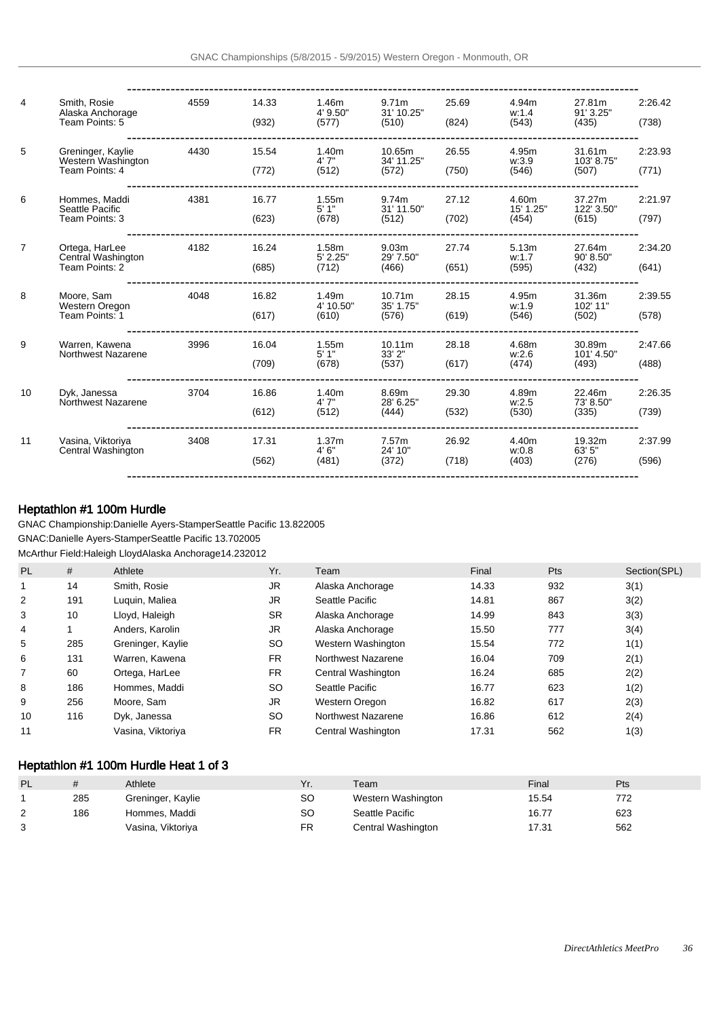| $\overline{4}$ | Smith, Rosie<br>Alaska Anchorage<br>Team Points: 5        | 4559 | 14.33<br>(932) | 1.46m<br>4' 9.50"<br>(577)          | 9.71 <sub>m</sub><br>31' 10.25"<br>(510) | 25.69<br>(824) | 4.94m<br>w:1.4<br>(543)     | 27.81m<br>91' 3.25"<br>(435)  | 2:26.42<br>(738) |
|----------------|-----------------------------------------------------------|------|----------------|-------------------------------------|------------------------------------------|----------------|-----------------------------|-------------------------------|------------------|
| 5              | Greninger, Kaylie<br>Western Washington<br>Team Points: 4 | 4430 | 15.54<br>(772) | 1.40 <sub>m</sub><br>4'7''<br>(512) | 10.65m<br>34' 11.25"<br>(572)            | 26.55<br>(750) | 4.95m<br>w:3.9<br>(546)     | 31.61m<br>103' 8.75"<br>(507) | 2:23.93<br>(771) |
| 6              | Hommes, Maddi<br>Seattle Pacific<br>Team Points: 3        | 4381 | 16.77<br>(623) | 1.55m<br>5'1"<br>(678)              | 9.74m<br>31' 11.50"<br>(512)             | 27.12<br>(702) | 4.60m<br>15' 1.25"<br>(454) | 37.27m<br>122' 3.50"<br>(615) | 2:21.97<br>(797) |
| $\overline{7}$ | Ortega, HarLee<br>Central Washington<br>Team Points: 2    | 4182 | 16.24<br>(685) | 1.58m<br>5' 2.25"<br>(712)          | 9.03 <sub>m</sub><br>29' 7.50"<br>(466)  | 27.74<br>(651) | 5.13m<br>w:1.7<br>(595)     | 27.64m<br>90' 8.50"<br>(432)  | 2:34.20<br>(641) |
| 8              | Moore, Sam<br>Western Oregon<br>Team Points: 1            | 4048 | 16.82<br>(617) | 1.49m<br>4' 10.50"<br>(610)         | 10.71m<br>35' 1.75"<br>(576)             | 28.15<br>(619) | 4.95m<br>w:1.9<br>(546)     | 31.36m<br>102' 11"<br>(502)   | 2:39.55<br>(578) |
| 9              | Warren, Kawena<br><b>Northwest Nazarene</b>               | 3996 | 16.04<br>(709) | 1.55m<br>5'1"<br>(678)              | 10.11m<br>33' 2"<br>(537)                | 28.18<br>(617) | 4.68m<br>W:2.6<br>(474)     | 30.89m<br>101' 4.50"<br>(493) | 2:47.66<br>(488) |
| 10             | Dyk, Janessa<br>Northwest Nazarene                        | 3704 | 16.86<br>(612) | 1.40m<br>4' 7"<br>(512)             | 8.69m<br>28' 6.25"<br>(444)              | 29.30<br>(532) | 4.89m<br>w:2.5<br>(530)     | 22.46m<br>73' 8.50"<br>(335)  | 2:26.35<br>(739) |
| 11             | Vasina, Viktoriya<br>Central Washington                   | 3408 | 17.31<br>(562) | 1.37 <sub>m</sub><br>4'6''<br>(481) | 7.57 <sub>m</sub><br>24' 10"<br>(372)    | 26.92<br>(718) | 4.40m<br>w:0.8<br>(403)     | 19.32m<br>63' 5"<br>(276)     | 2:37.99<br>(596) |
|                |                                                           |      |                |                                     |                                          |                |                             |                               |                  |

# Heptathlon #1 100m Hurdle

GNAC Championship: Danielle Ayers-Stamper Seattle Pacific 13.82 2005 GNAC: Danielle Ayers-Stamper Seattle Pacific 13.70 2005 McArthur Field: Haleigh Lloyd Alaska Anchorage 14.23 2012

| PL             | #   | Athlete           | Yr.       | Team               | Final | <b>Pts</b> | Section(SPL) |
|----------------|-----|-------------------|-----------|--------------------|-------|------------|--------------|
| 1              | 14  | Smith, Rosie      | <b>JR</b> | Alaska Anchorage   | 14.33 | 932        | 3(1)         |
| $\overline{2}$ | 191 | Luguin, Maliea    | JR        | Seattle Pacific    | 14.81 | 867        | 3(2)         |
| 3              | 10  | Lloyd, Haleigh    | <b>SR</b> | Alaska Anchorage   | 14.99 | 843        | 3(3)         |
| 4              |     | Anders, Karolin   | <b>JR</b> | Alaska Anchorage   | 15.50 | 777        | 3(4)         |
| 5              | 285 | Greninger, Kaylie | <b>SO</b> | Western Washington | 15.54 | 772        | 1(1)         |
| 6              | 131 | Warren, Kawena    | <b>FR</b> | Northwest Nazarene | 16.04 | 709        | 2(1)         |
| 7              | 60  | Ortega, HarLee    | <b>FR</b> | Central Washington | 16.24 | 685        | 2(2)         |
| 8              | 186 | Hommes, Maddi     | <b>SO</b> | Seattle Pacific    | 16.77 | 623        | 1(2)         |
| 9              | 256 | Moore, Sam        | JR        | Western Oregon     | 16.82 | 617        | 2(3)         |
| 10             | 116 | Dyk, Janessa      | <b>SO</b> | Northwest Nazarene | 16.86 | 612        | 2(4)         |
| 11             |     | Vasina, Viktoriya | <b>FR</b> | Central Washington | 17.31 | 562        | 1(3)         |

# Heptathlon #1 100m Hurdle Heat 1 of 3

| <b>PL</b> |     | Athlete           | Yr.       | Team               | Final | Pts |
|-----------|-----|-------------------|-----------|--------------------|-------|-----|
|           | 285 | Greninger, Kaylie | SO        | Western Washington | 15.54 | 772 |
| ົ         | 186 | Hommes, Maddi     | <b>SO</b> | Seattle Pacific    | 16.77 | 623 |
| 3         |     | Vasina, Viktoriya | FR        | Central Washington | 17.31 | 562 |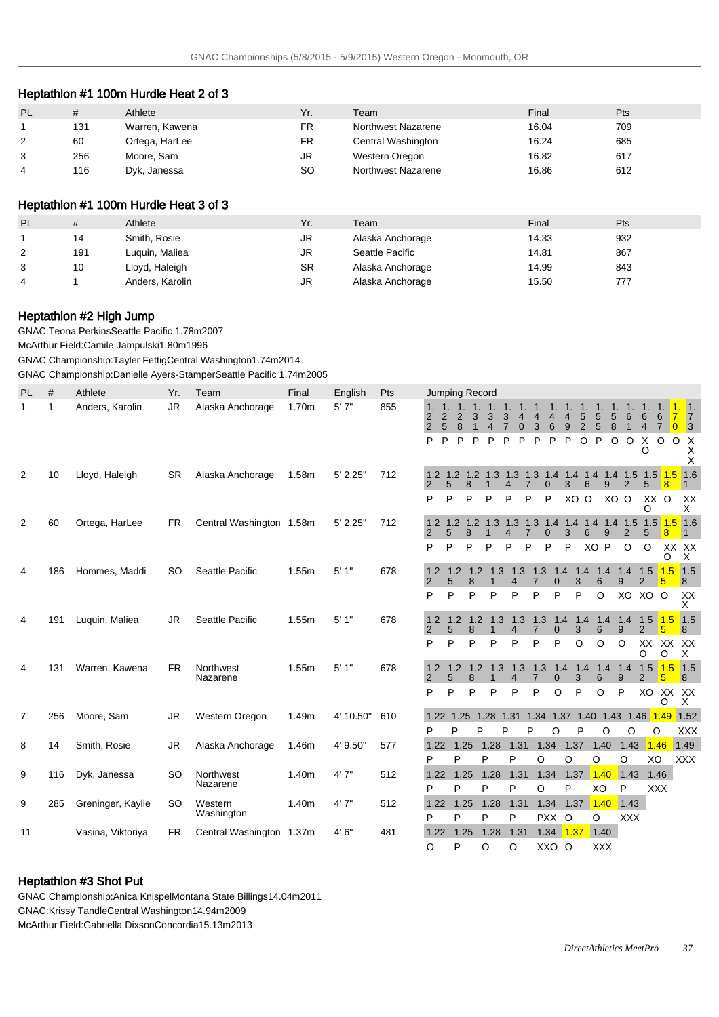## Heptathlon #1 100m Hurdle Heat 2 of 3

| PL<br>#  | Athlete        | Yr. | Team               | Final | Pts |  |
|----------|----------------|-----|--------------------|-------|-----|--|
| 131      | Warren, Kawena | FR  | Northwest Nazarene | 16.04 | 709 |  |
| 60       | Ortega, HarLee | FR  | Central Washington | 16.24 | 685 |  |
| 256<br>3 | Moore, Sam     | JR  | Western Oregon     | 16.82 | 617 |  |
| 116<br>4 | Dyk, Janessa   | SO  | Northwest Nazarene | 16.86 | 612 |  |

# Heptathlon #1 100m Hurdle Heat 3 of 3

| <b>PL</b> | #   | Athlete         | Yr. | Team             | Final | Pts |
|-----------|-----|-----------------|-----|------------------|-------|-----|
|           | 14  | Smith, Rosie    | JR  | Alaska Anchorage | 14.33 | 932 |
|           | 191 | Luguin, Maliea  | JR  | Seattle Pacific  | 14.81 | 867 |
|           | 10  | Lloyd, Haleigh  | SR  | Alaska Anchorage | 14.99 | 843 |
| 4         |     | Anders, Karolin | JR  | Alaska Anchorage | 15.50 | 777 |

## Heptathlon #2 High Jump

GNAC: Teona Perkins Seattle Pacific 1.78m 2007

McArthur Field: Camile Jampulski 1.80m 1996

GNAC Championship: Tayler Fettig Central Washington 1.74m 2014 GNAC Championship: Danielle Ayers-Stamper Seattle Pacific 1.74m 2005

| 5'7''<br>Anders, Karolin<br><b>JR</b><br>1.70m<br>855<br>$\mathbf 1$<br>1<br>Alaska Anchorage<br>$\overline{\phantom{1}}$ 1.<br>1. 1. 1.<br>1, 1.<br>$1.1$ .<br>1.<br>1.<br>1.<br>1.<br>1.<br>4.<br>1.<br>1.<br>5<br>5<br>6<br>$\overline{2}$<br>$\overline{2}$<br>3<br>5<br>6<br>$\overline{\phantom{a}}$<br>2<br>3<br>4<br>4<br>4<br>6<br>3<br>4<br>$\overline{2}$<br>5<br>2<br>5<br>8<br>$\overline{4}$<br>8<br>3<br>6<br>9<br>$\mathbf{1}$<br>$\overline{7}$<br>$\overline{0}$<br>$\overline{\mathbf{3}}$<br>4<br>$\Omega$<br>$\circ$<br>P<br>P<br>P<br>P<br>O<br>$\circ$<br>X<br>$\circ$<br>P<br>P<br>P<br>P<br>P<br>P<br>O<br>X<br>X<br>O<br>X<br>$1.5$ $1.5$ $1.6$<br>10<br><b>SR</b><br>1.58m<br>5' 2.25"<br>712<br>1.2<br>1.2<br>1.2<br>$1.3$ 1.3<br>1.3 1.4 1.4 1.4 1.4 1.5<br>2<br>Lloyd, Haleigh<br>Alaska Anchorage<br>5<br>8<br>9<br>$\overline{2}$<br>$\mathbf{0}$<br>3<br>6<br>5<br>$\overline{8}$<br>$\mathcal{P}$<br>4<br>7<br>$\mathbf 1$<br>XO O<br>XX O<br>P<br>P<br>XO O<br>P<br>P<br>P<br>P<br>P<br>XX<br>O<br>X<br>712<br>2<br>60<br>Ortega, HarLee<br><b>FR</b><br>Central Washington 1.58m<br>5' 2.25"<br>$1.2$ $1.3$ $1.3$<br>1.3<br>1.5<br>1.5<br>$1.5$ 1.6<br>1.2<br>1.2<br>1.4<br>1.4<br>1.4<br>1.4<br>9<br>$\overline{2}$<br>5<br>8<br>7<br>6<br>$\Omega$<br>3<br>8<br>XO P<br>P<br>P<br>P<br>O<br>$\circ$<br>XX XX<br>P<br>P<br>P<br>P<br>P<br>$\times$<br>O<br>1.5<br>Seattle Pacific<br>1.55m<br>5'1"<br>678<br>1.3<br>1.3<br>1.5<br>1.5<br>186<br>Hommes, Maddi<br><b>SO</b><br>1.2<br>1.2<br>1.2<br>1.3<br>1.4<br>1.4<br>1.4<br>1.4<br>4<br>5<br>3<br>8<br>$\overline{7}$<br>$\Omega$<br>6<br>9<br>$\overline{2}$<br>5<br>2<br>4<br>8<br>P<br>P<br>P<br>P<br>P<br>P<br>P<br>P<br>O<br>XO<br>XO O<br>XX<br>x<br>5'1"<br>678<br>1.3<br>Luquin, Maliea<br>JR.<br>Seattle Pacific<br>1.55m<br>1.2<br>1.2<br>1.3<br>1.4<br>1.5<br>1.5<br>1.5<br>191<br>1.2<br>1.3<br>1.4<br>1.4<br>1.4<br>4<br>5<br>8<br>$\overline{7}$<br>3<br>6<br>9<br>$\overline{2}$<br>$\overline{2}$<br>4<br>$\Omega$<br>5<br>1<br>8<br>P<br>P<br>P<br>P<br>P<br>P<br>O<br>O<br>$\circ$<br>XX XX<br>P<br>XX<br>O<br>O<br>X<br>678<br>1.5<br>1.5<br>Warren, Kawena<br>Northwest<br>5'1"<br>1.3<br>131<br><b>FR</b><br>1.55m<br>1.2<br>1.3<br>1.3<br>1.4<br>$1.4$ 1.4<br>1.5<br>4<br>1.2<br>1.2<br>1.4<br>6<br>Nazarene<br>$\Omega$<br>3<br>9<br>2<br>2<br>5<br>4<br>5<br>8<br>P<br>P<br>$\circ$<br>XO XX<br>P<br>P<br>P<br>P<br>P<br>O<br>P<br>XX.<br>O<br>X<br>1.28 1.31 1.34 1.37 1.40 1.43 1.46 1.49<br>4' 10.50"<br>1.52<br>Moore, Sam<br><b>JR</b><br>Western Oregon<br>1.49m<br>610<br>$\overline{7}$<br>256<br>1.22 1.25<br>P<br>P<br>O<br>P<br>P<br>P<br>O<br>O<br>O<br><b>XXX</b><br>P<br>1.46<br>1.25<br>1.28<br>1.31<br>1.34<br>1.40<br>4' 9.50"<br>577<br>1.22<br>1.37<br>1.43<br>1.49<br>8<br>14<br>Smith, Rosie<br>JR<br>Alaska Anchorage<br>1.46m<br>P<br>P<br>P<br>O<br>$\circ$<br>P<br>O<br>O<br>XO<br><b>XXX</b><br>1.31<br>1.34  1.37 <mark>1.40</mark><br>9<br>Northwest<br>1.40m<br>4'7''<br>512<br>1.25<br>1.28<br>1.43<br>1.46<br>116<br>Dyk, Janessa<br><b>SO</b><br>1.22<br>Nazarene<br>P<br>P<br>P<br>O<br>P<br>P<br>P<br>XO<br><b>XXX</b><br>1.40<br>9<br>Greninger, Kaylie<br>512<br>1.25<br>1.28<br>1.31<br>1.34<br>1.37<br>1.43<br>285<br>SO.<br>Western<br>1.40m<br>4' 7"<br>1.22<br>Washington<br>P<br>P<br>P<br>PXX O<br>O<br><b>XXX</b><br>P<br>1.37<br>1.22<br>1.25<br>1.28<br>1.31<br>1.34<br>1.40<br>4'6''<br>481<br>11<br>Vasina, Viktoriya<br><b>FR</b><br>Central Washington 1.37m | PL | # | Athlete | Yr. | Team | Final | English | Pts |          | <b>Jumping Record</b> |  |   |  |  |  |  |  |
|--------------------------------------------------------------------------------------------------------------------------------------------------------------------------------------------------------------------------------------------------------------------------------------------------------------------------------------------------------------------------------------------------------------------------------------------------------------------------------------------------------------------------------------------------------------------------------------------------------------------------------------------------------------------------------------------------------------------------------------------------------------------------------------------------------------------------------------------------------------------------------------------------------------------------------------------------------------------------------------------------------------------------------------------------------------------------------------------------------------------------------------------------------------------------------------------------------------------------------------------------------------------------------------------------------------------------------------------------------------------------------------------------------------------------------------------------------------------------------------------------------------------------------------------------------------------------------------------------------------------------------------------------------------------------------------------------------------------------------------------------------------------------------------------------------------------------------------------------------------------------------------------------------------------------------------------------------------------------------------------------------------------------------------------------------------------------------------------------------------------------------------------------------------------------------------------------------------------------------------------------------------------------------------------------------------------------------------------------------------------------------------------------------------------------------------------------------------------------------------------------------------------------------------------------------------------------------------------------------------------------------------------------------------------------------------------------------------------------------------------------------------------------------------------------------------------------------------------------------------------------------------------------------------------------------------------------------------------------------------------------------------------------------------------------------------------------------------------------------------------------------------------------------------------------------------------------------------------------------------------------------------------------------------------------------------------------------------------------------------------------------------------------------------------------------------------------------------------------------------------------------------------------------|----|---|---------|-----|------|-------|---------|-----|----------|-----------------------|--|---|--|--|--|--|--|
|                                                                                                                                                                                                                                                                                                                                                                                                                                                                                                                                                                                                                                                                                                                                                                                                                                                                                                                                                                                                                                                                                                                                                                                                                                                                                                                                                                                                                                                                                                                                                                                                                                                                                                                                                                                                                                                                                                                                                                                                                                                                                                                                                                                                                                                                                                                                                                                                                                                                                                                                                                                                                                                                                                                                                                                                                                                                                                                                                                                                                                                                                                                                                                                                                                                                                                                                                                                                                                                                                                                                |    |   |         |     |      |       |         |     |          |                       |  |   |  |  |  |  |  |
|                                                                                                                                                                                                                                                                                                                                                                                                                                                                                                                                                                                                                                                                                                                                                                                                                                                                                                                                                                                                                                                                                                                                                                                                                                                                                                                                                                                                                                                                                                                                                                                                                                                                                                                                                                                                                                                                                                                                                                                                                                                                                                                                                                                                                                                                                                                                                                                                                                                                                                                                                                                                                                                                                                                                                                                                                                                                                                                                                                                                                                                                                                                                                                                                                                                                                                                                                                                                                                                                                                                                |    |   |         |     |      |       |         |     |          |                       |  |   |  |  |  |  |  |
|                                                                                                                                                                                                                                                                                                                                                                                                                                                                                                                                                                                                                                                                                                                                                                                                                                                                                                                                                                                                                                                                                                                                                                                                                                                                                                                                                                                                                                                                                                                                                                                                                                                                                                                                                                                                                                                                                                                                                                                                                                                                                                                                                                                                                                                                                                                                                                                                                                                                                                                                                                                                                                                                                                                                                                                                                                                                                                                                                                                                                                                                                                                                                                                                                                                                                                                                                                                                                                                                                                                                |    |   |         |     |      |       |         |     |          |                       |  |   |  |  |  |  |  |
|                                                                                                                                                                                                                                                                                                                                                                                                                                                                                                                                                                                                                                                                                                                                                                                                                                                                                                                                                                                                                                                                                                                                                                                                                                                                                                                                                                                                                                                                                                                                                                                                                                                                                                                                                                                                                                                                                                                                                                                                                                                                                                                                                                                                                                                                                                                                                                                                                                                                                                                                                                                                                                                                                                                                                                                                                                                                                                                                                                                                                                                                                                                                                                                                                                                                                                                                                                                                                                                                                                                                |    |   |         |     |      |       |         |     |          |                       |  |   |  |  |  |  |  |
|                                                                                                                                                                                                                                                                                                                                                                                                                                                                                                                                                                                                                                                                                                                                                                                                                                                                                                                                                                                                                                                                                                                                                                                                                                                                                                                                                                                                                                                                                                                                                                                                                                                                                                                                                                                                                                                                                                                                                                                                                                                                                                                                                                                                                                                                                                                                                                                                                                                                                                                                                                                                                                                                                                                                                                                                                                                                                                                                                                                                                                                                                                                                                                                                                                                                                                                                                                                                                                                                                                                                |    |   |         |     |      |       |         |     |          |                       |  |   |  |  |  |  |  |
|                                                                                                                                                                                                                                                                                                                                                                                                                                                                                                                                                                                                                                                                                                                                                                                                                                                                                                                                                                                                                                                                                                                                                                                                                                                                                                                                                                                                                                                                                                                                                                                                                                                                                                                                                                                                                                                                                                                                                                                                                                                                                                                                                                                                                                                                                                                                                                                                                                                                                                                                                                                                                                                                                                                                                                                                                                                                                                                                                                                                                                                                                                                                                                                                                                                                                                                                                                                                                                                                                                                                |    |   |         |     |      |       |         |     |          |                       |  |   |  |  |  |  |  |
|                                                                                                                                                                                                                                                                                                                                                                                                                                                                                                                                                                                                                                                                                                                                                                                                                                                                                                                                                                                                                                                                                                                                                                                                                                                                                                                                                                                                                                                                                                                                                                                                                                                                                                                                                                                                                                                                                                                                                                                                                                                                                                                                                                                                                                                                                                                                                                                                                                                                                                                                                                                                                                                                                                                                                                                                                                                                                                                                                                                                                                                                                                                                                                                                                                                                                                                                                                                                                                                                                                                                |    |   |         |     |      |       |         |     |          |                       |  |   |  |  |  |  |  |
|                                                                                                                                                                                                                                                                                                                                                                                                                                                                                                                                                                                                                                                                                                                                                                                                                                                                                                                                                                                                                                                                                                                                                                                                                                                                                                                                                                                                                                                                                                                                                                                                                                                                                                                                                                                                                                                                                                                                                                                                                                                                                                                                                                                                                                                                                                                                                                                                                                                                                                                                                                                                                                                                                                                                                                                                                                                                                                                                                                                                                                                                                                                                                                                                                                                                                                                                                                                                                                                                                                                                |    |   |         |     |      |       |         |     |          |                       |  |   |  |  |  |  |  |
|                                                                                                                                                                                                                                                                                                                                                                                                                                                                                                                                                                                                                                                                                                                                                                                                                                                                                                                                                                                                                                                                                                                                                                                                                                                                                                                                                                                                                                                                                                                                                                                                                                                                                                                                                                                                                                                                                                                                                                                                                                                                                                                                                                                                                                                                                                                                                                                                                                                                                                                                                                                                                                                                                                                                                                                                                                                                                                                                                                                                                                                                                                                                                                                                                                                                                                                                                                                                                                                                                                                                |    |   |         |     |      |       |         |     |          |                       |  |   |  |  |  |  |  |
|                                                                                                                                                                                                                                                                                                                                                                                                                                                                                                                                                                                                                                                                                                                                                                                                                                                                                                                                                                                                                                                                                                                                                                                                                                                                                                                                                                                                                                                                                                                                                                                                                                                                                                                                                                                                                                                                                                                                                                                                                                                                                                                                                                                                                                                                                                                                                                                                                                                                                                                                                                                                                                                                                                                                                                                                                                                                                                                                                                                                                                                                                                                                                                                                                                                                                                                                                                                                                                                                                                                                |    |   |         |     |      |       |         |     |          |                       |  |   |  |  |  |  |  |
|                                                                                                                                                                                                                                                                                                                                                                                                                                                                                                                                                                                                                                                                                                                                                                                                                                                                                                                                                                                                                                                                                                                                                                                                                                                                                                                                                                                                                                                                                                                                                                                                                                                                                                                                                                                                                                                                                                                                                                                                                                                                                                                                                                                                                                                                                                                                                                                                                                                                                                                                                                                                                                                                                                                                                                                                                                                                                                                                                                                                                                                                                                                                                                                                                                                                                                                                                                                                                                                                                                                                |    |   |         |     |      |       |         |     |          |                       |  |   |  |  |  |  |  |
|                                                                                                                                                                                                                                                                                                                                                                                                                                                                                                                                                                                                                                                                                                                                                                                                                                                                                                                                                                                                                                                                                                                                                                                                                                                                                                                                                                                                                                                                                                                                                                                                                                                                                                                                                                                                                                                                                                                                                                                                                                                                                                                                                                                                                                                                                                                                                                                                                                                                                                                                                                                                                                                                                                                                                                                                                                                                                                                                                                                                                                                                                                                                                                                                                                                                                                                                                                                                                                                                                                                                |    |   |         |     |      |       |         |     |          |                       |  |   |  |  |  |  |  |
|                                                                                                                                                                                                                                                                                                                                                                                                                                                                                                                                                                                                                                                                                                                                                                                                                                                                                                                                                                                                                                                                                                                                                                                                                                                                                                                                                                                                                                                                                                                                                                                                                                                                                                                                                                                                                                                                                                                                                                                                                                                                                                                                                                                                                                                                                                                                                                                                                                                                                                                                                                                                                                                                                                                                                                                                                                                                                                                                                                                                                                                                                                                                                                                                                                                                                                                                                                                                                                                                                                                                |    |   |         |     |      |       |         |     |          |                       |  |   |  |  |  |  |  |
|                                                                                                                                                                                                                                                                                                                                                                                                                                                                                                                                                                                                                                                                                                                                                                                                                                                                                                                                                                                                                                                                                                                                                                                                                                                                                                                                                                                                                                                                                                                                                                                                                                                                                                                                                                                                                                                                                                                                                                                                                                                                                                                                                                                                                                                                                                                                                                                                                                                                                                                                                                                                                                                                                                                                                                                                                                                                                                                                                                                                                                                                                                                                                                                                                                                                                                                                                                                                                                                                                                                                |    |   |         |     |      |       |         |     |          |                       |  |   |  |  |  |  |  |
|                                                                                                                                                                                                                                                                                                                                                                                                                                                                                                                                                                                                                                                                                                                                                                                                                                                                                                                                                                                                                                                                                                                                                                                                                                                                                                                                                                                                                                                                                                                                                                                                                                                                                                                                                                                                                                                                                                                                                                                                                                                                                                                                                                                                                                                                                                                                                                                                                                                                                                                                                                                                                                                                                                                                                                                                                                                                                                                                                                                                                                                                                                                                                                                                                                                                                                                                                                                                                                                                                                                                |    |   |         |     |      |       |         |     |          |                       |  |   |  |  |  |  |  |
|                                                                                                                                                                                                                                                                                                                                                                                                                                                                                                                                                                                                                                                                                                                                                                                                                                                                                                                                                                                                                                                                                                                                                                                                                                                                                                                                                                                                                                                                                                                                                                                                                                                                                                                                                                                                                                                                                                                                                                                                                                                                                                                                                                                                                                                                                                                                                                                                                                                                                                                                                                                                                                                                                                                                                                                                                                                                                                                                                                                                                                                                                                                                                                                                                                                                                                                                                                                                                                                                                                                                |    |   |         |     |      |       |         |     |          |                       |  |   |  |  |  |  |  |
|                                                                                                                                                                                                                                                                                                                                                                                                                                                                                                                                                                                                                                                                                                                                                                                                                                                                                                                                                                                                                                                                                                                                                                                                                                                                                                                                                                                                                                                                                                                                                                                                                                                                                                                                                                                                                                                                                                                                                                                                                                                                                                                                                                                                                                                                                                                                                                                                                                                                                                                                                                                                                                                                                                                                                                                                                                                                                                                                                                                                                                                                                                                                                                                                                                                                                                                                                                                                                                                                                                                                |    |   |         |     |      |       |         |     |          |                       |  |   |  |  |  |  |  |
|                                                                                                                                                                                                                                                                                                                                                                                                                                                                                                                                                                                                                                                                                                                                                                                                                                                                                                                                                                                                                                                                                                                                                                                                                                                                                                                                                                                                                                                                                                                                                                                                                                                                                                                                                                                                                                                                                                                                                                                                                                                                                                                                                                                                                                                                                                                                                                                                                                                                                                                                                                                                                                                                                                                                                                                                                                                                                                                                                                                                                                                                                                                                                                                                                                                                                                                                                                                                                                                                                                                                |    |   |         |     |      |       |         |     |          |                       |  |   |  |  |  |  |  |
|                                                                                                                                                                                                                                                                                                                                                                                                                                                                                                                                                                                                                                                                                                                                                                                                                                                                                                                                                                                                                                                                                                                                                                                                                                                                                                                                                                                                                                                                                                                                                                                                                                                                                                                                                                                                                                                                                                                                                                                                                                                                                                                                                                                                                                                                                                                                                                                                                                                                                                                                                                                                                                                                                                                                                                                                                                                                                                                                                                                                                                                                                                                                                                                                                                                                                                                                                                                                                                                                                                                                |    |   |         |     |      |       |         |     |          |                       |  |   |  |  |  |  |  |
| XXO O<br><b>XXX</b><br>O                                                                                                                                                                                                                                                                                                                                                                                                                                                                                                                                                                                                                                                                                                                                                                                                                                                                                                                                                                                                                                                                                                                                                                                                                                                                                                                                                                                                                                                                                                                                                                                                                                                                                                                                                                                                                                                                                                                                                                                                                                                                                                                                                                                                                                                                                                                                                                                                                                                                                                                                                                                                                                                                                                                                                                                                                                                                                                                                                                                                                                                                                                                                                                                                                                                                                                                                                                                                                                                                                                       |    |   |         |     |      |       |         |     | $\Omega$ | P                     |  | O |  |  |  |  |  |

## Heptathlon #3 Shot Put

GNAC Championship: Anica Knispel Montana State Billings 14.04m 2011 GNAC: Krissy Tandle Central Washington 14.94m 2009 McArthur Field: Gabriella Dixson Concordia 15.13m 2013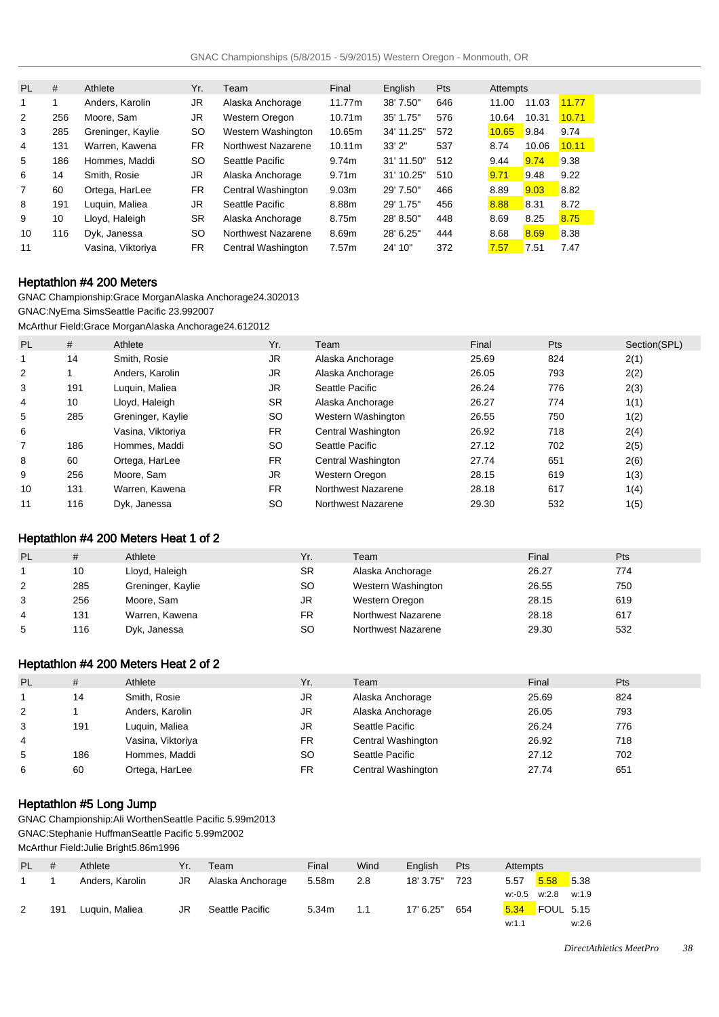| <b>PL</b>      | #   | Athlete           | Yr.       | Team               | Final             | English    | Pts | Attempts |       |       |
|----------------|-----|-------------------|-----------|--------------------|-------------------|------------|-----|----------|-------|-------|
| 1              |     | Anders, Karolin   | JR.       | Alaska Anchorage   | 11.77m            | 38' 7.50"  | 646 | 11.00    | 11.03 | 11.77 |
| 2              | 256 | Moore, Sam        | JR.       | Western Oregon     | 10.71m            | 35' 1.75"  | 576 | 10.64    | 10.31 | 10.71 |
| 3              | 285 | Greninger, Kaylie | SO        | Western Washington | 10.65m            | 34' 11.25" | 572 | 10.65    | 9.84  | 9.74  |
| 4              | 131 | Warren, Kawena    | FR.       | Northwest Nazarene | 10.11m            | 33'2''     | 537 | 8.74     | 10.06 | 10.11 |
| 5              | 186 | Hommes, Maddi     | SO        | Seattle Pacific    | 9.74m             | 31' 11.50" | 512 | 9.44     | 9.74  | 9.38  |
| 6              | 14  | Smith, Rosie      | JR        | Alaska Anchorage   | 9.71m             | 31' 10.25" | 510 | 9.71     | 9.48  | 9.22  |
| $\overline{7}$ | 60  | Ortega, HarLee    | FR.       | Central Washington | 9.03 <sub>m</sub> | 29' 7.50"  | 466 | 8.89     | 9.03  | 8.82  |
| 8              | 191 | Luguin, Maliea    | JR.       | Seattle Pacific    | 8.88m             | 29' 1.75"  | 456 | 8.88     | 8.31  | 8.72  |
| 9              | 10  | Lloyd, Haleigh    | <b>SR</b> | Alaska Anchorage   | 8.75m             | 28' 8.50"  | 448 | 8.69     | 8.25  | 8.75  |
| 10             | 116 | Dyk, Janessa      | SO        | Northwest Nazarene | 8.69m             | 28' 6.25"  | 444 | 8.68     | 8.69  | 8.38  |
| 11             |     | Vasina, Viktoriya | FR.       | Central Washington | 7.57m             | 24' 10"    | 372 | 7.57     | 7.51  | 7.47  |

## Heptathlon #4 200 Meters

GNAC Championship: Grace Morgan Alaska Anchorage 24.30 2013 GNAC: NyEma Sims Seattle Pacific 23.99 2007

McArthur Field: Grace Morgan Alaska Anchorage 24.61 2012

| <b>PL</b> | #   | Athlete           | Yr.       | Team               | Final | <b>Pts</b> | Section(SPL) |
|-----------|-----|-------------------|-----------|--------------------|-------|------------|--------------|
| 1         | 14  | Smith, Rosie      | <b>JR</b> | Alaska Anchorage   | 25.69 | 824        | 2(1)         |
| 2         |     | Anders, Karolin   | JR.       | Alaska Anchorage   | 26.05 | 793        | 2(2)         |
| 3         | 191 | Luguin, Maliea    | JR        | Seattle Pacific    | 26.24 | 776        | 2(3)         |
| 4         | 10  | Lloyd, Haleigh    | <b>SR</b> | Alaska Anchorage   | 26.27 | 774        | 1(1)         |
| 5         | 285 | Greninger, Kaylie | <b>SO</b> | Western Washington | 26.55 | 750        | 1(2)         |
| 6         |     | Vasina, Viktoriya | FR.       | Central Washington | 26.92 | 718        | 2(4)         |
|           | 186 | Hommes, Maddi     | <b>SO</b> | Seattle Pacific    | 27.12 | 702        | 2(5)         |
| 8         | 60  | Ortega, HarLee    | <b>FR</b> | Central Washington | 27.74 | 651        | 2(6)         |
| 9         | 256 | Moore, Sam        | JR.       | Western Oregon     | 28.15 | 619        | 1(3)         |
| 10        | 131 | Warren, Kawena    | <b>FR</b> | Northwest Nazarene | 28.18 | 617        | 1(4)         |
| 11        | 116 | Dyk, Janessa      | <b>SO</b> | Northwest Nazarene | 29.30 | 532        | 1(5)         |

# Heptathlon #4 200 Meters Heat 1 of 2

| <b>PL</b> | #   | Athlete           | Yr.       | Team               | Final | Pts |
|-----------|-----|-------------------|-----------|--------------------|-------|-----|
|           | 10  | Lloyd, Haleigh    | <b>SR</b> | Alaska Anchorage   | 26.27 | 774 |
| 2         | 285 | Greninger, Kaylie | SO        | Western Washington | 26.55 | 750 |
| 3         | 256 | Moore, Sam        | JR        | Western Oregon     | 28.15 | 619 |
| 4         | 131 | Warren, Kawena    | FR.       | Northwest Nazarene | 28.18 | 617 |
| 5         | 116 | Dyk, Janessa      | SO        | Northwest Nazarene | 29.30 | 532 |

## Heptathlon #4 200 Meters Heat 2 of 2

| <b>PL</b> | #   | Athlete           | Yr.       | Team               | Final | Pts |
|-----------|-----|-------------------|-----------|--------------------|-------|-----|
|           | 14  | Smith, Rosie      | JR.       | Alaska Anchorage   | 25.69 | 824 |
| 2         |     | Anders, Karolin   | JR        | Alaska Anchorage   | 26.05 | 793 |
| 3         | 191 | Luguin, Maliea    | JR        | Seattle Pacific    | 26.24 | 776 |
| 4         |     | Vasina, Viktoriya | FR        | Central Washington | 26.92 | 718 |
| 5         | 186 | Hommes, Maddi     | <b>SO</b> | Seattle Pacific    | 27.12 | 702 |
| 6         | 60  | Ortega, HarLee    | FR.       | Central Washington | 27.74 | 651 |

## Heptathlon #5 Long Jump

GNAC Championship: Ali Worthen Seattle Pacific 5.99m 2013 GNAC: Stephanie Huffman Seattle Pacific 5.99m 2002

McArthur Field: Julie Bright 5.86m 1996

| <b>PL</b> | #   | Athlete         | Yr. | Team             | Final | Wind | English   | Pts | Attempts                 |
|-----------|-----|-----------------|-----|------------------|-------|------|-----------|-----|--------------------------|
|           |     | Anders, Karolin | JR  | Alaska Anchorage | 5.58m | 2.8  | 18' 3.75" | 723 | 5.58<br>5.38<br>5.57     |
|           |     |                 |     |                  |       |      |           |     | w:-0.5 w:2.8 w:1.9       |
|           | 191 | Luquin, Maliea  | JR  | Seattle Pacific  | 5.34m | 1.1  | 17' 6.25" | 654 | <b>FOUL 5.15</b><br>5.34 |
|           |     |                 |     |                  |       |      |           |     | w:2.6<br>w:1.7           |